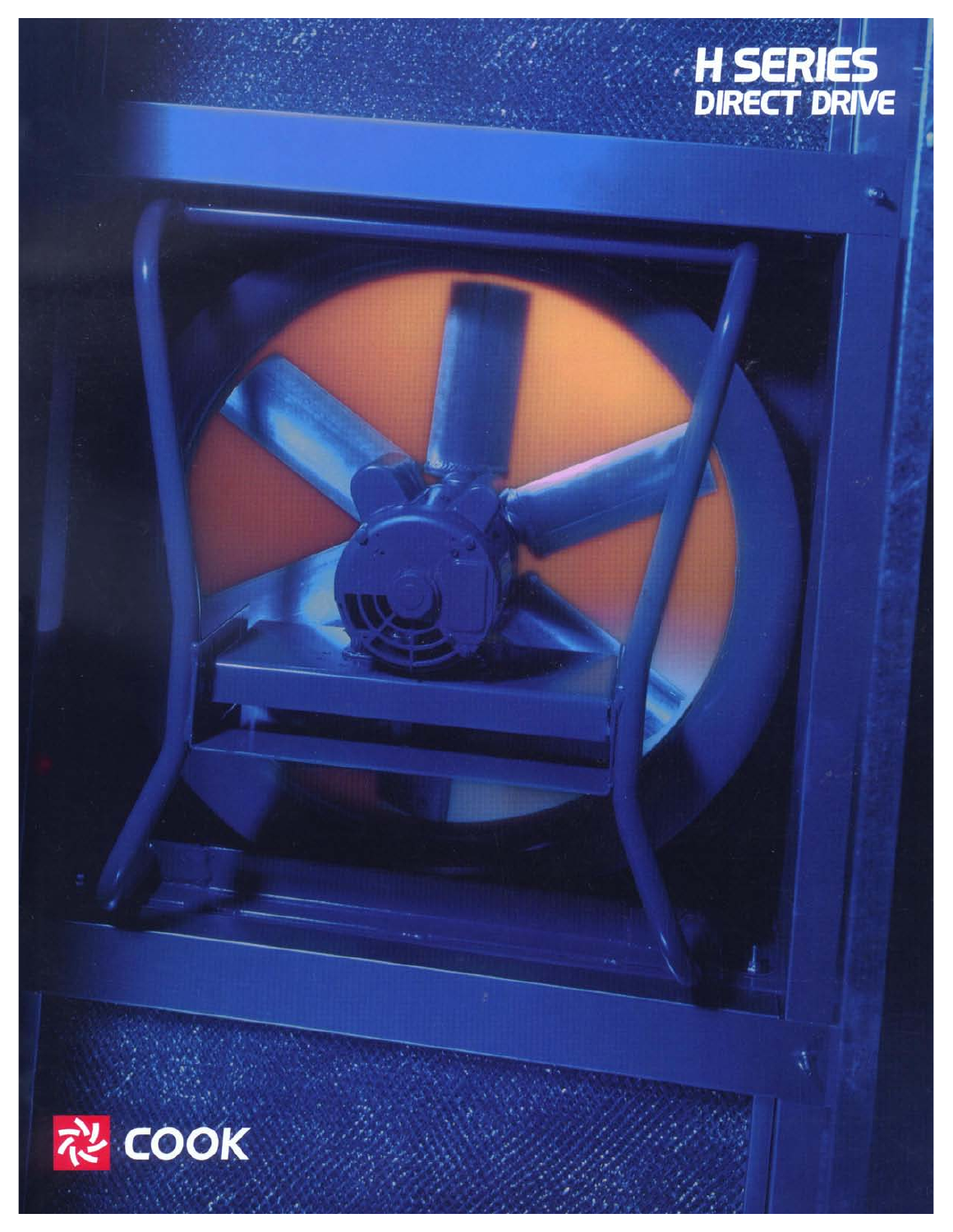

ă

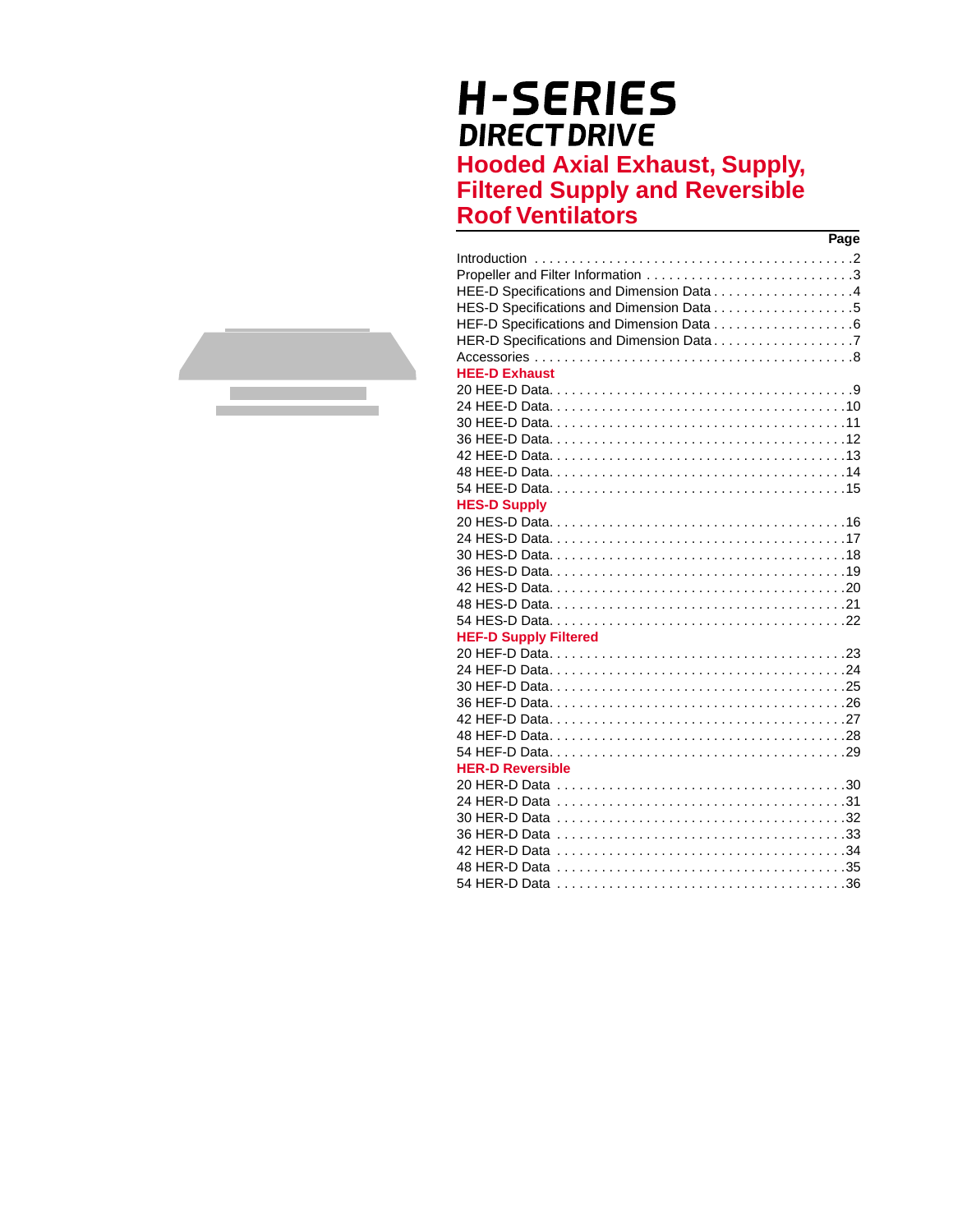# **H-SERIES DIRECT DRIVE Hooded Axial Exhaust, Supply, Filtered Supply and Reversible**

**Roof Ventilators** 

| Page                               |  |
|------------------------------------|--|
| Introduction                       |  |
| Propeller and Filter Information 3 |  |
|                                    |  |
|                                    |  |
|                                    |  |
|                                    |  |
|                                    |  |
| <b>HEE-D Exhaust</b>               |  |
|                                    |  |
| 24 HFF-D Data                      |  |
|                                    |  |
|                                    |  |
|                                    |  |
|                                    |  |
|                                    |  |
| <b>HES-D Supply</b>                |  |
|                                    |  |
|                                    |  |
|                                    |  |
|                                    |  |
|                                    |  |
|                                    |  |
|                                    |  |
| <b>HEF-D Supply Filtered</b>       |  |
|                                    |  |
|                                    |  |
|                                    |  |
|                                    |  |
|                                    |  |
|                                    |  |
|                                    |  |
| <b>HER-D Reversible</b>            |  |
|                                    |  |
|                                    |  |
|                                    |  |
|                                    |  |
|                                    |  |
|                                    |  |
|                                    |  |

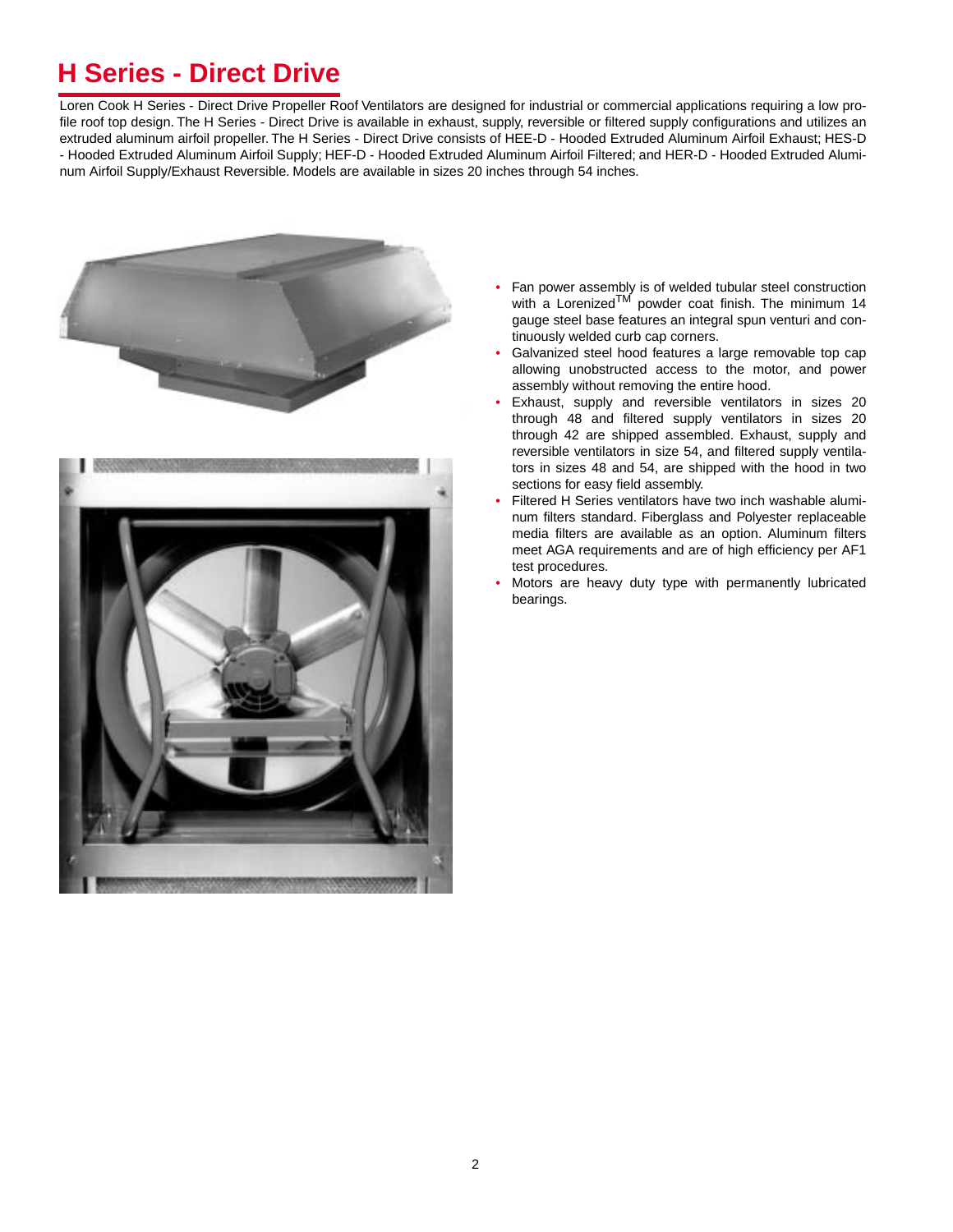# **H Series - Direct Drive**

Loren Cook H Series - Direct Drive Propeller Roof Ventilators are designed for industrial or commercial applications requiring a low profile roof top design. The H Series - Direct Drive is available in exhaust, supply, reversible or filtered supply configurations and utilizes an extruded aluminum airfoil propeller. The H Series - Direct Drive consists of HEE-D - Hooded Extruded Aluminum Airfoil Exhaust; HES-D - Hooded Extruded Aluminum Airfoil Supply; HEF-D - Hooded Extruded Aluminum Airfoil Filtered; and HER-D - Hooded Extruded Aluminum Airfoil Supply/Exhaust Reversible. Models are available in sizes 20 inches through 54 inches.



- Fan power assembly is of welded tubular steel construction with a Lorenized<sup>TM</sup> powder coat finish. The minimum  $14$ gauge steel base features an integral spun venturi and continuously welded curb cap corners.
- Galvanized steel hood features a large removable top cap allowing unobstructed access to the motor, and power assembly without removing the entire hood.
- Exhaust, supply and reversible ventilators in sizes 20 through 48 and filtered supply ventilators in sizes 20 through 42 are shipped assembled. Exhaust, supply and reversible ventilators in size 54, and filtered supply ventilators in sizes 48 and 54, are shipped with the hood in two sections for easy field assembly.
- Filtered H Series ventilators have two inch washable aluminum filters standard. Fiberglass and Polyester replaceable media filters are available as an option. Aluminum filters meet AGA requirements and are of high efficiency per AF1 test procedures.
- Motors are heavy duty type with permanently lubricated bearings.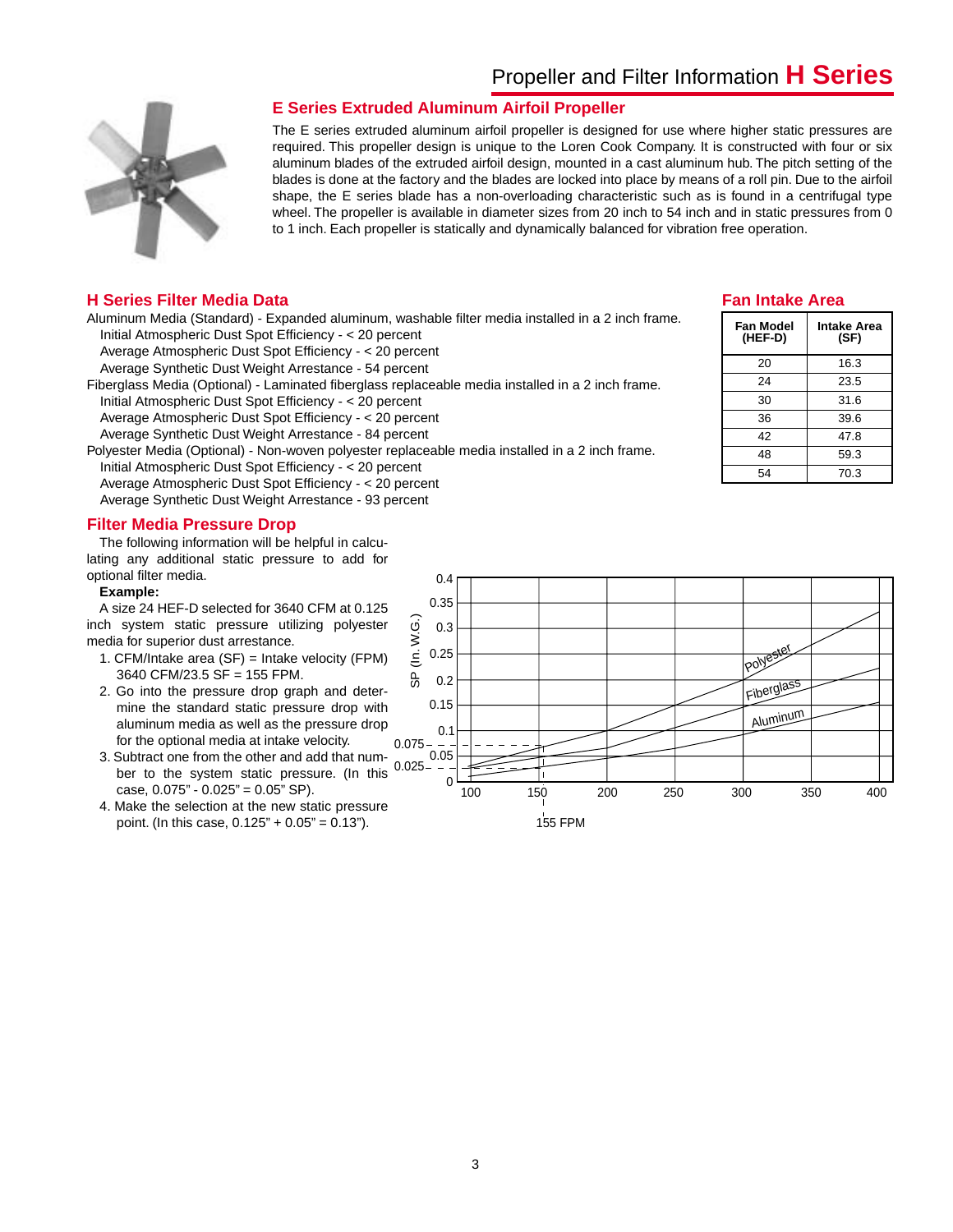



### **E Series Extruded Aluminum Airfoil Propeller**

The E series extruded aluminum airfoil propeller is designed for use where higher static pressures are required. This propeller design is unique to the Loren Cook Company. It is constructed with four or six aluminum blades of the extruded airfoil design, mounted in a cast aluminum hub. The pitch setting of the blades is done at the factory and the blades are locked into place by means of a roll pin. Due to the airfoil shape, the E series blade has a non-overloading characteristic such as is found in a centrifugal type wheel. The propeller is available in diameter sizes from 20 inch to 54 inch and in static pressures from 0 to 1 inch. Each propeller is statically and dynamically balanced for vibration free operation.

#### **H Series Filter Media Data**

Aluminum Media (Standard) - Expanded aluminum, washable filter media installed in a 2 inch frame. Initial Atmospheric Dust Spot Efficiency - < 20 percent

Average Atmospheric Dust Spot Efficiency - < 20 percent

Average Synthetic Dust Weight Arrestance - 54 percent

Fiberglass Media (Optional) - Laminated fiberglass replaceable media installed in a 2 inch frame. Initial Atmospheric Dust Spot Efficiency - < 20 percent Average Atmospheric Dust Spot Efficiency - < 20 percent Average Synthetic Dust Weight Arrestance - 84 percent

Polyester Media (Optional) - Non-woven polyester replaceable media installed in a 2 inch frame. Initial Atmospheric Dust Spot Efficiency - < 20 percent

Average Atmospheric Dust Spot Efficiency - < 20 percent Average Synthetic Dust Weight Arrestance - 93 percent

**Filter Media Pressure Drop**

The following information will be helpful in calculating any additional static pressure to add for optional filter media.

#### **Example:**

A size 24 HEF-D selected for 3640 CFM at 0.125 inch system static pressure utilizing polyester media for superior dust arrestance.

- 1. CFM/Intake area (SF) = Intake velocity (FPM) 3640 CFM/23.5 SF = 155 FPM.
- 2. Go into the pressure drop graph and determine the standard static pressure drop with aluminum media as well as the pressure drop for the optional media at intake velocity.
- 3. Subtract one from the other and add that number to the system static pressure. (In this case, 0.075" - 0.025" = 0.05" SP).
- 4. Make the selection at the new static pressure point. (In this case,  $0.125" + 0.05" = 0.13"$ ).

#### 0.4 0.35 SP (In. W.G.)  $($ In. W.G. 0.3 0.25 polyester o<br>SP 0.2 Fiberglas 0.15 **Aluminum** 0.1  $0.075 -$ 0.05  $0.025 \Omega$ 350 400 100 150 200 250 300 155 FPM

### **Fan Intake Area**

| Fan Model<br>(HEF-D) | Intake Area<br>(SF) |
|----------------------|---------------------|
| 20                   | 16.3                |
| 24                   | 23.5                |
| 30                   | 31.6                |
| 36                   | 39.6                |
| 42                   | 47.8                |
| 48                   | 59.3                |
| 54                   | 70.3                |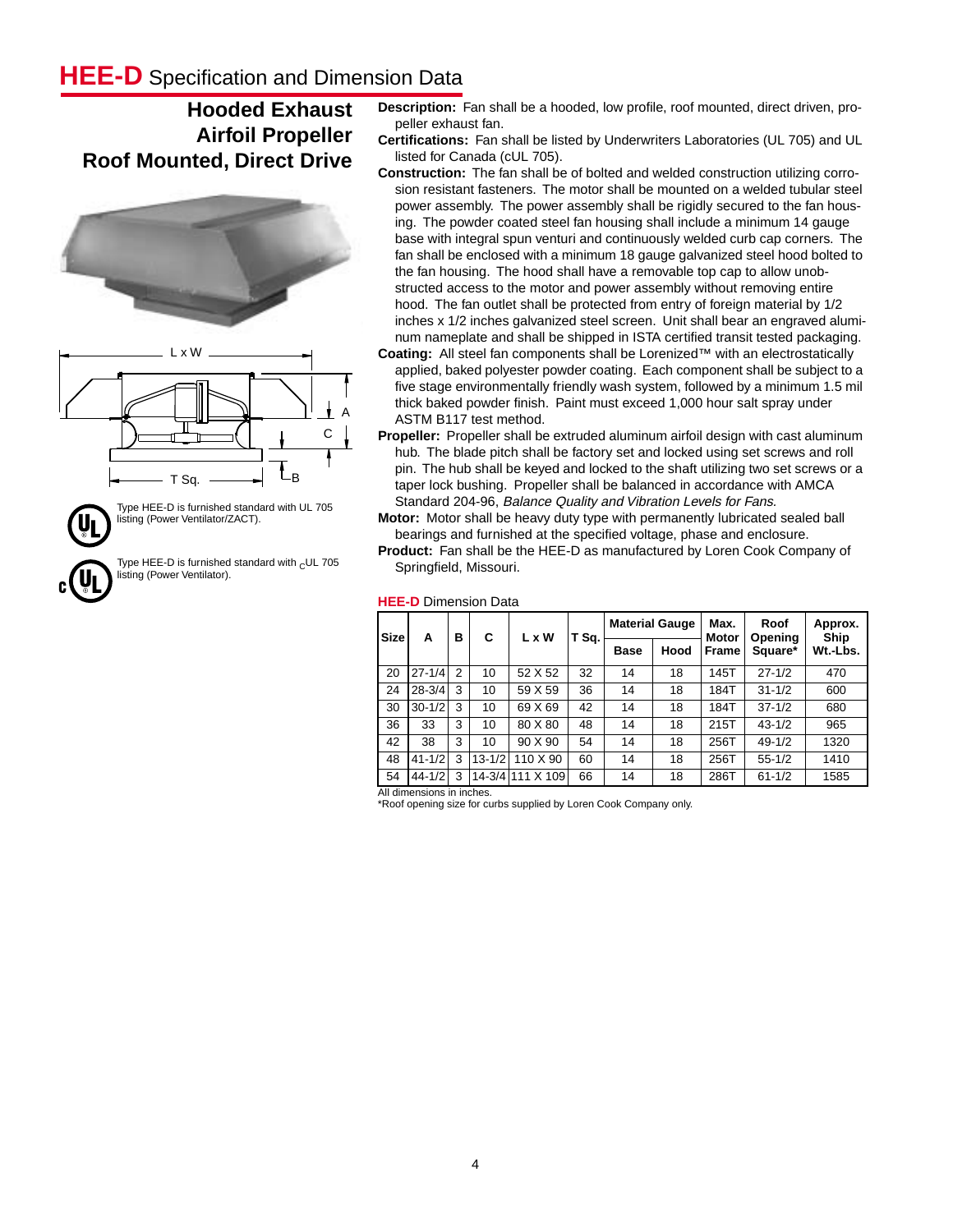## **HEE-D** Specification and Dimension Data

### **Hooded Exhaust Airfoil Propeller Roof Mounted, Direct Drive**





Type HEE-D is furnished standard with UL 705 listing (Power Ventilator/ZACT).

Type HEE-D is furnished standard with  $_$  CUL 705 listing (Power Ventilator).

- **Description:** Fan shall be a hooded, low profile, roof mounted, direct driven, propeller exhaust fan.
- **Certifications:** Fan shall be listed by Underwriters Laboratories (UL 705) and UL listed for Canada (cUL 705).
- **Construction:** The fan shall be of bolted and welded construction utilizing corrosion resistant fasteners. The motor shall be mounted on a welded tubular steel power assembly. The power assembly shall be rigidly secured to the fan housing. The powder coated steel fan housing shall include a minimum 14 gauge base with integral spun venturi and continuously welded curb cap corners. The fan shall be enclosed with a minimum 18 gauge galvanized steel hood bolted to the fan housing. The hood shall have a removable top cap to allow unobstructed access to the motor and power assembly without removing entire hood. The fan outlet shall be protected from entry of foreign material by 1/2 inches x 1/2 inches galvanized steel screen. Unit shall bear an engraved aluminum nameplate and shall be shipped in ISTA certified transit tested packaging.
- **Coating:** All steel fan components shall be Lorenized™ with an electrostatically applied, baked polyester powder coating. Each component shall be subject to a five stage environmentally friendly wash system, followed by a minimum 1.5 mil thick baked powder finish. Paint must exceed 1,000 hour salt spray under ASTM B117 test method.
- **Propeller:** Propeller shall be extruded aluminum airfoil design with cast aluminum hub. The blade pitch shall be factory set and locked using set screws and roll pin. The hub shall be keyed and locked to the shaft utilizing two set screws or a taper lock bushing. Propeller shall be balanced in accordance with AMCA Standard 204-96, Balance Quality and Vibration Levels for Fans.
- **Motor:** Motor shall be heavy duty type with permanently lubricated sealed ball bearings and furnished at the specified voltage, phase and enclosure. **Product:** Fan shall be the HEE-D as manufactured by Loren Cook Company of

Springfield, Missouri.

#### **HEE-D** Dimension Data

| <b>Size</b> | А          | в | С          | L x W            | T Sq. |             | <b>Material Gauge</b> | Max.<br><b>Motor</b> | Roof<br>Opening | Approx.<br>Ship |
|-------------|------------|---|------------|------------------|-------|-------------|-----------------------|----------------------|-----------------|-----------------|
|             |            |   |            |                  |       | <b>Base</b> | Hood                  | <b>Frame</b>         | Square*         | Wt.-Lbs.        |
| 20          | $27 - 1/4$ | 2 | 10         | 52 X 52          | 32    | 14          | 18                    | 145T                 | $27 - 1/2$      | 470             |
| 24          | $28 - 3/4$ | 3 | 10         | 59 X 59          | 36    | 14          | 18                    | 184T                 | $31 - 1/2$      | 600             |
| 30          | $30 - 1/2$ | 3 | 10         | 69 X 69          | 42    | 14          | 18                    | 184T                 | $37 - 1/2$      | 680             |
| 36          | 33         | 3 | 10         | 80 X 80          | 48    | 14          | 18                    | 215T                 | $43 - 1/2$      | 965             |
| 42          | 38         | 3 | 10         | 90 X 90          | 54    | 14          | 18                    | 256T                 | $49 - 1/2$      | 1320            |
| 48          | $41 - 1/2$ | 3 | $13 - 1/2$ | 110 X 90         | 60    | 14          | 18                    | 256T                 | $55 - 1/2$      | 1410            |
| 54          | $44 - 1/2$ | 3 |            | 14-3/4 111 X 109 | 66    | 14          | 18                    | 286T                 | $61 - 1/2$      | 1585            |

All dimensions in inches.

\*Roof opening size for curbs supplied by Loren Cook Company only.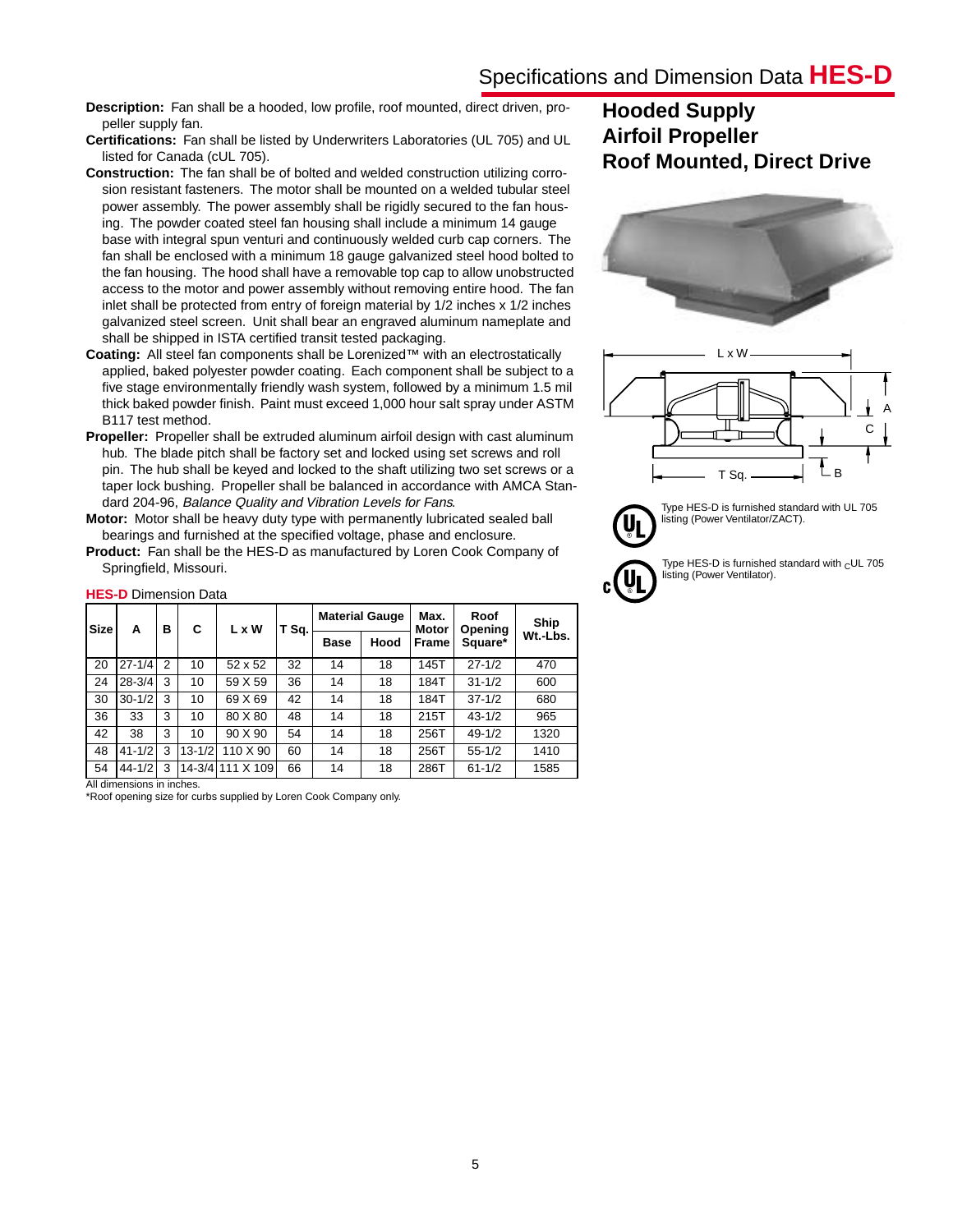**Description:** Fan shall be a hooded, low profile, roof mounted, direct driven, propeller supply fan.

**Certifications:** Fan shall be listed by Underwriters Laboratories (UL 705) and UL listed for Canada (cUL 705).

- **Construction:** The fan shall be of bolted and welded construction utilizing corrosion resistant fasteners. The motor shall be mounted on a welded tubular steel power assembly. The power assembly shall be rigidly secured to the fan housing. The powder coated steel fan housing shall include a minimum 14 gauge base with integral spun venturi and continuously welded curb cap corners. The fan shall be enclosed with a minimum 18 gauge galvanized steel hood bolted to the fan housing. The hood shall have a removable top cap to allow unobstructed access to the motor and power assembly without removing entire hood. The fan inlet shall be protected from entry of foreign material by 1/2 inches x 1/2 inches galvanized steel screen. Unit shall bear an engraved aluminum nameplate and shall be shipped in ISTA certified transit tested packaging.
- **Coating:** All steel fan components shall be Lorenized™ with an electrostatically applied, baked polyester powder coating. Each component shall be subject to a five stage environmentally friendly wash system, followed by a minimum 1.5 mil thick baked powder finish. Paint must exceed 1,000 hour salt spray under ASTM B117 test method.
- **Propeller:** Propeller shall be extruded aluminum airfoil design with cast aluminum hub. The blade pitch shall be factory set and locked using set screws and roll pin. The hub shall be keyed and locked to the shaft utilizing two set screws or a taper lock bushing. Propeller shall be balanced in accordance with AMCA Standard 204-96, Balance Quality and Vibration Levels for Fans.
- **Motor:** Motor shall be heavy duty type with permanently lubricated sealed ball bearings and furnished at the specified voltage, phase and enclosure.
- **Product:** Fan shall be the HES-D as manufactured by Loren Cook Company of Springfield, Missouri.

| <b>Size</b> | A          | в | C          | L x W            | T Sq. |                     | <b>Material Gauge</b> | Max.<br><b>Motor</b> | Roof<br>Opening | Ship     |  |  |  |  |
|-------------|------------|---|------------|------------------|-------|---------------------|-----------------------|----------------------|-----------------|----------|--|--|--|--|
|             |            |   |            |                  |       | Hood<br><b>Base</b> |                       | <b>Frame</b>         | Square*         | Wt.-Lbs. |  |  |  |  |
| 20          | $27 - 1/4$ | 2 | 10         | 52 x 52          | 32    | 14                  | 18                    | 145T                 | $27 - 1/2$      | 470      |  |  |  |  |
| 24          | $28 - 3/4$ | 3 | 10         | 59 X 59          | 36    | 14                  | 18                    | 184T                 | $31 - 1/2$      | 600      |  |  |  |  |
| 30          | $30 - 1/2$ | 3 | 10         | 69 X 69          | 42    | 14                  | 18<br>184T            |                      | $37 - 1/2$      | 680      |  |  |  |  |
| 36          | 33         | 3 | 10         | 80 X 80          | 48    | 14                  | 18                    | 215T                 | $43 - 1/2$      | 965      |  |  |  |  |
| 42          | 38         | 3 | 10         | 90 X 90          | 54    | 14                  | 18                    | 256T                 | $49 - 1/2$      | 1320     |  |  |  |  |
| 48          | $41 - 1/2$ | 3 | $13 - 1/2$ | 110 X 90         | 60    | 14                  | 18                    |                      | $55 - 1/2$      | 1410     |  |  |  |  |
| 54          | $44 - 1/2$ | 3 |            | 14-3/4 111 X 109 | 66    | 14                  | 18                    | 286T                 | $61 - 1/2$      | 1585     |  |  |  |  |

### **HES-D** Dimension Data

All dimensions in inches.

\*Roof opening size for curbs supplied by Loren Cook Company only.

### **Hooded Supply Airfoil Propeller Roof Mounted, Direct Drive**





Type HES-D is furnished standard with UL 705 listing (Power Ventilator/ZACT).

> Type HES-D is furnished standard with  $c$ UL 705 listing (Power Ventilator).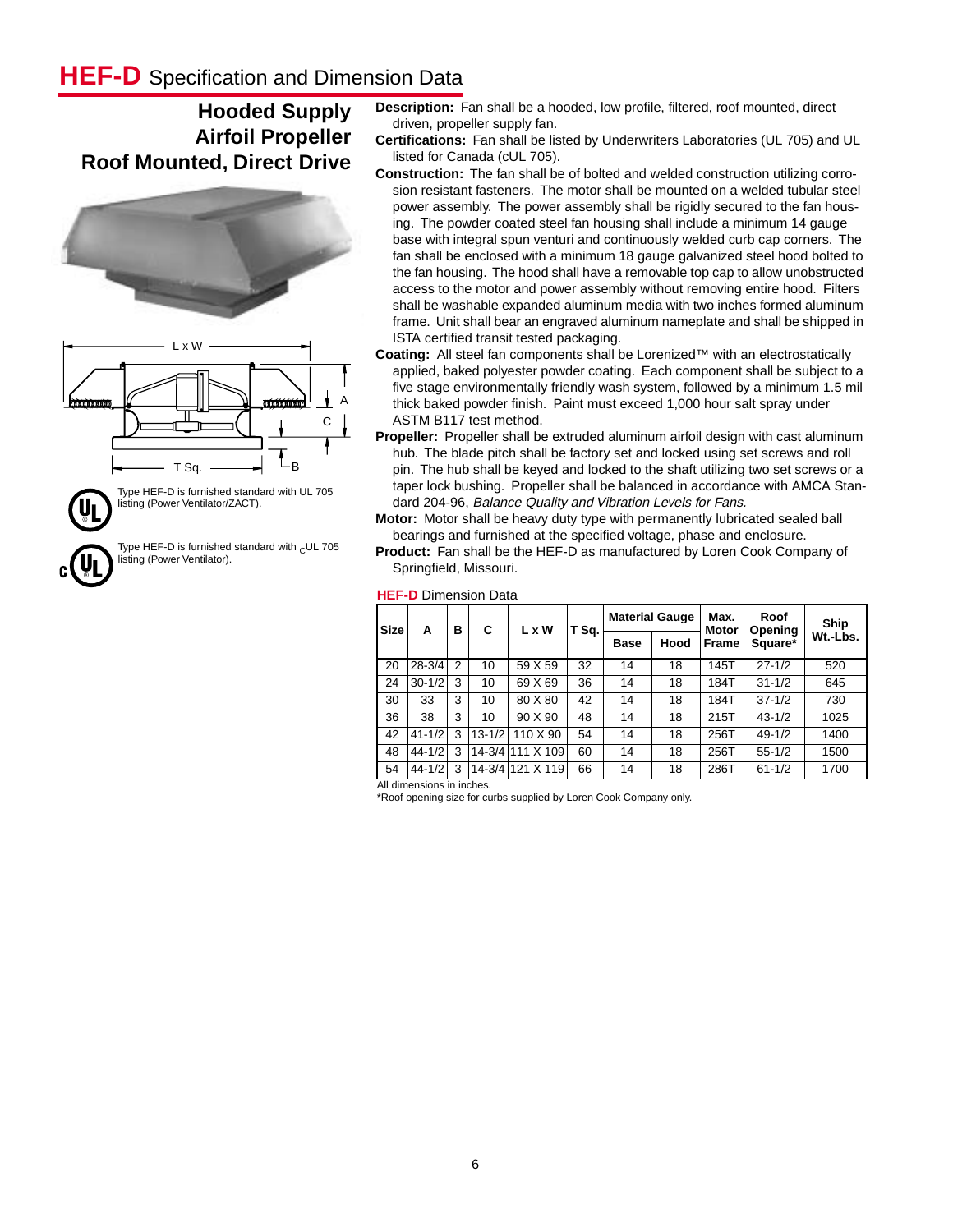## **HEF-D** Specification and Dimension Data

### **Hooded Supply Airfoil Propeller Roof Mounted, Direct Drive**



listing (Power Ventilator/ZACT).

Type HEF-D is furnished standard with  $c$ UL 705 listing (Power Ventilator).

- **Description:** Fan shall be a hooded, low profile, filtered, roof mounted, direct driven, propeller supply fan.
- **Certifications:** Fan shall be listed by Underwriters Laboratories (UL 705) and UL listed for Canada (cUL 705).
- **Construction:** The fan shall be of bolted and welded construction utilizing corrosion resistant fasteners. The motor shall be mounted on a welded tubular steel power assembly. The power assembly shall be rigidly secured to the fan housing. The powder coated steel fan housing shall include a minimum 14 gauge base with integral spun venturi and continuously welded curb cap corners. The fan shall be enclosed with a minimum 18 gauge galvanized steel hood bolted to the fan housing. The hood shall have a removable top cap to allow unobstructed access to the motor and power assembly without removing entire hood. Filters shall be washable expanded aluminum media with two inches formed aluminum frame. Unit shall bear an engraved aluminum nameplate and shall be shipped in ISTA certified transit tested packaging.
- **Coating:** All steel fan components shall be Lorenized™ with an electrostatically applied, baked polyester powder coating. Each component shall be subject to a five stage environmentally friendly wash system, followed by a minimum 1.5 mil thick baked powder finish. Paint must exceed 1,000 hour salt spray under ASTM B117 test method.
- **Propeller:** Propeller shall be extruded aluminum airfoil design with cast aluminum hub. The blade pitch shall be factory set and locked using set screws and roll pin. The hub shall be keyed and locked to the shaft utilizing two set screws or a taper lock bushing. Propeller shall be balanced in accordance with AMCA Standard 204-96, Balance Quality and Vibration Levels for Fans.
- **Motor:** Motor shall be heavy duty type with permanently lubricated sealed ball bearings and furnished at the specified voltage, phase and enclosure.

**Product:** Fan shall be the HEF-D as manufactured by Loren Cook Company of Springfield, Missouri.

#### **HEF-D** Dimension Data

| <b>Size</b> | А          | в | C          | L x W            | T Sq. |             | <b>Material Gauge</b> | Max.<br><b>Motor</b> | Roof<br>Opening | Ship     |
|-------------|------------|---|------------|------------------|-------|-------------|-----------------------|----------------------|-----------------|----------|
|             |            |   |            |                  |       | <b>Base</b> | Hood                  | Frame                | Square*         | Wt.-Lbs. |
| 20          | $28 - 3/4$ | 2 | 10         | 59 X 59          | 32    | 14          | 18                    | 145T                 | $27 - 1/2$      | 520      |
| 24          | $30 - 1/2$ | 3 | 10         | 69 X 69          | 36    | 14          | 18                    | 184T                 | $31 - 1/2$      | 645      |
| 30          | 33         | 3 | 10         | 80 X 80          | 42    | 14          | 18                    | 184T                 | $37 - 1/2$      | 730      |
| 36          | 38         | 3 | 10         | 90 X 90          | 48    | 14          | 18                    | 215T                 | $43 - 1/2$      | 1025     |
| 42          | $41 - 1/2$ | 3 | $13 - 1/2$ | 110 X 90         | 54    | 14          | 18                    | 256T                 | $49 - 1/2$      | 1400     |
| 48          | $44 - 1/2$ | 3 |            | 14-3/4 111 X 109 | 60    | 14          | 18                    | 256T                 | $55 - 1/2$      | 1500     |
| 54<br>.     | $44 - 1/2$ | 3 |            | 14-3/4 121 X 119 | 66    | 14          | 18                    | 286T                 | $61 - 1/2$      | 1700     |

All dimensions in inches.

\*Roof opening size for curbs supplied by Loren Cook Company only.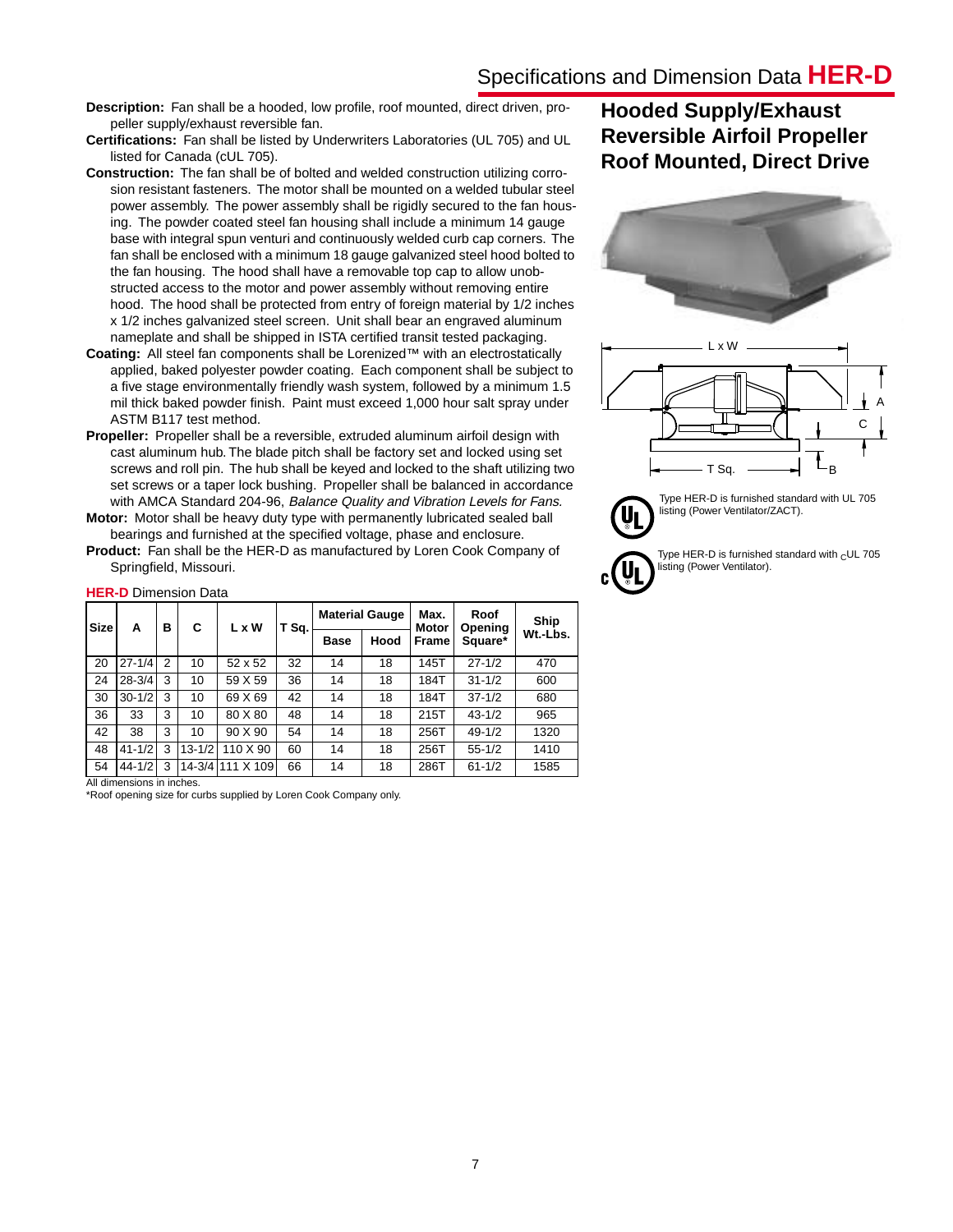**Description:** Fan shall be a hooded, low profile, roof mounted, direct driven, propeller supply/exhaust reversible fan.

**Certifications:** Fan shall be listed by Underwriters Laboratories (UL 705) and UL listed for Canada (cUL 705).

- **Construction:** The fan shall be of bolted and welded construction utilizing corrosion resistant fasteners. The motor shall be mounted on a welded tubular steel power assembly. The power assembly shall be rigidly secured to the fan housing. The powder coated steel fan housing shall include a minimum 14 gauge base with integral spun venturi and continuously welded curb cap corners. The fan shall be enclosed with a minimum 18 gauge galvanized steel hood bolted to the fan housing. The hood shall have a removable top cap to allow unobstructed access to the motor and power assembly without removing entire hood. The hood shall be protected from entry of foreign material by 1/2 inches x 1/2 inches galvanized steel screen. Unit shall bear an engraved aluminum nameplate and shall be shipped in ISTA certified transit tested packaging.
- **Coating:** All steel fan components shall be Lorenized™ with an electrostatically applied, baked polyester powder coating. Each component shall be subject to a five stage environmentally friendly wash system, followed by a minimum 1.5 mil thick baked powder finish. Paint must exceed 1,000 hour salt spray under ASTM B117 test method.
- **Propeller:** Propeller shall be a reversible, extruded aluminum airfoil design with cast aluminum hub. The blade pitch shall be factory set and locked using set screws and roll pin. The hub shall be keyed and locked to the shaft utilizing two set screws or a taper lock bushing. Propeller shall be balanced in accordance with AMCA Standard 204-96, Balance Quality and Vibration Levels for Fans. **Motor:** Motor shall be heavy duty type with permanently lubricated sealed ball

bearings and furnished at the specified voltage, phase and enclosure.

**Product:** Fan shall be the HER-D as manufactured by Loren Cook Company of Springfield, Missouri.

| <b>Size</b> | А          | в              | C          | L x W            | T Sq. |             | <b>Material Gauge</b>           | Max.<br><b>Motor</b> | Roof<br>Opening | Ship |  |  |  |  |
|-------------|------------|----------------|------------|------------------|-------|-------------|---------------------------------|----------------------|-----------------|------|--|--|--|--|
|             |            |                |            |                  |       | <b>Base</b> | Hood<br>Square*<br><b>Frame</b> |                      | Wt.-Lbs.        |      |  |  |  |  |
| 20          | $27 - 1/4$ | $\overline{2}$ | 10         | 52 x 52          | 32    | 14          | 18                              | 145T                 | $27 - 1/2$      | 470  |  |  |  |  |
| 24          | $28 - 3/4$ | 3              | 10         | 59 X 59          | 36    | 14          | 18                              | 184T                 | $31 - 1/2$      | 600  |  |  |  |  |
| 30          | $30 - 1/2$ | 3              | 10         | 69 X 69          | 42    | 14          | 18                              | 184T                 | $37 - 1/2$      | 680  |  |  |  |  |
| 36          | 33         | 3              | 10         | 80 X 80          | 48    | 14          | 18                              | 215T                 | $43 - 1/2$      | 965  |  |  |  |  |
| 42          | 38         | 3              | 10         | 90 X 90          | 54    | 14          | 18                              | 256T                 | $49 - 1/2$      | 1320 |  |  |  |  |
| 48          | $41 - 1/2$ | 3              | $13 - 1/2$ | 110 X 90         | 60    | 14          | 18                              | 256T                 | $55 - 1/2$      | 1410 |  |  |  |  |
| 54          | $44 - 1/2$ | 3              |            | 14-3/4 111 X 109 | 66    | 14          | 18                              | 286T                 | $61 - 1/2$      | 1585 |  |  |  |  |

### **HER-D** Dimension Data

All dimensions in inches.

\*Roof opening size for curbs supplied by Loren Cook Company only.

## **Hooded Supply/Exhaust Reversible Airfoil Propeller Roof Mounted, Direct Drive**



Type HER-D is furnished standard with  $_$ CUL 705 listing (Power Ventilator).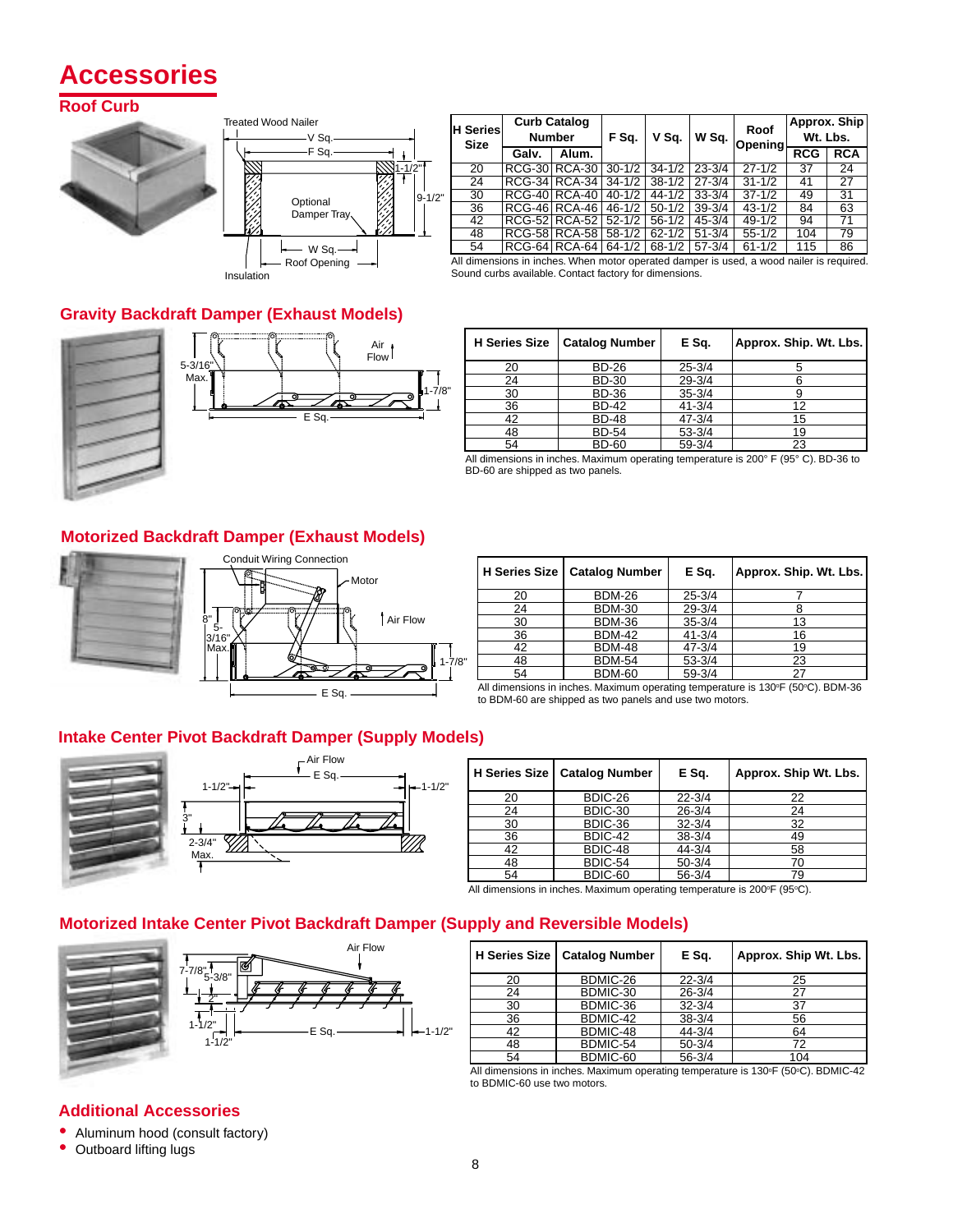# **Accessories**

### **Roof Curb**





Insulation

| <b>H</b> Series<br><b>Size</b> | <b>Curb Catalog</b><br><b>Number</b> |       | F Sq.      | V Sq.      | W Sq.      | Roof<br>Opening    | Approx. Ship<br>Wt. Lbs. |                 |  |
|--------------------------------|--------------------------------------|-------|------------|------------|------------|--------------------|--------------------------|-----------------|--|
|                                | Galv.                                | Alum. |            |            |            |                    | <b>RCG</b>               | <b>RCA</b>      |  |
| 20                             | <b>RCG-30 RCA-30</b>                 |       | $30 - 1/2$ | $34 - 1/2$ | $23 - 3/4$ | $27 - 1/2$         | $\overline{37}$          | $\overline{24}$ |  |
| 24                             | RCG-34 RCA-34                        |       | $34 - 1/2$ | $38 - 1/2$ | $27 - 3/4$ | $31 - \frac{1}{2}$ | 41                       | 27              |  |
| 30                             | RCG-40 RCA-40                        |       | $40 - 1/2$ | $44 - 1/2$ | $33 - 3/4$ | $37 - 1/2$         | 49                       | $\overline{31}$ |  |
| $\overline{36}$                | <b>RCG-46 RCA-46</b>                 |       | $46 - 1/2$ | $50 - 1/2$ | $39 - 3/4$ | $43 - 1/2$         | 84                       | 63              |  |
| 42                             | <b>RCG-52 RCA-52</b>                 |       | $52 - 1/2$ | $56 - 1/2$ | $45 - 3/4$ | $49 - 1/2$         | 94                       | 71              |  |
| 48                             | <b>RCG-58 RCA-58</b>                 |       | $58 - 1/2$ | $62 - 1/2$ | $51 - 3/4$ | $55 - 1/2$         | 104                      | 79              |  |
| 54                             | RCG-64 RCA-64                        |       | $64 - 1/2$ | $68 - 1/2$ | $57 - 3/4$ | $61 - 1/2$         | 115                      | 86              |  |

All dimensions in inches. When motor operated damper is used, a wood nailer is required. Sound curbs available. Contact factory for dimensions.

### **Gravity Backdraft Damper (Exhaust Models)**





| <b>H</b> Series Size | <b>Catalog Number</b> | E Sq.      | Approx. Ship. Wt. Lbs. |
|----------------------|-----------------------|------------|------------------------|
| 20                   | <b>BD-26</b>          | $25 - 3/4$ |                        |
| 24                   | <b>BD-30</b>          | $29 - 3/4$ |                        |
| 30                   | <b>BD-36</b>          | $35 - 3/4$ |                        |
| 36                   | <b>BD-42</b>          | $41 - 3/4$ | 12                     |
| 42                   | <b>BD-48</b>          | $47 - 3/4$ | 15                     |
| 48                   | <b>BD-54</b>          | $53 - 3/4$ | 19                     |
| 54                   | <b>BD-60</b>          | $59 - 3/4$ | 23                     |

All dimensions in inches. Maximum operating temperature is 200° F (95° C). BD-36 to BD-60 are shipped as two panels.

### **Motorized Backdraft Damper (Exhaust Models)**





| H Series Size | <b>Catalog Number</b> | E Sq.      | Approx. Ship. Wt. Lbs. |
|---------------|-----------------------|------------|------------------------|
| 20            | <b>BDM-26</b>         | $25 - 3/4$ |                        |
| 24            | <b>BDM-30</b>         | $29 - 3/4$ |                        |
| 30            | <b>BDM-36</b>         | $35 - 3/4$ | 13                     |
| 36            | <b>BDM-42</b>         | $41 - 3/4$ | 16                     |
| 42            | <b>BDM-48</b>         | $47 - 3/4$ | 19                     |
| 48            | <b>BDM-54</b>         | $53 - 3/4$ | 23                     |
| 54            | <b>BDM-60</b>         | $59 - 3/4$ | 27                     |

All dimensions in inches. Maximum operating temperature is 130°F (50°C). BDM-36 to BDM-60 are shipped as two panels and use two motors.

### **Intake Center Pivot Backdraft Damper (Supply Models)**



| <b>H</b> Series Size | <b>Catalog Number</b> | E Sq.      | Approx. Ship Wt. Lbs. |
|----------------------|-----------------------|------------|-----------------------|
| 20                   | BDIC-26               | $22 - 3/4$ | 22                    |
| 24                   | BDIC-30               | $26 - 3/4$ | 24                    |
| 30                   | BDIC-36               | $32 - 3/4$ | 32                    |
| 36                   | BDIC-42               | $38 - 3/4$ | 49                    |
| 42                   | BDIC-48               | $44 - 3/4$ | 58                    |
| 48                   | BDIC-54               | $50 - 3/4$ | 70                    |
| 54                   | BDIC-60               | $56 - 3/4$ | 79                    |

All dimensions in inches. Maximum operating temperature is 200°F (95°C).

### **Motorized Intake Center Pivot Backdraft Damper (Supply and Reversible Models)**



| H Series Size | <b>Catalog Number</b> | E Sq.      | Approx. Ship Wt. Lbs. |
|---------------|-----------------------|------------|-----------------------|
| 20            | BDMIC-26              | $22 - 3/4$ | 25                    |
| 24            | BDMIC-30              | $26 - 3/4$ | 27                    |
| 30            | BDMIC-36              | $32 - 3/4$ | 37                    |
| 36            | BDMIC-42              | $38 - 3/4$ | 56                    |
| 42            | BDMIC-48              | $44 - 3/4$ | 64                    |
| 48            | BDMIC-54              | $50 - 3/4$ | 72                    |
| 54            | BDMIC-60              | $56 - 3/4$ | 104                   |

All dimensions in inches. Maximum operating temperature is 130°F (50°C). BDMIC-42 to BDMIC-60 use two motors.

### **Additional Accessories**

- Aluminum hood (consult factory)
- Outboard lifting lugs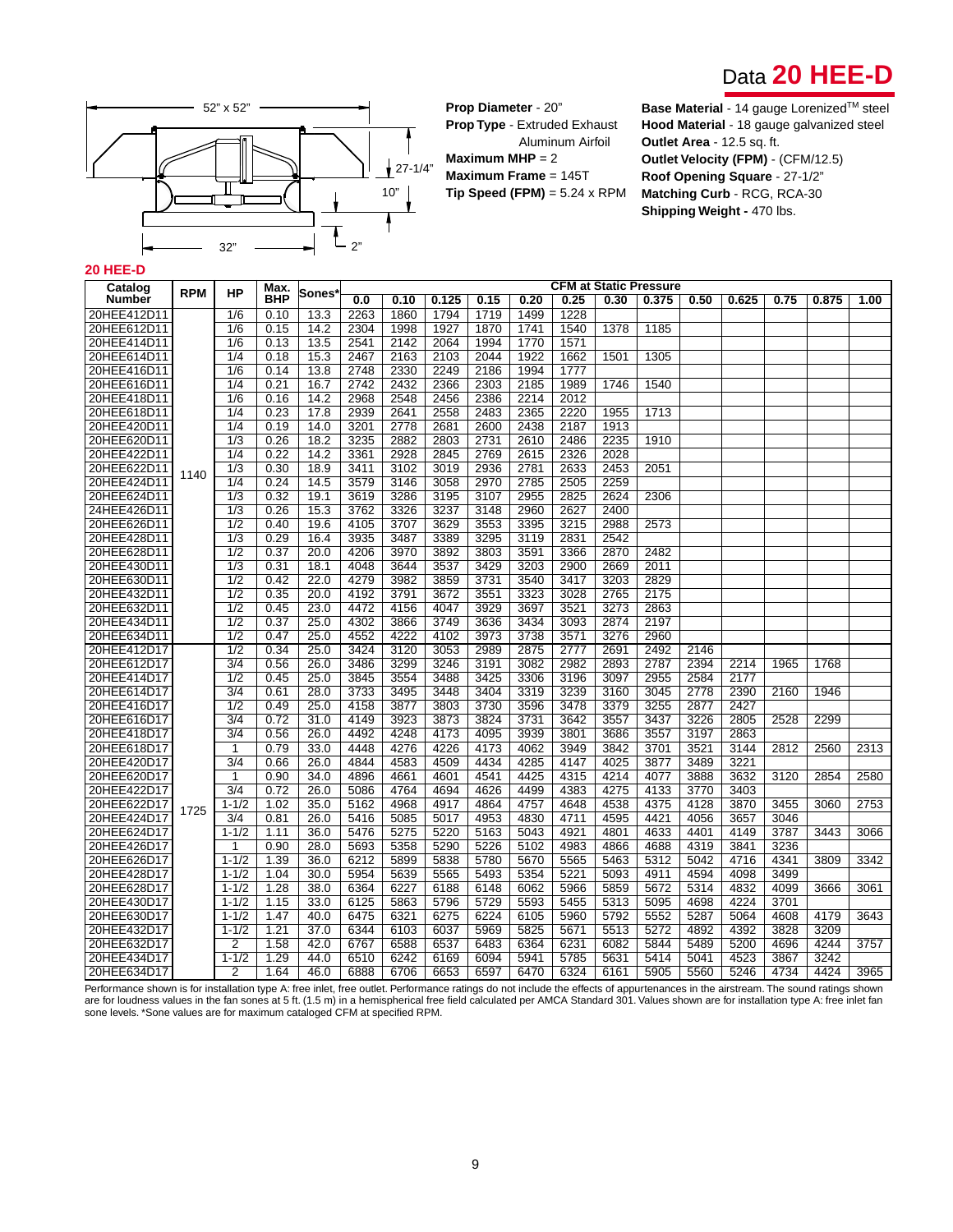



**Prop Diameter** - 20" **Prop Type** - Extruded Exhaust Aluminum Airfoil **Maximum MHP** = 2 **Maximum Frame** = 145T **Tip Speed (FPM)** = 5.24 x RPM **Base Material** - 14 gauge Lorenized™ steel **Hood Material** - 18 gauge galvanized steel **Outlet Area** - 12.5 sq. ft. **Outlet Velocity (FPM)** - (CFM/12.5) **Roof Opening Square** - 27-1/2" **Matching Curb** - RCG, RCA-30 **Shipping Weight -** 470 lbs.

#### **20 HEE-D**

| Catalog       | <b>RPM</b> | Max.<br>HP       |            | <b>CFM at Static Pressure</b><br>Sones |      |      |       |      |      |      |      |       |      |       |      |       |      |
|---------------|------------|------------------|------------|----------------------------------------|------|------|-------|------|------|------|------|-------|------|-------|------|-------|------|
| <b>Number</b> |            |                  | <b>BHP</b> |                                        | 0.0  | 0.10 | 0.125 | 0.15 | 0.20 | 0.25 | 0.30 | 0.375 | 0.50 | 0.625 | 0.75 | 0.875 | 1.00 |
| 20HEE412D11   |            | 1/6              | 0.10       | 13.3                                   | 2263 | 1860 | 1794  | 1719 | 1499 | 1228 |      |       |      |       |      |       |      |
| 20HEE612D11   |            | 1/6              | 0.15       | 14.2                                   | 2304 | 1998 | 1927  | 1870 | 1741 | 1540 | 1378 | 1185  |      |       |      |       |      |
| 20HEE414D11   |            | 1/6              | 0.13       | 13.5                                   | 2541 | 2142 | 2064  | 1994 | 1770 | 1571 |      |       |      |       |      |       |      |
| 20HEE614D11   |            | 1/4              | 0.18       | 15.3                                   | 2467 | 2163 | 2103  | 2044 | 1922 | 1662 | 1501 | 1305  |      |       |      |       |      |
| 20HEE416D11   |            | 1/6              | 0.14       | 13.8                                   | 2748 | 2330 | 2249  | 2186 | 1994 | 1777 |      |       |      |       |      |       |      |
| 20HEE616D11   |            | 1/4              | 0.21       | 16.7                                   | 2742 | 2432 | 2366  | 2303 | 2185 | 1989 | 1746 | 1540  |      |       |      |       |      |
| 20HEE418D11   |            | 1/6              | 0.16       | 14.2                                   | 2968 | 2548 | 2456  | 2386 | 2214 | 2012 |      |       |      |       |      |       |      |
| 20HEE618D11   |            | 1/4              | 0.23       | 17.8                                   | 2939 | 2641 | 2558  | 2483 | 2365 | 2220 | 1955 | 1713  |      |       |      |       |      |
| 20HEE420D11   |            | 1/4              | 0.19       | 14.0                                   | 3201 | 2778 | 2681  | 2600 | 2438 | 2187 | 1913 |       |      |       |      |       |      |
| 20HEE620D11   |            | 1/3              | 0.26       | 18.2                                   | 3235 | 2882 | 2803  | 2731 | 2610 | 2486 | 2235 | 1910  |      |       |      |       |      |
| 20HEE422D11   |            | 1/4              | 0.22       | 14.2                                   | 3361 | 2928 | 2845  | 2769 | 2615 | 2326 | 2028 |       |      |       |      |       |      |
| 20HEE622D11   | 1140       | 1/3              | 0.30       | 18.9                                   | 3411 | 3102 | 3019  | 2936 | 2781 | 2633 | 2453 | 2051  |      |       |      |       |      |
| 20HEE424D11   |            | 1/4              | 0.24       | 14.5                                   | 3579 | 3146 | 3058  | 2970 | 2785 | 2505 | 2259 |       |      |       |      |       |      |
| 20HEE624D11   |            | 1/3              | 0.32       | 19.1                                   | 3619 | 3286 | 3195  | 3107 | 2955 | 2825 | 2624 | 2306  |      |       |      |       |      |
| 24HEE426D11   |            | 1/3              | 0.26       | 15.3                                   | 3762 | 3326 | 3237  | 3148 | 2960 | 2627 | 2400 |       |      |       |      |       |      |
| 20HEE626D11   |            | 1/2              | 0.40       | 19.6                                   | 4105 | 3707 | 3629  | 3553 | 3395 | 3215 | 2988 | 2573  |      |       |      |       |      |
| 20HEE428D11   |            | 1/3              | 0.29       | 16.4                                   | 3935 | 3487 | 3389  | 3295 | 3119 | 2831 | 2542 |       |      |       |      |       |      |
| 20HEE628D11   |            | $\overline{1/2}$ | 0.37       | 20.0                                   | 4206 | 3970 | 3892  | 3803 | 3591 | 3366 | 2870 | 2482  |      |       |      |       |      |
| 20HEE430D11   |            | 1/3              | 0.31       | 18.1                                   | 4048 | 3644 | 3537  | 3429 | 3203 | 2900 | 2669 | 2011  |      |       |      |       |      |
| 20HEE630D11   |            | 1/2              | 0.42       | 22.0                                   | 4279 | 3982 | 3859  | 3731 | 3540 | 3417 | 3203 | 2829  |      |       |      |       |      |
| 20HEE432D11   |            | 1/2              | 0.35       | 20.0                                   | 4192 | 3791 | 3672  | 3551 | 3323 | 3028 | 2765 | 2175  |      |       |      |       |      |
| 20HEE632D11   |            | 1/2              | 0.45       | 23.0                                   | 4472 | 4156 | 4047  | 3929 | 3697 | 3521 | 3273 | 2863  |      |       |      |       |      |
| 20HEE434D11   |            | 1/2              | 0.37       | 25.0                                   | 4302 | 3866 | 3749  | 3636 | 3434 | 3093 | 2874 | 2197  |      |       |      |       |      |
| 20HEE634D11   |            | 1/2              | 0.47       | 25.0                                   | 4552 | 4222 | 4102  | 3973 | 3738 | 3571 | 3276 | 2960  |      |       |      |       |      |
| 20HEE412D17   |            | $\overline{1/2}$ | 0.34       | 25.0                                   | 3424 | 3120 | 3053  | 2989 | 2875 | 2777 | 2691 | 2492  | 2146 |       |      |       |      |
| 20HEE612D17   |            | $\frac{3}{4}$    | 0.56       | 26.0                                   | 3486 | 3299 | 3246  | 3191 | 3082 | 2982 | 2893 | 2787  | 2394 | 2214  | 1965 | 1768  |      |
| 20HEE414D17   |            | 1/2              | 0.45       | 25.0                                   | 3845 | 3554 | 3488  | 3425 | 3306 | 3196 | 3097 | 2955  | 2584 | 2177  |      |       |      |
| 20HEE614D17   |            | $\frac{3}{4}$    | 0.61       | 28.0                                   | 3733 | 3495 | 3448  | 3404 | 3319 | 3239 | 3160 | 3045  | 2778 | 2390  | 2160 | 1946  |      |
| 20HEE416D17   |            | 1/2              | 0.49       | 25.0                                   | 4158 | 3877 | 3803  | 3730 | 3596 | 3478 | 3379 | 3255  | 2877 | 2427  |      |       |      |
| 20HEE616D17   |            | 3/4              | 0.72       | 31.0                                   | 4149 | 3923 | 3873  | 3824 | 3731 | 3642 | 3557 | 3437  | 3226 | 2805  | 2528 | 2299  |      |
| 20HEE418D17   |            | 3/4              | 0.56       | 26.0                                   | 4492 | 4248 | 4173  | 4095 | 3939 | 3801 | 3686 | 3557  | 3197 | 2863  |      |       |      |
| 20HEE618D17   |            | $\mathbf 1$      | 0.79       | 33.0                                   | 4448 | 4276 | 4226  | 4173 | 4062 | 3949 | 3842 | 3701  | 3521 | 3144  | 2812 | 2560  | 2313 |
| 20HEE420D17   |            | 3/4              | 0.66       | 26.0                                   | 4844 | 4583 | 4509  | 4434 | 4285 | 4147 | 4025 | 3877  | 3489 | 3221  |      |       |      |
| 20HEE620D17   |            | $\mathbf 1$      | 0.90       | 34.0                                   | 4896 | 4661 | 4601  | 4541 | 4425 | 4315 | 4214 | 4077  | 3888 | 3632  | 3120 | 2854  | 2580 |
| 20HEE422D17   |            | 3/4              | 0.72       | 26.0                                   | 5086 | 4764 | 4694  | 4626 | 4499 | 4383 | 4275 | 4133  | 3770 | 3403  |      |       |      |
| 20HEE622D17   | 1725       | $1 - 1/2$        | 1.02       | 35.0                                   | 5162 | 4968 | 4917  | 4864 | 4757 | 4648 | 4538 | 4375  | 4128 | 3870  | 3455 | 3060  | 2753 |
| 20HEE424D17   |            | 3/4              | 0.81       | 26.0                                   | 5416 | 5085 | 5017  | 4953 | 4830 | 4711 | 4595 | 4421  | 4056 | 3657  | 3046 |       |      |
| 20HEE624D17   |            | $1 - 1/2$        | 1.11       | 36.0                                   | 5476 | 5275 | 5220  | 5163 | 5043 | 4921 | 4801 | 4633  | 4401 | 4149  | 3787 | 3443  | 3066 |
| 20HEE426D17   |            | 1                | 0.90       | 28.0                                   | 5693 | 5358 | 5290  | 5226 | 5102 | 4983 | 4866 | 4688  | 4319 | 3841  | 3236 |       |      |
| 20HEE626D17   |            | $1 - 1/2$        | 1.39       | 36.0                                   | 6212 | 5899 | 5838  | 5780 | 5670 | 5565 | 5463 | 5312  | 5042 | 4716  | 4341 | 3809  | 3342 |
| 20HEE428D17   |            | $1 - 1/2$        | 1.04       | 30.0                                   | 5954 | 5639 | 5565  | 5493 | 5354 | 5221 | 5093 | 4911  | 4594 | 4098  | 3499 |       |      |
| 20HEE628D17   |            | $1 - 1/2$        | 1.28       | 38.0                                   | 6364 | 6227 | 6188  | 6148 | 6062 | 5966 | 5859 | 5672  | 5314 | 4832  | 4099 | 3666  | 3061 |
| 20HEE430D17   |            | $1 - 1/2$        | 1.15       | 33.0                                   | 6125 | 5863 | 5796  | 5729 | 5593 | 5455 | 5313 | 5095  | 4698 | 4224  | 3701 |       |      |
| 20HEE630D17   |            | $1 - 1/2$        | 1.47       | 40.0                                   | 6475 | 6321 | 6275  | 6224 | 6105 | 5960 | 5792 | 5552  | 5287 | 5064  | 4608 | 4179  | 3643 |
| 20HEE432D17   |            | $1 - 1/2$        | 1.21       | 37.0                                   | 6344 | 6103 | 6037  | 5969 | 5825 | 5671 | 5513 | 5272  | 4892 | 4392  | 3828 | 3209  |      |
| 20HEE632D17   |            | $\overline{2}$   | 1.58       | 42.0                                   | 6767 | 6588 | 6537  | 6483 | 6364 | 6231 | 6082 | 5844  | 5489 | 5200  | 4696 | 4244  | 3757 |
| 20HEE434D17   |            | $1 - 1/2$        | 1.29       | 44.0                                   | 6510 | 6242 | 6169  | 6094 | 5941 | 5785 | 5631 | 5414  | 5041 | 4523  | 3867 | 3242  |      |
| 20HEE634D17   |            | 2                | 1.64       | 46.0                                   | 6888 | 6706 | 6653  | 6597 | 6470 | 6324 | 6161 | 5905  | 5560 | 5246  | 4734 | 4424  | 3965 |

Performance shown is for installation type A: free inlet, free outlet. Performance ratings do not include the effects of appurtenances in the airstream. The sound ratings shown are for loudness values in the fan sones at 5 ft. (1.5 m) in a hemispherical free field calculated per AMCA Standard 301. Values shown are for installation type A: free inlet fan<br>sone levels. \*Sone values are for maximum c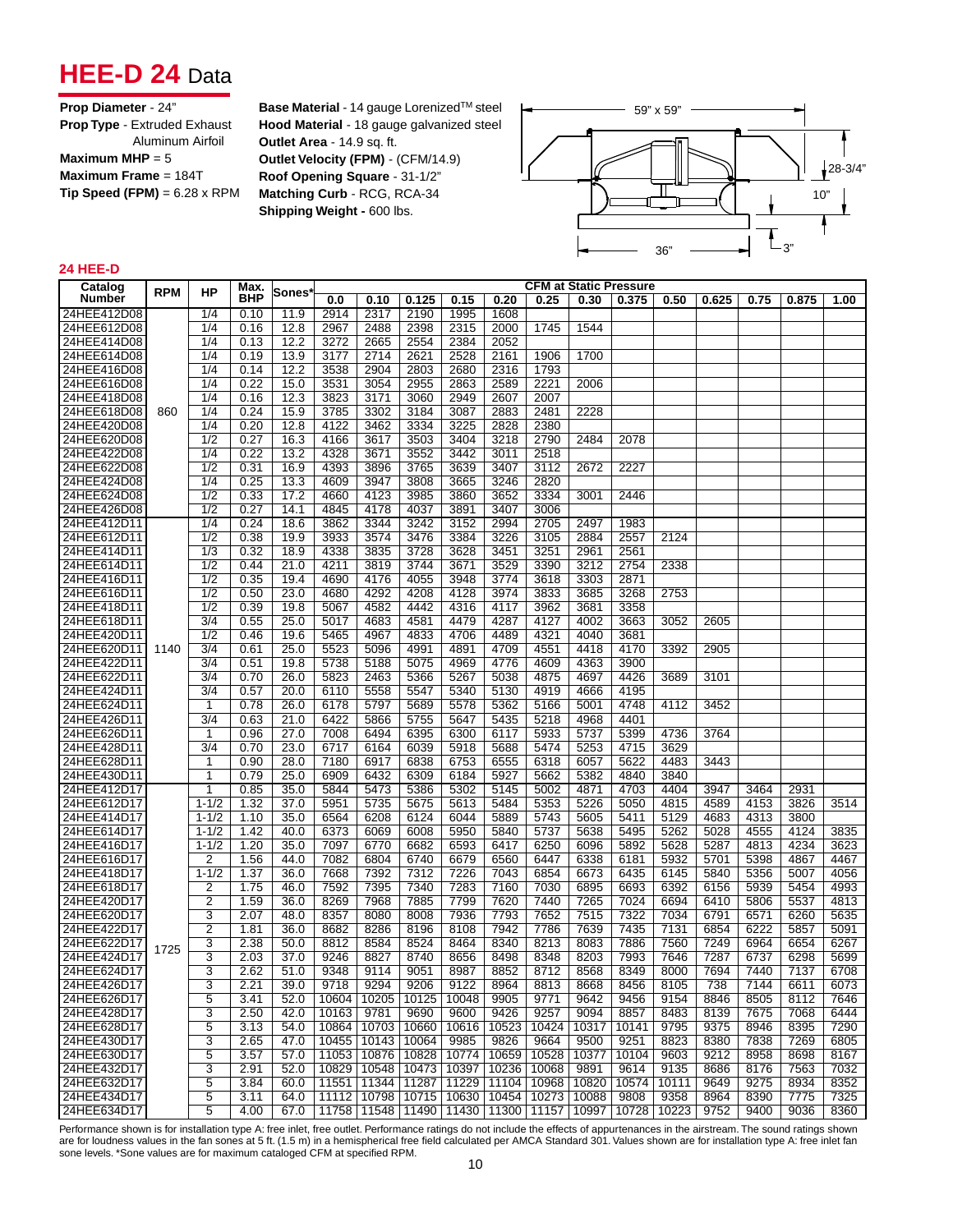## **HEE-D 24** Data

| Prop Diameter - 24"                 |
|-------------------------------------|
| <b>Prop Type - Extruded Exhaust</b> |
| Aluminum Airfoil                    |
| Maximum MHP = $5$                   |
| Maximum Frame = $184T$              |
| Tip Speed (FPM) = $6.28 \times$ RPM |

**Base Material** - 14 gauge Lorenized™ steel **Hood Material** - 18 gauge galvanized steel **Outlet Area** - 14.9 sq. ft. **Outlet Velocity (FPM)** - (CFM/14.9) **Roof Opening Square** - 31-1/2" **Matching Curb** - RCG, RCA-34 **Shipping Weight - 600 lbs.** 



### **24 HEE-D**

| <b>CFM at Static Pressure</b><br>Catalog<br>Max.<br>ΗP<br><b>Sones</b>                                          |               |      |       |      |
|-----------------------------------------------------------------------------------------------------------------|---------------|------|-------|------|
| <b>RPM</b><br><b>BHP</b><br><b>Number</b><br>0.0<br>0.10<br>0.125<br>0.15<br>0.20<br>0.25<br>0.30<br>0.375      | 0.50<br>0.625 | 0.75 | 0.875 | 1.00 |
| 24HEE412D08<br>1/4<br>0.10<br>11.9<br>2914<br>2317<br>2190<br>1995<br>1608                                      |               |      |       |      |
| 2488<br>24HEE612D08<br>1/4<br>0.16<br>12.8<br>2967<br>2398<br>2315<br>2000<br>1745<br>1544                      |               |      |       |      |
| 24HEE414D08<br>1/4<br>2665<br>2052<br>0.13<br>12.2<br>3272<br>2554<br>2384                                      |               |      |       |      |
| 1700<br>24HEE614D08<br>1/4<br>0.19<br>13.9<br>3177<br>2714<br>2621<br>2528<br>2161<br>1906                      |               |      |       |      |
| 24HEE416D08<br>1/4<br>3538<br>2904<br>2803<br>2316<br>1793<br>0.14<br>12.2<br>2680                              |               |      |       |      |
| 1/4<br>0.22<br>3531<br>2955<br>2863<br>2589<br>2221<br>24HEE616D08<br>15.0<br>3054<br>2006                      |               |      |       |      |
|                                                                                                                 |               |      |       |      |
| 24HEE418D08<br>1/4<br>3823<br>3060<br>2949<br>2607<br>2007<br>0.16<br>12.3<br>3171                              |               |      |       |      |
| 2883<br>24HEE618D08<br>1/4<br>0.24<br>15.9<br>3785<br>3302<br>3184<br>3087<br>2481<br>2228<br>860               |               |      |       |      |
| 24HEE420D08<br>1/4<br>0.20<br>4122<br>3462<br>3334<br>3225<br>2828<br>2380<br>12.8                              |               |      |       |      |
| 24HEE620D08<br>1/2<br>4166<br>3617<br>3503<br>3404<br>3218<br>2790<br>0.27<br>16.3<br>2484<br>2078              |               |      |       |      |
| 24HEE422D08<br>1/4<br>0.22<br>4328<br>3552<br>3442<br>3011<br>2518<br>13.2<br>3671                              |               |      |       |      |
| 1/2<br>4393<br>3765<br>2227<br>24HEE622D08<br>0.31<br>16.9<br>3896<br>3639<br>3407<br>3112<br>2672              |               |      |       |      |
| 24HEE424D08<br>1/4<br>0.25<br>4609<br>3808<br>3665<br>3246<br>2820<br>13.3<br>3947                              |               |      |       |      |
| 24HEE624D08<br>1/2<br>0.33<br>4660<br>4123<br>3985<br>3860<br>3652<br>3334<br>17.2<br>3001<br>2446              |               |      |       |      |
| 24HEE426D08<br>1/2<br>0.27<br>3006<br>14.1<br>4845<br>4178<br>4037<br>3891<br>3407                              |               |      |       |      |
| 1/4<br>3242<br>2497<br>24HEE412D11<br>0.24<br>18.6<br>3862<br>3344<br>3152<br>2994<br>2705<br>1983              |               |      |       |      |
| $\overline{1/2}$<br>24HEE612D11<br>0.38<br>19.9<br>3574<br>3476<br>3384<br>3226<br>3105<br>2884<br>2557<br>3933 | 2124          |      |       |      |
| 24HEE414D11<br>1/3<br>0.32<br>18.9<br>4338<br>3835<br>3728<br>3628<br>3451<br>3251<br>2961<br>2561              |               |      |       |      |
| 24HEE614D11<br>1/2<br>0.44<br>21.0<br>3671<br>3529<br>3390<br>3212<br>2754<br>4211<br>3819<br>3744              | 2338          |      |       |      |
| 1/2<br>3948<br>3618<br>3303<br>2871<br>24HEE416D11<br>0.35<br>19.4<br>4690<br>4176<br>4055<br>3774              |               |      |       |      |
| 3268<br>24HEE616D11<br>1/2<br>0.50<br>23.0<br>4680<br>4292<br>4208<br>4128<br>3974<br>3833<br>3685              | 2753          |      |       |      |
| 3358<br>24HEE418D11<br>1/2<br>5067<br>4582<br>4442<br>4316<br>3962<br>3681<br>0.39<br>19.8<br>4117              |               |      |       |      |
| $\overline{3/4}$<br>24HEE618D11<br>0.55<br>4581<br>4002<br>3663<br>25.0<br>5017<br>4683<br>4479<br>4287<br>4127 | 3052<br>2605  |      |       |      |
| 1/2<br>4706<br>4321<br>4040<br>3681<br>24HEE420D11<br>0.46<br>19.6<br>5465<br>4967<br>4833<br>4489              |               |      |       |      |
| 24HEE620D11<br>3/4<br>0.61<br>25.0<br>5523<br>4991<br>4891<br>4709<br>4551<br>4418<br>4170<br>1140<br>5096      | 3392<br>2905  |      |       |      |
| 3900<br>24HEE422D11<br>5738<br>5075<br>4969<br>4609<br>4363<br>3/4<br>0.51<br>19.8<br>5188<br>4776              |               |      |       |      |
| 24HEE622D11<br>3/4<br>5823<br>5366<br>5038<br>4875<br>4697<br>4426<br>0.70<br>26.0<br>2463<br>5267              | 3689<br>3101  |      |       |      |
| 24HEE424D11<br>4919<br>4666<br>4195<br>3/4<br>0.57<br>20.0<br>6110<br>5558<br>5547<br>5340<br>5130              |               |      |       |      |
| 24HEE624D11<br>0.78<br>6178<br>5689<br>5578<br>5362<br>5166<br>5001<br>4748<br>1<br>26.0<br>5797                | 3452<br>4112  |      |       |      |
| 24HEE426D11<br>$\overline{3/4}$<br>6422<br>5647<br>4401<br>0.63<br>21.0<br>5866<br>5755<br>5435<br>5218<br>4968 |               |      |       |      |
| 24HEE626D11<br>27.0<br>7008<br>6494<br>6395<br>6300<br>5933<br>5737<br>5399<br>0.96<br>6117<br>1                | 4736<br>3764  |      |       |      |
| 5253<br>24HEE428D11<br>$\overline{3/4}$<br>0.70<br>23.0<br>6717<br>6164<br>6039<br>5918<br>5474<br>4715<br>5688 | 3629          |      |       |      |
| 24HEE628D11<br>0.90<br>28.0<br>7180<br>6917<br>6838<br>6753<br>6555<br>6318<br>6057<br>5622<br>1                | 4483          |      |       |      |
|                                                                                                                 | 3443          |      |       |      |
| 24HEE430D11<br>0.79<br>25.0<br>6909<br>6309<br>6184<br>5927<br>5662<br>5382<br>4840<br>1<br>6432                | 3840          |      |       |      |
| 24HEE412D17<br>5844<br>5386<br>5302<br>5002<br>4871<br>4703<br>$\overline{1}$<br>0.85<br>35.0<br>5473<br>5145   | 4404<br>3947  | 3464 | 2931  |      |
| 5226<br>24HEE612D17<br>$1 - 1/2$<br>1.32<br>37.0<br>5951<br>5735<br>5675<br>5613<br>5484<br>5353<br>5050        | 4815<br>4589  | 4153 | 3826  | 3514 |
| 5889<br>24HEE414D17<br>$1 - 1/2$<br>1.10<br>35.0<br>6564<br>6208<br>6124<br>6044<br>5743<br>5605<br>5411        | 5129<br>4683  | 4313 | 3800  |      |
| 24HEE614D17<br>$1 - 1/2$<br>1.42<br>40.0<br>6373<br>5950<br>5840<br>5737<br>5638<br>5495<br>6069<br>6008        | 5262<br>5028  | 4555 | 4124  | 3835 |
| 24HEE416D17<br>$1 - 1/2$<br>1.20<br>35.0<br>7097<br>6770<br>6682<br>6593<br>6417<br>6250<br>6096<br>5892        | 5628<br>5287  | 4813 | 4234  | 3623 |
| 24HEE616D17<br>$\overline{2}$<br>1.56<br>44.0<br>7082<br>6804<br>6740<br>6679<br>6560<br>6447<br>6338<br>6181   | 5932<br>5701  | 5398 | 4867  | 4467 |
| $1 - 1/2$<br>24HEE418D17<br>1.37<br>36.0<br>7668<br>7392<br>7312<br>7226<br>7043<br>6854<br>6673<br>6435        | 6145<br>5840  | 5356 | 5007  | 4056 |
| 24HEE618D17<br>$\overline{2}$<br>1.75<br>7592<br>7395<br>7340<br>7283<br>7160<br>7030<br>6895<br>6693<br>46.0   | 6392<br>6156  | 5939 | 5454  | 4993 |
| $\overline{2}$<br>24HEE420D17<br>1.59<br>36.0<br>8269<br>7968<br>7885<br>7799<br>7620<br>7440<br>7265<br>7024   | 6694<br>6410  | 5806 | 5537  | 4813 |
| 3<br>7515<br>7322<br>24HEE620D17<br>2.07<br>48.0<br>8357<br>8080<br>8008<br>7936<br>7793<br>7652                | 7034<br>6791  | 6571 | 6260  | 5635 |
| $\overline{2}$<br>7435<br>24HEE422D17<br>36.0<br>8682<br>8286<br>8196<br>8108<br>7942<br>7786<br>7639<br>1.81   | 7131<br>6854  | 6222 | 5857  | 5091 |
| 7886<br>24HEE622D17<br>3<br>2.38<br>8584<br>8524<br>8464<br>8340<br>8213<br>8083<br>50.0<br>8812<br>1725        | 7560<br>7249  | 6964 | 6654  | 6267 |
| $\overline{3}$<br>24HEE424D17<br>2.03<br>37.0<br>9246<br>8827<br>8740<br>8656<br>8498<br>8348<br>8203<br>7993   | 7646<br>7287  | 6737 | 6298  | 5699 |
| $\overline{3}$<br>8568<br>8349<br>24HEE624D17<br>2.62<br>51.0<br>9348<br>9114<br>9051<br>8987<br>8852<br>8712   | 8000<br>7694  | 7440 | 7137  | 6708 |
| 3<br>24HEE426D17<br>9718<br>9294<br>9206<br>9122<br>8964<br>8813<br>8668<br>8456<br>2.21<br>39.0                | 8105<br>738   | 7144 | 6611  | 6073 |
| 24HEE626D17<br>5<br>3.41<br>52.0<br>10604 10205<br>10125<br>10048<br>9905<br>9771<br>9642<br>9456               | 8846<br>9154  | 8505 | 8112  | 7646 |
| 24HEE428D17<br>3<br>10163<br>8857<br>2.50<br>42.0<br>9781<br>9690<br>9600<br>9426<br>9257<br>9094               | 8483<br>8139  | 7675 | 7068  | 6444 |
| 24HEE628D17<br>5<br>10703<br>10317<br>3.13<br>54.0<br>10864<br>10660<br>10616<br>10523<br>10424<br>10141        | 9375<br>9795  | 8946 | 8395  | 7290 |
| 24HEE430D17<br>3<br>10455 10143<br>10064<br>9985<br>9664<br>2.65<br>47.0<br>9826<br>9500<br>9251                | 8823<br>8380  | 7838 | 7269  | 6805 |
| 24HEE630D17<br>5<br>10528<br>10377<br>10104<br>3.57<br>57.0<br>11053   10876<br>10828<br>10774<br>10659         | 9603<br>9212  | 8958 | 8698  | 8167 |
| 3<br>10236<br>24HEE432D17<br>2.91<br>52.0<br>10829<br>10548<br>10473<br>10397<br>10068<br>9891<br>9614          | 9135<br>8686  | 8176 | 7563  | 7032 |
| 24HEE632D17<br>5<br>10574<br>3.84<br>11551<br>11344<br>11287 11229<br>11104<br>10968<br>10820<br>60.0           | 10111<br>9649 | 9275 | 8934  | 8352 |
| 24HEE434D17<br>5<br>11112 10798<br>10715 10630<br>3.11<br>64.0<br>10454<br>10273<br>10088<br>9808               | 9358<br>8964  | 8390 | 7775  | 7325 |
| 5<br>24HEE634D17<br>4.00<br>11758   11548   11490   11430   11300   11157   10997<br>10728<br>67.0              | 10223<br>9752 | 9400 | 9036  | 8360 |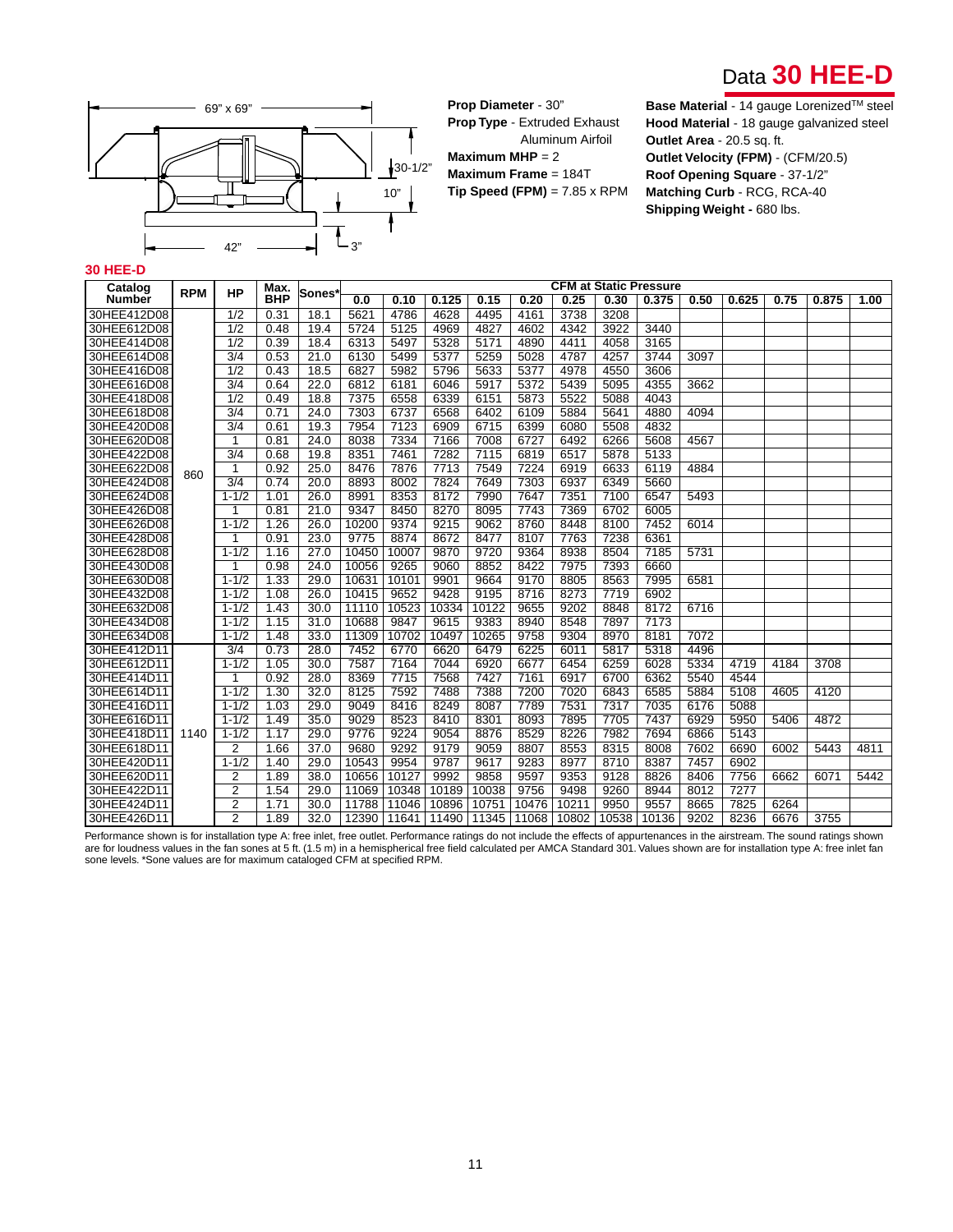



**Prop Diameter** - 30" **Prop Type** - Extruded Exhaust Aluminum Airfoil **Maximum MHP** = 2 **Maximum Frame** = 184T **Tip Speed (FPM)** = 7.85 x RPM

**Base Material** - 14 gauge Lorenized™ steel **Hood Material** - 18 gauge galvanized steel **Outlet Area** - 20.5 sq. ft. **Outlet Velocity (FPM)** - (CFM/20.5) **Roof Opening Square** - 37-1/2" **Matching Curb** - RCG, RCA-40 **Shipping Weight - 680 lbs.** 

#### **30 HEE-D**

| Catalog       |            |                  | Max.       |                    |       |       |       |       |       |       |       | <b>CFM at Static Pressure</b> |      |       |      |       |      |
|---------------|------------|------------------|------------|--------------------|-------|-------|-------|-------|-------|-------|-------|-------------------------------|------|-------|------|-------|------|
| <b>Number</b> | <b>RPM</b> | HP               | <b>BHP</b> | Sones <sup>®</sup> | 0.0   | 0.10  | 0.125 | 0.15  | 0.20  | 0.25  | 0.30  | 0.375                         | 0.50 | 0.625 | 0.75 | 0.875 | 1.00 |
| 30HEE412D08   |            | 1/2              | 0.31       | 18.1               | 5621  | 4786  | 4628  | 4495  | 4161  | 3738  | 3208  |                               |      |       |      |       |      |
| 30HEE612D08   |            | 1/2              | 0.48       | 19.4               | 5724  | 5125  | 4969  | 4827  | 4602  | 4342  | 3922  | 3440                          |      |       |      |       |      |
| 30HEE414D08   |            | $\overline{1/2}$ | 0.39       | 18.4               | 6313  | 5497  | 5328  | 5171  | 4890  | 4411  | 4058  | 3165                          |      |       |      |       |      |
| 30HEE614D08   |            | $\overline{3/4}$ | 0.53       | 21.0               | 6130  | 5499  | 5377  | 5259  | 5028  | 4787  | 4257  | 3744                          | 3097 |       |      |       |      |
| 30HEE416D08   |            | $\overline{1/2}$ | 0.43       | 18.5               | 6827  | 5982  | 5796  | 5633  | 5377  | 4978  | 4550  | 3606                          |      |       |      |       |      |
| 30HEE616D08   |            | $\overline{3/4}$ | 0.64       | 22.0               | 6812  | 6181  | 6046  | 5917  | 5372  | 5439  | 5095  | 4355                          | 3662 |       |      |       |      |
| 30HEE418D08   |            | $\overline{1/2}$ | 0.49       | 18.8               | 7375  | 6558  | 6339  | 6151  | 5873  | 5522  | 5088  | 4043                          |      |       |      |       |      |
| 30HEE618D08   |            | $\overline{3/4}$ | 0.71       | 24.0               | 7303  | 6737  | 6568  | 6402  | 6109  | 5884  | 5641  | 4880                          | 4094 |       |      |       |      |
| 30HEE420D08   |            | $\overline{3/4}$ | 0.61       | 19.3               | 7954  | 7123  | 6909  | 6715  | 6399  | 6080  | 5508  | 4832                          |      |       |      |       |      |
| 30HEE620D08   |            |                  | 0.81       | 24.0               | 8038  | 7334  | 7166  | 7008  | 6727  | 6492  | 6266  | 5608                          | 4567 |       |      |       |      |
| 30HEE422D08   |            | 3/4              | 0.68       | 19.8               | 8351  | 7461  | 7282  | 7115  | 6819  | 6517  | 5878  | 5133                          |      |       |      |       |      |
| 30HEE622D08   |            | 1                | 0.92       | 25.0               | 8476  | 7876  | 7713  | 7549  | 7224  | 6919  | 6633  | 6119                          | 4884 |       |      |       |      |
| 30HEE424D08   | 860        | $\overline{3/4}$ | 0.74       | 20.0               | 8893  | 8002  | 7824  | 7649  | 7303  | 6937  | 6349  | 5660                          |      |       |      |       |      |
| 30HEE624D08   |            | $1 - 1/2$        | 1.01       | 26.0               | 8991  | 8353  | 8172  | 7990  | 7647  | 7351  | 7100  | 6547                          | 5493 |       |      |       |      |
| 30HEE426D08   |            | 1                | 0.81       | 21.0               | 9347  | 8450  | 8270  | 8095  | 7743  | 7369  | 6702  | 6005                          |      |       |      |       |      |
| 30HEE626D08   |            | $1 - 1/2$        | 1.26       | 26.0               | 10200 | 9374  | 9215  | 9062  | 8760  | 8448  | 8100  | 7452                          | 6014 |       |      |       |      |
| 30HEE428D08   |            | 1                | 0.91       | 23.0               | 9775  | 8874  | 8672  | 8477  | 8107  | 7763  | 7238  | 6361                          |      |       |      |       |      |
| 30HEE628D08   |            | $1 - 1/2$        | 1.16       | 27.0               | 10450 | 10007 | 9870  | 9720  | 9364  | 8938  | 8504  | 7185                          | 5731 |       |      |       |      |
| 30HEE430D08   |            | 1                | 0.98       | 24.0               | 10056 | 9265  | 9060  | 8852  | 8422  | 7975  | 7393  | 6660                          |      |       |      |       |      |
| 30HEE630D08   |            | $1 - 1/2$        | 1.33       | 29.0               | 10631 | 10101 | 9901  | 9664  | 9170  | 8805  | 8563  | 7995                          | 6581 |       |      |       |      |
| 30HEE432D08   |            | $1 - 1/2$        | 1.08       | 26.0               | 10415 | 9652  | 9428  | 9195  | 8716  | 8273  | 7719  | 6902                          |      |       |      |       |      |
| 30HEE632D08   |            | $1 - 1/2$        | 1.43       | 30.0               | 11110 | 10523 | 10334 | 10122 | 9655  | 9202  | 8848  | 8172                          | 6716 |       |      |       |      |
| 30HEE434D08   |            | $1 - 1/2$        | 1.15       | 31.0               | 10688 | 9847  | 9615  | 9383  | 8940  | 8548  | 7897  | 7173                          |      |       |      |       |      |
| 30HEE634D08   |            | $1 - 1/2$        | 1.48       | 33.0               | 11309 | 10702 | 10497 | 10265 | 9758  | 9304  | 8970  | 8181                          | 7072 |       |      |       |      |
| 30HEE412D11   |            | 3/4              | 0.73       | 28.0               | 7452  | 6770  | 6620  | 6479  | 6225  | 6011  | 5817  | 5318                          | 4496 |       |      |       |      |
| 30HEE612D11   |            | $1 - 1/2$        | 1.05       | 30.0               | 7587  | 7164  | 7044  | 6920  | 6677  | 6454  | 6259  | 6028                          | 5334 | 4719  | 4184 | 3708  |      |
| 30HEE414D11   |            | 1                | 0.92       | 28.0               | 8369  | 7715  | 7568  | 7427  | 7161  | 6917  | 6700  | 6362                          | 5540 | 4544  |      |       |      |
| 30HEE614D11   |            | $1 - 1/2$        | 1.30       | 32.0               | 8125  | 7592  | 7488  | 7388  | 7200  | 7020  | 6843  | 6585                          | 5884 | 5108  | 4605 | 4120  |      |
| 30HEE416D11   |            | $1 - 1/2$        | 1.03       | 29.0               | 9049  | 8416  | 8249  | 8087  | 7789  | 7531  | 7317  | 7035                          | 6176 | 5088  |      |       |      |
| 30HEE616D11   |            | $1 - 1/2$        | 1.49       | 35.0               | 9029  | 8523  | 8410  | 8301  | 8093  | 7895  | 7705  | 7437                          | 6929 | 5950  | 5406 | 4872  |      |
| 30HEE418D11   | 1140       | $1 - 1/2$        | 1.17       | 29.0               | 9776  | 9224  | 9054  | 8876  | 8529  | 8226  | 7982  | 7694                          | 6866 | 5143  |      |       |      |
| 30HEE618D11   |            | 2                | 1.66       | 37.0               | 9680  | 9292  | 9179  | 9059  | 8807  | 8553  | 8315  | 8008                          | 7602 | 6690  | 6002 | 5443  | 4811 |
| 30HEE420D11   |            | $1 - 1/2$        | 1.40       | 29.0               | 10543 | 9954  | 9787  | 9617  | 9283  | 8977  | 8710  | 8387                          | 7457 | 6902  |      |       |      |
| 30HEE620D11   |            | 2                | 1.89       | 38.0               | 10656 | 10127 | 9992  | 9858  | 9597  | 9353  | 9128  | 8826                          | 8406 | 7756  | 6662 | 6071  | 5442 |
| 30HEE422D11   |            | $\overline{2}$   | 1.54       | 29.0               | 11069 | 10348 | 10189 | 10038 | 9756  | 9498  | 9260  | 8944                          | 8012 | 7277  |      |       |      |
| 30HEE424D11   |            | $\overline{2}$   | 1.71       | 30.0               | 11788 | 11046 | 10896 | 10751 | 10476 | 10211 | 9950  | 9557                          | 8665 | 7825  | 6264 |       |      |
| 30HEE426D11   |            | $\overline{2}$   | 1.89       | 32.0               | 12390 | 11641 | 11490 | 11345 | 11068 | 10802 | 10538 | 10136                         | 9202 | 8236  | 6676 | 3755  |      |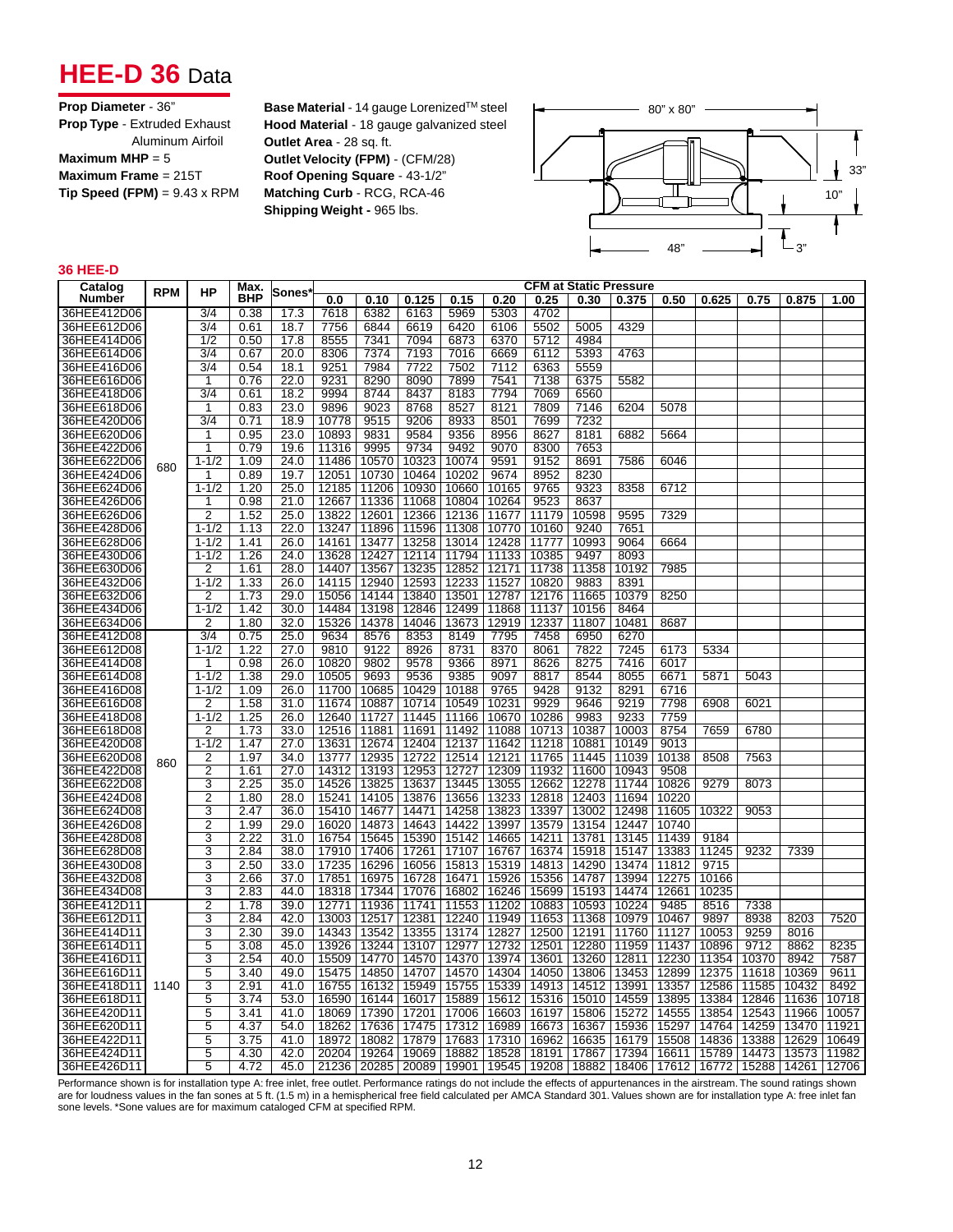## **HEE-D 36** Data

**Base Material** - 14 gauge Lorenized™ steel **Hood Material** - 18 gauge galvanized steel **Outlet Area** - 28 sq. ft. **Outlet Velocity (FPM)** - (CFM/28) **Roof Opening Square** - 43-1/2" **Matching Curb** - RCG, RCA-46 **Shipping Weight -** 965 lbs.



#### **36 HEE-D**

| Catalog     | <b>RPM</b> | HP               | <b>Max</b> |       |       |               |       |       |       | <b>CFM at Static Pressure</b>                 |       |       |       |       |       |                       |       |
|-------------|------------|------------------|------------|-------|-------|---------------|-------|-------|-------|-----------------------------------------------|-------|-------|-------|-------|-------|-----------------------|-------|
| Number      |            |                  | BHP        | Sones | 0.0   | 0.10          | 0.125 | 0.15  | 0.20  | 0.25                                          | 0.30  | 0.375 | 0.50  | 0.625 | 0.75  | 0.875                 | 1.00  |
| 36HEE412D06 |            | 3/4              | 0.38       | 17.3  | 7618  | 6382          | 6163  | 5969  | 5303  | 4702                                          |       |       |       |       |       |                       |       |
| 36HEE612D06 |            | 3/4              | 0.61       | 18.7  | 7756  | 6844          | 6619  | 6420  | 6106  | 5502                                          | 5005  | 4329  |       |       |       |                       |       |
| 36HEE414D06 |            | 1/2              | 0.50       | 17.8  | 8555  | 7341          | 7094  | 6873  | 6370  | 5712                                          | 4984  |       |       |       |       |                       |       |
| 36HEE614D06 |            | 3/4              | 0.67       | 20.0  | 8306  | 7374          | 7193  | 7016  | 6669  | 6112                                          | 5393  | 4763  |       |       |       |                       |       |
| 36HEE416D06 |            | 3/4              | 0.54       | 18.1  | 9251  | 7984          | 7722  | 7502  | 7112  | 6363                                          | 5559  |       |       |       |       |                       |       |
| 36HEE616D06 |            | 1                | 0.76       | 22.0  | 9231  | 8290          | 8090  | 7899  | 7541  | 7138                                          | 6375  | 5582  |       |       |       |                       |       |
| 36HEE418D06 |            | 3/4              | 0.61       | 18.2  | 9994  | 8744          | 8437  | 8183  | 7794  | 7069                                          | 6560  |       |       |       |       |                       |       |
| 36HEE618D06 |            | 1                | 0.83       | 23.0  | 9896  | 9023          | 8768  | 8527  | 8121  | 7809                                          | 7146  | 6204  | 5078  |       |       |                       |       |
| 36HEE420D06 |            | $\frac{3}{4}$    | 0.71       | 18.9  | 10778 | 9515          | 9206  | 8933  | 8501  | 7699                                          | 7232  |       |       |       |       |                       |       |
| 36HEE620D06 |            | 1                | 0.95       | 23.0  | 10893 | 9831          | 9584  | 9356  | 8956  | 8627                                          | 8181  | 6882  | 5664  |       |       |                       |       |
| 36HEE422D06 |            | 1                | 0.79       | 19.6  | 11316 | 9995          | 9734  | 9492  | 9070  | 8300                                          | 7653  |       |       |       |       |                       |       |
| 36HEE622D06 | 680        | $1 - 1/2$        | 1.09       | 24.0  | 11486 | 10570         | 10323 | 10074 | 9591  | 9152                                          | 8691  | 7586  | 6046  |       |       |                       |       |
| 36HEE424D06 |            | 1                | 0.89       | 19.7  | 12051 | 10730         | 10464 | 10202 | 9674  | 8952                                          | 8230  |       |       |       |       |                       |       |
| 36HEE624D06 |            | $1 - 1/2$        | 1.20       | 25.0  | 12185 | 11206         | 10930 | 10660 | 10165 | 9765                                          | 9323  | 8358  | 6712  |       |       |                       |       |
| 36HEE426D06 |            | 1                | 0.98       | 21.0  | 12667 | 11336         | 11068 | 10804 | 10264 | 9523                                          | 8637  |       |       |       |       |                       |       |
| 36HEE626D06 |            | $\overline{2}$   | 1.52       | 25.0  | 13822 | 12601         | 12366 | 12136 | 11677 | 11179                                         | 10598 | 9595  | 7329  |       |       |                       |       |
| 36HEE428D06 |            | $1 - 1/2$        | 1.13       | 22.0  | 13247 | 11896         | 11596 | 11308 | 10770 | 10160                                         | 9240  | 7651  |       |       |       |                       |       |
| 36HEE628D06 |            | $1 - 1/2$        | 1.41       | 26.0  | 14161 | 13477         | 13258 | 13014 | 12428 | 11777                                         | 10993 | 9064  | 6664  |       |       |                       |       |
| 36HEE430D06 |            | $1 - 1/2$        | 1.26       | 24.0  | 13628 | 12427         | 12114 | 11794 | 11133 | 10385                                         | 9497  | 8093  |       |       |       |                       |       |
| 36HEE630D06 |            | 2                | 1.61       | 28.0  | 14407 | 13567         | 13235 | 12852 | 12171 | 11738                                         | 11358 | 10192 | 7985  |       |       |                       |       |
| 36HEE432D06 |            | $1 - 1/2$        | 1.33       | 26.0  | 14115 | 12940         | 12593 | 12233 | 11527 | 10820                                         | 9883  | 8391  |       |       |       |                       |       |
| 36HEE632D06 |            | 2                | 1.73       | 29.0  | 15056 | 14144         | 13840 | 13501 | 12787 | 12176                                         | 11665 | 10379 | 8250  |       |       |                       |       |
| 36HEE434D06 |            | $1 - 1/2$        | 1.42       | 30.0  | 14484 | 13198         | 12846 | 12499 | 11868 | 11137                                         | 10156 | 8464  |       |       |       |                       |       |
| 36HEE634D06 |            | 2                | 1.80       | 32.0  | 15326 | 14378         | 14046 | 13673 | 12919 | 12337                                         | 11807 | 10481 | 8687  |       |       |                       |       |
| 36HEE412D08 |            | $\overline{3/4}$ | 0.75       | 25.0  | 9634  | 8576          | 8353  | 8149  | 7795  | 7458                                          | 6950  | 6270  |       |       |       |                       |       |
| 36HEE612D08 |            | $1 - 1/2$        | 1.22       | 27.0  | 9810  | 9122          | 8926  | 8731  | 8370  | 8061                                          | 7822  | 7245  | 6173  | 5334  |       |                       |       |
| 36HEE414D08 |            | 1                | 0.98       | 26.0  | 10820 | 9802          | 9578  | 9366  | 8971  | 8626                                          | 8275  | 7416  | 6017  |       |       |                       |       |
| 36HEE614D08 |            | $1 - 1/2$        | 1.38       | 29.0  | 10505 | 9693          | 9536  | 9385  | 9097  | 8817                                          | 8544  | 8055  | 6671  | 5871  | 5043  |                       |       |
| 36HEE416D08 |            | $1 - 1/2$        | 1.09       | 26.0  | 11700 | 10685         | 10429 | 10188 | 9765  | 9428                                          | 9132  | 8291  | 6716  |       |       |                       |       |
| 36HEE616D08 |            | $\overline{2}$   | 1.58       | 31.0  | 11674 | 10887         | 10714 | 10549 | 10231 | 9929                                          | 9646  | 9219  | 7798  | 6908  | 6021  |                       |       |
| 36HEE418D08 |            | $1 - 1/2$        | 1.25       | 26.0  | 12640 | 11727         | 11445 | 11166 | 10670 | 10286                                         | 9983  | 9233  | 7759  |       |       |                       |       |
| 36HEE618D08 |            | $\overline{2}$   | 1.73       | 33.0  | 12516 | 11881         | 11691 | 11492 | 11088 | 10713                                         | 10387 | 10003 | 8754  | 7659  | 6780  |                       |       |
| 36HEE420D08 |            | $1 - 1/2$        | 1.47       | 27.0  | 13631 | 12674         | 12404 | 12137 | 11642 | 11218                                         | 10881 | 10149 | 9013  |       |       |                       |       |
| 36HEE620D08 |            | $\overline{2}$   | 1.97       | 34.0  | 13777 | 12935         | 12722 | 12514 | 12121 | 11765                                         | 11445 | 11039 | 10138 | 8508  | 7563  |                       |       |
| 36HEE422D08 | 860        | $\overline{2}$   | 1.61       | 27.0  | 14312 | 13193         | 12953 | 12727 | 12309 | 11932                                         | 11600 | 10943 | 9508  |       |       |                       |       |
| 36HEE622D08 |            | 3                | 2.25       | 35.0  | 14526 | 13825         | 13637 | 13445 | 13055 | 12662                                         | 12278 | 11744 | 10826 | 9279  | 8073  |                       |       |
| 36HEE424D08 |            | 2                | 1.80       | 28.0  | 15241 | 14105         | 13876 | 13656 | 13233 | 12818                                         | 12403 | 11694 | 10220 |       |       |                       |       |
| 36HEE624D08 |            | 3                | 2.47       | 36.0  | 15410 | 14677         | 14471 | 14258 | 13823 | 13397                                         | 13002 | 12498 | 11605 | 10322 | 9053  |                       |       |
| 36HEE426D08 |            | 2                | 1.99       | 29.0  | 16020 | 14873         | 14643 | 14422 | 13997 | 13579                                         | 13154 | 12447 | 10740 |       |       |                       |       |
| 36HEE428D08 |            | 3                | 2.22       | 31.0  | 16754 | 15645         | 15390 | 15142 | 14665 | 14211                                         | 13781 | 13145 | 11439 | 9184  |       |                       |       |
| 36HEE628D08 |            | 3                | 2.84       | 38.0  | 17910 | 17406         | 17261 | 17107 | 16767 | 16374                                         | 15918 | 15147 | 13383 | 11245 | 9232  | 7339                  |       |
| 36HEE430D08 |            | 3                | 2.50       | 33.0  | 17235 | 16296         | 16056 | 15813 | 15319 | 14813                                         | 14290 | 13474 | 11812 | 9715  |       |                       |       |
| 36HEE432D08 |            | 3                | 2.66       | 37.0  | 17851 | 16975         | 16728 | 16471 | 15926 | 15356                                         | 14787 | 13994 | 12275 | 10166 |       |                       |       |
| 36HEE434D08 |            | 3                | 2.83       | 44.0  | 18318 | 17344         | 17076 | 16802 | 16246 | 15699                                         | 15193 | 14474 | 12661 | 10235 |       |                       |       |
| 36HEE412D11 |            | 2                | 1.78       | 39.0  | 12771 | 11936         | 11741 | 11553 | 11202 | 10883                                         | 10593 | 10224 | 9485  | 8516  | 7338  |                       |       |
| 36HEE612D11 |            | 3                | 2.84       | 42.0  | 13003 | 12517         | 12381 | 12240 | 11949 | 11653                                         | 11368 | 10979 | 10467 | 9897  | 8938  | 8203                  | 7520  |
| 36HEE414D11 |            | 3                | 2.30       | 39.0  | 14343 | 13542         | 13355 | 13174 | 12827 | 12500                                         | 12191 | 11760 | 11127 | 10053 | 9259  | 8016                  |       |
| 36HEE614D11 |            | 5                | 3.08       | 45.0  | 13926 | 13244         | 13107 | 12977 | 12732 | 12501                                         | 12280 | 11959 | 11437 | 10896 | 9712  | 8862                  | 8235  |
| 36HEE416D11 |            | 3                | 2.54       | 40.0  | 15509 | 14770         | 14570 | 14370 | 13974 | 13601                                         | 13260 | 12811 | 12230 | 11354 | 10370 | 8942                  | 7587  |
| 36HEE616D11 |            | 5                | 3.40       | 49.0  | 15475 | 14850         | 14707 | 14570 | 14304 | 14050                                         | 13806 | 13453 | 12899 | 12375 | 11618 | 10369                 | 9611  |
| 36HEE418D11 | 1140       | 3                | 2.91       | 41.0  | 16755 | 16132         | 15949 | 15755 | 15339 | 14913                                         | 14512 | 13991 | 13357 | 12586 | 11585 | 10432                 | 8492  |
| 36HEE618D11 |            | 5                | 3.74       | 53.0  | 16590 | 16144         | 16017 | 15889 | 15612 | 15316                                         | 15010 | 14559 | 13895 | 13384 | 12846 | 11636                 | 10718 |
| 36HEE420D11 |            | 5                | 3.41       | 41.0  | 18069 | 17390         | 17201 | 17006 | 16603 | 16197                                         | 15806 | 15272 | 14555 | 13854 | 12543 | 11966                 | 10057 |
| 36HEE620D11 |            | 5                | 4.37       | 54.0  | 18262 | 17636         | 17475 | 17312 | 16989 | 16673                                         | 16367 | 15936 | 15297 | 14764 | 14259 | 13470                 | 11921 |
| 36HEE422D11 |            | 5                | 3.75       | 41.0  | 18972 | 18082         | 17879 | 17683 | 17310 | 16962                                         | 16635 | 16179 | 15508 | 14836 | 13388 | 12629                 | 10649 |
| 36HEE424D11 |            | 5                | 4.30       | 42.0  | 20204 | 19264         | 19069 | 18882 | 18528 | 18191                                         | 17867 | 17394 | 16611 | 15789 | 14473 | 13573                 | 11982 |
| 36HEE426D11 |            | 5                | 4.72       | 45.0  |       | 21236   20285 |       |       |       | 20089   19901   19545   19208   18882   18406 |       |       | 17612 | 16772 |       | 15288   14261   12706 |       |
|             |            |                  |            |       |       |               |       |       |       |                                               |       |       |       |       |       |                       |       |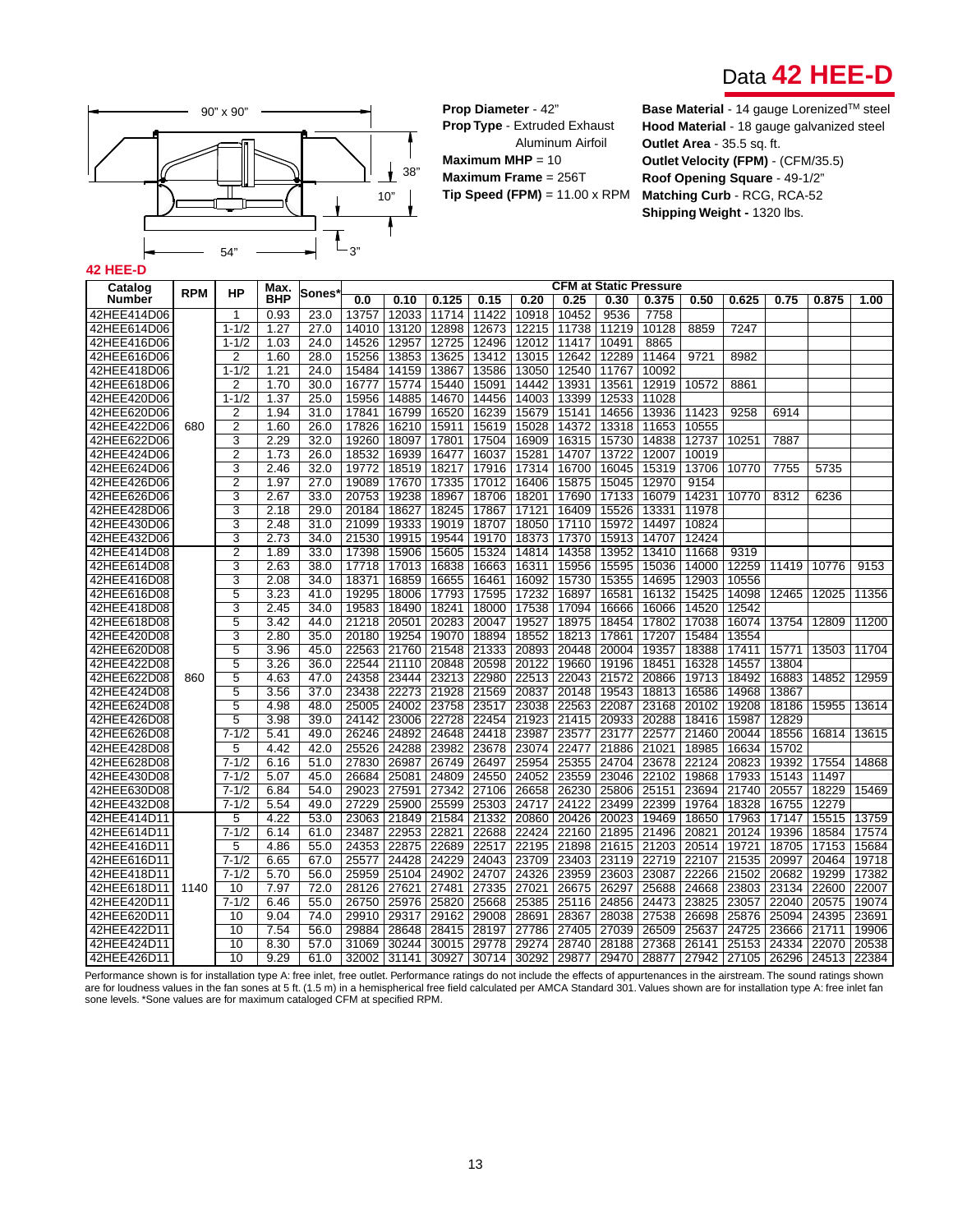



**Prop Diameter** - 42" **Prop Type** - Extruded Exhaust Aluminum Airfoil

**Maximum MHP** = 10 **Maximum Frame** = 256T **Tip Speed (FPM)** = 11.00 x RPM **Base Material** - 14 gauge Lorenized™ steel **Hood Material** - 18 gauge galvanized steel **Outlet Area** - 35.5 sq. ft. **Outlet Velocity (FPM)** - (CFM/35.5) **Roof Opening Square** - 49-1/2" **Matching Curb** - RCG, RCA-52 **Shipping Weight -** 1320 lbs.

### **42 HEE-D**

| Catalog       |            |                | Max.       |         |       |       |       |       |             |       |       | <b>CFM at Static Pressure</b> |       |                   |       |       |       |
|---------------|------------|----------------|------------|---------|-------|-------|-------|-------|-------------|-------|-------|-------------------------------|-------|-------------------|-------|-------|-------|
| <b>Number</b> | <b>RPM</b> | <b>HP</b>      | <b>BHP</b> | ∣Sones` | 0.0   | 0.10  | 0.125 | 0.15  | 0.20        | 0.25  | 0.30  | 0.375                         | 0.50  | 0.625             | 0.75  | 0.875 | 1.00  |
| 42HEE414D06   |            |                | 0.93       | 23.0    | 13757 | 12033 | 11714 | 11422 | 10918       | 10452 | 9536  | 7758                          |       |                   |       |       |       |
| 42HEE614D06   |            | $1 - 1/2$      | 1.27       | 27.0    | 14010 | 13120 | 12898 | 12673 | 12215       | 11738 | 11219 | 10128                         | 8859  | 7247              |       |       |       |
| 42HEE416D06   |            | $1 - 1/2$      | 1.03       | 24.0    | 14526 | 12957 | 12725 | 12496 | 12012       | 11417 | 10491 | 8865                          |       |                   |       |       |       |
| 42HEE616D06   |            | $\overline{2}$ | 1.60       | 28.0    | 15256 | 13853 | 13625 | 13412 | 13015       | 12642 | 12289 | 11464                         | 9721  | 8982              |       |       |       |
| 42HEE418D06   |            | $1 - 1/2$      | 1.21       | 24.0    | 15484 | 14159 | 13867 | 13586 | 13050       | 12540 | 11767 | 10092                         |       |                   |       |       |       |
| 42HEE618D06   |            | $\overline{2}$ | 1.70       | 30.0    | 16777 | 15774 | 15440 | 15091 | 14442       | 13931 | 13561 | 12919                         | 10572 | 8861              |       |       |       |
| 42HEE420D06   |            | $1 - 1/2$      | 1.37       | 25.0    | 15956 | 14885 | 14670 | 14456 | 14003       | 13399 | 12533 | 11028                         |       |                   |       |       |       |
| 42HEE620D06   |            | $\overline{2}$ | 1.94       | 31.0    | 17841 | 16799 | 16520 | 16239 | 15679       | 15141 | 14656 | 13936                         | 11423 | 9258              | 6914  |       |       |
| 42HEE422D06   | 680        | $\overline{2}$ | 1.60       | 26.0    | 17826 | 16210 | 15911 | 15619 | 15028       | 14372 | 13318 | 11653                         | 10555 |                   |       |       |       |
| 42HEE622D06   |            | 3              | 2.29       | 32.0    | 19260 | 18097 | 17801 | 17504 | 16909       | 16315 | 15730 | 14838                         | 12737 | 10251             | 7887  |       |       |
| 42HEE424D06   |            | $\overline{2}$ | 1.73       | 26.0    | 18532 | 16939 | 16477 | 16037 | 15281       | 14707 | 13722 | 12007                         | 10019 |                   |       |       |       |
| 42HEE624D06   |            | $\overline{3}$ | 2.46       | 32.0    | 19772 | 18519 | 18217 | 17916 | 17314       | 16700 | 16045 | 15319                         | 13706 | 10770             | 7755  | 5735  |       |
| 42HEE426D06   |            | $\overline{2}$ | 1.97       | 27.0    | 19089 | 17670 | 17335 | 17012 | 16406       | 15875 | 15045 | 12970                         | 9154  |                   |       |       |       |
| 42HEE626D06   |            | 3              | 2.67       | 33.0    | 20753 | 19238 | 18967 | 18706 | 18201       | 17690 | 17133 | 16079                         | 14231 | 10770             | 8312  | 6236  |       |
| 42HEE428D06   |            | 3              | 2.18       | 29.0    | 20184 | 18627 | 18245 | 17867 | 17121       | 16409 | 15526 | 13331                         | 11978 |                   |       |       |       |
| 42HEE430D06   |            | 3              | 2.48       | 31.0    | 21099 | 19333 | 19019 | 18707 | 18050       | 17110 | 15972 | 14497                         | 10824 |                   |       |       |       |
| 42HEE432D06   |            | 3              | 2.73       | 34.0    | 21530 | 19915 | 19544 | 19170 | 18373       | 17370 | 15913 | 14707                         | 12424 |                   |       |       |       |
| 42HEE414D08   |            | $\overline{2}$ | 1.89       | 33.0    | 17398 | 15906 | 15605 | 15324 | 14814       | 14358 | 13952 | 13410                         | 11668 | 9319              |       |       |       |
| 42HEE614D08   |            | 3              | 2.63       | 38.0    | 17718 | 17013 | 16838 | 16663 | 16311       | 15956 | 15595 | 15036                         | 14000 | 12259             | 11419 | 10776 | 9153  |
| 42HEE416D08   |            | 3              | 2.08       | 34.0    | 18371 | 16859 | 16655 | 16461 | 16092       | 15730 | 15355 | 14695                         | 12903 | 10556             |       |       |       |
| 42HEE616D08   |            | 5              | 3.23       | 41.0    | 19295 | 18006 | 17793 | 17595 | 17232       | 16897 | 16581 | 16132                         | 15425 | 14098             | 12465 | 12025 | 11356 |
| 42HEE418D08   |            | 3              | 2.45       | 34.0    | 19583 | 18490 | 18241 | 18000 | 17538       | 17094 | 16666 | 16066                         | 14520 | 12542             |       |       |       |
| 42HEE618D08   |            | 5              | 3.42       | 44.0    | 21218 | 20501 | 20283 | 20047 | 19527       | 18975 | 18454 | 17802                         | 17038 | 16074             | 13754 | 12809 | 11200 |
| 42HEE420D08   |            | 3              | 2.80       | 35.0    | 20180 | 19254 | 19070 | 18894 | 18552       | 18213 | 17861 | 17207                         | 15484 | 13554             |       |       |       |
| 42HEE620D08   |            | 5              | 3.96       | 45.0    | 22563 | 21760 | 21548 | 21333 | 20893       | 20448 | 20004 | 19357                         | 18388 | 17411             | 15771 | 13503 | 11704 |
| 42HEE422D08   |            | 5              | 3.26       | 36.0    | 22544 | 21110 | 20848 | 20598 | 20122       | 19660 | 19196 | 18451                         | 16328 | 14557             | 13804 |       |       |
| 42HEE622D08   | 860        | 5              | 4.63       | 47.0    | 24358 | 23444 | 23213 | 22980 | 22513       | 22043 | 21572 | 20866                         | 19713 | 18492             | 16883 | 14852 | 12959 |
| 42HEE424D08   |            | 5              | 3.56       | 37.0    | 23438 | 22273 | 21928 | 21569 | 20837       | 20148 | 19543 | 18813                         | 16586 | 14968             | 13867 |       |       |
| 42HEE624D08   |            | 5              | 4.98       | 48.0    | 25005 | 24002 | 23758 | 23517 | 23038       | 22563 | 22087 | 23168                         | 20102 | 19208             | 18186 | 15955 | 13614 |
| 42HEE426D08   |            | 5              | 3.98       | 39.0    | 24142 | 23006 | 22728 | 22454 | 21923       | 21415 | 20933 | 20288                         | 18416 | 15987             | 12829 |       |       |
| 42HEE626D08   |            | $7 - 1/2$      | 5.41       | 49.0    | 26246 | 24892 | 24648 | 24418 | 23987       | 23577 | 23177 | 22577                         | 21460 | 20044             | 18556 | 16814 | 13615 |
| 42HEE428D08   |            | 5              | 4.42       | 42.0    | 25526 | 24288 | 23982 | 23678 | 23074       | 22477 | 21886 | 21021                         | 18985 | 16634             | 15702 |       |       |
| 42HEE628D08   |            | $7 - 1/2$      | 6.16       | 51.0    | 27830 | 26987 | 26749 | 26497 | 25954       | 25355 | 24704 | 23678                         | 22124 | 20823             | 19392 | 17554 | 14868 |
| 42HEE430D08   |            | $7 - 1/2$      | 5.07       | 45.0    | 26684 | 25081 | 24809 | 24550 | 24052       | 23559 | 23046 | 22102                         | 19868 | 17933             | 15143 | 11497 |       |
| 42HEE630D08   |            | $7 - 1/2$      | 6.84       | 54.0    | 29023 | 27591 | 27342 | 27106 | 26658       | 26230 | 25806 | 25151                         | 23694 | 21740             | 20557 | 18229 | 15469 |
| 42HEE432D08   |            | $7 - 1/2$      | 5.54       | 49.0    | 27229 | 25900 | 25599 | 25303 | 24717       | 24122 | 23499 | 22399                         | 19764 | 18328             | 16755 | 12279 |       |
| 42HEE414D11   |            | 5              | 4.22       | 53.0    | 23063 | 21849 | 21584 | 21332 | 20860       | 20426 | 20023 | 19469                         | 18650 | 17963             | 17147 | 15515 | 13759 |
| 42HEE614D11   |            | $7 - 1/2$      | 6.14       | 61.0    | 23487 | 22953 | 22821 | 22688 | 22424       | 22160 | 21895 | 21496                         | 20821 | 20124             | 19396 | 18584 | 17574 |
| 42HEE416D11   |            | 5              | 4.86       | 55.0    | 24353 | 22875 | 22689 | 22517 | 22195       | 21898 | 21615 | 21203                         | 20514 | 19721             | 18705 | 17153 | 15684 |
| 42HEE616D11   |            | $7 - 1/2$      | 6.65       | 67.0    | 25577 | 24428 | 24229 | 24043 | 23709       | 23403 | 23119 | 22719                         | 22107 | 21535             | 20997 | 20464 | 19718 |
| 42HEE418D11   |            | $7 - 1/2$      | 5.70       | 56.0    | 25959 | 25104 | 24902 | 24707 | 24326       | 23959 | 23603 | 23087                         | 22266 | 21502             | 20682 | 19299 | 17382 |
| 42HEE618D11   | 1140       | 10             | 7.97       | 72.0    | 28126 | 27621 | 27481 | 27335 | 27021       | 26675 | 26297 | 25688                         | 24668 | 23803             | 23134 | 22600 | 22007 |
| 42HEE420D11   |            | $7 - 1/2$      | 6.46       | 55.0    | 26750 | 25976 | 25820 | 25668 | 25385       | 25116 | 24856 | 24473                         | 23825 | 23057             | 22040 | 20575 | 19074 |
| 42HEE620D11   |            | 10             | 9.04       | 74.0    | 29910 | 29317 | 29162 | 29008 | 28691       | 28367 | 28038 | 27538                         | 26698 | 25876             | 25094 | 24395 | 23691 |
| 42HEE422D11   |            | 10             | 7.54       | 56.0    | 29884 | 28648 | 28415 | 28197 | 27786       | 27405 | 27039 | 26509                         | 25637 | 24725             | 23666 | 21711 | 19906 |
| 42HEE424D11   |            | 10             | 8.30       | 57.0    | 31069 | 30244 | 30015 | 29778 | 29274       | 28740 | 28188 | 27368                         | 26141 | 25153             | 24334 | 22070 | 20538 |
| 42HEE426D11   |            | 10             | 9.29       | 61.0    | 32002 | 31141 | 30927 | 30714 | 30292 29877 |       | 29470 | 28877                         |       | 27942 27105 26296 |       | 24513 | 22384 |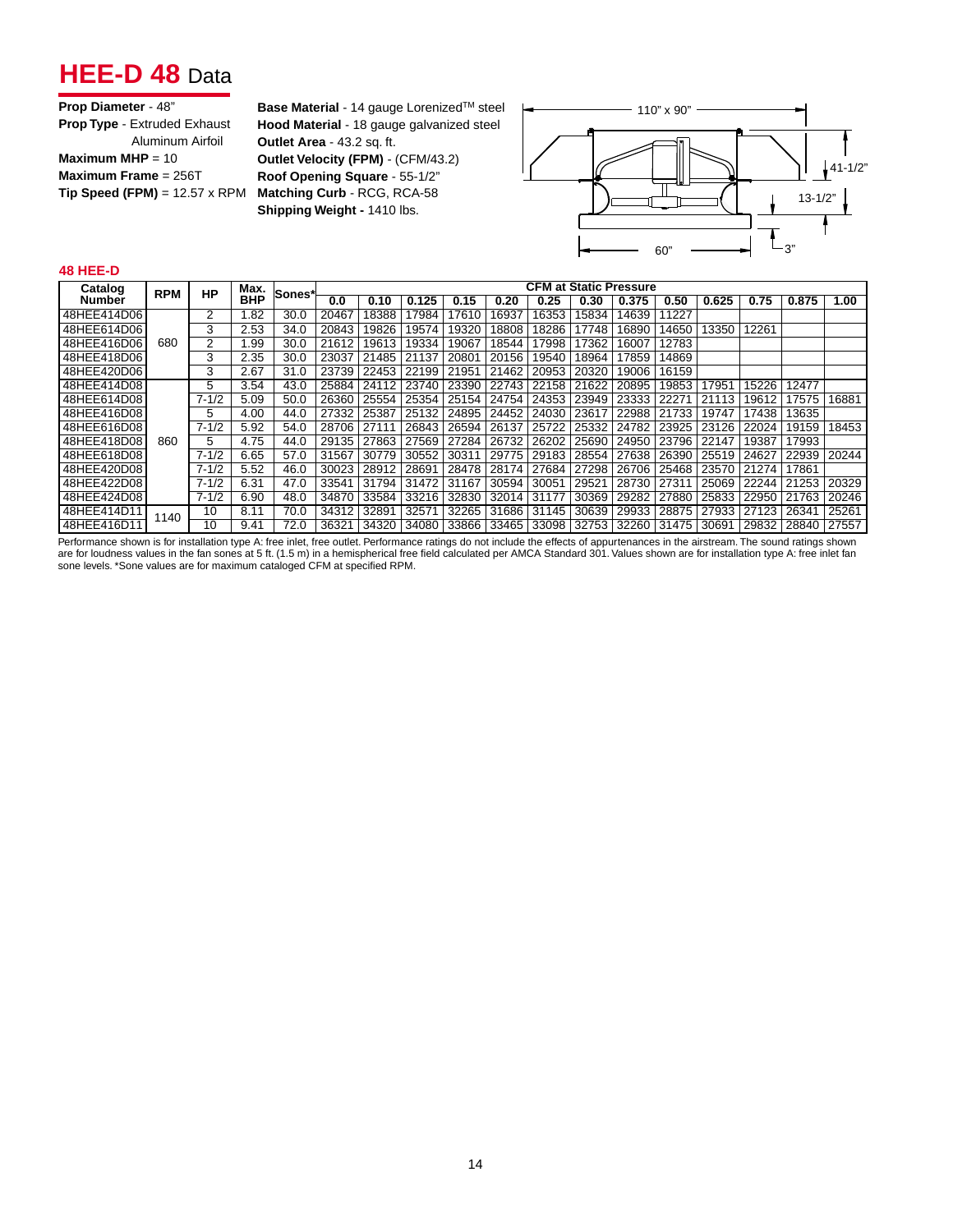## **HEE-D 48** Data

| <b>Prop Diameter - 48"</b>                  |
|---------------------------------------------|
| <b>Prop Type - Extruded Exhaust</b>         |
| Aluminum Airfoil                            |
| Maximum MHP = $10$                          |
| Maximum Frame = $256T$                      |
| <b>Tip Speed (FPM)</b> = $12.57 \times$ RPM |
|                                             |

**Base Material** - 14 gauge Lorenized™ steel **Hood Material** - 18 gauge galvanized steel **Outlet Area** - 43.2 sq. ft. **Outlet Velocity (FPM)** - (CFM/43.2) **Roof Opening Square** - 55-1/2" **Matching Curb** - RCG, RCA-58 **Shipping Weight -** 1410 lbs.



#### **48 HEE-D**

| Catalog     | <b>RPM</b> | <b>HP</b> | Max.       | Sones* |       |       |       |       |       |                   |       | <b>CFM at Static Pressure</b> |       |       |       |       |       |
|-------------|------------|-----------|------------|--------|-------|-------|-------|-------|-------|-------------------|-------|-------------------------------|-------|-------|-------|-------|-------|
| Number      |            |           | <b>BHP</b> |        | 0.0   | 0.10  | 0.125 | 0.15  | 0.20  | 0.25              | 0.30  | 0.375                         | 0.50  | 0.625 | 0.75  | 0.875 | 1.00  |
| 48HEE414D06 |            | 2         | 1.82       | 30.0   | 20467 | 18388 | 7984  | 7610  | 6937  | 16353             | 15834 | 14639                         | 1227  |       |       |       |       |
| 48HEE614D06 |            | 3         | 2.53       | 34.0   | 20843 | 19826 | 19574 | 19320 | 18808 | 18286             | 17748 | 16890                         | 14650 | 13350 | 12261 |       |       |
| 48HEE416D06 | 680        | 2         | 1.99       | 30.0   | 21612 | 19613 | 19334 | 19067 | 18544 | 17998             | 17362 | 16007                         | 12783 |       |       |       |       |
| 48HEE418D06 |            | 3         | 2.35       | 30.0   | 23037 | 21485 | 21137 | 20801 | 20156 | 19540             | 18964 | 17859                         | 14869 |       |       |       |       |
| 48HEE420D06 |            | 3         | 2.67       | 31.0   | 23739 | 22453 | 22199 | 21951 | 21462 | 20953             | 20320 | 19006                         | 16159 |       |       |       |       |
| 48HEE414D08 |            | 5         | 3.54       | 43.0   | 25884 | 24112 | 23740 | 23390 | 22743 | 22158             | 21622 | 20895                         | 19853 | 17951 | 15226 | 12477 |       |
| 48HEE614D08 |            | $7 - 1/2$ | 5.09       | 50.0   | 26360 | 25554 | 25354 | 25154 | 24754 | 24353             | 23949 | 23333                         | 22271 | 21113 | 9612  | 17575 | 16881 |
| 48HEE416D08 |            | 5         | 4.00       | 44.0   | 27332 | 25387 | 25132 | 24895 | 24452 | 24030             | 23617 | 22988                         | 21733 | 19747 | 17438 | 13635 |       |
| 48HEE616D08 |            | $7 - 1/2$ | 5.92       | 54.0   | 28706 | 27111 | 26843 | 26594 | 26137 | 25722             | 25332 | 24782                         | 23925 | 23126 | 22024 | 19159 | 18453 |
| 48HEE418D08 | 860        | 5.        | 4.75       | 44.0   | 29135 | 27863 | 27569 | 27284 | 26732 | 26202             | 25690 | 24950                         | 23796 | 22147 | 19387 | 17993 |       |
| 48HEE618D08 |            | $7 - 1/2$ | 6.65       | 57.0   | 31567 | 30779 | 30552 | 30311 | 29775 | 29183             | 28554 | 27638                         | 26390 | 25519 | 24627 | 22939 | 20244 |
| 48HEE420D08 |            | $7 - 1/2$ | 5.52       | 46.0   | 30023 | 28912 | 28691 | 28478 | 28174 | 27684             | 27298 | 26706                         | 25468 | 23570 | 21274 | 17861 |       |
| 48HEE422D08 |            | $7 - 1/2$ | 6.31       | 47.0   | 33541 | 31794 | 31472 | 31167 | 30594 | 30051             | 29521 | 28730                         | 27311 | 25069 | 22244 | 21253 | 20329 |
| 48HEE424D08 |            | $7 - 1/2$ | 6.90       | 48.0   | 34870 | 33584 | 33216 | 32830 | 32014 | 31177             | 30369 | 29282                         | 27880 | 25833 | 22950 | 21763 | 20246 |
| 48HEE414D11 | 1140       | 10        | 8.11       | 70.0   | 34312 | 32891 | 32571 | 32265 | 31686 | 31145             | 30639 | 29933                         | 28875 | 27933 | 27123 | 26341 | 25261 |
| 48HEE416D11 |            | 10        | 9.41       | 72.0   | 36321 | 34320 | 34080 | 33866 |       | 33465 33098 32753 |       | 32260   31475                 |       | 30691 | 29832 | 28840 | 27557 |

Performance shown is for installation type A: free inlet, free outlet. Performance ratings do not include the effects of appurtenances in the airstream. The sound ratings shown are for loudness values in the fan sones at 5 ft. (1.5 m) in a hemispherical free field calculated per AMCA Standard 301. Values shown are for installation type A: free inlet fan sone levels. \*Sone values are for maximum cataloged CFM at specified RPM.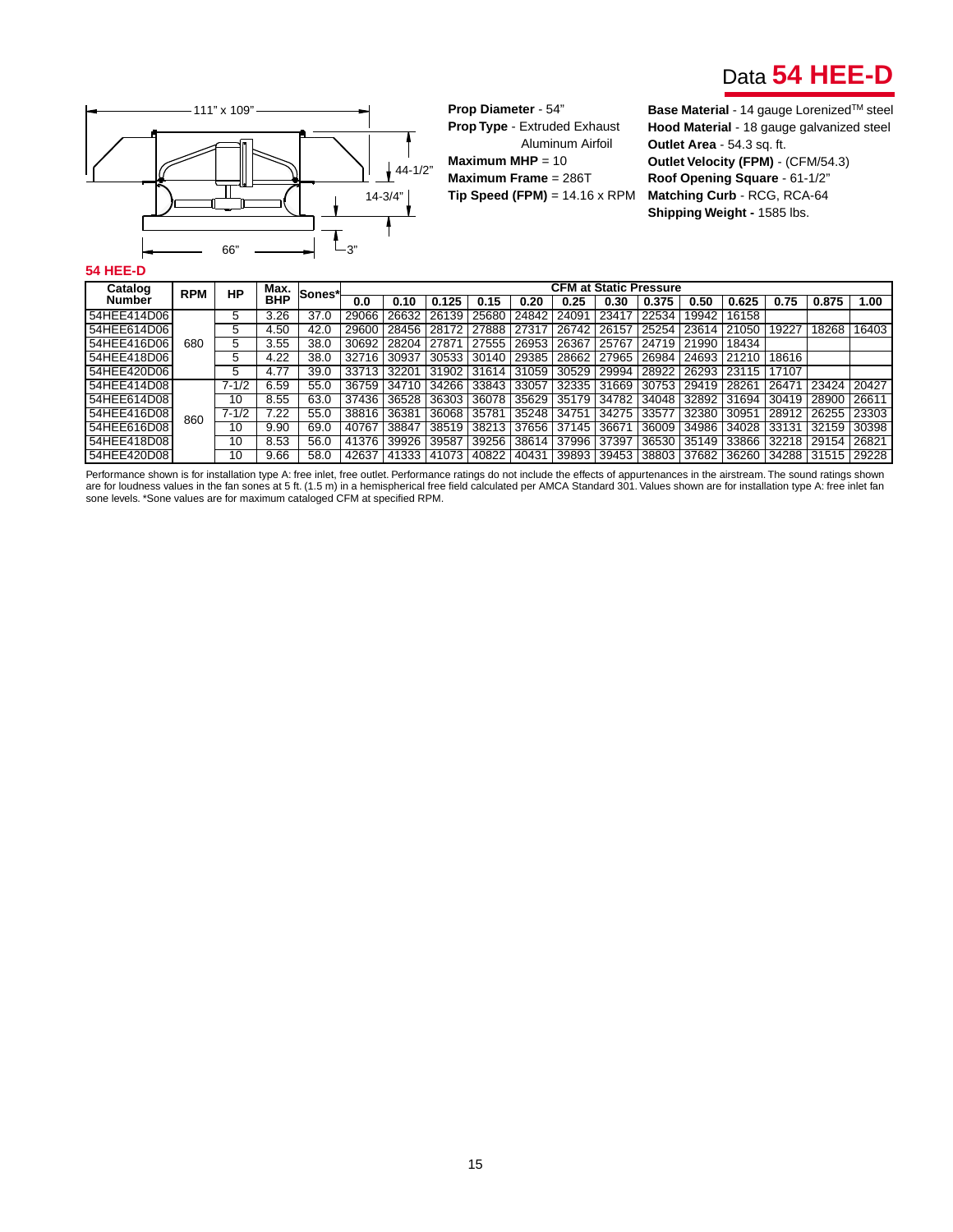



**Prop Diameter** - 54" **Prop Type** - Extruded Exhaust Aluminum Airfoil **Maximum MHP** = 10 **Maximum Frame** = 286T **Tip Speed (FPM)** = 14.16 x RPM

**Hood Material** - 18 gauge galvanized steel **Outlet Area** - 54.3 sq. ft. **Outlet Velocity (FPM)** - (CFM/54.3) **Roof Opening Square** - 61-1/2" **Matching Curb** - RCG, RCA-64 **Shipping Weight -** 1585 lbs.

#### **54 HEE-D**

| Catalog     |            |           | Max.       |        |       |       |       |       |       |       |       | <b>CFM at Static Pressure</b> |       |       |       |                   |       |
|-------------|------------|-----------|------------|--------|-------|-------|-------|-------|-------|-------|-------|-------------------------------|-------|-------|-------|-------------------|-------|
| Number      | <b>RPM</b> | HP        | <b>BHP</b> | Sones* | 0.0   | 0.10  | 0.125 | 0.15  | 0.20  | 0.25  | 0.30  | 0.375                         | 0.50  | 0.625 | 0.75  | 0.875             | 1.00  |
| 54HEE414D06 |            | b         | 3.26       | 37.0   | 29066 | 26632 | 26139 | 25680 | 24842 | 24091 | 23417 | 22534                         | 19942 | 16158 |       |                   |       |
| 54HEE614D06 |            | 5         | 4.50       | 42.0   | 29600 | 28456 | 28172 | 27888 | 27317 | 26742 | 26157 | 25254                         | 23614 | 21050 | 19227 | 18268             | 16403 |
| 54HEE416D06 | 680        |           | 3.55       | 38.0   | 30692 | 28204 | 27871 | 27555 | 26953 | 26367 | 25767 | 24719                         | 21990 | 18434 |       |                   |       |
| 54HEE418D06 |            | 5         | 4.22       | 38.0   | 32716 | 30937 | 30533 | 30140 | 29385 | 28662 | 27965 | 26984                         | 24693 | 21210 | 18616 |                   |       |
| 54HEE420D06 |            | 5         | 4.77       | 39.0   | 33713 | 32201 | 31902 | 31614 | 31059 | 30529 | 29994 | 28922                         | 26293 | 23115 | 17107 |                   |       |
| 54HEE414D08 |            | $7 - 1/2$ | 6.59       | 55.0   | 36759 | 34710 | 34266 | 33843 | 33057 | 32335 | 31669 | 30753                         | 29419 | 28261 | 26471 | 23424             | 20427 |
| 54HEE614D08 |            | 10        | 8.55       | 63.0   | 37436 | 36528 | 36303 | 36078 | 35629 | 35179 | 34782 | 34048                         | 32892 | 31694 | 30419 | 28900             | 26611 |
| 54HEE416D08 | 860        | $7 - 1/2$ | 7.22       | 55.0   | 38816 | 36381 | 36068 | 35781 | 35248 | 34751 | 34275 | 33577                         | 32380 | 30951 | 28912 | 26255             | 23303 |
| 54HEE616D08 |            | 10        | 9.90       | 69.0   | 40767 | 38847 | 38519 | 38213 | 37656 | 37145 | 36671 | 36009                         | 34986 | 34028 | 33131 | 32159             | 30398 |
| 54HEE418D08 |            | 10        | 8.53       | 56.0   | 41376 | 39926 | 39587 | 39256 | 38614 | 37996 | 37397 | 36530                         | 35149 | 33866 | 32218 | 29154             | 26821 |
| 54HEE420D08 |            | 10        | 9.66       | 58.0   | 42637 | 41333 | 41073 | 40822 | 40431 | 39893 |       | 39453 38803                   | 37682 | 36260 |       | 34288 31515 29228 |       |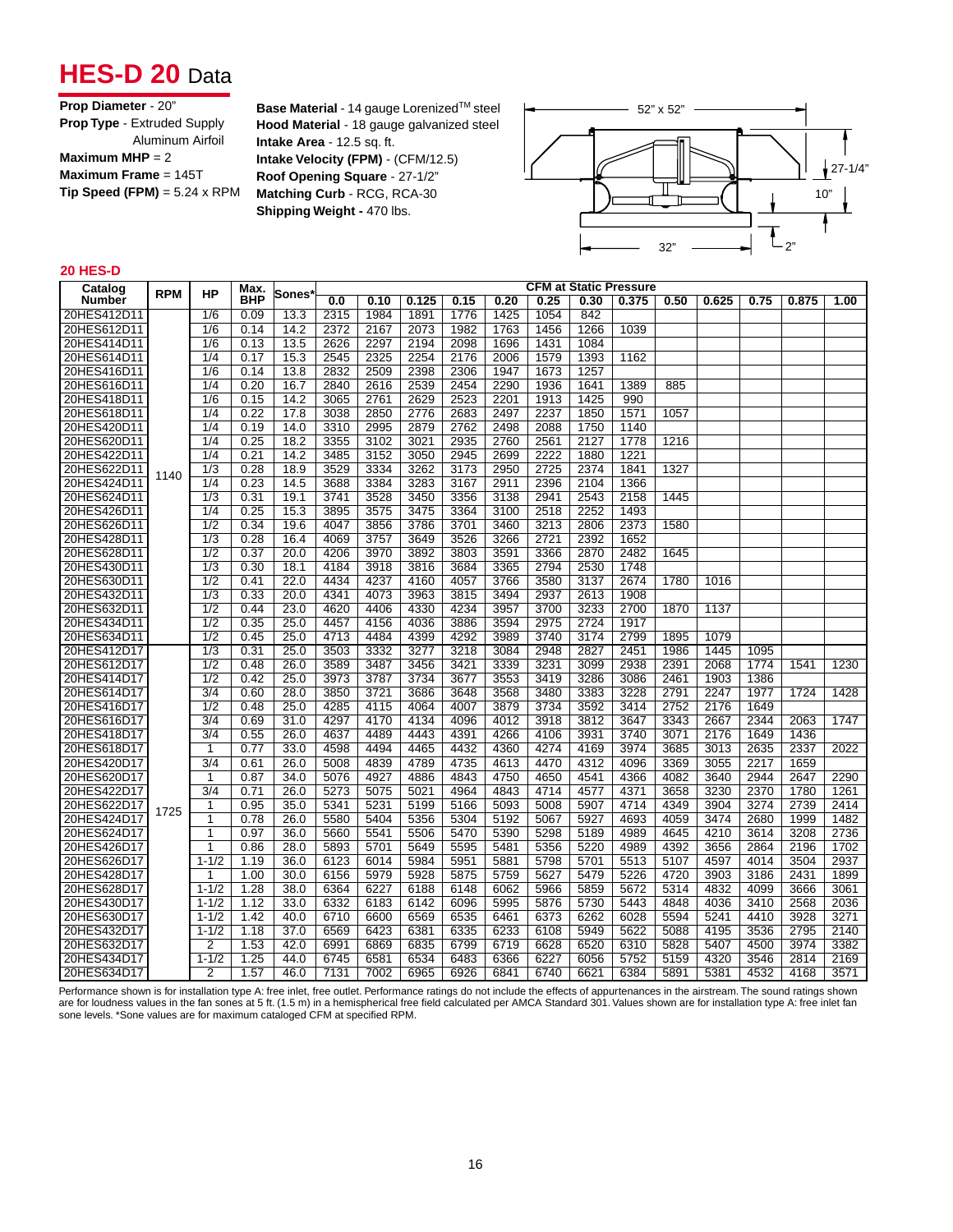## **HES-D 20 Data**

| <b>Prop Diameter - 20"</b>          |
|-------------------------------------|
| <b>Prop Type - Extruded Supply</b>  |
| Aluminum Airfoil                    |
| Maximum MHP = $2$                   |
| Maximum Frame = $145T$              |
| $Tip Speed (FPM) = 5.24 \times RPM$ |
|                                     |

**Base Material** - 14 gauge Lorenized™ steel **Hood Material** - 18 gauge galvanized steel **Intake Area** - 12.5 sq. ft. **Intake Velocity (FPM)** - (CFM/12.5) **Roof Opening Square** - 27-1/2" **Matching Curb** - RCG, RCA-30 **Shipping Weight -** 470 lbs.



#### **20 HES-D**

| Catalog     |            |                  | Max.       |       |      |      |       |      |      |      |      | <b>CFM at Static Pressure</b> |      |       |      |       |      |
|-------------|------------|------------------|------------|-------|------|------|-------|------|------|------|------|-------------------------------|------|-------|------|-------|------|
| Number      | <b>RPM</b> | ΗP               | <b>BHP</b> | Sones | 0.0  | 0.10 | 0.125 | 0.15 | 0.20 | 0.25 | 0.30 | 0.375                         | 0.50 | 0.625 | 0.75 | 0.875 | 1.00 |
| 20HES412D11 |            | 1/6              | 0.09       | 13.3  | 2315 | 1984 | 1891  | 1776 | 1425 | 1054 | 842  |                               |      |       |      |       |      |
| 20HES612D11 |            | 1/6              | 0.14       | 14.2  | 2372 | 2167 | 2073  | 1982 | 1763 | 1456 | 1266 | 1039                          |      |       |      |       |      |
| 20HES414D11 |            | 1/6              | 0.13       | 13.5  | 2626 | 2297 | 2194  | 2098 | 1696 | 1431 | 1084 |                               |      |       |      |       |      |
| 20HES614D11 |            | 1/4              | 0.17       | 15.3  | 2545 | 2325 | 2254  | 2176 | 2006 | 1579 | 1393 | 1162                          |      |       |      |       |      |
| 20HES416D11 |            | 1/6              | 0.14       | 13.8  | 2832 | 2509 | 2398  | 2306 | 1947 | 1673 | 1257 |                               |      |       |      |       |      |
| 20HES616D11 |            | 1/4              | 0.20       | 16.7  | 2840 | 2616 | 2539  | 2454 | 2290 | 1936 | 1641 | 1389                          | 885  |       |      |       |      |
| 20HES418D11 |            | 1/6              | 0.15       | 14.2  | 3065 | 2761 | 2629  | 2523 | 2201 | 1913 | 1425 | 990                           |      |       |      |       |      |
| 20HES618D11 |            | 1/4              | 0.22       | 17.8  | 3038 | 2850 | 2776  | 2683 | 2497 | 2237 | 1850 | 1571                          | 1057 |       |      |       |      |
| 20HES420D11 |            | 1/4              | 0.19       | 14.0  | 3310 | 2995 | 2879  | 2762 | 2498 | 2088 | 1750 | 1140                          |      |       |      |       |      |
| 20HES620D11 |            | 1/4              | 0.25       | 18.2  | 3355 | 3102 | 3021  | 2935 | 2760 | 2561 | 2127 | 1778                          | 1216 |       |      |       |      |
| 20HES422D11 |            | 1/4              | 0.21       | 14.2  | 3485 | 3152 | 3050  | 2945 | 2699 | 2222 | 1880 | 1221                          |      |       |      |       |      |
| 20HES622D11 | 1140       | 1/3              | 0.28       | 18.9  | 3529 | 3334 | 3262  | 3173 | 2950 | 2725 | 2374 | 1841                          | 1327 |       |      |       |      |
| 20HES424D11 |            | 1/4              | 0.23       | 14.5  | 3688 | 3384 | 3283  | 3167 | 2911 | 2396 | 2104 | 1366                          |      |       |      |       |      |
| 20HES624D11 |            | $\overline{1/3}$ | 0.31       | 19.1  | 3741 | 3528 | 3450  | 3356 | 3138 | 2941 | 2543 | 2158                          | 1445 |       |      |       |      |
| 20HES426D11 |            | 1/4              | 0.25       | 15.3  | 3895 | 3575 | 3475  | 3364 | 3100 | 2518 | 2252 | 1493                          |      |       |      |       |      |
| 20HES626D11 |            | 1/2              | 0.34       | 19.6  | 4047 | 3856 | 3786  | 3701 | 3460 | 3213 | 2806 | 2373                          | 1580 |       |      |       |      |
| 20HES428D11 |            | $\overline{1/3}$ | 0.28       | 16.4  | 4069 | 3757 | 3649  | 3526 | 3266 | 2721 | 2392 | 1652                          |      |       |      |       |      |
| 20HES628D11 |            | 1/2              | 0.37       | 20.0  | 4206 | 3970 | 3892  | 3803 | 3591 | 3366 | 2870 | 2482                          | 1645 |       |      |       |      |
| 20HES430D11 |            | $\overline{1/3}$ | 0.30       | 18.1  | 4184 | 3918 | 3816  | 3684 | 3365 | 2794 | 2530 | 1748                          |      |       |      |       |      |
| 20HES630D11 |            | 1/2              | 0.41       | 22.0  | 4434 | 4237 | 4160  | 4057 | 3766 | 3580 | 3137 | 2674                          | 1780 | 1016  |      |       |      |
| 20HES432D11 |            | $\overline{1/3}$ | 0.33       | 20.0  | 4341 | 4073 | 3963  | 3815 | 3494 | 2937 | 2613 | 1908                          |      |       |      |       |      |
| 20HES632D11 |            | 1/2              | 0.44       | 23.0  | 4620 | 4406 | 4330  | 4234 | 3957 | 3700 | 3233 | 2700                          | 1870 | 1137  |      |       |      |
| 20HES434D11 |            | 1/2              | 0.35       | 25.0  | 4457 | 4156 | 4036  | 3886 | 3594 | 2975 | 2724 | 1917                          |      |       |      |       |      |
| 20HES634D11 |            | 1/2              | 0.45       | 25.0  | 4713 | 4484 | 4399  | 4292 | 3989 | 3740 | 3174 | 2799                          | 1895 | 1079  |      |       |      |
| 20HES412D17 |            | 1/3              | 0.31       | 25.0  | 3503 | 3332 | 3277  | 3218 | 3084 | 2948 | 2827 | 2451                          | 1986 | 1445  | 1095 |       |      |
| 20HES612D17 |            | 1/2              | 0.48       | 26.0  | 3589 | 3487 | 3456  | 3421 | 3339 | 3231 | 3099 | 2938                          | 2391 | 2068  | 1774 | 1541  | 1230 |
| 20HES414D17 |            | 1/2              | 0.42       | 25.0  | 3973 | 3787 | 3734  | 3677 | 3553 | 3419 | 3286 | 3086                          | 2461 | 1903  | 1386 |       |      |
| 20HES614D17 |            | 3/4              | 0.60       | 28.0  | 3850 | 3721 | 3686  | 3648 | 3568 | 3480 | 3383 | 3228                          | 2791 | 2247  | 1977 | 1724  | 1428 |
| 20HES416D17 |            | 1/2              | 0.48       | 25.0  | 4285 | 4115 | 4064  | 4007 | 3879 | 3734 | 3592 | 3414                          | 2752 | 2176  | 1649 |       |      |
| 20HES616D17 |            | 3/4              | 0.69       | 31.0  | 4297 | 4170 | 4134  | 4096 | 4012 | 3918 | 3812 | 3647                          | 3343 | 2667  | 2344 | 2063  | 1747 |
| 20HES418D17 |            | 3/4              | 0.55       | 26.0  | 4637 | 4489 | 4443  | 4391 | 4266 | 4106 | 3931 | 3740                          | 3071 | 2176  | 1649 | 1436  |      |
| 20HES618D17 |            | 1                | 0.77       | 33.0  | 4598 | 4494 | 4465  | 4432 | 4360 | 4274 | 4169 | 3974                          | 3685 | 3013  | 2635 | 2337  | 2022 |
| 20HES420D17 |            | 3/4              | 0.61       | 26.0  | 5008 | 4839 | 4789  | 4735 | 4613 | 4470 | 4312 | 4096                          | 3369 | 3055  | 2217 | 1659  |      |
| 20HES620D17 |            | 1                | 0.87       | 34.0  | 5076 | 4927 | 4886  | 4843 | 4750 | 4650 | 4541 | 4366                          | 4082 | 3640  | 2944 | 2647  | 2290 |
| 20HES422D17 |            | 3/4              | 0.71       | 26.0  | 5273 | 5075 | 5021  | 4964 | 4843 | 4714 | 4577 | 4371                          | 3658 | 3230  | 2370 | 1780  | 1261 |
| 20HES622D17 |            | 1                | 0.95       | 35.0  | 5341 | 5231 | 5199  | 5166 | 5093 | 5008 | 5907 | 4714                          | 4349 | 3904  | 3274 | 2739  | 2414 |
| 20HES424D17 | 1725       | 1                | 0.78       | 26.0  | 5580 | 5404 | 5356  | 5304 | 5192 | 5067 | 5927 | 4693                          | 4059 | 3474  | 2680 | 1999  | 1482 |
| 20HES624D17 |            | 1                | 0.97       | 36.0  | 5660 | 5541 | 5506  | 5470 | 5390 | 5298 | 5189 | 4989                          | 4645 | 4210  | 3614 | 3208  | 2736 |
| 20HES426D17 |            | 1                | 0.86       | 28.0  | 5893 | 5701 | 5649  | 5595 | 5481 | 5356 | 5220 | 4989                          | 4392 | 3656  | 2864 | 2196  | 1702 |
| 20HES626D17 |            | $1 - 1/2$        | 1.19       | 36.0  | 6123 | 6014 | 5984  | 5951 | 5881 | 5798 | 5701 | 5513                          | 5107 | 4597  | 4014 | 3504  | 2937 |
| 20HES428D17 |            | 1                | 1.00       | 30.0  | 6156 | 5979 | 5928  | 5875 | 5759 | 5627 | 5479 | 5226                          | 4720 | 3903  | 3186 | 2431  | 1899 |
| 20HES628D17 |            | $1 - 1/2$        | 1.28       | 38.0  | 6364 | 6227 | 6188  | 6148 | 6062 | 5966 | 5859 | 5672                          | 5314 | 4832  | 4099 | 3666  | 3061 |
| 20HES430D17 |            | $1 - 1/2$        | 1.12       | 33.0  | 6332 | 6183 | 6142  | 6096 | 5995 | 5876 | 5730 | 5443                          | 4848 | 4036  | 3410 | 2568  | 2036 |
| 20HES630D17 |            | $1 - 1/2$        | 1.42       | 40.0  | 6710 | 6600 | 6569  | 6535 | 6461 | 6373 | 6262 | 6028                          | 5594 | 5241  | 4410 | 3928  | 3271 |
| 20HES432D17 |            | $1 - 1/2$        | 1.18       | 37.0  | 6569 | 6423 | 6381  | 6335 | 6233 | 6108 | 5949 | 5622                          | 5088 | 4195  | 3536 | 2795  | 2140 |
| 20HES632D17 |            | 2                | 1.53       | 42.0  | 6991 | 6869 | 6835  | 6799 | 6719 | 6628 | 6520 | 6310                          | 5828 | 5407  | 4500 | 3974  | 3382 |
| 20HES434D17 |            | $1 - 1/2$        | 1.25       | 44.0  | 6745 | 6581 | 6534  | 6483 | 6366 | 6227 | 6056 | 5752                          | 5159 | 4320  | 3546 | 2814  | 2169 |
| 20HES634D17 |            | $\overline{2}$   | 1.57       | 46.0  | 7131 | 7002 | 6965  | 6926 | 6841 | 6740 | 6621 | 6384                          | 5891 | 5381  | 4532 | 4168  | 3571 |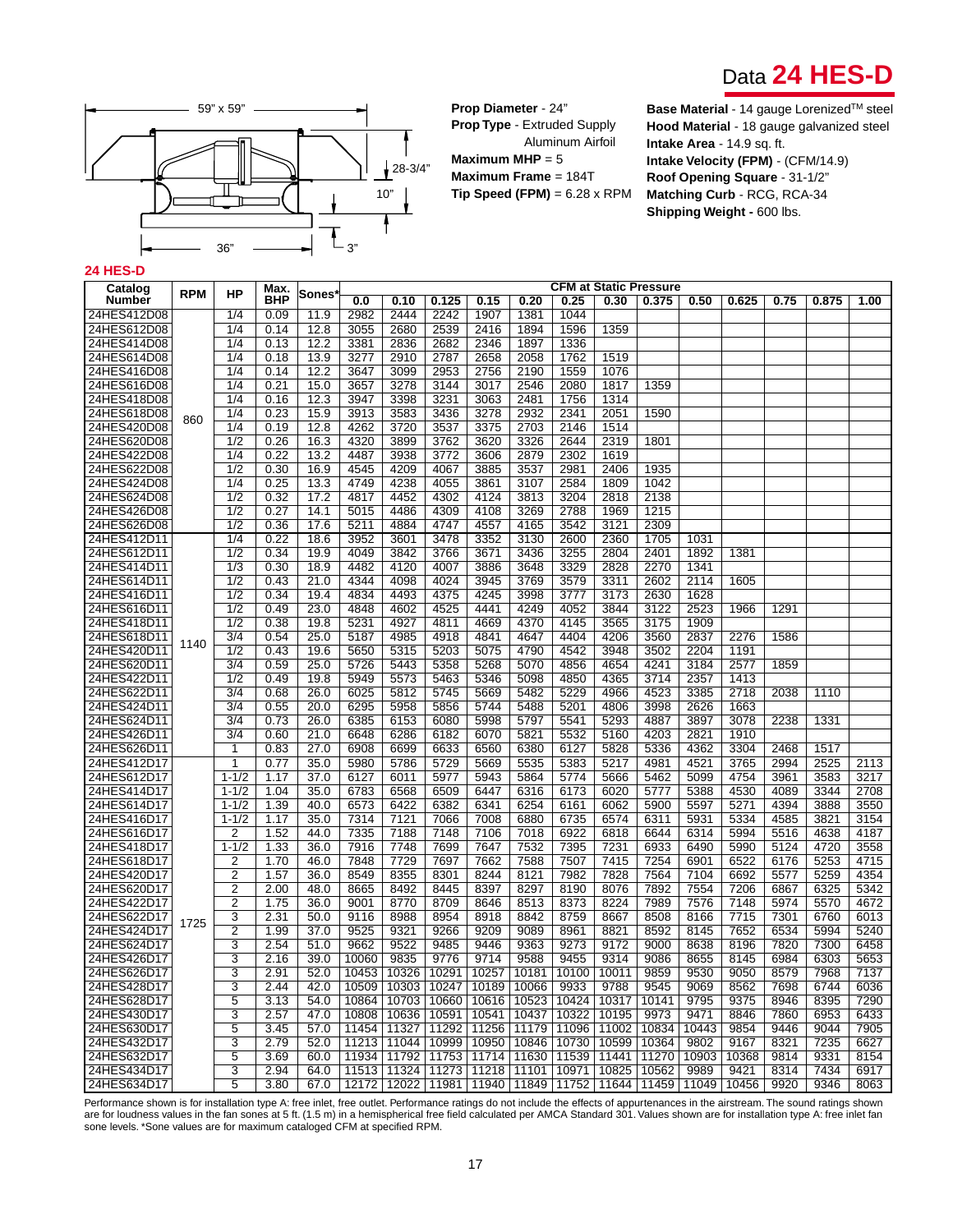



**Prop Diameter** - 24" **Prop Type** - Extruded Supply Aluminum Airfoil **Maximum MHP** = 5 **Maximum Frame** = 184T **Tip Speed (FPM)** = 6.28 x RPM **Base Material** - 14 gauge Lorenized™ steel **Hood Material** - 18 gauge galvanized steel **Intake Area** - 14.9 sq. ft. **Intake Velocity (FPM)** - (CFM/14.9) **Roof Opening Square** - 31-1/2" **Matching Curb** - RCG, RCA-34 **Shipping Weight - 600 lbs.** 

#### **24 HES-D**

| <b>Number</b><br><b>BHP</b><br>0.25<br>0.0<br>0.10<br>0.125<br>0.15<br>0.20<br>0.30<br>0.375<br>0.50<br>0.625<br>0.75<br>0.875<br>1.00<br>2982<br>2444<br>2242<br>1907<br>1381<br>1044<br>1/4<br>0.09<br>11.9<br>1/4<br>12.8<br>3055<br>2680<br>2539<br>2416<br>1894<br>1596<br>1359<br>0.14<br>24HES414D08<br>0.13<br>12.2<br>3381<br>2836<br>2682<br>2346<br>1897<br>1336<br>1/4<br>24HES614D08<br>1/4<br>0.18<br>13.9<br>3277<br>2910<br>2787<br>2658<br>2058<br>1762<br>1519<br>24HES416D08<br>1/4<br>12.2<br>3099<br>2953<br>2756<br>2190<br>1559<br>1076<br>0.14<br>3647<br>1/4<br>0.21<br>15.0<br>3657<br>3278<br>3144<br>3017<br>2546<br>2080<br>1817<br>1359<br>24HES418D08<br>1/4<br>12.3<br>3947<br>3398<br>3231<br>3063<br>2481<br>1756<br>1314<br>0.16<br>2932<br>24HES618D08<br>1/4<br>0.23<br>15.9<br>3913<br>3583<br>3436<br>3278<br>2341<br>2051<br>1590<br>860<br>1/4<br>12.8<br>4262<br>3720<br>3537<br>3375<br>2703<br>2146<br>1514<br>0.19<br>1/2<br>0.26<br>4320<br>3899<br>3762<br>3620<br>3326<br>2644<br>2319<br>16.3<br>1801<br>24HES422D08<br>1/4<br>0.22<br>13.2<br>3938<br>3772<br>3606<br>2879<br>2302<br>1619<br>4487<br>24HES622D08<br>$\overline{1/2}$<br>0.30<br>4209<br>3537<br>2981<br>2406<br>16.9<br>4545<br>4067<br>3885<br>1935<br>24HES424D08<br>13.3<br>4238<br>4055<br>3107<br>2584<br>1809<br>1042<br>1/4<br>0.25<br>4749<br>3861<br>24HES624D08<br>$\overline{1/2}$<br>17.2<br>4817<br>4452<br>4302<br>4124<br>3813<br>3204<br>2818<br>2138<br>0.32<br>24HES426D08<br>$\overline{1/2}$<br>4309<br>4108<br>3269<br>2788<br>1969<br>1215<br>0.27<br>14.1<br>5015<br>4486<br>24HES626D08<br>1/2<br>17.6<br>5211<br>4884<br>4747<br>4557<br>4165<br>3542<br>3121<br>2309<br>0.36<br>3478<br>3130<br>2360<br>1705<br>24HES412D11<br>1/4<br>0.22<br>18.6<br>3952<br>3601<br>3352<br>2600<br>1031<br>24HES612D11<br>$\overline{1/2}$<br>19.9<br>4049<br>3842<br>3766<br>3436<br>3255<br>2804<br>2401<br>1892<br>0.34<br>3671<br>1381<br>24HES414D11<br>4007<br>3886<br>3648<br>3329<br>2828<br>2270<br>1341<br>1/3<br>0.30<br>18.9<br>4482<br>4120<br>24HES614D11<br>1/2<br>0.43<br>21.0<br>4344<br>4098<br>4024<br>3945<br>3769<br>3579<br>3311<br>2602<br>2114<br>1605<br>$\overline{1/2}$<br>19.4<br>4493<br>4375<br>4245<br>3998<br>3777<br>3173<br>2630<br>1628<br>24HES416D11<br>0.34<br>4834<br>24HES616D11<br>1/2<br>0.49<br>23.0<br>4848<br>4602<br>4525<br>4441<br>4249<br>4052<br>3844<br>3122<br>2523<br>1966<br>1291<br>24HES418D11<br>5231<br>4927<br>4811<br>4669<br>4370<br>4145<br>3565<br>3175<br>1909<br>1/2<br>0.38<br>19.8<br>24HES618D11<br>$\frac{3}{4}$<br>25.0<br>4985<br>4918<br>4841<br>4647<br>4404<br>4206<br>3560<br>2837<br>0.54<br>5187<br>2276<br>1586<br>1140<br>24HES420D11<br>1/2<br>5315<br>5203<br>5075<br>4790<br>4542<br>3948<br>3502<br>2204<br>1191<br>0.43<br>19.6<br>5650<br>24HES620D11<br>$\frac{3}{4}$<br>0.59<br>25.0<br>5726<br>5443<br>5358<br>5268<br>5070<br>4856<br>4654<br>4241<br>3184<br>2577<br>1859<br>24HES422D11<br>1/2<br>5573<br>5098<br>4850<br>4365<br>3714<br>2357<br>0.49<br>19.8<br>5949<br>5463<br>5346<br>1413<br>24HES622D11<br>3/4<br>26.0<br>6025<br>5812<br>5745<br>5669<br>5482<br>5229<br>4966<br>4523<br>3385<br>2718<br>0.68<br>2038<br>1110<br>24HES424D11<br>3/4<br>6295<br>5856<br>5744<br>5488<br>5201<br>4806<br>3998<br>2626<br>1663<br>0.55<br>20.0<br>5958<br>24HES624D11<br>3/4<br>0.73<br>6385<br>5998<br>5797<br>5541<br>5293<br>4887<br>3897<br>3078<br>26.0<br>6153<br>6080<br>2238<br>1331<br>24HES426D11<br>3/4<br>5821<br>5532<br>5160<br>4203<br>2821<br>1910<br>0.60<br>21.0<br>6648<br>6286<br>6182<br>6070<br>24HES626D11<br>27.0<br>6380<br>6127<br>5828<br>5336<br>4362<br>3304<br>1<br>0.83<br>6908<br>6699<br>6633<br>6560<br>2468<br>1517<br>24HES412D17<br>5535<br>4981<br>4521<br>3765<br>2994<br>2525<br>1<br>0.77<br>35.0<br>5980<br>5786<br>5729<br>5669<br>5383<br>5217<br>2113<br>24HES612D17<br>$1 - 1/2$<br>37.0<br>6127<br>5977<br>5943<br>5864<br>5774<br>5462<br>5099<br>4754<br>3583<br>3217<br>1.17<br>6011<br>5666<br>3961<br>24HES414D17<br>6509<br>6316<br>6173<br>6020<br>5777<br>5388<br>4530<br>4089<br>3344<br>2708<br>$1 - 1/2$<br>1.04<br>35.0<br>6783<br>6568<br>6447<br>24HES614D17<br>$1 - 1/2$<br>6573<br>6422<br>6382<br>6341<br>6254<br>6062<br>5900<br>5597<br>5271<br>4394<br>3888<br>3550<br>1.39<br>40.0<br>6161<br>24HES416D17<br>$1 - 1/2$<br>7314<br>7066<br>7008<br>6880<br>6735<br>6574<br>6311<br>5931<br>5334<br>4585<br>3821<br>3154<br>1.17<br>35.0<br>7121<br>24HES616D17<br>1.52<br>7335<br>7188<br>7148<br>7106<br>7018<br>6922<br>6314<br>5994<br>5516<br>4638<br>4187<br>2<br>44.0<br>6818<br>6644<br>24HES418D17<br>$1 - 1/2$<br>7916<br>7647<br>7532<br>7395<br>7231<br>6933<br>6490<br>5990<br>5124<br>4720<br>1.33<br>36.0<br>7748<br>7699<br>3558<br>24HES618D17<br>1.70<br>7729<br>7662<br>7588<br>7507<br>7415<br>7254<br>6901<br>6522<br>6176<br>5253<br>4715<br>2<br>46.0<br>7848<br>7697<br>24HES420D17<br>2<br>8549<br>8301<br>8244<br>8121<br>7982<br>7828<br>7564<br>7104<br>6692<br>5577<br>5259<br>4354<br>1.57<br>36.0<br>8355<br>24HES620D17<br>2<br>2.00<br>8492<br>8445<br>8397<br>8297<br>8190<br>8076<br>7892<br>7554<br>7206<br>6325<br>5342<br>48.0<br>8665<br>6867<br>24HES422D17<br>2<br>8709<br>8373<br>8224<br>7989<br>7576<br>5974<br>4672<br>1.75<br>36.0<br>9001<br>8770<br>8646<br>8513<br>7148<br>5570<br>8759<br>8508<br>8166<br>6760<br>24HES622D17<br>3<br>2.31<br>50.0<br>9116<br>8988<br>8954<br>8918<br>8842<br>8667<br>7715<br>7301<br>6013<br>1725<br>24HES424D17<br>2<br>9525<br>9266<br>9209<br>9089<br>8821<br>8592<br>7652<br>6534<br>5994<br>5240<br>1.99<br>37.0<br>9321<br>8961<br>8145<br>24HES624D17<br>3<br>2.54<br>51.0<br>9662<br>9522<br>9485<br>9446<br>9363<br>9273<br>9172<br>9000<br>8638<br>8196<br>7820<br>7300<br>6458<br>24HES426D17<br>3<br>$\overline{97}14$<br>9588<br>9086<br>8655<br>8145<br>6303<br>2.16<br>39.0<br>10060<br>9835<br>9776<br>9455<br>9314<br>6984<br>5653<br>24HES626D17<br>3<br>2.91<br>52.0<br>10453<br>10326<br> 10291 <br>10257<br>10181<br>10100<br>10011<br>9859<br>9530<br>9050<br>8579<br>7968<br>7137<br>10509   10303   10247   10189   10066 | Catalog     |            |    | Max. |        |  |  |      |      | <b>CFM at Static Pressure</b> |      |      |      |      |      |
|---------------------------------------------------------------------------------------------------------------------------------------------------------------------------------------------------------------------------------------------------------------------------------------------------------------------------------------------------------------------------------------------------------------------------------------------------------------------------------------------------------------------------------------------------------------------------------------------------------------------------------------------------------------------------------------------------------------------------------------------------------------------------------------------------------------------------------------------------------------------------------------------------------------------------------------------------------------------------------------------------------------------------------------------------------------------------------------------------------------------------------------------------------------------------------------------------------------------------------------------------------------------------------------------------------------------------------------------------------------------------------------------------------------------------------------------------------------------------------------------------------------------------------------------------------------------------------------------------------------------------------------------------------------------------------------------------------------------------------------------------------------------------------------------------------------------------------------------------------------------------------------------------------------------------------------------------------------------------------------------------------------------------------------------------------------------------------------------------------------------------------------------------------------------------------------------------------------------------------------------------------------------------------------------------------------------------------------------------------------------------------------------------------------------------------------------------------------------------------------------------------------------------------------------------------------------------------------------------------------------------------------------------------------------------------------------------------------------------------------------------------------------------------------------------------------------------------------------------------------------------------------------------------------------------------------------------------------------------------------------------------------------------------------------------------------------------------------------------------------------------------------------------------------------------------------------------------------------------------------------------------------------------------------------------------------------------------------------------------------------------------------------------------------------------------------------------------------------------------------------------------------------------------------------------------------------------------------------------------------------------------------------------------------------------------------------------------------------------------------------------------------------------------------------------------------------------------------------------------------------------------------------------------------------------------------------------------------------------------------------------------------------------------------------------------------------------------------------------------------------------------------------------------------------------------------------------------------------------------------------------------------------------------------------------------------------------------------------------------------------------------------------------------------------------------------------------------------------------------------------------------------------------------------------------------------------------------------------------------------------------------------------------------------------------------------------------------------------------------------------------------------------------------------------------------------------------------------------------------------------------------------------------------------------------------------------------------------------------------------------------------------------------------------------------------------------------------------------------------------------------------------------------------------------------------------------------------------------------------------------------------------------------------------------------------------------------------------------------------------------------------------------------------------------------------------------------------------------------------------------------------------------------------------------------------------------------------------------------------------------------------------------------------------------------------------------------------------------------------------------------------------------------------------------------------------------------------------------------------------------------------------------------------------------------------------------------------------------------------------------------------------------------------------------------------------------------------------------------------------------------------------------------------------------------------------------------------------------------------------|-------------|------------|----|------|--------|--|--|------|------|-------------------------------|------|------|------|------|------|
|                                                                                                                                                                                                                                                                                                                                                                                                                                                                                                                                                                                                                                                                                                                                                                                                                                                                                                                                                                                                                                                                                                                                                                                                                                                                                                                                                                                                                                                                                                                                                                                                                                                                                                                                                                                                                                                                                                                                                                                                                                                                                                                                                                                                                                                                                                                                                                                                                                                                                                                                                                                                                                                                                                                                                                                                                                                                                                                                                                                                                                                                                                                                                                                                                                                                                                                                                                                                                                                                                                                                                                                                                                                                                                                                                                                                                                                                                                                                                                                                                                                                                                                                                                                                                                                                                                                                                                                                                                                                                                                                                                                                                                                                                                                                                                                                                                                                                                                                                                                                                                                                                                                                                                                                                                                                                                                                                                                                                                                                                                                                                                                                                                                                                                                                                                                                                                                                                                                                                                                                                                                                                                                                                                                                                                       |             | <b>RPM</b> | НP |      | Sones' |  |  |      |      |                               |      |      |      |      |      |
|                                                                                                                                                                                                                                                                                                                                                                                                                                                                                                                                                                                                                                                                                                                                                                                                                                                                                                                                                                                                                                                                                                                                                                                                                                                                                                                                                                                                                                                                                                                                                                                                                                                                                                                                                                                                                                                                                                                                                                                                                                                                                                                                                                                                                                                                                                                                                                                                                                                                                                                                                                                                                                                                                                                                                                                                                                                                                                                                                                                                                                                                                                                                                                                                                                                                                                                                                                                                                                                                                                                                                                                                                                                                                                                                                                                                                                                                                                                                                                                                                                                                                                                                                                                                                                                                                                                                                                                                                                                                                                                                                                                                                                                                                                                                                                                                                                                                                                                                                                                                                                                                                                                                                                                                                                                                                                                                                                                                                                                                                                                                                                                                                                                                                                                                                                                                                                                                                                                                                                                                                                                                                                                                                                                                                                       | 24HES412D08 |            |    |      |        |  |  |      |      |                               |      |      |      |      |      |
|                                                                                                                                                                                                                                                                                                                                                                                                                                                                                                                                                                                                                                                                                                                                                                                                                                                                                                                                                                                                                                                                                                                                                                                                                                                                                                                                                                                                                                                                                                                                                                                                                                                                                                                                                                                                                                                                                                                                                                                                                                                                                                                                                                                                                                                                                                                                                                                                                                                                                                                                                                                                                                                                                                                                                                                                                                                                                                                                                                                                                                                                                                                                                                                                                                                                                                                                                                                                                                                                                                                                                                                                                                                                                                                                                                                                                                                                                                                                                                                                                                                                                                                                                                                                                                                                                                                                                                                                                                                                                                                                                                                                                                                                                                                                                                                                                                                                                                                                                                                                                                                                                                                                                                                                                                                                                                                                                                                                                                                                                                                                                                                                                                                                                                                                                                                                                                                                                                                                                                                                                                                                                                                                                                                                                                       | 24HES612D08 |            |    |      |        |  |  |      |      |                               |      |      |      |      |      |
|                                                                                                                                                                                                                                                                                                                                                                                                                                                                                                                                                                                                                                                                                                                                                                                                                                                                                                                                                                                                                                                                                                                                                                                                                                                                                                                                                                                                                                                                                                                                                                                                                                                                                                                                                                                                                                                                                                                                                                                                                                                                                                                                                                                                                                                                                                                                                                                                                                                                                                                                                                                                                                                                                                                                                                                                                                                                                                                                                                                                                                                                                                                                                                                                                                                                                                                                                                                                                                                                                                                                                                                                                                                                                                                                                                                                                                                                                                                                                                                                                                                                                                                                                                                                                                                                                                                                                                                                                                                                                                                                                                                                                                                                                                                                                                                                                                                                                                                                                                                                                                                                                                                                                                                                                                                                                                                                                                                                                                                                                                                                                                                                                                                                                                                                                                                                                                                                                                                                                                                                                                                                                                                                                                                                                                       |             |            |    |      |        |  |  |      |      |                               |      |      |      |      |      |
|                                                                                                                                                                                                                                                                                                                                                                                                                                                                                                                                                                                                                                                                                                                                                                                                                                                                                                                                                                                                                                                                                                                                                                                                                                                                                                                                                                                                                                                                                                                                                                                                                                                                                                                                                                                                                                                                                                                                                                                                                                                                                                                                                                                                                                                                                                                                                                                                                                                                                                                                                                                                                                                                                                                                                                                                                                                                                                                                                                                                                                                                                                                                                                                                                                                                                                                                                                                                                                                                                                                                                                                                                                                                                                                                                                                                                                                                                                                                                                                                                                                                                                                                                                                                                                                                                                                                                                                                                                                                                                                                                                                                                                                                                                                                                                                                                                                                                                                                                                                                                                                                                                                                                                                                                                                                                                                                                                                                                                                                                                                                                                                                                                                                                                                                                                                                                                                                                                                                                                                                                                                                                                                                                                                                                                       |             |            |    |      |        |  |  |      |      |                               |      |      |      |      |      |
|                                                                                                                                                                                                                                                                                                                                                                                                                                                                                                                                                                                                                                                                                                                                                                                                                                                                                                                                                                                                                                                                                                                                                                                                                                                                                                                                                                                                                                                                                                                                                                                                                                                                                                                                                                                                                                                                                                                                                                                                                                                                                                                                                                                                                                                                                                                                                                                                                                                                                                                                                                                                                                                                                                                                                                                                                                                                                                                                                                                                                                                                                                                                                                                                                                                                                                                                                                                                                                                                                                                                                                                                                                                                                                                                                                                                                                                                                                                                                                                                                                                                                                                                                                                                                                                                                                                                                                                                                                                                                                                                                                                                                                                                                                                                                                                                                                                                                                                                                                                                                                                                                                                                                                                                                                                                                                                                                                                                                                                                                                                                                                                                                                                                                                                                                                                                                                                                                                                                                                                                                                                                                                                                                                                                                                       |             |            |    |      |        |  |  |      |      |                               |      |      |      |      |      |
|                                                                                                                                                                                                                                                                                                                                                                                                                                                                                                                                                                                                                                                                                                                                                                                                                                                                                                                                                                                                                                                                                                                                                                                                                                                                                                                                                                                                                                                                                                                                                                                                                                                                                                                                                                                                                                                                                                                                                                                                                                                                                                                                                                                                                                                                                                                                                                                                                                                                                                                                                                                                                                                                                                                                                                                                                                                                                                                                                                                                                                                                                                                                                                                                                                                                                                                                                                                                                                                                                                                                                                                                                                                                                                                                                                                                                                                                                                                                                                                                                                                                                                                                                                                                                                                                                                                                                                                                                                                                                                                                                                                                                                                                                                                                                                                                                                                                                                                                                                                                                                                                                                                                                                                                                                                                                                                                                                                                                                                                                                                                                                                                                                                                                                                                                                                                                                                                                                                                                                                                                                                                                                                                                                                                                                       | 24HES616D08 |            |    |      |        |  |  |      |      |                               |      |      |      |      |      |
|                                                                                                                                                                                                                                                                                                                                                                                                                                                                                                                                                                                                                                                                                                                                                                                                                                                                                                                                                                                                                                                                                                                                                                                                                                                                                                                                                                                                                                                                                                                                                                                                                                                                                                                                                                                                                                                                                                                                                                                                                                                                                                                                                                                                                                                                                                                                                                                                                                                                                                                                                                                                                                                                                                                                                                                                                                                                                                                                                                                                                                                                                                                                                                                                                                                                                                                                                                                                                                                                                                                                                                                                                                                                                                                                                                                                                                                                                                                                                                                                                                                                                                                                                                                                                                                                                                                                                                                                                                                                                                                                                                                                                                                                                                                                                                                                                                                                                                                                                                                                                                                                                                                                                                                                                                                                                                                                                                                                                                                                                                                                                                                                                                                                                                                                                                                                                                                                                                                                                                                                                                                                                                                                                                                                                                       |             |            |    |      |        |  |  |      |      |                               |      |      |      |      |      |
|                                                                                                                                                                                                                                                                                                                                                                                                                                                                                                                                                                                                                                                                                                                                                                                                                                                                                                                                                                                                                                                                                                                                                                                                                                                                                                                                                                                                                                                                                                                                                                                                                                                                                                                                                                                                                                                                                                                                                                                                                                                                                                                                                                                                                                                                                                                                                                                                                                                                                                                                                                                                                                                                                                                                                                                                                                                                                                                                                                                                                                                                                                                                                                                                                                                                                                                                                                                                                                                                                                                                                                                                                                                                                                                                                                                                                                                                                                                                                                                                                                                                                                                                                                                                                                                                                                                                                                                                                                                                                                                                                                                                                                                                                                                                                                                                                                                                                                                                                                                                                                                                                                                                                                                                                                                                                                                                                                                                                                                                                                                                                                                                                                                                                                                                                                                                                                                                                                                                                                                                                                                                                                                                                                                                                                       |             |            |    |      |        |  |  |      |      |                               |      |      |      |      |      |
|                                                                                                                                                                                                                                                                                                                                                                                                                                                                                                                                                                                                                                                                                                                                                                                                                                                                                                                                                                                                                                                                                                                                                                                                                                                                                                                                                                                                                                                                                                                                                                                                                                                                                                                                                                                                                                                                                                                                                                                                                                                                                                                                                                                                                                                                                                                                                                                                                                                                                                                                                                                                                                                                                                                                                                                                                                                                                                                                                                                                                                                                                                                                                                                                                                                                                                                                                                                                                                                                                                                                                                                                                                                                                                                                                                                                                                                                                                                                                                                                                                                                                                                                                                                                                                                                                                                                                                                                                                                                                                                                                                                                                                                                                                                                                                                                                                                                                                                                                                                                                                                                                                                                                                                                                                                                                                                                                                                                                                                                                                                                                                                                                                                                                                                                                                                                                                                                                                                                                                                                                                                                                                                                                                                                                                       | 24HES420D08 |            |    |      |        |  |  |      |      |                               |      |      |      |      |      |
|                                                                                                                                                                                                                                                                                                                                                                                                                                                                                                                                                                                                                                                                                                                                                                                                                                                                                                                                                                                                                                                                                                                                                                                                                                                                                                                                                                                                                                                                                                                                                                                                                                                                                                                                                                                                                                                                                                                                                                                                                                                                                                                                                                                                                                                                                                                                                                                                                                                                                                                                                                                                                                                                                                                                                                                                                                                                                                                                                                                                                                                                                                                                                                                                                                                                                                                                                                                                                                                                                                                                                                                                                                                                                                                                                                                                                                                                                                                                                                                                                                                                                                                                                                                                                                                                                                                                                                                                                                                                                                                                                                                                                                                                                                                                                                                                                                                                                                                                                                                                                                                                                                                                                                                                                                                                                                                                                                                                                                                                                                                                                                                                                                                                                                                                                                                                                                                                                                                                                                                                                                                                                                                                                                                                                                       | 24HES620D08 |            |    |      |        |  |  |      |      |                               |      |      |      |      |      |
|                                                                                                                                                                                                                                                                                                                                                                                                                                                                                                                                                                                                                                                                                                                                                                                                                                                                                                                                                                                                                                                                                                                                                                                                                                                                                                                                                                                                                                                                                                                                                                                                                                                                                                                                                                                                                                                                                                                                                                                                                                                                                                                                                                                                                                                                                                                                                                                                                                                                                                                                                                                                                                                                                                                                                                                                                                                                                                                                                                                                                                                                                                                                                                                                                                                                                                                                                                                                                                                                                                                                                                                                                                                                                                                                                                                                                                                                                                                                                                                                                                                                                                                                                                                                                                                                                                                                                                                                                                                                                                                                                                                                                                                                                                                                                                                                                                                                                                                                                                                                                                                                                                                                                                                                                                                                                                                                                                                                                                                                                                                                                                                                                                                                                                                                                                                                                                                                                                                                                                                                                                                                                                                                                                                                                                       |             |            |    |      |        |  |  |      |      |                               |      |      |      |      |      |
|                                                                                                                                                                                                                                                                                                                                                                                                                                                                                                                                                                                                                                                                                                                                                                                                                                                                                                                                                                                                                                                                                                                                                                                                                                                                                                                                                                                                                                                                                                                                                                                                                                                                                                                                                                                                                                                                                                                                                                                                                                                                                                                                                                                                                                                                                                                                                                                                                                                                                                                                                                                                                                                                                                                                                                                                                                                                                                                                                                                                                                                                                                                                                                                                                                                                                                                                                                                                                                                                                                                                                                                                                                                                                                                                                                                                                                                                                                                                                                                                                                                                                                                                                                                                                                                                                                                                                                                                                                                                                                                                                                                                                                                                                                                                                                                                                                                                                                                                                                                                                                                                                                                                                                                                                                                                                                                                                                                                                                                                                                                                                                                                                                                                                                                                                                                                                                                                                                                                                                                                                                                                                                                                                                                                                                       |             |            |    |      |        |  |  |      |      |                               |      |      |      |      |      |
|                                                                                                                                                                                                                                                                                                                                                                                                                                                                                                                                                                                                                                                                                                                                                                                                                                                                                                                                                                                                                                                                                                                                                                                                                                                                                                                                                                                                                                                                                                                                                                                                                                                                                                                                                                                                                                                                                                                                                                                                                                                                                                                                                                                                                                                                                                                                                                                                                                                                                                                                                                                                                                                                                                                                                                                                                                                                                                                                                                                                                                                                                                                                                                                                                                                                                                                                                                                                                                                                                                                                                                                                                                                                                                                                                                                                                                                                                                                                                                                                                                                                                                                                                                                                                                                                                                                                                                                                                                                                                                                                                                                                                                                                                                                                                                                                                                                                                                                                                                                                                                                                                                                                                                                                                                                                                                                                                                                                                                                                                                                                                                                                                                                                                                                                                                                                                                                                                                                                                                                                                                                                                                                                                                                                                                       |             |            |    |      |        |  |  |      |      |                               |      |      |      |      |      |
|                                                                                                                                                                                                                                                                                                                                                                                                                                                                                                                                                                                                                                                                                                                                                                                                                                                                                                                                                                                                                                                                                                                                                                                                                                                                                                                                                                                                                                                                                                                                                                                                                                                                                                                                                                                                                                                                                                                                                                                                                                                                                                                                                                                                                                                                                                                                                                                                                                                                                                                                                                                                                                                                                                                                                                                                                                                                                                                                                                                                                                                                                                                                                                                                                                                                                                                                                                                                                                                                                                                                                                                                                                                                                                                                                                                                                                                                                                                                                                                                                                                                                                                                                                                                                                                                                                                                                                                                                                                                                                                                                                                                                                                                                                                                                                                                                                                                                                                                                                                                                                                                                                                                                                                                                                                                                                                                                                                                                                                                                                                                                                                                                                                                                                                                                                                                                                                                                                                                                                                                                                                                                                                                                                                                                                       |             |            |    |      |        |  |  |      |      |                               |      |      |      |      |      |
|                                                                                                                                                                                                                                                                                                                                                                                                                                                                                                                                                                                                                                                                                                                                                                                                                                                                                                                                                                                                                                                                                                                                                                                                                                                                                                                                                                                                                                                                                                                                                                                                                                                                                                                                                                                                                                                                                                                                                                                                                                                                                                                                                                                                                                                                                                                                                                                                                                                                                                                                                                                                                                                                                                                                                                                                                                                                                                                                                                                                                                                                                                                                                                                                                                                                                                                                                                                                                                                                                                                                                                                                                                                                                                                                                                                                                                                                                                                                                                                                                                                                                                                                                                                                                                                                                                                                                                                                                                                                                                                                                                                                                                                                                                                                                                                                                                                                                                                                                                                                                                                                                                                                                                                                                                                                                                                                                                                                                                                                                                                                                                                                                                                                                                                                                                                                                                                                                                                                                                                                                                                                                                                                                                                                                                       |             |            |    |      |        |  |  |      |      |                               |      |      |      |      |      |
|                                                                                                                                                                                                                                                                                                                                                                                                                                                                                                                                                                                                                                                                                                                                                                                                                                                                                                                                                                                                                                                                                                                                                                                                                                                                                                                                                                                                                                                                                                                                                                                                                                                                                                                                                                                                                                                                                                                                                                                                                                                                                                                                                                                                                                                                                                                                                                                                                                                                                                                                                                                                                                                                                                                                                                                                                                                                                                                                                                                                                                                                                                                                                                                                                                                                                                                                                                                                                                                                                                                                                                                                                                                                                                                                                                                                                                                                                                                                                                                                                                                                                                                                                                                                                                                                                                                                                                                                                                                                                                                                                                                                                                                                                                                                                                                                                                                                                                                                                                                                                                                                                                                                                                                                                                                                                                                                                                                                                                                                                                                                                                                                                                                                                                                                                                                                                                                                                                                                                                                                                                                                                                                                                                                                                                       |             |            |    |      |        |  |  |      |      |                               |      |      |      |      |      |
|                                                                                                                                                                                                                                                                                                                                                                                                                                                                                                                                                                                                                                                                                                                                                                                                                                                                                                                                                                                                                                                                                                                                                                                                                                                                                                                                                                                                                                                                                                                                                                                                                                                                                                                                                                                                                                                                                                                                                                                                                                                                                                                                                                                                                                                                                                                                                                                                                                                                                                                                                                                                                                                                                                                                                                                                                                                                                                                                                                                                                                                                                                                                                                                                                                                                                                                                                                                                                                                                                                                                                                                                                                                                                                                                                                                                                                                                                                                                                                                                                                                                                                                                                                                                                                                                                                                                                                                                                                                                                                                                                                                                                                                                                                                                                                                                                                                                                                                                                                                                                                                                                                                                                                                                                                                                                                                                                                                                                                                                                                                                                                                                                                                                                                                                                                                                                                                                                                                                                                                                                                                                                                                                                                                                                                       |             |            |    |      |        |  |  |      |      |                               |      |      |      |      |      |
|                                                                                                                                                                                                                                                                                                                                                                                                                                                                                                                                                                                                                                                                                                                                                                                                                                                                                                                                                                                                                                                                                                                                                                                                                                                                                                                                                                                                                                                                                                                                                                                                                                                                                                                                                                                                                                                                                                                                                                                                                                                                                                                                                                                                                                                                                                                                                                                                                                                                                                                                                                                                                                                                                                                                                                                                                                                                                                                                                                                                                                                                                                                                                                                                                                                                                                                                                                                                                                                                                                                                                                                                                                                                                                                                                                                                                                                                                                                                                                                                                                                                                                                                                                                                                                                                                                                                                                                                                                                                                                                                                                                                                                                                                                                                                                                                                                                                                                                                                                                                                                                                                                                                                                                                                                                                                                                                                                                                                                                                                                                                                                                                                                                                                                                                                                                                                                                                                                                                                                                                                                                                                                                                                                                                                                       |             |            |    |      |        |  |  |      |      |                               |      |      |      |      |      |
|                                                                                                                                                                                                                                                                                                                                                                                                                                                                                                                                                                                                                                                                                                                                                                                                                                                                                                                                                                                                                                                                                                                                                                                                                                                                                                                                                                                                                                                                                                                                                                                                                                                                                                                                                                                                                                                                                                                                                                                                                                                                                                                                                                                                                                                                                                                                                                                                                                                                                                                                                                                                                                                                                                                                                                                                                                                                                                                                                                                                                                                                                                                                                                                                                                                                                                                                                                                                                                                                                                                                                                                                                                                                                                                                                                                                                                                                                                                                                                                                                                                                                                                                                                                                                                                                                                                                                                                                                                                                                                                                                                                                                                                                                                                                                                                                                                                                                                                                                                                                                                                                                                                                                                                                                                                                                                                                                                                                                                                                                                                                                                                                                                                                                                                                                                                                                                                                                                                                                                                                                                                                                                                                                                                                                                       |             |            |    |      |        |  |  |      |      |                               |      |      |      |      |      |
|                                                                                                                                                                                                                                                                                                                                                                                                                                                                                                                                                                                                                                                                                                                                                                                                                                                                                                                                                                                                                                                                                                                                                                                                                                                                                                                                                                                                                                                                                                                                                                                                                                                                                                                                                                                                                                                                                                                                                                                                                                                                                                                                                                                                                                                                                                                                                                                                                                                                                                                                                                                                                                                                                                                                                                                                                                                                                                                                                                                                                                                                                                                                                                                                                                                                                                                                                                                                                                                                                                                                                                                                                                                                                                                                                                                                                                                                                                                                                                                                                                                                                                                                                                                                                                                                                                                                                                                                                                                                                                                                                                                                                                                                                                                                                                                                                                                                                                                                                                                                                                                                                                                                                                                                                                                                                                                                                                                                                                                                                                                                                                                                                                                                                                                                                                                                                                                                                                                                                                                                                                                                                                                                                                                                                                       |             |            |    |      |        |  |  |      |      |                               |      |      |      |      |      |
|                                                                                                                                                                                                                                                                                                                                                                                                                                                                                                                                                                                                                                                                                                                                                                                                                                                                                                                                                                                                                                                                                                                                                                                                                                                                                                                                                                                                                                                                                                                                                                                                                                                                                                                                                                                                                                                                                                                                                                                                                                                                                                                                                                                                                                                                                                                                                                                                                                                                                                                                                                                                                                                                                                                                                                                                                                                                                                                                                                                                                                                                                                                                                                                                                                                                                                                                                                                                                                                                                                                                                                                                                                                                                                                                                                                                                                                                                                                                                                                                                                                                                                                                                                                                                                                                                                                                                                                                                                                                                                                                                                                                                                                                                                                                                                                                                                                                                                                                                                                                                                                                                                                                                                                                                                                                                                                                                                                                                                                                                                                                                                                                                                                                                                                                                                                                                                                                                                                                                                                                                                                                                                                                                                                                                                       |             |            |    |      |        |  |  |      |      |                               |      |      |      |      |      |
|                                                                                                                                                                                                                                                                                                                                                                                                                                                                                                                                                                                                                                                                                                                                                                                                                                                                                                                                                                                                                                                                                                                                                                                                                                                                                                                                                                                                                                                                                                                                                                                                                                                                                                                                                                                                                                                                                                                                                                                                                                                                                                                                                                                                                                                                                                                                                                                                                                                                                                                                                                                                                                                                                                                                                                                                                                                                                                                                                                                                                                                                                                                                                                                                                                                                                                                                                                                                                                                                                                                                                                                                                                                                                                                                                                                                                                                                                                                                                                                                                                                                                                                                                                                                                                                                                                                                                                                                                                                                                                                                                                                                                                                                                                                                                                                                                                                                                                                                                                                                                                                                                                                                                                                                                                                                                                                                                                                                                                                                                                                                                                                                                                                                                                                                                                                                                                                                                                                                                                                                                                                                                                                                                                                                                                       |             |            |    |      |        |  |  |      |      |                               |      |      |      |      |      |
|                                                                                                                                                                                                                                                                                                                                                                                                                                                                                                                                                                                                                                                                                                                                                                                                                                                                                                                                                                                                                                                                                                                                                                                                                                                                                                                                                                                                                                                                                                                                                                                                                                                                                                                                                                                                                                                                                                                                                                                                                                                                                                                                                                                                                                                                                                                                                                                                                                                                                                                                                                                                                                                                                                                                                                                                                                                                                                                                                                                                                                                                                                                                                                                                                                                                                                                                                                                                                                                                                                                                                                                                                                                                                                                                                                                                                                                                                                                                                                                                                                                                                                                                                                                                                                                                                                                                                                                                                                                                                                                                                                                                                                                                                                                                                                                                                                                                                                                                                                                                                                                                                                                                                                                                                                                                                                                                                                                                                                                                                                                                                                                                                                                                                                                                                                                                                                                                                                                                                                                                                                                                                                                                                                                                                                       |             |            |    |      |        |  |  |      |      |                               |      |      |      |      |      |
|                                                                                                                                                                                                                                                                                                                                                                                                                                                                                                                                                                                                                                                                                                                                                                                                                                                                                                                                                                                                                                                                                                                                                                                                                                                                                                                                                                                                                                                                                                                                                                                                                                                                                                                                                                                                                                                                                                                                                                                                                                                                                                                                                                                                                                                                                                                                                                                                                                                                                                                                                                                                                                                                                                                                                                                                                                                                                                                                                                                                                                                                                                                                                                                                                                                                                                                                                                                                                                                                                                                                                                                                                                                                                                                                                                                                                                                                                                                                                                                                                                                                                                                                                                                                                                                                                                                                                                                                                                                                                                                                                                                                                                                                                                                                                                                                                                                                                                                                                                                                                                                                                                                                                                                                                                                                                                                                                                                                                                                                                                                                                                                                                                                                                                                                                                                                                                                                                                                                                                                                                                                                                                                                                                                                                                       |             |            |    |      |        |  |  |      |      |                               |      |      |      |      |      |
|                                                                                                                                                                                                                                                                                                                                                                                                                                                                                                                                                                                                                                                                                                                                                                                                                                                                                                                                                                                                                                                                                                                                                                                                                                                                                                                                                                                                                                                                                                                                                                                                                                                                                                                                                                                                                                                                                                                                                                                                                                                                                                                                                                                                                                                                                                                                                                                                                                                                                                                                                                                                                                                                                                                                                                                                                                                                                                                                                                                                                                                                                                                                                                                                                                                                                                                                                                                                                                                                                                                                                                                                                                                                                                                                                                                                                                                                                                                                                                                                                                                                                                                                                                                                                                                                                                                                                                                                                                                                                                                                                                                                                                                                                                                                                                                                                                                                                                                                                                                                                                                                                                                                                                                                                                                                                                                                                                                                                                                                                                                                                                                                                                                                                                                                                                                                                                                                                                                                                                                                                                                                                                                                                                                                                                       |             |            |    |      |        |  |  |      |      |                               |      |      |      |      |      |
|                                                                                                                                                                                                                                                                                                                                                                                                                                                                                                                                                                                                                                                                                                                                                                                                                                                                                                                                                                                                                                                                                                                                                                                                                                                                                                                                                                                                                                                                                                                                                                                                                                                                                                                                                                                                                                                                                                                                                                                                                                                                                                                                                                                                                                                                                                                                                                                                                                                                                                                                                                                                                                                                                                                                                                                                                                                                                                                                                                                                                                                                                                                                                                                                                                                                                                                                                                                                                                                                                                                                                                                                                                                                                                                                                                                                                                                                                                                                                                                                                                                                                                                                                                                                                                                                                                                                                                                                                                                                                                                                                                                                                                                                                                                                                                                                                                                                                                                                                                                                                                                                                                                                                                                                                                                                                                                                                                                                                                                                                                                                                                                                                                                                                                                                                                                                                                                                                                                                                                                                                                                                                                                                                                                                                                       |             |            |    |      |        |  |  |      |      |                               |      |      |      |      |      |
|                                                                                                                                                                                                                                                                                                                                                                                                                                                                                                                                                                                                                                                                                                                                                                                                                                                                                                                                                                                                                                                                                                                                                                                                                                                                                                                                                                                                                                                                                                                                                                                                                                                                                                                                                                                                                                                                                                                                                                                                                                                                                                                                                                                                                                                                                                                                                                                                                                                                                                                                                                                                                                                                                                                                                                                                                                                                                                                                                                                                                                                                                                                                                                                                                                                                                                                                                                                                                                                                                                                                                                                                                                                                                                                                                                                                                                                                                                                                                                                                                                                                                                                                                                                                                                                                                                                                                                                                                                                                                                                                                                                                                                                                                                                                                                                                                                                                                                                                                                                                                                                                                                                                                                                                                                                                                                                                                                                                                                                                                                                                                                                                                                                                                                                                                                                                                                                                                                                                                                                                                                                                                                                                                                                                                                       |             |            |    |      |        |  |  |      |      |                               |      |      |      |      |      |
|                                                                                                                                                                                                                                                                                                                                                                                                                                                                                                                                                                                                                                                                                                                                                                                                                                                                                                                                                                                                                                                                                                                                                                                                                                                                                                                                                                                                                                                                                                                                                                                                                                                                                                                                                                                                                                                                                                                                                                                                                                                                                                                                                                                                                                                                                                                                                                                                                                                                                                                                                                                                                                                                                                                                                                                                                                                                                                                                                                                                                                                                                                                                                                                                                                                                                                                                                                                                                                                                                                                                                                                                                                                                                                                                                                                                                                                                                                                                                                                                                                                                                                                                                                                                                                                                                                                                                                                                                                                                                                                                                                                                                                                                                                                                                                                                                                                                                                                                                                                                                                                                                                                                                                                                                                                                                                                                                                                                                                                                                                                                                                                                                                                                                                                                                                                                                                                                                                                                                                                                                                                                                                                                                                                                                                       |             |            |    |      |        |  |  |      |      |                               |      |      |      |      |      |
|                                                                                                                                                                                                                                                                                                                                                                                                                                                                                                                                                                                                                                                                                                                                                                                                                                                                                                                                                                                                                                                                                                                                                                                                                                                                                                                                                                                                                                                                                                                                                                                                                                                                                                                                                                                                                                                                                                                                                                                                                                                                                                                                                                                                                                                                                                                                                                                                                                                                                                                                                                                                                                                                                                                                                                                                                                                                                                                                                                                                                                                                                                                                                                                                                                                                                                                                                                                                                                                                                                                                                                                                                                                                                                                                                                                                                                                                                                                                                                                                                                                                                                                                                                                                                                                                                                                                                                                                                                                                                                                                                                                                                                                                                                                                                                                                                                                                                                                                                                                                                                                                                                                                                                                                                                                                                                                                                                                                                                                                                                                                                                                                                                                                                                                                                                                                                                                                                                                                                                                                                                                                                                                                                                                                                                       |             |            |    |      |        |  |  |      |      |                               |      |      |      |      |      |
|                                                                                                                                                                                                                                                                                                                                                                                                                                                                                                                                                                                                                                                                                                                                                                                                                                                                                                                                                                                                                                                                                                                                                                                                                                                                                                                                                                                                                                                                                                                                                                                                                                                                                                                                                                                                                                                                                                                                                                                                                                                                                                                                                                                                                                                                                                                                                                                                                                                                                                                                                                                                                                                                                                                                                                                                                                                                                                                                                                                                                                                                                                                                                                                                                                                                                                                                                                                                                                                                                                                                                                                                                                                                                                                                                                                                                                                                                                                                                                                                                                                                                                                                                                                                                                                                                                                                                                                                                                                                                                                                                                                                                                                                                                                                                                                                                                                                                                                                                                                                                                                                                                                                                                                                                                                                                                                                                                                                                                                                                                                                                                                                                                                                                                                                                                                                                                                                                                                                                                                                                                                                                                                                                                                                                                       |             |            |    |      |        |  |  |      |      |                               |      |      |      |      |      |
|                                                                                                                                                                                                                                                                                                                                                                                                                                                                                                                                                                                                                                                                                                                                                                                                                                                                                                                                                                                                                                                                                                                                                                                                                                                                                                                                                                                                                                                                                                                                                                                                                                                                                                                                                                                                                                                                                                                                                                                                                                                                                                                                                                                                                                                                                                                                                                                                                                                                                                                                                                                                                                                                                                                                                                                                                                                                                                                                                                                                                                                                                                                                                                                                                                                                                                                                                                                                                                                                                                                                                                                                                                                                                                                                                                                                                                                                                                                                                                                                                                                                                                                                                                                                                                                                                                                                                                                                                                                                                                                                                                                                                                                                                                                                                                                                                                                                                                                                                                                                                                                                                                                                                                                                                                                                                                                                                                                                                                                                                                                                                                                                                                                                                                                                                                                                                                                                                                                                                                                                                                                                                                                                                                                                                                       |             |            |    |      |        |  |  |      |      |                               |      |      |      |      |      |
|                                                                                                                                                                                                                                                                                                                                                                                                                                                                                                                                                                                                                                                                                                                                                                                                                                                                                                                                                                                                                                                                                                                                                                                                                                                                                                                                                                                                                                                                                                                                                                                                                                                                                                                                                                                                                                                                                                                                                                                                                                                                                                                                                                                                                                                                                                                                                                                                                                                                                                                                                                                                                                                                                                                                                                                                                                                                                                                                                                                                                                                                                                                                                                                                                                                                                                                                                                                                                                                                                                                                                                                                                                                                                                                                                                                                                                                                                                                                                                                                                                                                                                                                                                                                                                                                                                                                                                                                                                                                                                                                                                                                                                                                                                                                                                                                                                                                                                                                                                                                                                                                                                                                                                                                                                                                                                                                                                                                                                                                                                                                                                                                                                                                                                                                                                                                                                                                                                                                                                                                                                                                                                                                                                                                                                       |             |            |    |      |        |  |  |      |      |                               |      |      |      |      |      |
|                                                                                                                                                                                                                                                                                                                                                                                                                                                                                                                                                                                                                                                                                                                                                                                                                                                                                                                                                                                                                                                                                                                                                                                                                                                                                                                                                                                                                                                                                                                                                                                                                                                                                                                                                                                                                                                                                                                                                                                                                                                                                                                                                                                                                                                                                                                                                                                                                                                                                                                                                                                                                                                                                                                                                                                                                                                                                                                                                                                                                                                                                                                                                                                                                                                                                                                                                                                                                                                                                                                                                                                                                                                                                                                                                                                                                                                                                                                                                                                                                                                                                                                                                                                                                                                                                                                                                                                                                                                                                                                                                                                                                                                                                                                                                                                                                                                                                                                                                                                                                                                                                                                                                                                                                                                                                                                                                                                                                                                                                                                                                                                                                                                                                                                                                                                                                                                                                                                                                                                                                                                                                                                                                                                                                                       |             |            |    |      |        |  |  |      |      |                               |      |      |      |      |      |
|                                                                                                                                                                                                                                                                                                                                                                                                                                                                                                                                                                                                                                                                                                                                                                                                                                                                                                                                                                                                                                                                                                                                                                                                                                                                                                                                                                                                                                                                                                                                                                                                                                                                                                                                                                                                                                                                                                                                                                                                                                                                                                                                                                                                                                                                                                                                                                                                                                                                                                                                                                                                                                                                                                                                                                                                                                                                                                                                                                                                                                                                                                                                                                                                                                                                                                                                                                                                                                                                                                                                                                                                                                                                                                                                                                                                                                                                                                                                                                                                                                                                                                                                                                                                                                                                                                                                                                                                                                                                                                                                                                                                                                                                                                                                                                                                                                                                                                                                                                                                                                                                                                                                                                                                                                                                                                                                                                                                                                                                                                                                                                                                                                                                                                                                                                                                                                                                                                                                                                                                                                                                                                                                                                                                                                       |             |            |    |      |        |  |  |      |      |                               |      |      |      |      |      |
|                                                                                                                                                                                                                                                                                                                                                                                                                                                                                                                                                                                                                                                                                                                                                                                                                                                                                                                                                                                                                                                                                                                                                                                                                                                                                                                                                                                                                                                                                                                                                                                                                                                                                                                                                                                                                                                                                                                                                                                                                                                                                                                                                                                                                                                                                                                                                                                                                                                                                                                                                                                                                                                                                                                                                                                                                                                                                                                                                                                                                                                                                                                                                                                                                                                                                                                                                                                                                                                                                                                                                                                                                                                                                                                                                                                                                                                                                                                                                                                                                                                                                                                                                                                                                                                                                                                                                                                                                                                                                                                                                                                                                                                                                                                                                                                                                                                                                                                                                                                                                                                                                                                                                                                                                                                                                                                                                                                                                                                                                                                                                                                                                                                                                                                                                                                                                                                                                                                                                                                                                                                                                                                                                                                                                                       |             |            |    |      |        |  |  |      |      |                               |      |      |      |      |      |
|                                                                                                                                                                                                                                                                                                                                                                                                                                                                                                                                                                                                                                                                                                                                                                                                                                                                                                                                                                                                                                                                                                                                                                                                                                                                                                                                                                                                                                                                                                                                                                                                                                                                                                                                                                                                                                                                                                                                                                                                                                                                                                                                                                                                                                                                                                                                                                                                                                                                                                                                                                                                                                                                                                                                                                                                                                                                                                                                                                                                                                                                                                                                                                                                                                                                                                                                                                                                                                                                                                                                                                                                                                                                                                                                                                                                                                                                                                                                                                                                                                                                                                                                                                                                                                                                                                                                                                                                                                                                                                                                                                                                                                                                                                                                                                                                                                                                                                                                                                                                                                                                                                                                                                                                                                                                                                                                                                                                                                                                                                                                                                                                                                                                                                                                                                                                                                                                                                                                                                                                                                                                                                                                                                                                                                       |             |            |    |      |        |  |  |      |      |                               |      |      |      |      |      |
|                                                                                                                                                                                                                                                                                                                                                                                                                                                                                                                                                                                                                                                                                                                                                                                                                                                                                                                                                                                                                                                                                                                                                                                                                                                                                                                                                                                                                                                                                                                                                                                                                                                                                                                                                                                                                                                                                                                                                                                                                                                                                                                                                                                                                                                                                                                                                                                                                                                                                                                                                                                                                                                                                                                                                                                                                                                                                                                                                                                                                                                                                                                                                                                                                                                                                                                                                                                                                                                                                                                                                                                                                                                                                                                                                                                                                                                                                                                                                                                                                                                                                                                                                                                                                                                                                                                                                                                                                                                                                                                                                                                                                                                                                                                                                                                                                                                                                                                                                                                                                                                                                                                                                                                                                                                                                                                                                                                                                                                                                                                                                                                                                                                                                                                                                                                                                                                                                                                                                                                                                                                                                                                                                                                                                                       |             |            |    |      |        |  |  |      |      |                               |      |      |      |      |      |
|                                                                                                                                                                                                                                                                                                                                                                                                                                                                                                                                                                                                                                                                                                                                                                                                                                                                                                                                                                                                                                                                                                                                                                                                                                                                                                                                                                                                                                                                                                                                                                                                                                                                                                                                                                                                                                                                                                                                                                                                                                                                                                                                                                                                                                                                                                                                                                                                                                                                                                                                                                                                                                                                                                                                                                                                                                                                                                                                                                                                                                                                                                                                                                                                                                                                                                                                                                                                                                                                                                                                                                                                                                                                                                                                                                                                                                                                                                                                                                                                                                                                                                                                                                                                                                                                                                                                                                                                                                                                                                                                                                                                                                                                                                                                                                                                                                                                                                                                                                                                                                                                                                                                                                                                                                                                                                                                                                                                                                                                                                                                                                                                                                                                                                                                                                                                                                                                                                                                                                                                                                                                                                                                                                                                                                       |             |            |    |      |        |  |  |      |      |                               |      |      |      |      |      |
|                                                                                                                                                                                                                                                                                                                                                                                                                                                                                                                                                                                                                                                                                                                                                                                                                                                                                                                                                                                                                                                                                                                                                                                                                                                                                                                                                                                                                                                                                                                                                                                                                                                                                                                                                                                                                                                                                                                                                                                                                                                                                                                                                                                                                                                                                                                                                                                                                                                                                                                                                                                                                                                                                                                                                                                                                                                                                                                                                                                                                                                                                                                                                                                                                                                                                                                                                                                                                                                                                                                                                                                                                                                                                                                                                                                                                                                                                                                                                                                                                                                                                                                                                                                                                                                                                                                                                                                                                                                                                                                                                                                                                                                                                                                                                                                                                                                                                                                                                                                                                                                                                                                                                                                                                                                                                                                                                                                                                                                                                                                                                                                                                                                                                                                                                                                                                                                                                                                                                                                                                                                                                                                                                                                                                                       |             |            |    |      |        |  |  |      |      |                               |      |      |      |      |      |
|                                                                                                                                                                                                                                                                                                                                                                                                                                                                                                                                                                                                                                                                                                                                                                                                                                                                                                                                                                                                                                                                                                                                                                                                                                                                                                                                                                                                                                                                                                                                                                                                                                                                                                                                                                                                                                                                                                                                                                                                                                                                                                                                                                                                                                                                                                                                                                                                                                                                                                                                                                                                                                                                                                                                                                                                                                                                                                                                                                                                                                                                                                                                                                                                                                                                                                                                                                                                                                                                                                                                                                                                                                                                                                                                                                                                                                                                                                                                                                                                                                                                                                                                                                                                                                                                                                                                                                                                                                                                                                                                                                                                                                                                                                                                                                                                                                                                                                                                                                                                                                                                                                                                                                                                                                                                                                                                                                                                                                                                                                                                                                                                                                                                                                                                                                                                                                                                                                                                                                                                                                                                                                                                                                                                                                       |             |            |    |      |        |  |  |      |      |                               |      |      |      |      |      |
|                                                                                                                                                                                                                                                                                                                                                                                                                                                                                                                                                                                                                                                                                                                                                                                                                                                                                                                                                                                                                                                                                                                                                                                                                                                                                                                                                                                                                                                                                                                                                                                                                                                                                                                                                                                                                                                                                                                                                                                                                                                                                                                                                                                                                                                                                                                                                                                                                                                                                                                                                                                                                                                                                                                                                                                                                                                                                                                                                                                                                                                                                                                                                                                                                                                                                                                                                                                                                                                                                                                                                                                                                                                                                                                                                                                                                                                                                                                                                                                                                                                                                                                                                                                                                                                                                                                                                                                                                                                                                                                                                                                                                                                                                                                                                                                                                                                                                                                                                                                                                                                                                                                                                                                                                                                                                                                                                                                                                                                                                                                                                                                                                                                                                                                                                                                                                                                                                                                                                                                                                                                                                                                                                                                                                                       |             |            |    |      |        |  |  |      |      |                               |      |      |      |      |      |
|                                                                                                                                                                                                                                                                                                                                                                                                                                                                                                                                                                                                                                                                                                                                                                                                                                                                                                                                                                                                                                                                                                                                                                                                                                                                                                                                                                                                                                                                                                                                                                                                                                                                                                                                                                                                                                                                                                                                                                                                                                                                                                                                                                                                                                                                                                                                                                                                                                                                                                                                                                                                                                                                                                                                                                                                                                                                                                                                                                                                                                                                                                                                                                                                                                                                                                                                                                                                                                                                                                                                                                                                                                                                                                                                                                                                                                                                                                                                                                                                                                                                                                                                                                                                                                                                                                                                                                                                                                                                                                                                                                                                                                                                                                                                                                                                                                                                                                                                                                                                                                                                                                                                                                                                                                                                                                                                                                                                                                                                                                                                                                                                                                                                                                                                                                                                                                                                                                                                                                                                                                                                                                                                                                                                                                       |             |            |    |      |        |  |  |      |      |                               |      |      |      |      |      |
|                                                                                                                                                                                                                                                                                                                                                                                                                                                                                                                                                                                                                                                                                                                                                                                                                                                                                                                                                                                                                                                                                                                                                                                                                                                                                                                                                                                                                                                                                                                                                                                                                                                                                                                                                                                                                                                                                                                                                                                                                                                                                                                                                                                                                                                                                                                                                                                                                                                                                                                                                                                                                                                                                                                                                                                                                                                                                                                                                                                                                                                                                                                                                                                                                                                                                                                                                                                                                                                                                                                                                                                                                                                                                                                                                                                                                                                                                                                                                                                                                                                                                                                                                                                                                                                                                                                                                                                                                                                                                                                                                                                                                                                                                                                                                                                                                                                                                                                                                                                                                                                                                                                                                                                                                                                                                                                                                                                                                                                                                                                                                                                                                                                                                                                                                                                                                                                                                                                                                                                                                                                                                                                                                                                                                                       |             |            |    |      |        |  |  |      |      |                               |      |      |      |      |      |
|                                                                                                                                                                                                                                                                                                                                                                                                                                                                                                                                                                                                                                                                                                                                                                                                                                                                                                                                                                                                                                                                                                                                                                                                                                                                                                                                                                                                                                                                                                                                                                                                                                                                                                                                                                                                                                                                                                                                                                                                                                                                                                                                                                                                                                                                                                                                                                                                                                                                                                                                                                                                                                                                                                                                                                                                                                                                                                                                                                                                                                                                                                                                                                                                                                                                                                                                                                                                                                                                                                                                                                                                                                                                                                                                                                                                                                                                                                                                                                                                                                                                                                                                                                                                                                                                                                                                                                                                                                                                                                                                                                                                                                                                                                                                                                                                                                                                                                                                                                                                                                                                                                                                                                                                                                                                                                                                                                                                                                                                                                                                                                                                                                                                                                                                                                                                                                                                                                                                                                                                                                                                                                                                                                                                                                       |             |            |    |      |        |  |  |      |      |                               |      |      |      |      |      |
|                                                                                                                                                                                                                                                                                                                                                                                                                                                                                                                                                                                                                                                                                                                                                                                                                                                                                                                                                                                                                                                                                                                                                                                                                                                                                                                                                                                                                                                                                                                                                                                                                                                                                                                                                                                                                                                                                                                                                                                                                                                                                                                                                                                                                                                                                                                                                                                                                                                                                                                                                                                                                                                                                                                                                                                                                                                                                                                                                                                                                                                                                                                                                                                                                                                                                                                                                                                                                                                                                                                                                                                                                                                                                                                                                                                                                                                                                                                                                                                                                                                                                                                                                                                                                                                                                                                                                                                                                                                                                                                                                                                                                                                                                                                                                                                                                                                                                                                                                                                                                                                                                                                                                                                                                                                                                                                                                                                                                                                                                                                                                                                                                                                                                                                                                                                                                                                                                                                                                                                                                                                                                                                                                                                                                                       |             |            |    |      |        |  |  |      |      |                               |      |      |      |      |      |
|                                                                                                                                                                                                                                                                                                                                                                                                                                                                                                                                                                                                                                                                                                                                                                                                                                                                                                                                                                                                                                                                                                                                                                                                                                                                                                                                                                                                                                                                                                                                                                                                                                                                                                                                                                                                                                                                                                                                                                                                                                                                                                                                                                                                                                                                                                                                                                                                                                                                                                                                                                                                                                                                                                                                                                                                                                                                                                                                                                                                                                                                                                                                                                                                                                                                                                                                                                                                                                                                                                                                                                                                                                                                                                                                                                                                                                                                                                                                                                                                                                                                                                                                                                                                                                                                                                                                                                                                                                                                                                                                                                                                                                                                                                                                                                                                                                                                                                                                                                                                                                                                                                                                                                                                                                                                                                                                                                                                                                                                                                                                                                                                                                                                                                                                                                                                                                                                                                                                                                                                                                                                                                                                                                                                                                       |             |            |    |      |        |  |  |      |      |                               |      |      |      |      |      |
|                                                                                                                                                                                                                                                                                                                                                                                                                                                                                                                                                                                                                                                                                                                                                                                                                                                                                                                                                                                                                                                                                                                                                                                                                                                                                                                                                                                                                                                                                                                                                                                                                                                                                                                                                                                                                                                                                                                                                                                                                                                                                                                                                                                                                                                                                                                                                                                                                                                                                                                                                                                                                                                                                                                                                                                                                                                                                                                                                                                                                                                                                                                                                                                                                                                                                                                                                                                                                                                                                                                                                                                                                                                                                                                                                                                                                                                                                                                                                                                                                                                                                                                                                                                                                                                                                                                                                                                                                                                                                                                                                                                                                                                                                                                                                                                                                                                                                                                                                                                                                                                                                                                                                                                                                                                                                                                                                                                                                                                                                                                                                                                                                                                                                                                                                                                                                                                                                                                                                                                                                                                                                                                                                                                                                                       |             |            |    |      |        |  |  |      |      |                               |      |      |      |      |      |
|                                                                                                                                                                                                                                                                                                                                                                                                                                                                                                                                                                                                                                                                                                                                                                                                                                                                                                                                                                                                                                                                                                                                                                                                                                                                                                                                                                                                                                                                                                                                                                                                                                                                                                                                                                                                                                                                                                                                                                                                                                                                                                                                                                                                                                                                                                                                                                                                                                                                                                                                                                                                                                                                                                                                                                                                                                                                                                                                                                                                                                                                                                                                                                                                                                                                                                                                                                                                                                                                                                                                                                                                                                                                                                                                                                                                                                                                                                                                                                                                                                                                                                                                                                                                                                                                                                                                                                                                                                                                                                                                                                                                                                                                                                                                                                                                                                                                                                                                                                                                                                                                                                                                                                                                                                                                                                                                                                                                                                                                                                                                                                                                                                                                                                                                                                                                                                                                                                                                                                                                                                                                                                                                                                                                                                       |             |            |    |      |        |  |  |      |      |                               |      |      |      |      |      |
|                                                                                                                                                                                                                                                                                                                                                                                                                                                                                                                                                                                                                                                                                                                                                                                                                                                                                                                                                                                                                                                                                                                                                                                                                                                                                                                                                                                                                                                                                                                                                                                                                                                                                                                                                                                                                                                                                                                                                                                                                                                                                                                                                                                                                                                                                                                                                                                                                                                                                                                                                                                                                                                                                                                                                                                                                                                                                                                                                                                                                                                                                                                                                                                                                                                                                                                                                                                                                                                                                                                                                                                                                                                                                                                                                                                                                                                                                                                                                                                                                                                                                                                                                                                                                                                                                                                                                                                                                                                                                                                                                                                                                                                                                                                                                                                                                                                                                                                                                                                                                                                                                                                                                                                                                                                                                                                                                                                                                                                                                                                                                                                                                                                                                                                                                                                                                                                                                                                                                                                                                                                                                                                                                                                                                                       | 24HES428D17 |            | 3  | 2.44 | 42.0   |  |  | 9933 | 9788 | 9545                          | 9069 | 8562 | 7698 | 6744 | 6036 |
| 10703   10660   10616   10523<br>10424 10317<br>5<br>3.13<br>54.0<br>10864<br>10141<br>9795<br>9375<br>8946<br>8395<br>7290                                                                                                                                                                                                                                                                                                                                                                                                                                                                                                                                                                                                                                                                                                                                                                                                                                                                                                                                                                                                                                                                                                                                                                                                                                                                                                                                                                                                                                                                                                                                                                                                                                                                                                                                                                                                                                                                                                                                                                                                                                                                                                                                                                                                                                                                                                                                                                                                                                                                                                                                                                                                                                                                                                                                                                                                                                                                                                                                                                                                                                                                                                                                                                                                                                                                                                                                                                                                                                                                                                                                                                                                                                                                                                                                                                                                                                                                                                                                                                                                                                                                                                                                                                                                                                                                                                                                                                                                                                                                                                                                                                                                                                                                                                                                                                                                                                                                                                                                                                                                                                                                                                                                                                                                                                                                                                                                                                                                                                                                                                                                                                                                                                                                                                                                                                                                                                                                                                                                                                                                                                                                                                           | 24HES628D17 |            |    |      |        |  |  |      |      |                               |      |      |      |      |      |
| 3<br>10636 10591<br>10541<br>10437<br>10322<br>10195<br>9973<br>2.57<br>47.0<br>10808<br>9471<br>8846<br>7860<br>6953<br>6433                                                                                                                                                                                                                                                                                                                                                                                                                                                                                                                                                                                                                                                                                                                                                                                                                                                                                                                                                                                                                                                                                                                                                                                                                                                                                                                                                                                                                                                                                                                                                                                                                                                                                                                                                                                                                                                                                                                                                                                                                                                                                                                                                                                                                                                                                                                                                                                                                                                                                                                                                                                                                                                                                                                                                                                                                                                                                                                                                                                                                                                                                                                                                                                                                                                                                                                                                                                                                                                                                                                                                                                                                                                                                                                                                                                                                                                                                                                                                                                                                                                                                                                                                                                                                                                                                                                                                                                                                                                                                                                                                                                                                                                                                                                                                                                                                                                                                                                                                                                                                                                                                                                                                                                                                                                                                                                                                                                                                                                                                                                                                                                                                                                                                                                                                                                                                                                                                                                                                                                                                                                                                                         | 24HES430D17 |            |    |      |        |  |  |      |      |                               |      |      |      |      |      |
| 11327   11292<br>11256 11179<br>11096<br>5<br>3.45<br>57.0<br>11454<br>11002<br>10834<br>10443<br>9854<br>9446<br>9044<br>7905                                                                                                                                                                                                                                                                                                                                                                                                                                                                                                                                                                                                                                                                                                                                                                                                                                                                                                                                                                                                                                                                                                                                                                                                                                                                                                                                                                                                                                                                                                                                                                                                                                                                                                                                                                                                                                                                                                                                                                                                                                                                                                                                                                                                                                                                                                                                                                                                                                                                                                                                                                                                                                                                                                                                                                                                                                                                                                                                                                                                                                                                                                                                                                                                                                                                                                                                                                                                                                                                                                                                                                                                                                                                                                                                                                                                                                                                                                                                                                                                                                                                                                                                                                                                                                                                                                                                                                                                                                                                                                                                                                                                                                                                                                                                                                                                                                                                                                                                                                                                                                                                                                                                                                                                                                                                                                                                                                                                                                                                                                                                                                                                                                                                                                                                                                                                                                                                                                                                                                                                                                                                                                        | 24HES630D17 |            |    |      |        |  |  |      |      |                               |      |      |      |      |      |
| 3<br>11213<br>11044   10999   10950   10846<br>10730<br>10599<br>10364<br>2.79<br>52.0<br>9802<br>9167<br>8321<br>7235<br>6627                                                                                                                                                                                                                                                                                                                                                                                                                                                                                                                                                                                                                                                                                                                                                                                                                                                                                                                                                                                                                                                                                                                                                                                                                                                                                                                                                                                                                                                                                                                                                                                                                                                                                                                                                                                                                                                                                                                                                                                                                                                                                                                                                                                                                                                                                                                                                                                                                                                                                                                                                                                                                                                                                                                                                                                                                                                                                                                                                                                                                                                                                                                                                                                                                                                                                                                                                                                                                                                                                                                                                                                                                                                                                                                                                                                                                                                                                                                                                                                                                                                                                                                                                                                                                                                                                                                                                                                                                                                                                                                                                                                                                                                                                                                                                                                                                                                                                                                                                                                                                                                                                                                                                                                                                                                                                                                                                                                                                                                                                                                                                                                                                                                                                                                                                                                                                                                                                                                                                                                                                                                                                                        | 24HES432D17 |            |    |      |        |  |  |      |      |                               |      |      |      |      |      |
| 11792<br>11753<br>11714 11630<br>11539<br>11441<br>11270<br>10903<br>5<br>3.69<br>60.0<br>11934<br>10368<br>9814<br>9331<br>8154                                                                                                                                                                                                                                                                                                                                                                                                                                                                                                                                                                                                                                                                                                                                                                                                                                                                                                                                                                                                                                                                                                                                                                                                                                                                                                                                                                                                                                                                                                                                                                                                                                                                                                                                                                                                                                                                                                                                                                                                                                                                                                                                                                                                                                                                                                                                                                                                                                                                                                                                                                                                                                                                                                                                                                                                                                                                                                                                                                                                                                                                                                                                                                                                                                                                                                                                                                                                                                                                                                                                                                                                                                                                                                                                                                                                                                                                                                                                                                                                                                                                                                                                                                                                                                                                                                                                                                                                                                                                                                                                                                                                                                                                                                                                                                                                                                                                                                                                                                                                                                                                                                                                                                                                                                                                                                                                                                                                                                                                                                                                                                                                                                                                                                                                                                                                                                                                                                                                                                                                                                                                                                      | 24HES632D17 |            |    |      |        |  |  |      |      |                               |      |      |      |      |      |
| 3<br>11513   11324   11273   11218   11101  <br>10971<br>10825 10562<br>2.94<br>64.0<br>9989<br>9421<br>8314<br>7434<br>6917                                                                                                                                                                                                                                                                                                                                                                                                                                                                                                                                                                                                                                                                                                                                                                                                                                                                                                                                                                                                                                                                                                                                                                                                                                                                                                                                                                                                                                                                                                                                                                                                                                                                                                                                                                                                                                                                                                                                                                                                                                                                                                                                                                                                                                                                                                                                                                                                                                                                                                                                                                                                                                                                                                                                                                                                                                                                                                                                                                                                                                                                                                                                                                                                                                                                                                                                                                                                                                                                                                                                                                                                                                                                                                                                                                                                                                                                                                                                                                                                                                                                                                                                                                                                                                                                                                                                                                                                                                                                                                                                                                                                                                                                                                                                                                                                                                                                                                                                                                                                                                                                                                                                                                                                                                                                                                                                                                                                                                                                                                                                                                                                                                                                                                                                                                                                                                                                                                                                                                                                                                                                                                          | 24HES434D17 |            |    |      |        |  |  |      |      |                               |      |      |      |      |      |
| 5<br>12172 12022 11981 11940 11849 11752 11644 11459 11049<br>9920<br>3.80<br>67.0<br>10456<br>9346<br>8063                                                                                                                                                                                                                                                                                                                                                                                                                                                                                                                                                                                                                                                                                                                                                                                                                                                                                                                                                                                                                                                                                                                                                                                                                                                                                                                                                                                                                                                                                                                                                                                                                                                                                                                                                                                                                                                                                                                                                                                                                                                                                                                                                                                                                                                                                                                                                                                                                                                                                                                                                                                                                                                                                                                                                                                                                                                                                                                                                                                                                                                                                                                                                                                                                                                                                                                                                                                                                                                                                                                                                                                                                                                                                                                                                                                                                                                                                                                                                                                                                                                                                                                                                                                                                                                                                                                                                                                                                                                                                                                                                                                                                                                                                                                                                                                                                                                                                                                                                                                                                                                                                                                                                                                                                                                                                                                                                                                                                                                                                                                                                                                                                                                                                                                                                                                                                                                                                                                                                                                                                                                                                                                           | 24HES634D17 |            |    |      |        |  |  |      |      |                               |      |      |      |      |      |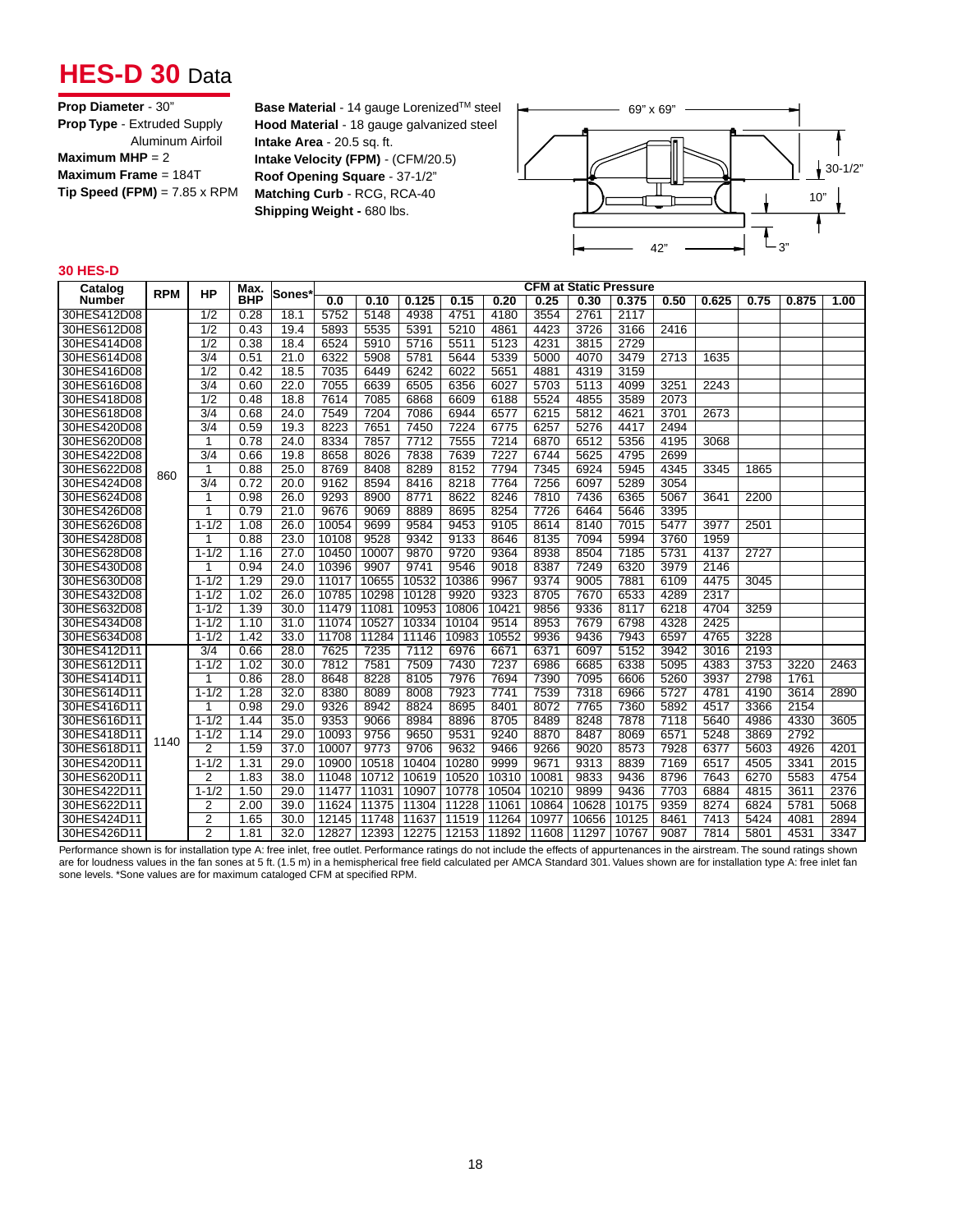# **HES-D 30 Data**

| <b>Prop Diameter - 30"</b>          |
|-------------------------------------|
| <b>Prop Type - Extruded Supply</b>  |
| Aluminum Airfoil                    |
| Maximum MHP = $2$                   |
| Maximum Frame = $184T$              |
| $Tip Speed (FPM) = 7.85 \times RPM$ |
|                                     |

**Base Material** - 14 gauge Lorenized™ steel **Hood Material** - 18 gauge galvanized steel **Intake Area** - 20.5 sq. ft. **Intake Velocity (FPM)** - (CFM/20.5) **Roof Opening Square** - 37-1/2" **Matching Curb** - RCG, RCA-40 **Shipping Weight - 680 lbs.** 



#### **30 HES-D**

| Catalog       | <b>RPM</b> | <b>HP</b>        | Max.       | ∣Sones* |       |       |       |       |             |       |       | <b>CFM at Static Pressure</b> |      |       |      |       |      |
|---------------|------------|------------------|------------|---------|-------|-------|-------|-------|-------------|-------|-------|-------------------------------|------|-------|------|-------|------|
| <b>Number</b> |            |                  | <b>BHP</b> |         | 0.0   | 0.10  | 0.125 | 0.15  | 0.20        | 0.25  | 0.30  | 0.375                         | 0.50 | 0.625 | 0.75 | 0.875 | 1.00 |
| 30HES412D08   |            | 1/2              | 0.28       | 18.1    | 5752  | 5148  | 4938  | 4751  | 4180        | 3554  | 2761  | 2117                          |      |       |      |       |      |
| 30HES612D08   |            | $\overline{1/2}$ | 0.43       | 19.4    | 5893  | 5535  | 5391  | 5210  | 4861        | 4423  | 3726  | 3166                          | 2416 |       |      |       |      |
| 30HES414D08   |            | $\overline{1/2}$ | 0.38       | 18.4    | 6524  | 5910  | 5716  | 5511  | 5123        | 4231  | 3815  | 2729                          |      |       |      |       |      |
| 30HES614D08   |            | $\overline{3/4}$ | 0.51       | 21.0    | 6322  | 5908  | 5781  | 5644  | 5339        | 5000  | 4070  | 3479                          | 2713 | 1635  |      |       |      |
| 30HES416D08   |            | 1/2              | 0.42       | 18.5    | 7035  | 6449  | 6242  | 6022  | 5651        | 4881  | 4319  | 3159                          |      |       |      |       |      |
| 30HES616D08   |            | $\overline{3/4}$ | 0.60       | 22.0    | 7055  | 6639  | 6505  | 6356  | 6027        | 5703  | 5113  | 4099                          | 3251 | 2243  |      |       |      |
| 30HES418D08   |            | $\overline{1/2}$ | 0.48       | 18.8    | 7614  | 7085  | 6868  | 6609  | 6188        | 5524  | 4855  | 3589                          | 2073 |       |      |       |      |
| 30HES618D08   |            | $\overline{3/4}$ | 0.68       | 24.0    | 7549  | 7204  | 7086  | 6944  | 6577        | 6215  | 5812  | 4621                          | 3701 | 2673  |      |       |      |
| 30HES420D08   |            | $\overline{3/4}$ | 0.59       | 19.3    | 8223  | 7651  | 7450  | 7224  | 6775        | 6257  | 5276  | 4417                          | 2494 |       |      |       |      |
| 30HES620D08   |            | 1                | 0.78       | 24.0    | 8334  | 7857  | 7712  | 7555  | 7214        | 6870  | 6512  | 5356                          | 4195 | 3068  |      |       |      |
| 30HES422D08   |            | $\overline{3/4}$ | 0.66       | 19.8    | 8658  | 8026  | 7838  | 7639  | 7227        | 6744  | 5625  | 4795                          | 2699 |       |      |       |      |
| 30HES622D08   | 860        | 1                | 0.88       | 25.0    | 8769  | 8408  | 8289  | 8152  | 7794        | 7345  | 6924  | 5945                          | 4345 | 3345  | 1865 |       |      |
| 30HES424D08   |            | $\overline{3/4}$ | 0.72       | 20.0    | 9162  | 8594  | 8416  | 8218  | 7764        | 7256  | 6097  | 5289                          | 3054 |       |      |       |      |
| 30HES624D08   |            | 1                | 0.98       | 26.0    | 9293  | 8900  | 8771  | 8622  | 8246        | 7810  | 7436  | 6365                          | 5067 | 3641  | 2200 |       |      |
| 30HES426D08   |            | 1                | 0.79       | 21.0    | 9676  | 9069  | 8889  | 8695  | 8254        | 7726  | 6464  | 5646                          | 3395 |       |      |       |      |
| 30HES626D08   |            | $1 - 1/2$        | 1.08       | 26.0    | 10054 | 9699  | 9584  | 9453  | 9105        | 8614  | 8140  | 7015                          | 5477 | 3977  | 2501 |       |      |
| 30HES428D08   |            | 1                | 0.88       | 23.0    | 10108 | 9528  | 9342  | 9133  | 8646        | 8135  | 7094  | 5994                          | 3760 | 1959  |      |       |      |
| 30HES628D08   |            | $1 - 1/2$        | 1.16       | 27.0    | 10450 | 10007 | 9870  | 9720  | 9364        | 8938  | 8504  | 7185                          | 5731 | 4137  | 2727 |       |      |
| 30HES430D08   |            | 1                | 0.94       | 24.0    | 10396 | 9907  | 9741  | 9546  | 9018        | 8387  | 7249  | 6320                          | 3979 | 2146  |      |       |      |
| 30HES630D08   |            | $1 - 1/2$        | 1.29       | 29.0    | 11017 | 10655 | 10532 | 10386 | 9967        | 9374  | 9005  | 7881                          | 6109 | 4475  | 3045 |       |      |
| 30HES432D08   |            | $1 - 1/2$        | 1.02       | 26.0    | 10785 | 10298 | 10128 | 9920  | 9323        | 8705  | 7670  | 6533                          | 4289 | 2317  |      |       |      |
| 30HES632D08   |            | $1 - 1/2$        | 1.39       | 30.0    | 11479 | 11081 | 10953 | 10806 | 10421       | 9856  | 9336  | 8117                          | 6218 | 4704  | 3259 |       |      |
| 30HES434D08   |            | $1 - 1/2$        | 1.10       | 31.0    | 11074 | 10527 | 10334 | 10104 | 9514        | 8953  | 7679  | 6798                          | 4328 | 2425  |      |       |      |
| 30HES634D08   |            | $1 - 1/2$        | 1.42       | 33.0    | 11708 | 11284 | 11146 | 10983 | 10552       | 9936  | 9436  | 7943                          | 6597 | 4765  | 3228 |       |      |
| 30HES412D11   |            | 3/4              | 0.66       | 28.0    | 7625  | 7235  | 7112  | 6976  | 6671        | 6371  | 6097  | 5152                          | 3942 | 3016  | 2193 |       |      |
| 30HES612D11   |            | $1 - 1/2$        | 1.02       | 30.0    | 7812  | 7581  | 7509  | 7430  | 7237        | 6986  | 6685  | 6338                          | 5095 | 4383  | 3753 | 3220  | 2463 |
| 30HES414D11   |            | 1                | 0.86       | 28.0    | 8648  | 8228  | 8105  | 7976  | 7694        | 7390  | 7095  | 6606                          | 5260 | 3937  | 2798 | 1761  |      |
| 30HES614D11   |            | $1 - 1/2$        | 1.28       | 32.0    | 8380  | 8089  | 8008  | 7923  | 7741        | 7539  | 7318  | 6966                          | 5727 | 4781  | 4190 | 3614  | 2890 |
| 30HES416D11   |            | 1                | 0.98       | 29.0    | 9326  | 8942  | 8824  | 8695  | 8401        | 8072  | 7765  | 7360                          | 5892 | 4517  | 3366 | 2154  |      |
| 30HES616D11   |            | $1 - 1/2$        | 1.44       | 35.0    | 9353  | 9066  | 8984  | 8896  | 8705        | 8489  | 8248  | 7878                          | 7118 | 5640  | 4986 | 4330  | 3605 |
| 30HES418D11   | 1140       | $1 - 1/2$        | 1.14       | 29.0    | 10093 | 9756  | 9650  | 9531  | 9240        | 8870  | 8487  | 8069                          | 6571 | 5248  | 3869 | 2792  |      |
| 30HES618D11   |            | $\overline{2}$   | 1.59       | 37.0    | 10007 | 9773  | 9706  | 9632  | 9466        | 9266  | 9020  | 8573                          | 7928 | 6377  | 5603 | 4926  | 4201 |
| 30HES420D11   |            | $1 - 1/2$        | 1.31       | 29.0    | 10900 | 10518 | 10404 | 10280 | 9999        | 9671  | 9313  | 8839                          | 7169 | 6517  | 4505 | 3341  | 2015 |
| 30HES620D11   |            | $\overline{2}$   | 1.83       | 38.0    | 11048 | 10712 | 10619 | 10520 | 10310       | 10081 | 9833  | 9436                          | 8796 | 7643  | 6270 | 5583  | 4754 |
| 30HES422D11   |            | $1 - 1/2$        | 1.50       | 29.0    | 11477 | 11031 | 10907 | 10778 | 10504       | 10210 | 9899  | 9436                          | 7703 | 6884  | 4815 | 3611  | 2376 |
| 30HES622D11   |            | $\overline{2}$   | 2.00       | 39.0    | 11624 | 11375 | 11304 | 11228 | 11061       | 10864 | 10628 | 10175                         | 9359 | 8274  | 6824 | 5781  | 5068 |
| 30HES424D11   |            | $\overline{2}$   | 1.65       | 30.0    | 12145 | 11748 | 11637 | 11519 | 11264       | 10977 | 10656 | 10125                         | 8461 | 7413  | 5424 | 4081  | 2894 |
| 30HES426D11   |            | $\overline{2}$   | 1.81       | 32.0    | 12827 | 12393 | 12275 | 12153 | 11892 11608 |       | 11297 | 10767                         | 9087 | 7814  | 5801 | 4531  | 3347 |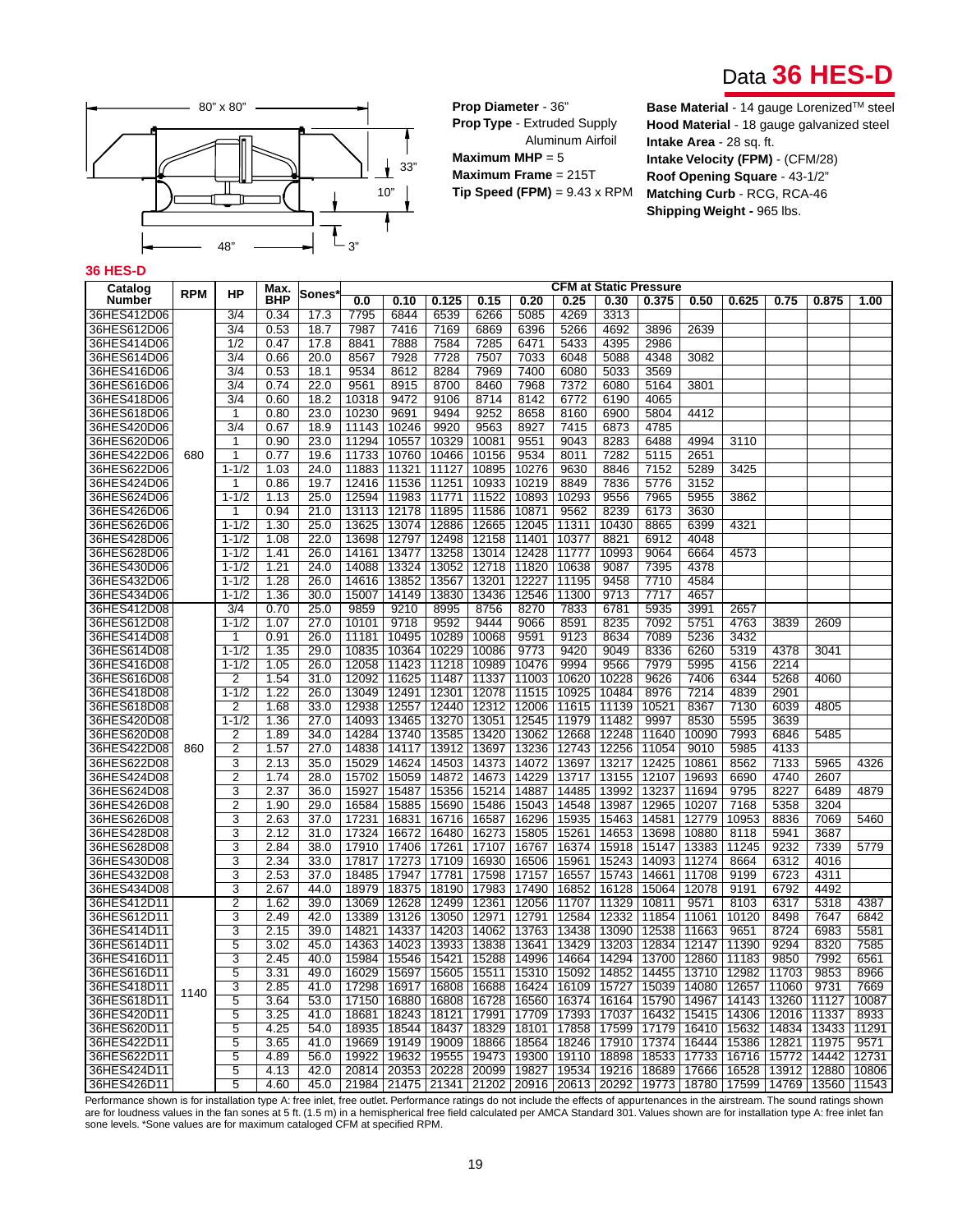



**Prop Diameter** - 36" **Prop Type** - Extruded Supply

Aluminum Airfoil **Maximum MHP** = 5 **Maximum Frame** = 215T **Tip Speed (FPM)** = 9.43 x RPM **Base Material** - 14 gauge Lorenized™ steel **Hood Material** - 18 gauge galvanized steel **Intake Area** - 28 sq. ft. **Intake Velocity (FPM)** - (CFM/28) **Roof Opening Square** - 43-1/2" **Matching Curb** - RCG, RCA-46 **Shipping Weight -** 965 lbs.

#### **36 HES-D**

| <b>RPM</b><br>ΗP<br>Sones<br><b>BHP</b><br>Number<br>0.0<br>0.10<br>0.125<br>0.15<br>0.20<br>0.25<br>0.30<br>0.50<br>0.625<br>0.75<br>0.875<br>1.00<br>0.375<br>36HES412D06<br>0.34<br>4269<br>3/4<br>17.3<br>7795<br>6844<br>6539<br>6266<br>5085<br>3313<br>36HES612D06<br>3/4<br>0.53<br>18.7<br>7987<br>7416<br>7169<br>6869<br>6396<br>5266<br>4692<br>3896<br>2639<br>$\overline{1/2}$<br>7888<br>5433<br>4395<br>2986<br>36HES414D06<br>0.47<br>17.8<br>8841<br>7584<br>7285<br>6471<br>36HES614D06<br>3/4<br>20.0<br>7928<br>7728<br>7033<br>6048<br>5088<br>4348<br>3082<br>0.66<br>8567<br>7507<br>$\frac{3}{4}$<br>8284<br>36HES416D06<br>0.53<br>18.1<br>9534<br>8612<br>7969<br>7400<br>6080<br>5033<br>3569<br>8700<br>7968<br>36HES616D06<br>3/4<br>0.74<br>22.0<br>9561<br>8915<br>8460<br>7372<br>6080<br>5164<br>3801<br>36HES418D06<br>3/4<br>0.60<br>18.2<br>10318<br>9472<br>9106<br>8714<br>8142<br>6772<br>6190<br>4065<br>10230<br>9494<br>4412<br>36HES618D06<br>1<br>0.80<br>23.0<br>9691<br>9252<br>8658<br>8160<br>6900<br>5804<br>36HES420D06<br>3/4<br>0.67<br>18.9<br>11143<br>10246<br>9920<br>9563<br>8927<br>7415<br>6873<br>4785<br>23.0<br>11294<br>10329<br>9043<br>8283<br>6488<br>36HES620D06<br>0.90<br>10557<br>10081<br>9551<br>4994<br>3110<br>1<br>36HES422D06<br>11733<br>9534<br>7282<br>680<br>1<br>0.77<br>19.6<br>10760<br>10466<br>10156<br>8011<br>5115<br>2651<br>$1 - 1/2$<br>24.0<br>10276<br>8846<br>5289<br>3425<br>36HES622D06<br>1.03<br>11883<br>11321<br>11127<br>10895<br>9630<br>7152<br>8849<br>7836<br>3152<br>36HES424D06<br>0.86<br>19.7<br>12416<br>11536<br>11251<br>10933<br>10219<br>5776<br>$\mathbf 1$<br>36HES624D06<br>$1 - 1/2$<br>1.13<br>25.0<br>12594<br>11983<br>11771<br>11522<br>10893<br>10293<br>9556<br>7965<br>5955<br>3862<br>36HES426D06<br>0.94<br>21.0<br>13113<br>12178<br>11895<br>11586<br>10871<br>9562<br>8239<br>6173<br>3630<br>1<br>12045<br>10430<br>36HES626D06<br>$1 - 1/2$<br>1.30<br>25.0<br>13625<br>13074<br>12886<br>12665<br>11311<br>8865<br>6399<br>4321<br>$1 - 1/2$<br>1.08<br>22.0<br>13698<br>12797<br>12498<br>12158<br>11401<br>10377<br>8821<br>6912<br>4048<br>36HES428D06<br>10993<br>36HES628D06<br>$1 - 1/2$<br>1.41<br>26.0<br>14161<br>13477<br>13258<br>13014<br>12428<br>11777<br>9064<br>6664<br>4573<br>1.21<br>24.0<br>14088<br>13324<br>13052<br>12718<br>11820<br>9087<br>7395<br>4378<br>36HES430D06<br>$1 - 1/2$<br>10638<br>36HES432D06<br>$1 - 1/2$<br>1.28<br>26.0<br>14616<br>13852<br>11195<br>9458<br>7710<br>4584<br>13567<br>13201<br>12227<br>36HES434D06<br>$1 - 1/2$<br>1.36<br>30.0<br>15007<br>14149<br>13436<br>12546<br>11300<br>9713<br>7717<br>4657<br>13830<br>0.70<br>36HES412D08<br>3/4<br>25.0<br>9859<br>9210<br>8995<br>8756<br>8270<br>7833<br>6781<br>5935<br>3991<br>2657<br>36HES612D08<br>$1 - 1/2$<br>1.07<br>27.0<br>10101<br>9718<br>9592<br>9444<br>9066<br>8591<br>8235<br>7092<br>5751<br>4763<br>3839<br>2609<br>0.91<br>26.0<br>10495<br>10289<br>10068<br>9123<br>7089<br>5236<br>36HES414D08<br>11181<br>9591<br>8634<br>3432<br>1<br>10229<br>9773<br>9420<br>8336<br>36HES614D08<br>$1 - 1/2$<br>1.35<br>29.0<br>10835<br>10364<br>10086<br>9049<br>6260<br>5319<br>4378<br>3041<br>2214<br>36HES416D08<br>$1 - 1/2$<br>1.05<br>26.0<br>12058<br>11423<br>11218<br>10989<br>10476<br>9994<br>9566<br>7979<br>5995<br>4156<br>36HES616D08<br>$\overline{2}$<br>1.54<br>31.0<br>12092<br>11625<br>11487<br>11337<br>11003<br>10620<br>10228<br>9626<br>7406<br>6344<br>5268<br>4060<br>$1 - 1/2$<br>1.22<br>26.0<br>13049<br>12491<br>12301<br>12078<br>10484<br>8976<br>7214<br>4839<br>2901<br>36HES418D08<br>11515<br>10925<br>12938<br>10521<br>7130<br>36HES618D08<br>2<br>1.68<br>33.0<br>12557<br>12440<br>12312<br>12006<br>11615<br>11139<br>8367<br>6039<br>4805<br>36HES420D08<br>$1 - 1/2$<br>1.36<br>27.0<br>14093<br>13465<br>13270<br>13051<br>12545<br>11979<br>11482<br>9997<br>8530<br>5595<br>3639<br>$\overline{2}$<br>1.89<br>34.0<br>14284<br>13740<br>13585<br>13420<br>13062<br>12668<br>12248<br>11640<br>10090<br>7993<br>6846<br>36HES620D08<br>5485<br>$\overline{2}$<br>36HES422D08<br>1.57<br>27.0<br>14838<br>14117<br>13236<br>12743<br>12256<br>11054<br>9010<br>5985<br>4133<br>13912<br>13697<br>860<br>3<br>15029<br>14624<br>13217<br>12425<br>10861<br>8562<br>7133<br>4326<br>36HES622D08<br>2.13<br>35.0<br>14503<br>14373<br>14072<br>13697<br>5965<br>$\overline{2}$<br>36HES424D08<br>1.74<br>28.0<br>15702<br>15059<br>14872<br>14673<br>14229<br>13717<br>13155<br>12107<br>19693<br>6690<br>4740<br>2607<br>3<br>2.37<br>9795<br>8227<br>4879<br>36HES624D08<br>36.0<br>15927<br>15487<br>15356<br>15214<br>14887<br>14485<br>13992<br>13237<br>11694<br>6489<br>36HES426D08<br>$\overline{2}$<br>1.90<br>29.0<br>16584<br>15885<br>15690<br>15486<br>15043<br>14548<br>13987<br>12965<br>10207<br>7168<br>5358<br>3204<br>3<br>2.63<br>17231<br>16296<br>15935<br>10953<br>8836<br>36HES626D08<br>37.0<br>16831<br>16716<br>16587<br>15463<br>14581<br>12779<br>7069<br>5460<br>3<br>2.12<br>17324<br>13698<br>5941<br>36HES428D08<br>31.0<br>16672<br>16480<br>16273<br>15805<br>15261<br>14653<br>10880<br>8118<br>3687<br>3<br>17910<br>17406<br>17107<br>16767<br>16374<br>15147<br>13383<br>11245<br>9232<br>7339<br>36HES628D08<br>2.84<br>38.0<br>17261<br>15918<br>5779<br>3<br>36HES430D08<br>2.34<br>33.0<br>17817<br>17273<br>17109<br>16930<br>16506<br>15961<br>15243<br>14093<br>11274<br>8664<br>6312<br>4016<br>36HES432D08<br>3<br>2.53<br>37.0<br>18485<br>17947<br>17781<br>17598<br>17157<br>16557<br>15743<br>14661<br>11708<br>9199<br>6723<br>4311<br>3<br>36HES434D08<br>2.67<br>44.0<br>18979<br>18375<br>18190<br>17983<br>17490<br>16852<br>16128<br>15064<br>12078<br>9191<br>6792<br>4492<br>$\overline{2}$<br>39.0<br>13069<br>12628<br>12499<br>12361<br>12056<br>11707<br>11329<br>10811<br>8103<br>6317<br>5318<br>4387<br>36HES412D11<br>1.62<br>9571<br>36HES612D11<br>3<br>2.49<br>42.0<br>13389<br>13126<br>12971<br>12791<br>12584<br>12332<br>11854<br>11061<br>10120<br>8498<br>7647<br>6842<br>13050<br>3<br>2.15<br>14821<br>13763<br>13438<br>13090<br>12538<br>8724<br>6983<br>36HES414D11<br>39.0<br>14337<br>14203<br>14062<br>11663<br>9651<br>5581<br>36HES614D11<br>5<br>14363<br>14023<br>13933<br>13838<br>13641<br>13429<br>13203<br>12834<br>12147<br>11390<br>9294<br>8320<br>7585<br>3.02<br>45.0<br>3<br>36HES416D11<br>2.45<br>40.0<br>15984<br>15546<br>15421<br>15288<br>14996<br>14664<br>14294<br>13700<br>12860<br>11183<br>9850<br>7992<br>6561<br>16029<br>15511<br>15310<br>15092<br>14852<br>14455<br>13710<br>12982<br>11703<br>36HES616D11<br>5<br>3.31<br>49.0<br>15697<br>15605<br>9853<br>8966<br>36HES418D11<br>3<br>2.85<br>41.0<br>17298<br>16917<br>16808<br>16688<br>16424<br>16109<br>15727<br>15039<br>14080<br>12657<br>11060<br>9731<br>7669<br>1140<br>5<br>14967<br>13260<br>36HES618D11<br>3.64<br>53.0<br>17150<br>16880<br>16808<br>16728<br>16560<br>16374<br>16164<br>15790<br>14143<br>11127<br>10087<br>3.25<br>18681<br>17393<br>17037<br>15415<br>14306<br>11337<br>8933<br>36HES420D11<br>5<br>41.0<br>18243<br>18121<br>17991<br>17709<br>16432<br>12016<br>5<br>11291<br>36HES620D11<br>4.25<br>54.0<br>18935<br>18544<br>18437<br>18329<br>18101<br>17858<br>17599<br>17179<br>16410<br>15632<br>14834<br>13433<br>16444<br>36HES422D11<br>5<br>3.65<br>41.0<br>19669<br>19149<br>19009<br>18866<br>18564<br>18246<br>17910<br>17374<br>15386<br>12821<br>11975<br>9571<br>5<br>19922<br>19632<br>19300<br>18898<br>18533<br>17733<br>16716<br>15772<br>14442<br>36HES622D11<br>4.89<br>56.0<br>19555<br>19473<br>19110<br>12731<br>36HES424D11<br>5<br>4.13<br>42.0<br>20814<br>20353<br>20228<br>20099<br>19827<br>19534<br>19216<br>18689<br>17666<br>16528<br>13912<br>12880<br>10806 | Catalog     | <b>CFM at Static Pressure</b><br>Max. |   |      |      |       |       |       |       |       |       |       |       |       |       |       |       |       |
|-----------------------------------------------------------------------------------------------------------------------------------------------------------------------------------------------------------------------------------------------------------------------------------------------------------------------------------------------------------------------------------------------------------------------------------------------------------------------------------------------------------------------------------------------------------------------------------------------------------------------------------------------------------------------------------------------------------------------------------------------------------------------------------------------------------------------------------------------------------------------------------------------------------------------------------------------------------------------------------------------------------------------------------------------------------------------------------------------------------------------------------------------------------------------------------------------------------------------------------------------------------------------------------------------------------------------------------------------------------------------------------------------------------------------------------------------------------------------------------------------------------------------------------------------------------------------------------------------------------------------------------------------------------------------------------------------------------------------------------------------------------------------------------------------------------------------------------------------------------------------------------------------------------------------------------------------------------------------------------------------------------------------------------------------------------------------------------------------------------------------------------------------------------------------------------------------------------------------------------------------------------------------------------------------------------------------------------------------------------------------------------------------------------------------------------------------------------------------------------------------------------------------------------------------------------------------------------------------------------------------------------------------------------------------------------------------------------------------------------------------------------------------------------------------------------------------------------------------------------------------------------------------------------------------------------------------------------------------------------------------------------------------------------------------------------------------------------------------------------------------------------------------------------------------------------------------------------------------------------------------------------------------------------------------------------------------------------------------------------------------------------------------------------------------------------------------------------------------------------------------------------------------------------------------------------------------------------------------------------------------------------------------------------------------------------------------------------------------------------------------------------------------------------------------------------------------------------------------------------------------------------------------------------------------------------------------------------------------------------------------------------------------------------------------------------------------------------------------------------------------------------------------------------------------------------------------------------------------------------------------------------------------------------------------------------------------------------------------------------------------------------------------------------------------------------------------------------------------------------------------------------------------------------------------------------------------------------------------------------------------------------------------------------------------------------------------------------------------------------------------------------------------------------------------------------------------------------------------------------------------------------------------------------------------------------------------------------------------------------------------------------------------------------------------------------------------------------------------------------------------------------------------------------------------------------------------------------------------------------------------------------------------------------------------------------------------------------------------------------------------------------------------------------------------------------------------------------------------------------------------------------------------------------------------------------------------------------------------------------------------------------------------------------------------------------------------------------------------------------------------------------------------------------------------------------------------------------------------------------------------------------------------------------------------------------------------------------------------------------------------------------------------------------------------------------------------------------------------------------------------------------------------------------------------------------------------------------------------------------------------------------------------------------------------------------------------------------------------------------------------------------------------------------------------------------------------------------------------------------------------------------------------------------------------------------------------------------------------------------------------------------------------------------------------------------------------------------------------------------------------------------------------------------------------------------------------------------------------------------------------------------------------------------------------------------------------------------------------------------------------------------------------------------------------------------------------------------------------------------------------------------------------------------------------------------------------------------------------------------------------------------------------------------------------------------------------------------------------------------------------------------------------------------------------------------------------------------------------------------------------------------------------------------------------------------------------------------------------------------------------------------------------------------------------------------------------------------------------------------------------------------------------------------------------------------------------------------------------------------------------------------------------------------------|-------------|---------------------------------------|---|------|------|-------|-------|-------|-------|-------|-------|-------|-------|-------|-------|-------|-------|-------|
|                                                                                                                                                                                                                                                                                                                                                                                                                                                                                                                                                                                                                                                                                                                                                                                                                                                                                                                                                                                                                                                                                                                                                                                                                                                                                                                                                                                                                                                                                                                                                                                                                                                                                                                                                                                                                                                                                                                                                                                                                                                                                                                                                                                                                                                                                                                                                                                                                                                                                                                                                                                                                                                                                                                                                                                                                                                                                                                                                                                                                                                                                                                                                                                                                                                                                                                                                                                                                                                                                                                                                                                                                                                                                                                                                                                                                                                                                                                                                                                                                                                                                                                                                                                                                                                                                                                                                                                                                                                                                                                                                                                                                                                                                                                                                                                                                                                                                                                                                                                                                                                                                                                                                                                                                                                                                                                                                                                                                                                                                                                                                                                                                                                                                                                                                                                                                                                                                                                                                                                                                                                                                                                                                                                                                                                                                                                                                                                                                                                                                                                                                                                                                                                                                                                                                                                                                                                                                                                                                                                                                                                                                                                                                                                                                                                                                                                                                                                                                                                                                                                                                                                                                                                                                                                                                                                                                                                                                                                 |             |                                       |   |      |      |       |       |       |       |       |       |       |       |       |       |       |       |       |
|                                                                                                                                                                                                                                                                                                                                                                                                                                                                                                                                                                                                                                                                                                                                                                                                                                                                                                                                                                                                                                                                                                                                                                                                                                                                                                                                                                                                                                                                                                                                                                                                                                                                                                                                                                                                                                                                                                                                                                                                                                                                                                                                                                                                                                                                                                                                                                                                                                                                                                                                                                                                                                                                                                                                                                                                                                                                                                                                                                                                                                                                                                                                                                                                                                                                                                                                                                                                                                                                                                                                                                                                                                                                                                                                                                                                                                                                                                                                                                                                                                                                                                                                                                                                                                                                                                                                                                                                                                                                                                                                                                                                                                                                                                                                                                                                                                                                                                                                                                                                                                                                                                                                                                                                                                                                                                                                                                                                                                                                                                                                                                                                                                                                                                                                                                                                                                                                                                                                                                                                                                                                                                                                                                                                                                                                                                                                                                                                                                                                                                                                                                                                                                                                                                                                                                                                                                                                                                                                                                                                                                                                                                                                                                                                                                                                                                                                                                                                                                                                                                                                                                                                                                                                                                                                                                                                                                                                                                                 |             |                                       |   |      |      |       |       |       |       |       |       |       |       |       |       |       |       |       |
|                                                                                                                                                                                                                                                                                                                                                                                                                                                                                                                                                                                                                                                                                                                                                                                                                                                                                                                                                                                                                                                                                                                                                                                                                                                                                                                                                                                                                                                                                                                                                                                                                                                                                                                                                                                                                                                                                                                                                                                                                                                                                                                                                                                                                                                                                                                                                                                                                                                                                                                                                                                                                                                                                                                                                                                                                                                                                                                                                                                                                                                                                                                                                                                                                                                                                                                                                                                                                                                                                                                                                                                                                                                                                                                                                                                                                                                                                                                                                                                                                                                                                                                                                                                                                                                                                                                                                                                                                                                                                                                                                                                                                                                                                                                                                                                                                                                                                                                                                                                                                                                                                                                                                                                                                                                                                                                                                                                                                                                                                                                                                                                                                                                                                                                                                                                                                                                                                                                                                                                                                                                                                                                                                                                                                                                                                                                                                                                                                                                                                                                                                                                                                                                                                                                                                                                                                                                                                                                                                                                                                                                                                                                                                                                                                                                                                                                                                                                                                                                                                                                                                                                                                                                                                                                                                                                                                                                                                                                 |             |                                       |   |      |      |       |       |       |       |       |       |       |       |       |       |       |       |       |
|                                                                                                                                                                                                                                                                                                                                                                                                                                                                                                                                                                                                                                                                                                                                                                                                                                                                                                                                                                                                                                                                                                                                                                                                                                                                                                                                                                                                                                                                                                                                                                                                                                                                                                                                                                                                                                                                                                                                                                                                                                                                                                                                                                                                                                                                                                                                                                                                                                                                                                                                                                                                                                                                                                                                                                                                                                                                                                                                                                                                                                                                                                                                                                                                                                                                                                                                                                                                                                                                                                                                                                                                                                                                                                                                                                                                                                                                                                                                                                                                                                                                                                                                                                                                                                                                                                                                                                                                                                                                                                                                                                                                                                                                                                                                                                                                                                                                                                                                                                                                                                                                                                                                                                                                                                                                                                                                                                                                                                                                                                                                                                                                                                                                                                                                                                                                                                                                                                                                                                                                                                                                                                                                                                                                                                                                                                                                                                                                                                                                                                                                                                                                                                                                                                                                                                                                                                                                                                                                                                                                                                                                                                                                                                                                                                                                                                                                                                                                                                                                                                                                                                                                                                                                                                                                                                                                                                                                                                                 |             |                                       |   |      |      |       |       |       |       |       |       |       |       |       |       |       |       |       |
|                                                                                                                                                                                                                                                                                                                                                                                                                                                                                                                                                                                                                                                                                                                                                                                                                                                                                                                                                                                                                                                                                                                                                                                                                                                                                                                                                                                                                                                                                                                                                                                                                                                                                                                                                                                                                                                                                                                                                                                                                                                                                                                                                                                                                                                                                                                                                                                                                                                                                                                                                                                                                                                                                                                                                                                                                                                                                                                                                                                                                                                                                                                                                                                                                                                                                                                                                                                                                                                                                                                                                                                                                                                                                                                                                                                                                                                                                                                                                                                                                                                                                                                                                                                                                                                                                                                                                                                                                                                                                                                                                                                                                                                                                                                                                                                                                                                                                                                                                                                                                                                                                                                                                                                                                                                                                                                                                                                                                                                                                                                                                                                                                                                                                                                                                                                                                                                                                                                                                                                                                                                                                                                                                                                                                                                                                                                                                                                                                                                                                                                                                                                                                                                                                                                                                                                                                                                                                                                                                                                                                                                                                                                                                                                                                                                                                                                                                                                                                                                                                                                                                                                                                                                                                                                                                                                                                                                                                                                 |             |                                       |   |      |      |       |       |       |       |       |       |       |       |       |       |       |       |       |
|                                                                                                                                                                                                                                                                                                                                                                                                                                                                                                                                                                                                                                                                                                                                                                                                                                                                                                                                                                                                                                                                                                                                                                                                                                                                                                                                                                                                                                                                                                                                                                                                                                                                                                                                                                                                                                                                                                                                                                                                                                                                                                                                                                                                                                                                                                                                                                                                                                                                                                                                                                                                                                                                                                                                                                                                                                                                                                                                                                                                                                                                                                                                                                                                                                                                                                                                                                                                                                                                                                                                                                                                                                                                                                                                                                                                                                                                                                                                                                                                                                                                                                                                                                                                                                                                                                                                                                                                                                                                                                                                                                                                                                                                                                                                                                                                                                                                                                                                                                                                                                                                                                                                                                                                                                                                                                                                                                                                                                                                                                                                                                                                                                                                                                                                                                                                                                                                                                                                                                                                                                                                                                                                                                                                                                                                                                                                                                                                                                                                                                                                                                                                                                                                                                                                                                                                                                                                                                                                                                                                                                                                                                                                                                                                                                                                                                                                                                                                                                                                                                                                                                                                                                                                                                                                                                                                                                                                                                                 |             |                                       |   |      |      |       |       |       |       |       |       |       |       |       |       |       |       |       |
|                                                                                                                                                                                                                                                                                                                                                                                                                                                                                                                                                                                                                                                                                                                                                                                                                                                                                                                                                                                                                                                                                                                                                                                                                                                                                                                                                                                                                                                                                                                                                                                                                                                                                                                                                                                                                                                                                                                                                                                                                                                                                                                                                                                                                                                                                                                                                                                                                                                                                                                                                                                                                                                                                                                                                                                                                                                                                                                                                                                                                                                                                                                                                                                                                                                                                                                                                                                                                                                                                                                                                                                                                                                                                                                                                                                                                                                                                                                                                                                                                                                                                                                                                                                                                                                                                                                                                                                                                                                                                                                                                                                                                                                                                                                                                                                                                                                                                                                                                                                                                                                                                                                                                                                                                                                                                                                                                                                                                                                                                                                                                                                                                                                                                                                                                                                                                                                                                                                                                                                                                                                                                                                                                                                                                                                                                                                                                                                                                                                                                                                                                                                                                                                                                                                                                                                                                                                                                                                                                                                                                                                                                                                                                                                                                                                                                                                                                                                                                                                                                                                                                                                                                                                                                                                                                                                                                                                                                                                 |             |                                       |   |      |      |       |       |       |       |       |       |       |       |       |       |       |       |       |
|                                                                                                                                                                                                                                                                                                                                                                                                                                                                                                                                                                                                                                                                                                                                                                                                                                                                                                                                                                                                                                                                                                                                                                                                                                                                                                                                                                                                                                                                                                                                                                                                                                                                                                                                                                                                                                                                                                                                                                                                                                                                                                                                                                                                                                                                                                                                                                                                                                                                                                                                                                                                                                                                                                                                                                                                                                                                                                                                                                                                                                                                                                                                                                                                                                                                                                                                                                                                                                                                                                                                                                                                                                                                                                                                                                                                                                                                                                                                                                                                                                                                                                                                                                                                                                                                                                                                                                                                                                                                                                                                                                                                                                                                                                                                                                                                                                                                                                                                                                                                                                                                                                                                                                                                                                                                                                                                                                                                                                                                                                                                                                                                                                                                                                                                                                                                                                                                                                                                                                                                                                                                                                                                                                                                                                                                                                                                                                                                                                                                                                                                                                                                                                                                                                                                                                                                                                                                                                                                                                                                                                                                                                                                                                                                                                                                                                                                                                                                                                                                                                                                                                                                                                                                                                                                                                                                                                                                                                                 |             |                                       |   |      |      |       |       |       |       |       |       |       |       |       |       |       |       |       |
|                                                                                                                                                                                                                                                                                                                                                                                                                                                                                                                                                                                                                                                                                                                                                                                                                                                                                                                                                                                                                                                                                                                                                                                                                                                                                                                                                                                                                                                                                                                                                                                                                                                                                                                                                                                                                                                                                                                                                                                                                                                                                                                                                                                                                                                                                                                                                                                                                                                                                                                                                                                                                                                                                                                                                                                                                                                                                                                                                                                                                                                                                                                                                                                                                                                                                                                                                                                                                                                                                                                                                                                                                                                                                                                                                                                                                                                                                                                                                                                                                                                                                                                                                                                                                                                                                                                                                                                                                                                                                                                                                                                                                                                                                                                                                                                                                                                                                                                                                                                                                                                                                                                                                                                                                                                                                                                                                                                                                                                                                                                                                                                                                                                                                                                                                                                                                                                                                                                                                                                                                                                                                                                                                                                                                                                                                                                                                                                                                                                                                                                                                                                                                                                                                                                                                                                                                                                                                                                                                                                                                                                                                                                                                                                                                                                                                                                                                                                                                                                                                                                                                                                                                                                                                                                                                                                                                                                                                                                 |             |                                       |   |      |      |       |       |       |       |       |       |       |       |       |       |       |       |       |
|                                                                                                                                                                                                                                                                                                                                                                                                                                                                                                                                                                                                                                                                                                                                                                                                                                                                                                                                                                                                                                                                                                                                                                                                                                                                                                                                                                                                                                                                                                                                                                                                                                                                                                                                                                                                                                                                                                                                                                                                                                                                                                                                                                                                                                                                                                                                                                                                                                                                                                                                                                                                                                                                                                                                                                                                                                                                                                                                                                                                                                                                                                                                                                                                                                                                                                                                                                                                                                                                                                                                                                                                                                                                                                                                                                                                                                                                                                                                                                                                                                                                                                                                                                                                                                                                                                                                                                                                                                                                                                                                                                                                                                                                                                                                                                                                                                                                                                                                                                                                                                                                                                                                                                                                                                                                                                                                                                                                                                                                                                                                                                                                                                                                                                                                                                                                                                                                                                                                                                                                                                                                                                                                                                                                                                                                                                                                                                                                                                                                                                                                                                                                                                                                                                                                                                                                                                                                                                                                                                                                                                                                                                                                                                                                                                                                                                                                                                                                                                                                                                                                                                                                                                                                                                                                                                                                                                                                                                                 |             |                                       |   |      |      |       |       |       |       |       |       |       |       |       |       |       |       |       |
|                                                                                                                                                                                                                                                                                                                                                                                                                                                                                                                                                                                                                                                                                                                                                                                                                                                                                                                                                                                                                                                                                                                                                                                                                                                                                                                                                                                                                                                                                                                                                                                                                                                                                                                                                                                                                                                                                                                                                                                                                                                                                                                                                                                                                                                                                                                                                                                                                                                                                                                                                                                                                                                                                                                                                                                                                                                                                                                                                                                                                                                                                                                                                                                                                                                                                                                                                                                                                                                                                                                                                                                                                                                                                                                                                                                                                                                                                                                                                                                                                                                                                                                                                                                                                                                                                                                                                                                                                                                                                                                                                                                                                                                                                                                                                                                                                                                                                                                                                                                                                                                                                                                                                                                                                                                                                                                                                                                                                                                                                                                                                                                                                                                                                                                                                                                                                                                                                                                                                                                                                                                                                                                                                                                                                                                                                                                                                                                                                                                                                                                                                                                                                                                                                                                                                                                                                                                                                                                                                                                                                                                                                                                                                                                                                                                                                                                                                                                                                                                                                                                                                                                                                                                                                                                                                                                                                                                                                                                 |             |                                       |   |      |      |       |       |       |       |       |       |       |       |       |       |       |       |       |
|                                                                                                                                                                                                                                                                                                                                                                                                                                                                                                                                                                                                                                                                                                                                                                                                                                                                                                                                                                                                                                                                                                                                                                                                                                                                                                                                                                                                                                                                                                                                                                                                                                                                                                                                                                                                                                                                                                                                                                                                                                                                                                                                                                                                                                                                                                                                                                                                                                                                                                                                                                                                                                                                                                                                                                                                                                                                                                                                                                                                                                                                                                                                                                                                                                                                                                                                                                                                                                                                                                                                                                                                                                                                                                                                                                                                                                                                                                                                                                                                                                                                                                                                                                                                                                                                                                                                                                                                                                                                                                                                                                                                                                                                                                                                                                                                                                                                                                                                                                                                                                                                                                                                                                                                                                                                                                                                                                                                                                                                                                                                                                                                                                                                                                                                                                                                                                                                                                                                                                                                                                                                                                                                                                                                                                                                                                                                                                                                                                                                                                                                                                                                                                                                                                                                                                                                                                                                                                                                                                                                                                                                                                                                                                                                                                                                                                                                                                                                                                                                                                                                                                                                                                                                                                                                                                                                                                                                                                                 |             |                                       |   |      |      |       |       |       |       |       |       |       |       |       |       |       |       |       |
|                                                                                                                                                                                                                                                                                                                                                                                                                                                                                                                                                                                                                                                                                                                                                                                                                                                                                                                                                                                                                                                                                                                                                                                                                                                                                                                                                                                                                                                                                                                                                                                                                                                                                                                                                                                                                                                                                                                                                                                                                                                                                                                                                                                                                                                                                                                                                                                                                                                                                                                                                                                                                                                                                                                                                                                                                                                                                                                                                                                                                                                                                                                                                                                                                                                                                                                                                                                                                                                                                                                                                                                                                                                                                                                                                                                                                                                                                                                                                                                                                                                                                                                                                                                                                                                                                                                                                                                                                                                                                                                                                                                                                                                                                                                                                                                                                                                                                                                                                                                                                                                                                                                                                                                                                                                                                                                                                                                                                                                                                                                                                                                                                                                                                                                                                                                                                                                                                                                                                                                                                                                                                                                                                                                                                                                                                                                                                                                                                                                                                                                                                                                                                                                                                                                                                                                                                                                                                                                                                                                                                                                                                                                                                                                                                                                                                                                                                                                                                                                                                                                                                                                                                                                                                                                                                                                                                                                                                                                 |             |                                       |   |      |      |       |       |       |       |       |       |       |       |       |       |       |       |       |
|                                                                                                                                                                                                                                                                                                                                                                                                                                                                                                                                                                                                                                                                                                                                                                                                                                                                                                                                                                                                                                                                                                                                                                                                                                                                                                                                                                                                                                                                                                                                                                                                                                                                                                                                                                                                                                                                                                                                                                                                                                                                                                                                                                                                                                                                                                                                                                                                                                                                                                                                                                                                                                                                                                                                                                                                                                                                                                                                                                                                                                                                                                                                                                                                                                                                                                                                                                                                                                                                                                                                                                                                                                                                                                                                                                                                                                                                                                                                                                                                                                                                                                                                                                                                                                                                                                                                                                                                                                                                                                                                                                                                                                                                                                                                                                                                                                                                                                                                                                                                                                                                                                                                                                                                                                                                                                                                                                                                                                                                                                                                                                                                                                                                                                                                                                                                                                                                                                                                                                                                                                                                                                                                                                                                                                                                                                                                                                                                                                                                                                                                                                                                                                                                                                                                                                                                                                                                                                                                                                                                                                                                                                                                                                                                                                                                                                                                                                                                                                                                                                                                                                                                                                                                                                                                                                                                                                                                                                                 |             |                                       |   |      |      |       |       |       |       |       |       |       |       |       |       |       |       |       |
|                                                                                                                                                                                                                                                                                                                                                                                                                                                                                                                                                                                                                                                                                                                                                                                                                                                                                                                                                                                                                                                                                                                                                                                                                                                                                                                                                                                                                                                                                                                                                                                                                                                                                                                                                                                                                                                                                                                                                                                                                                                                                                                                                                                                                                                                                                                                                                                                                                                                                                                                                                                                                                                                                                                                                                                                                                                                                                                                                                                                                                                                                                                                                                                                                                                                                                                                                                                                                                                                                                                                                                                                                                                                                                                                                                                                                                                                                                                                                                                                                                                                                                                                                                                                                                                                                                                                                                                                                                                                                                                                                                                                                                                                                                                                                                                                                                                                                                                                                                                                                                                                                                                                                                                                                                                                                                                                                                                                                                                                                                                                                                                                                                                                                                                                                                                                                                                                                                                                                                                                                                                                                                                                                                                                                                                                                                                                                                                                                                                                                                                                                                                                                                                                                                                                                                                                                                                                                                                                                                                                                                                                                                                                                                                                                                                                                                                                                                                                                                                                                                                                                                                                                                                                                                                                                                                                                                                                                                                 |             |                                       |   |      |      |       |       |       |       |       |       |       |       |       |       |       |       |       |
|                                                                                                                                                                                                                                                                                                                                                                                                                                                                                                                                                                                                                                                                                                                                                                                                                                                                                                                                                                                                                                                                                                                                                                                                                                                                                                                                                                                                                                                                                                                                                                                                                                                                                                                                                                                                                                                                                                                                                                                                                                                                                                                                                                                                                                                                                                                                                                                                                                                                                                                                                                                                                                                                                                                                                                                                                                                                                                                                                                                                                                                                                                                                                                                                                                                                                                                                                                                                                                                                                                                                                                                                                                                                                                                                                                                                                                                                                                                                                                                                                                                                                                                                                                                                                                                                                                                                                                                                                                                                                                                                                                                                                                                                                                                                                                                                                                                                                                                                                                                                                                                                                                                                                                                                                                                                                                                                                                                                                                                                                                                                                                                                                                                                                                                                                                                                                                                                                                                                                                                                                                                                                                                                                                                                                                                                                                                                                                                                                                                                                                                                                                                                                                                                                                                                                                                                                                                                                                                                                                                                                                                                                                                                                                                                                                                                                                                                                                                                                                                                                                                                                                                                                                                                                                                                                                                                                                                                                                                 |             |                                       |   |      |      |       |       |       |       |       |       |       |       |       |       |       |       |       |
|                                                                                                                                                                                                                                                                                                                                                                                                                                                                                                                                                                                                                                                                                                                                                                                                                                                                                                                                                                                                                                                                                                                                                                                                                                                                                                                                                                                                                                                                                                                                                                                                                                                                                                                                                                                                                                                                                                                                                                                                                                                                                                                                                                                                                                                                                                                                                                                                                                                                                                                                                                                                                                                                                                                                                                                                                                                                                                                                                                                                                                                                                                                                                                                                                                                                                                                                                                                                                                                                                                                                                                                                                                                                                                                                                                                                                                                                                                                                                                                                                                                                                                                                                                                                                                                                                                                                                                                                                                                                                                                                                                                                                                                                                                                                                                                                                                                                                                                                                                                                                                                                                                                                                                                                                                                                                                                                                                                                                                                                                                                                                                                                                                                                                                                                                                                                                                                                                                                                                                                                                                                                                                                                                                                                                                                                                                                                                                                                                                                                                                                                                                                                                                                                                                                                                                                                                                                                                                                                                                                                                                                                                                                                                                                                                                                                                                                                                                                                                                                                                                                                                                                                                                                                                                                                                                                                                                                                                                                 |             |                                       |   |      |      |       |       |       |       |       |       |       |       |       |       |       |       |       |
|                                                                                                                                                                                                                                                                                                                                                                                                                                                                                                                                                                                                                                                                                                                                                                                                                                                                                                                                                                                                                                                                                                                                                                                                                                                                                                                                                                                                                                                                                                                                                                                                                                                                                                                                                                                                                                                                                                                                                                                                                                                                                                                                                                                                                                                                                                                                                                                                                                                                                                                                                                                                                                                                                                                                                                                                                                                                                                                                                                                                                                                                                                                                                                                                                                                                                                                                                                                                                                                                                                                                                                                                                                                                                                                                                                                                                                                                                                                                                                                                                                                                                                                                                                                                                                                                                                                                                                                                                                                                                                                                                                                                                                                                                                                                                                                                                                                                                                                                                                                                                                                                                                                                                                                                                                                                                                                                                                                                                                                                                                                                                                                                                                                                                                                                                                                                                                                                                                                                                                                                                                                                                                                                                                                                                                                                                                                                                                                                                                                                                                                                                                                                                                                                                                                                                                                                                                                                                                                                                                                                                                                                                                                                                                                                                                                                                                                                                                                                                                                                                                                                                                                                                                                                                                                                                                                                                                                                                                                 |             |                                       |   |      |      |       |       |       |       |       |       |       |       |       |       |       |       |       |
|                                                                                                                                                                                                                                                                                                                                                                                                                                                                                                                                                                                                                                                                                                                                                                                                                                                                                                                                                                                                                                                                                                                                                                                                                                                                                                                                                                                                                                                                                                                                                                                                                                                                                                                                                                                                                                                                                                                                                                                                                                                                                                                                                                                                                                                                                                                                                                                                                                                                                                                                                                                                                                                                                                                                                                                                                                                                                                                                                                                                                                                                                                                                                                                                                                                                                                                                                                                                                                                                                                                                                                                                                                                                                                                                                                                                                                                                                                                                                                                                                                                                                                                                                                                                                                                                                                                                                                                                                                                                                                                                                                                                                                                                                                                                                                                                                                                                                                                                                                                                                                                                                                                                                                                                                                                                                                                                                                                                                                                                                                                                                                                                                                                                                                                                                                                                                                                                                                                                                                                                                                                                                                                                                                                                                                                                                                                                                                                                                                                                                                                                                                                                                                                                                                                                                                                                                                                                                                                                                                                                                                                                                                                                                                                                                                                                                                                                                                                                                                                                                                                                                                                                                                                                                                                                                                                                                                                                                                                 |             |                                       |   |      |      |       |       |       |       |       |       |       |       |       |       |       |       |       |
|                                                                                                                                                                                                                                                                                                                                                                                                                                                                                                                                                                                                                                                                                                                                                                                                                                                                                                                                                                                                                                                                                                                                                                                                                                                                                                                                                                                                                                                                                                                                                                                                                                                                                                                                                                                                                                                                                                                                                                                                                                                                                                                                                                                                                                                                                                                                                                                                                                                                                                                                                                                                                                                                                                                                                                                                                                                                                                                                                                                                                                                                                                                                                                                                                                                                                                                                                                                                                                                                                                                                                                                                                                                                                                                                                                                                                                                                                                                                                                                                                                                                                                                                                                                                                                                                                                                                                                                                                                                                                                                                                                                                                                                                                                                                                                                                                                                                                                                                                                                                                                                                                                                                                                                                                                                                                                                                                                                                                                                                                                                                                                                                                                                                                                                                                                                                                                                                                                                                                                                                                                                                                                                                                                                                                                                                                                                                                                                                                                                                                                                                                                                                                                                                                                                                                                                                                                                                                                                                                                                                                                                                                                                                                                                                                                                                                                                                                                                                                                                                                                                                                                                                                                                                                                                                                                                                                                                                                                                 |             |                                       |   |      |      |       |       |       |       |       |       |       |       |       |       |       |       |       |
|                                                                                                                                                                                                                                                                                                                                                                                                                                                                                                                                                                                                                                                                                                                                                                                                                                                                                                                                                                                                                                                                                                                                                                                                                                                                                                                                                                                                                                                                                                                                                                                                                                                                                                                                                                                                                                                                                                                                                                                                                                                                                                                                                                                                                                                                                                                                                                                                                                                                                                                                                                                                                                                                                                                                                                                                                                                                                                                                                                                                                                                                                                                                                                                                                                                                                                                                                                                                                                                                                                                                                                                                                                                                                                                                                                                                                                                                                                                                                                                                                                                                                                                                                                                                                                                                                                                                                                                                                                                                                                                                                                                                                                                                                                                                                                                                                                                                                                                                                                                                                                                                                                                                                                                                                                                                                                                                                                                                                                                                                                                                                                                                                                                                                                                                                                                                                                                                                                                                                                                                                                                                                                                                                                                                                                                                                                                                                                                                                                                                                                                                                                                                                                                                                                                                                                                                                                                                                                                                                                                                                                                                                                                                                                                                                                                                                                                                                                                                                                                                                                                                                                                                                                                                                                                                                                                                                                                                                                                 |             |                                       |   |      |      |       |       |       |       |       |       |       |       |       |       |       |       |       |
|                                                                                                                                                                                                                                                                                                                                                                                                                                                                                                                                                                                                                                                                                                                                                                                                                                                                                                                                                                                                                                                                                                                                                                                                                                                                                                                                                                                                                                                                                                                                                                                                                                                                                                                                                                                                                                                                                                                                                                                                                                                                                                                                                                                                                                                                                                                                                                                                                                                                                                                                                                                                                                                                                                                                                                                                                                                                                                                                                                                                                                                                                                                                                                                                                                                                                                                                                                                                                                                                                                                                                                                                                                                                                                                                                                                                                                                                                                                                                                                                                                                                                                                                                                                                                                                                                                                                                                                                                                                                                                                                                                                                                                                                                                                                                                                                                                                                                                                                                                                                                                                                                                                                                                                                                                                                                                                                                                                                                                                                                                                                                                                                                                                                                                                                                                                                                                                                                                                                                                                                                                                                                                                                                                                                                                                                                                                                                                                                                                                                                                                                                                                                                                                                                                                                                                                                                                                                                                                                                                                                                                                                                                                                                                                                                                                                                                                                                                                                                                                                                                                                                                                                                                                                                                                                                                                                                                                                                                                 |             |                                       |   |      |      |       |       |       |       |       |       |       |       |       |       |       |       |       |
|                                                                                                                                                                                                                                                                                                                                                                                                                                                                                                                                                                                                                                                                                                                                                                                                                                                                                                                                                                                                                                                                                                                                                                                                                                                                                                                                                                                                                                                                                                                                                                                                                                                                                                                                                                                                                                                                                                                                                                                                                                                                                                                                                                                                                                                                                                                                                                                                                                                                                                                                                                                                                                                                                                                                                                                                                                                                                                                                                                                                                                                                                                                                                                                                                                                                                                                                                                                                                                                                                                                                                                                                                                                                                                                                                                                                                                                                                                                                                                                                                                                                                                                                                                                                                                                                                                                                                                                                                                                                                                                                                                                                                                                                                                                                                                                                                                                                                                                                                                                                                                                                                                                                                                                                                                                                                                                                                                                                                                                                                                                                                                                                                                                                                                                                                                                                                                                                                                                                                                                                                                                                                                                                                                                                                                                                                                                                                                                                                                                                                                                                                                                                                                                                                                                                                                                                                                                                                                                                                                                                                                                                                                                                                                                                                                                                                                                                                                                                                                                                                                                                                                                                                                                                                                                                                                                                                                                                                                                 |             |                                       |   |      |      |       |       |       |       |       |       |       |       |       |       |       |       |       |
|                                                                                                                                                                                                                                                                                                                                                                                                                                                                                                                                                                                                                                                                                                                                                                                                                                                                                                                                                                                                                                                                                                                                                                                                                                                                                                                                                                                                                                                                                                                                                                                                                                                                                                                                                                                                                                                                                                                                                                                                                                                                                                                                                                                                                                                                                                                                                                                                                                                                                                                                                                                                                                                                                                                                                                                                                                                                                                                                                                                                                                                                                                                                                                                                                                                                                                                                                                                                                                                                                                                                                                                                                                                                                                                                                                                                                                                                                                                                                                                                                                                                                                                                                                                                                                                                                                                                                                                                                                                                                                                                                                                                                                                                                                                                                                                                                                                                                                                                                                                                                                                                                                                                                                                                                                                                                                                                                                                                                                                                                                                                                                                                                                                                                                                                                                                                                                                                                                                                                                                                                                                                                                                                                                                                                                                                                                                                                                                                                                                                                                                                                                                                                                                                                                                                                                                                                                                                                                                                                                                                                                                                                                                                                                                                                                                                                                                                                                                                                                                                                                                                                                                                                                                                                                                                                                                                                                                                                                                 |             |                                       |   |      |      |       |       |       |       |       |       |       |       |       |       |       |       |       |
|                                                                                                                                                                                                                                                                                                                                                                                                                                                                                                                                                                                                                                                                                                                                                                                                                                                                                                                                                                                                                                                                                                                                                                                                                                                                                                                                                                                                                                                                                                                                                                                                                                                                                                                                                                                                                                                                                                                                                                                                                                                                                                                                                                                                                                                                                                                                                                                                                                                                                                                                                                                                                                                                                                                                                                                                                                                                                                                                                                                                                                                                                                                                                                                                                                                                                                                                                                                                                                                                                                                                                                                                                                                                                                                                                                                                                                                                                                                                                                                                                                                                                                                                                                                                                                                                                                                                                                                                                                                                                                                                                                                                                                                                                                                                                                                                                                                                                                                                                                                                                                                                                                                                                                                                                                                                                                                                                                                                                                                                                                                                                                                                                                                                                                                                                                                                                                                                                                                                                                                                                                                                                                                                                                                                                                                                                                                                                                                                                                                                                                                                                                                                                                                                                                                                                                                                                                                                                                                                                                                                                                                                                                                                                                                                                                                                                                                                                                                                                                                                                                                                                                                                                                                                                                                                                                                                                                                                                                                 |             |                                       |   |      |      |       |       |       |       |       |       |       |       |       |       |       |       |       |
|                                                                                                                                                                                                                                                                                                                                                                                                                                                                                                                                                                                                                                                                                                                                                                                                                                                                                                                                                                                                                                                                                                                                                                                                                                                                                                                                                                                                                                                                                                                                                                                                                                                                                                                                                                                                                                                                                                                                                                                                                                                                                                                                                                                                                                                                                                                                                                                                                                                                                                                                                                                                                                                                                                                                                                                                                                                                                                                                                                                                                                                                                                                                                                                                                                                                                                                                                                                                                                                                                                                                                                                                                                                                                                                                                                                                                                                                                                                                                                                                                                                                                                                                                                                                                                                                                                                                                                                                                                                                                                                                                                                                                                                                                                                                                                                                                                                                                                                                                                                                                                                                                                                                                                                                                                                                                                                                                                                                                                                                                                                                                                                                                                                                                                                                                                                                                                                                                                                                                                                                                                                                                                                                                                                                                                                                                                                                                                                                                                                                                                                                                                                                                                                                                                                                                                                                                                                                                                                                                                                                                                                                                                                                                                                                                                                                                                                                                                                                                                                                                                                                                                                                                                                                                                                                                                                                                                                                                                                 |             |                                       |   |      |      |       |       |       |       |       |       |       |       |       |       |       |       |       |
|                                                                                                                                                                                                                                                                                                                                                                                                                                                                                                                                                                                                                                                                                                                                                                                                                                                                                                                                                                                                                                                                                                                                                                                                                                                                                                                                                                                                                                                                                                                                                                                                                                                                                                                                                                                                                                                                                                                                                                                                                                                                                                                                                                                                                                                                                                                                                                                                                                                                                                                                                                                                                                                                                                                                                                                                                                                                                                                                                                                                                                                                                                                                                                                                                                                                                                                                                                                                                                                                                                                                                                                                                                                                                                                                                                                                                                                                                                                                                                                                                                                                                                                                                                                                                                                                                                                                                                                                                                                                                                                                                                                                                                                                                                                                                                                                                                                                                                                                                                                                                                                                                                                                                                                                                                                                                                                                                                                                                                                                                                                                                                                                                                                                                                                                                                                                                                                                                                                                                                                                                                                                                                                                                                                                                                                                                                                                                                                                                                                                                                                                                                                                                                                                                                                                                                                                                                                                                                                                                                                                                                                                                                                                                                                                                                                                                                                                                                                                                                                                                                                                                                                                                                                                                                                                                                                                                                                                                                                 |             |                                       |   |      |      |       |       |       |       |       |       |       |       |       |       |       |       |       |
|                                                                                                                                                                                                                                                                                                                                                                                                                                                                                                                                                                                                                                                                                                                                                                                                                                                                                                                                                                                                                                                                                                                                                                                                                                                                                                                                                                                                                                                                                                                                                                                                                                                                                                                                                                                                                                                                                                                                                                                                                                                                                                                                                                                                                                                                                                                                                                                                                                                                                                                                                                                                                                                                                                                                                                                                                                                                                                                                                                                                                                                                                                                                                                                                                                                                                                                                                                                                                                                                                                                                                                                                                                                                                                                                                                                                                                                                                                                                                                                                                                                                                                                                                                                                                                                                                                                                                                                                                                                                                                                                                                                                                                                                                                                                                                                                                                                                                                                                                                                                                                                                                                                                                                                                                                                                                                                                                                                                                                                                                                                                                                                                                                                                                                                                                                                                                                                                                                                                                                                                                                                                                                                                                                                                                                                                                                                                                                                                                                                                                                                                                                                                                                                                                                                                                                                                                                                                                                                                                                                                                                                                                                                                                                                                                                                                                                                                                                                                                                                                                                                                                                                                                                                                                                                                                                                                                                                                                                                 |             |                                       |   |      |      |       |       |       |       |       |       |       |       |       |       |       |       |       |
|                                                                                                                                                                                                                                                                                                                                                                                                                                                                                                                                                                                                                                                                                                                                                                                                                                                                                                                                                                                                                                                                                                                                                                                                                                                                                                                                                                                                                                                                                                                                                                                                                                                                                                                                                                                                                                                                                                                                                                                                                                                                                                                                                                                                                                                                                                                                                                                                                                                                                                                                                                                                                                                                                                                                                                                                                                                                                                                                                                                                                                                                                                                                                                                                                                                                                                                                                                                                                                                                                                                                                                                                                                                                                                                                                                                                                                                                                                                                                                                                                                                                                                                                                                                                                                                                                                                                                                                                                                                                                                                                                                                                                                                                                                                                                                                                                                                                                                                                                                                                                                                                                                                                                                                                                                                                                                                                                                                                                                                                                                                                                                                                                                                                                                                                                                                                                                                                                                                                                                                                                                                                                                                                                                                                                                                                                                                                                                                                                                                                                                                                                                                                                                                                                                                                                                                                                                                                                                                                                                                                                                                                                                                                                                                                                                                                                                                                                                                                                                                                                                                                                                                                                                                                                                                                                                                                                                                                                                                 |             |                                       |   |      |      |       |       |       |       |       |       |       |       |       |       |       |       |       |
|                                                                                                                                                                                                                                                                                                                                                                                                                                                                                                                                                                                                                                                                                                                                                                                                                                                                                                                                                                                                                                                                                                                                                                                                                                                                                                                                                                                                                                                                                                                                                                                                                                                                                                                                                                                                                                                                                                                                                                                                                                                                                                                                                                                                                                                                                                                                                                                                                                                                                                                                                                                                                                                                                                                                                                                                                                                                                                                                                                                                                                                                                                                                                                                                                                                                                                                                                                                                                                                                                                                                                                                                                                                                                                                                                                                                                                                                                                                                                                                                                                                                                                                                                                                                                                                                                                                                                                                                                                                                                                                                                                                                                                                                                                                                                                                                                                                                                                                                                                                                                                                                                                                                                                                                                                                                                                                                                                                                                                                                                                                                                                                                                                                                                                                                                                                                                                                                                                                                                                                                                                                                                                                                                                                                                                                                                                                                                                                                                                                                                                                                                                                                                                                                                                                                                                                                                                                                                                                                                                                                                                                                                                                                                                                                                                                                                                                                                                                                                                                                                                                                                                                                                                                                                                                                                                                                                                                                                                                 |             |                                       |   |      |      |       |       |       |       |       |       |       |       |       |       |       |       |       |
|                                                                                                                                                                                                                                                                                                                                                                                                                                                                                                                                                                                                                                                                                                                                                                                                                                                                                                                                                                                                                                                                                                                                                                                                                                                                                                                                                                                                                                                                                                                                                                                                                                                                                                                                                                                                                                                                                                                                                                                                                                                                                                                                                                                                                                                                                                                                                                                                                                                                                                                                                                                                                                                                                                                                                                                                                                                                                                                                                                                                                                                                                                                                                                                                                                                                                                                                                                                                                                                                                                                                                                                                                                                                                                                                                                                                                                                                                                                                                                                                                                                                                                                                                                                                                                                                                                                                                                                                                                                                                                                                                                                                                                                                                                                                                                                                                                                                                                                                                                                                                                                                                                                                                                                                                                                                                                                                                                                                                                                                                                                                                                                                                                                                                                                                                                                                                                                                                                                                                                                                                                                                                                                                                                                                                                                                                                                                                                                                                                                                                                                                                                                                                                                                                                                                                                                                                                                                                                                                                                                                                                                                                                                                                                                                                                                                                                                                                                                                                                                                                                                                                                                                                                                                                                                                                                                                                                                                                                                 |             |                                       |   |      |      |       |       |       |       |       |       |       |       |       |       |       |       |       |
|                                                                                                                                                                                                                                                                                                                                                                                                                                                                                                                                                                                                                                                                                                                                                                                                                                                                                                                                                                                                                                                                                                                                                                                                                                                                                                                                                                                                                                                                                                                                                                                                                                                                                                                                                                                                                                                                                                                                                                                                                                                                                                                                                                                                                                                                                                                                                                                                                                                                                                                                                                                                                                                                                                                                                                                                                                                                                                                                                                                                                                                                                                                                                                                                                                                                                                                                                                                                                                                                                                                                                                                                                                                                                                                                                                                                                                                                                                                                                                                                                                                                                                                                                                                                                                                                                                                                                                                                                                                                                                                                                                                                                                                                                                                                                                                                                                                                                                                                                                                                                                                                                                                                                                                                                                                                                                                                                                                                                                                                                                                                                                                                                                                                                                                                                                                                                                                                                                                                                                                                                                                                                                                                                                                                                                                                                                                                                                                                                                                                                                                                                                                                                                                                                                                                                                                                                                                                                                                                                                                                                                                                                                                                                                                                                                                                                                                                                                                                                                                                                                                                                                                                                                                                                                                                                                                                                                                                                                                 |             |                                       |   |      |      |       |       |       |       |       |       |       |       |       |       |       |       |       |
|                                                                                                                                                                                                                                                                                                                                                                                                                                                                                                                                                                                                                                                                                                                                                                                                                                                                                                                                                                                                                                                                                                                                                                                                                                                                                                                                                                                                                                                                                                                                                                                                                                                                                                                                                                                                                                                                                                                                                                                                                                                                                                                                                                                                                                                                                                                                                                                                                                                                                                                                                                                                                                                                                                                                                                                                                                                                                                                                                                                                                                                                                                                                                                                                                                                                                                                                                                                                                                                                                                                                                                                                                                                                                                                                                                                                                                                                                                                                                                                                                                                                                                                                                                                                                                                                                                                                                                                                                                                                                                                                                                                                                                                                                                                                                                                                                                                                                                                                                                                                                                                                                                                                                                                                                                                                                                                                                                                                                                                                                                                                                                                                                                                                                                                                                                                                                                                                                                                                                                                                                                                                                                                                                                                                                                                                                                                                                                                                                                                                                                                                                                                                                                                                                                                                                                                                                                                                                                                                                                                                                                                                                                                                                                                                                                                                                                                                                                                                                                                                                                                                                                                                                                                                                                                                                                                                                                                                                                                 |             |                                       |   |      |      |       |       |       |       |       |       |       |       |       |       |       |       |       |
|                                                                                                                                                                                                                                                                                                                                                                                                                                                                                                                                                                                                                                                                                                                                                                                                                                                                                                                                                                                                                                                                                                                                                                                                                                                                                                                                                                                                                                                                                                                                                                                                                                                                                                                                                                                                                                                                                                                                                                                                                                                                                                                                                                                                                                                                                                                                                                                                                                                                                                                                                                                                                                                                                                                                                                                                                                                                                                                                                                                                                                                                                                                                                                                                                                                                                                                                                                                                                                                                                                                                                                                                                                                                                                                                                                                                                                                                                                                                                                                                                                                                                                                                                                                                                                                                                                                                                                                                                                                                                                                                                                                                                                                                                                                                                                                                                                                                                                                                                                                                                                                                                                                                                                                                                                                                                                                                                                                                                                                                                                                                                                                                                                                                                                                                                                                                                                                                                                                                                                                                                                                                                                                                                                                                                                                                                                                                                                                                                                                                                                                                                                                                                                                                                                                                                                                                                                                                                                                                                                                                                                                                                                                                                                                                                                                                                                                                                                                                                                                                                                                                                                                                                                                                                                                                                                                                                                                                                                                 |             |                                       |   |      |      |       |       |       |       |       |       |       |       |       |       |       |       |       |
|                                                                                                                                                                                                                                                                                                                                                                                                                                                                                                                                                                                                                                                                                                                                                                                                                                                                                                                                                                                                                                                                                                                                                                                                                                                                                                                                                                                                                                                                                                                                                                                                                                                                                                                                                                                                                                                                                                                                                                                                                                                                                                                                                                                                                                                                                                                                                                                                                                                                                                                                                                                                                                                                                                                                                                                                                                                                                                                                                                                                                                                                                                                                                                                                                                                                                                                                                                                                                                                                                                                                                                                                                                                                                                                                                                                                                                                                                                                                                                                                                                                                                                                                                                                                                                                                                                                                                                                                                                                                                                                                                                                                                                                                                                                                                                                                                                                                                                                                                                                                                                                                                                                                                                                                                                                                                                                                                                                                                                                                                                                                                                                                                                                                                                                                                                                                                                                                                                                                                                                                                                                                                                                                                                                                                                                                                                                                                                                                                                                                                                                                                                                                                                                                                                                                                                                                                                                                                                                                                                                                                                                                                                                                                                                                                                                                                                                                                                                                                                                                                                                                                                                                                                                                                                                                                                                                                                                                                                                 |             |                                       |   |      |      |       |       |       |       |       |       |       |       |       |       |       |       |       |
|                                                                                                                                                                                                                                                                                                                                                                                                                                                                                                                                                                                                                                                                                                                                                                                                                                                                                                                                                                                                                                                                                                                                                                                                                                                                                                                                                                                                                                                                                                                                                                                                                                                                                                                                                                                                                                                                                                                                                                                                                                                                                                                                                                                                                                                                                                                                                                                                                                                                                                                                                                                                                                                                                                                                                                                                                                                                                                                                                                                                                                                                                                                                                                                                                                                                                                                                                                                                                                                                                                                                                                                                                                                                                                                                                                                                                                                                                                                                                                                                                                                                                                                                                                                                                                                                                                                                                                                                                                                                                                                                                                                                                                                                                                                                                                                                                                                                                                                                                                                                                                                                                                                                                                                                                                                                                                                                                                                                                                                                                                                                                                                                                                                                                                                                                                                                                                                                                                                                                                                                                                                                                                                                                                                                                                                                                                                                                                                                                                                                                                                                                                                                                                                                                                                                                                                                                                                                                                                                                                                                                                                                                                                                                                                                                                                                                                                                                                                                                                                                                                                                                                                                                                                                                                                                                                                                                                                                                                                 |             |                                       |   |      |      |       |       |       |       |       |       |       |       |       |       |       |       |       |
|                                                                                                                                                                                                                                                                                                                                                                                                                                                                                                                                                                                                                                                                                                                                                                                                                                                                                                                                                                                                                                                                                                                                                                                                                                                                                                                                                                                                                                                                                                                                                                                                                                                                                                                                                                                                                                                                                                                                                                                                                                                                                                                                                                                                                                                                                                                                                                                                                                                                                                                                                                                                                                                                                                                                                                                                                                                                                                                                                                                                                                                                                                                                                                                                                                                                                                                                                                                                                                                                                                                                                                                                                                                                                                                                                                                                                                                                                                                                                                                                                                                                                                                                                                                                                                                                                                                                                                                                                                                                                                                                                                                                                                                                                                                                                                                                                                                                                                                                                                                                                                                                                                                                                                                                                                                                                                                                                                                                                                                                                                                                                                                                                                                                                                                                                                                                                                                                                                                                                                                                                                                                                                                                                                                                                                                                                                                                                                                                                                                                                                                                                                                                                                                                                                                                                                                                                                                                                                                                                                                                                                                                                                                                                                                                                                                                                                                                                                                                                                                                                                                                                                                                                                                                                                                                                                                                                                                                                                                 |             |                                       |   |      |      |       |       |       |       |       |       |       |       |       |       |       |       |       |
|                                                                                                                                                                                                                                                                                                                                                                                                                                                                                                                                                                                                                                                                                                                                                                                                                                                                                                                                                                                                                                                                                                                                                                                                                                                                                                                                                                                                                                                                                                                                                                                                                                                                                                                                                                                                                                                                                                                                                                                                                                                                                                                                                                                                                                                                                                                                                                                                                                                                                                                                                                                                                                                                                                                                                                                                                                                                                                                                                                                                                                                                                                                                                                                                                                                                                                                                                                                                                                                                                                                                                                                                                                                                                                                                                                                                                                                                                                                                                                                                                                                                                                                                                                                                                                                                                                                                                                                                                                                                                                                                                                                                                                                                                                                                                                                                                                                                                                                                                                                                                                                                                                                                                                                                                                                                                                                                                                                                                                                                                                                                                                                                                                                                                                                                                                                                                                                                                                                                                                                                                                                                                                                                                                                                                                                                                                                                                                                                                                                                                                                                                                                                                                                                                                                                                                                                                                                                                                                                                                                                                                                                                                                                                                                                                                                                                                                                                                                                                                                                                                                                                                                                                                                                                                                                                                                                                                                                                                                 |             |                                       |   |      |      |       |       |       |       |       |       |       |       |       |       |       |       |       |
|                                                                                                                                                                                                                                                                                                                                                                                                                                                                                                                                                                                                                                                                                                                                                                                                                                                                                                                                                                                                                                                                                                                                                                                                                                                                                                                                                                                                                                                                                                                                                                                                                                                                                                                                                                                                                                                                                                                                                                                                                                                                                                                                                                                                                                                                                                                                                                                                                                                                                                                                                                                                                                                                                                                                                                                                                                                                                                                                                                                                                                                                                                                                                                                                                                                                                                                                                                                                                                                                                                                                                                                                                                                                                                                                                                                                                                                                                                                                                                                                                                                                                                                                                                                                                                                                                                                                                                                                                                                                                                                                                                                                                                                                                                                                                                                                                                                                                                                                                                                                                                                                                                                                                                                                                                                                                                                                                                                                                                                                                                                                                                                                                                                                                                                                                                                                                                                                                                                                                                                                                                                                                                                                                                                                                                                                                                                                                                                                                                                                                                                                                                                                                                                                                                                                                                                                                                                                                                                                                                                                                                                                                                                                                                                                                                                                                                                                                                                                                                                                                                                                                                                                                                                                                                                                                                                                                                                                                                                 |             |                                       |   |      |      |       |       |       |       |       |       |       |       |       |       |       |       |       |
|                                                                                                                                                                                                                                                                                                                                                                                                                                                                                                                                                                                                                                                                                                                                                                                                                                                                                                                                                                                                                                                                                                                                                                                                                                                                                                                                                                                                                                                                                                                                                                                                                                                                                                                                                                                                                                                                                                                                                                                                                                                                                                                                                                                                                                                                                                                                                                                                                                                                                                                                                                                                                                                                                                                                                                                                                                                                                                                                                                                                                                                                                                                                                                                                                                                                                                                                                                                                                                                                                                                                                                                                                                                                                                                                                                                                                                                                                                                                                                                                                                                                                                                                                                                                                                                                                                                                                                                                                                                                                                                                                                                                                                                                                                                                                                                                                                                                                                                                                                                                                                                                                                                                                                                                                                                                                                                                                                                                                                                                                                                                                                                                                                                                                                                                                                                                                                                                                                                                                                                                                                                                                                                                                                                                                                                                                                                                                                                                                                                                                                                                                                                                                                                                                                                                                                                                                                                                                                                                                                                                                                                                                                                                                                                                                                                                                                                                                                                                                                                                                                                                                                                                                                                                                                                                                                                                                                                                                                                 |             |                                       |   |      |      |       |       |       |       |       |       |       |       |       |       |       |       |       |
|                                                                                                                                                                                                                                                                                                                                                                                                                                                                                                                                                                                                                                                                                                                                                                                                                                                                                                                                                                                                                                                                                                                                                                                                                                                                                                                                                                                                                                                                                                                                                                                                                                                                                                                                                                                                                                                                                                                                                                                                                                                                                                                                                                                                                                                                                                                                                                                                                                                                                                                                                                                                                                                                                                                                                                                                                                                                                                                                                                                                                                                                                                                                                                                                                                                                                                                                                                                                                                                                                                                                                                                                                                                                                                                                                                                                                                                                                                                                                                                                                                                                                                                                                                                                                                                                                                                                                                                                                                                                                                                                                                                                                                                                                                                                                                                                                                                                                                                                                                                                                                                                                                                                                                                                                                                                                                                                                                                                                                                                                                                                                                                                                                                                                                                                                                                                                                                                                                                                                                                                                                                                                                                                                                                                                                                                                                                                                                                                                                                                                                                                                                                                                                                                                                                                                                                                                                                                                                                                                                                                                                                                                                                                                                                                                                                                                                                                                                                                                                                                                                                                                                                                                                                                                                                                                                                                                                                                                                                 |             |                                       |   |      |      |       |       |       |       |       |       |       |       |       |       |       |       |       |
|                                                                                                                                                                                                                                                                                                                                                                                                                                                                                                                                                                                                                                                                                                                                                                                                                                                                                                                                                                                                                                                                                                                                                                                                                                                                                                                                                                                                                                                                                                                                                                                                                                                                                                                                                                                                                                                                                                                                                                                                                                                                                                                                                                                                                                                                                                                                                                                                                                                                                                                                                                                                                                                                                                                                                                                                                                                                                                                                                                                                                                                                                                                                                                                                                                                                                                                                                                                                                                                                                                                                                                                                                                                                                                                                                                                                                                                                                                                                                                                                                                                                                                                                                                                                                                                                                                                                                                                                                                                                                                                                                                                                                                                                                                                                                                                                                                                                                                                                                                                                                                                                                                                                                                                                                                                                                                                                                                                                                                                                                                                                                                                                                                                                                                                                                                                                                                                                                                                                                                                                                                                                                                                                                                                                                                                                                                                                                                                                                                                                                                                                                                                                                                                                                                                                                                                                                                                                                                                                                                                                                                                                                                                                                                                                                                                                                                                                                                                                                                                                                                                                                                                                                                                                                                                                                                                                                                                                                                                 |             |                                       |   |      |      |       |       |       |       |       |       |       |       |       |       |       |       |       |
|                                                                                                                                                                                                                                                                                                                                                                                                                                                                                                                                                                                                                                                                                                                                                                                                                                                                                                                                                                                                                                                                                                                                                                                                                                                                                                                                                                                                                                                                                                                                                                                                                                                                                                                                                                                                                                                                                                                                                                                                                                                                                                                                                                                                                                                                                                                                                                                                                                                                                                                                                                                                                                                                                                                                                                                                                                                                                                                                                                                                                                                                                                                                                                                                                                                                                                                                                                                                                                                                                                                                                                                                                                                                                                                                                                                                                                                                                                                                                                                                                                                                                                                                                                                                                                                                                                                                                                                                                                                                                                                                                                                                                                                                                                                                                                                                                                                                                                                                                                                                                                                                                                                                                                                                                                                                                                                                                                                                                                                                                                                                                                                                                                                                                                                                                                                                                                                                                                                                                                                                                                                                                                                                                                                                                                                                                                                                                                                                                                                                                                                                                                                                                                                                                                                                                                                                                                                                                                                                                                                                                                                                                                                                                                                                                                                                                                                                                                                                                                                                                                                                                                                                                                                                                                                                                                                                                                                                                                                 |             |                                       |   |      |      |       |       |       |       |       |       |       |       |       |       |       |       |       |
|                                                                                                                                                                                                                                                                                                                                                                                                                                                                                                                                                                                                                                                                                                                                                                                                                                                                                                                                                                                                                                                                                                                                                                                                                                                                                                                                                                                                                                                                                                                                                                                                                                                                                                                                                                                                                                                                                                                                                                                                                                                                                                                                                                                                                                                                                                                                                                                                                                                                                                                                                                                                                                                                                                                                                                                                                                                                                                                                                                                                                                                                                                                                                                                                                                                                                                                                                                                                                                                                                                                                                                                                                                                                                                                                                                                                                                                                                                                                                                                                                                                                                                                                                                                                                                                                                                                                                                                                                                                                                                                                                                                                                                                                                                                                                                                                                                                                                                                                                                                                                                                                                                                                                                                                                                                                                                                                                                                                                                                                                                                                                                                                                                                                                                                                                                                                                                                                                                                                                                                                                                                                                                                                                                                                                                                                                                                                                                                                                                                                                                                                                                                                                                                                                                                                                                                                                                                                                                                                                                                                                                                                                                                                                                                                                                                                                                                                                                                                                                                                                                                                                                                                                                                                                                                                                                                                                                                                                                                 |             |                                       |   |      |      |       |       |       |       |       |       |       |       |       |       |       |       |       |
|                                                                                                                                                                                                                                                                                                                                                                                                                                                                                                                                                                                                                                                                                                                                                                                                                                                                                                                                                                                                                                                                                                                                                                                                                                                                                                                                                                                                                                                                                                                                                                                                                                                                                                                                                                                                                                                                                                                                                                                                                                                                                                                                                                                                                                                                                                                                                                                                                                                                                                                                                                                                                                                                                                                                                                                                                                                                                                                                                                                                                                                                                                                                                                                                                                                                                                                                                                                                                                                                                                                                                                                                                                                                                                                                                                                                                                                                                                                                                                                                                                                                                                                                                                                                                                                                                                                                                                                                                                                                                                                                                                                                                                                                                                                                                                                                                                                                                                                                                                                                                                                                                                                                                                                                                                                                                                                                                                                                                                                                                                                                                                                                                                                                                                                                                                                                                                                                                                                                                                                                                                                                                                                                                                                                                                                                                                                                                                                                                                                                                                                                                                                                                                                                                                                                                                                                                                                                                                                                                                                                                                                                                                                                                                                                                                                                                                                                                                                                                                                                                                                                                                                                                                                                                                                                                                                                                                                                                                                 |             |                                       |   |      |      |       |       |       |       |       |       |       |       |       |       |       |       |       |
|                                                                                                                                                                                                                                                                                                                                                                                                                                                                                                                                                                                                                                                                                                                                                                                                                                                                                                                                                                                                                                                                                                                                                                                                                                                                                                                                                                                                                                                                                                                                                                                                                                                                                                                                                                                                                                                                                                                                                                                                                                                                                                                                                                                                                                                                                                                                                                                                                                                                                                                                                                                                                                                                                                                                                                                                                                                                                                                                                                                                                                                                                                                                                                                                                                                                                                                                                                                                                                                                                                                                                                                                                                                                                                                                                                                                                                                                                                                                                                                                                                                                                                                                                                                                                                                                                                                                                                                                                                                                                                                                                                                                                                                                                                                                                                                                                                                                                                                                                                                                                                                                                                                                                                                                                                                                                                                                                                                                                                                                                                                                                                                                                                                                                                                                                                                                                                                                                                                                                                                                                                                                                                                                                                                                                                                                                                                                                                                                                                                                                                                                                                                                                                                                                                                                                                                                                                                                                                                                                                                                                                                                                                                                                                                                                                                                                                                                                                                                                                                                                                                                                                                                                                                                                                                                                                                                                                                                                                                 |             |                                       |   |      |      |       |       |       |       |       |       |       |       |       |       |       |       |       |
|                                                                                                                                                                                                                                                                                                                                                                                                                                                                                                                                                                                                                                                                                                                                                                                                                                                                                                                                                                                                                                                                                                                                                                                                                                                                                                                                                                                                                                                                                                                                                                                                                                                                                                                                                                                                                                                                                                                                                                                                                                                                                                                                                                                                                                                                                                                                                                                                                                                                                                                                                                                                                                                                                                                                                                                                                                                                                                                                                                                                                                                                                                                                                                                                                                                                                                                                                                                                                                                                                                                                                                                                                                                                                                                                                                                                                                                                                                                                                                                                                                                                                                                                                                                                                                                                                                                                                                                                                                                                                                                                                                                                                                                                                                                                                                                                                                                                                                                                                                                                                                                                                                                                                                                                                                                                                                                                                                                                                                                                                                                                                                                                                                                                                                                                                                                                                                                                                                                                                                                                                                                                                                                                                                                                                                                                                                                                                                                                                                                                                                                                                                                                                                                                                                                                                                                                                                                                                                                                                                                                                                                                                                                                                                                                                                                                                                                                                                                                                                                                                                                                                                                                                                                                                                                                                                                                                                                                                                                 |             |                                       |   |      |      |       |       |       |       |       |       |       |       |       |       |       |       |       |
|                                                                                                                                                                                                                                                                                                                                                                                                                                                                                                                                                                                                                                                                                                                                                                                                                                                                                                                                                                                                                                                                                                                                                                                                                                                                                                                                                                                                                                                                                                                                                                                                                                                                                                                                                                                                                                                                                                                                                                                                                                                                                                                                                                                                                                                                                                                                                                                                                                                                                                                                                                                                                                                                                                                                                                                                                                                                                                                                                                                                                                                                                                                                                                                                                                                                                                                                                                                                                                                                                                                                                                                                                                                                                                                                                                                                                                                                                                                                                                                                                                                                                                                                                                                                                                                                                                                                                                                                                                                                                                                                                                                                                                                                                                                                                                                                                                                                                                                                                                                                                                                                                                                                                                                                                                                                                                                                                                                                                                                                                                                                                                                                                                                                                                                                                                                                                                                                                                                                                                                                                                                                                                                                                                                                                                                                                                                                                                                                                                                                                                                                                                                                                                                                                                                                                                                                                                                                                                                                                                                                                                                                                                                                                                                                                                                                                                                                                                                                                                                                                                                                                                                                                                                                                                                                                                                                                                                                                                                 |             |                                       |   |      |      |       |       |       |       |       |       |       |       |       |       |       |       |       |
|                                                                                                                                                                                                                                                                                                                                                                                                                                                                                                                                                                                                                                                                                                                                                                                                                                                                                                                                                                                                                                                                                                                                                                                                                                                                                                                                                                                                                                                                                                                                                                                                                                                                                                                                                                                                                                                                                                                                                                                                                                                                                                                                                                                                                                                                                                                                                                                                                                                                                                                                                                                                                                                                                                                                                                                                                                                                                                                                                                                                                                                                                                                                                                                                                                                                                                                                                                                                                                                                                                                                                                                                                                                                                                                                                                                                                                                                                                                                                                                                                                                                                                                                                                                                                                                                                                                                                                                                                                                                                                                                                                                                                                                                                                                                                                                                                                                                                                                                                                                                                                                                                                                                                                                                                                                                                                                                                                                                                                                                                                                                                                                                                                                                                                                                                                                                                                                                                                                                                                                                                                                                                                                                                                                                                                                                                                                                                                                                                                                                                                                                                                                                                                                                                                                                                                                                                                                                                                                                                                                                                                                                                                                                                                                                                                                                                                                                                                                                                                                                                                                                                                                                                                                                                                                                                                                                                                                                                                                 |             |                                       |   |      |      |       |       |       |       |       |       |       |       |       |       |       |       |       |
|                                                                                                                                                                                                                                                                                                                                                                                                                                                                                                                                                                                                                                                                                                                                                                                                                                                                                                                                                                                                                                                                                                                                                                                                                                                                                                                                                                                                                                                                                                                                                                                                                                                                                                                                                                                                                                                                                                                                                                                                                                                                                                                                                                                                                                                                                                                                                                                                                                                                                                                                                                                                                                                                                                                                                                                                                                                                                                                                                                                                                                                                                                                                                                                                                                                                                                                                                                                                                                                                                                                                                                                                                                                                                                                                                                                                                                                                                                                                                                                                                                                                                                                                                                                                                                                                                                                                                                                                                                                                                                                                                                                                                                                                                                                                                                                                                                                                                                                                                                                                                                                                                                                                                                                                                                                                                                                                                                                                                                                                                                                                                                                                                                                                                                                                                                                                                                                                                                                                                                                                                                                                                                                                                                                                                                                                                                                                                                                                                                                                                                                                                                                                                                                                                                                                                                                                                                                                                                                                                                                                                                                                                                                                                                                                                                                                                                                                                                                                                                                                                                                                                                                                                                                                                                                                                                                                                                                                                                                 |             |                                       |   |      |      |       |       |       |       |       |       |       |       |       |       |       |       |       |
|                                                                                                                                                                                                                                                                                                                                                                                                                                                                                                                                                                                                                                                                                                                                                                                                                                                                                                                                                                                                                                                                                                                                                                                                                                                                                                                                                                                                                                                                                                                                                                                                                                                                                                                                                                                                                                                                                                                                                                                                                                                                                                                                                                                                                                                                                                                                                                                                                                                                                                                                                                                                                                                                                                                                                                                                                                                                                                                                                                                                                                                                                                                                                                                                                                                                                                                                                                                                                                                                                                                                                                                                                                                                                                                                                                                                                                                                                                                                                                                                                                                                                                                                                                                                                                                                                                                                                                                                                                                                                                                                                                                                                                                                                                                                                                                                                                                                                                                                                                                                                                                                                                                                                                                                                                                                                                                                                                                                                                                                                                                                                                                                                                                                                                                                                                                                                                                                                                                                                                                                                                                                                                                                                                                                                                                                                                                                                                                                                                                                                                                                                                                                                                                                                                                                                                                                                                                                                                                                                                                                                                                                                                                                                                                                                                                                                                                                                                                                                                                                                                                                                                                                                                                                                                                                                                                                                                                                                                                 |             |                                       |   |      |      |       |       |       |       |       |       |       |       |       |       |       |       |       |
|                                                                                                                                                                                                                                                                                                                                                                                                                                                                                                                                                                                                                                                                                                                                                                                                                                                                                                                                                                                                                                                                                                                                                                                                                                                                                                                                                                                                                                                                                                                                                                                                                                                                                                                                                                                                                                                                                                                                                                                                                                                                                                                                                                                                                                                                                                                                                                                                                                                                                                                                                                                                                                                                                                                                                                                                                                                                                                                                                                                                                                                                                                                                                                                                                                                                                                                                                                                                                                                                                                                                                                                                                                                                                                                                                                                                                                                                                                                                                                                                                                                                                                                                                                                                                                                                                                                                                                                                                                                                                                                                                                                                                                                                                                                                                                                                                                                                                                                                                                                                                                                                                                                                                                                                                                                                                                                                                                                                                                                                                                                                                                                                                                                                                                                                                                                                                                                                                                                                                                                                                                                                                                                                                                                                                                                                                                                                                                                                                                                                                                                                                                                                                                                                                                                                                                                                                                                                                                                                                                                                                                                                                                                                                                                                                                                                                                                                                                                                                                                                                                                                                                                                                                                                                                                                                                                                                                                                                                                 |             |                                       |   |      |      |       |       |       |       |       |       |       |       |       |       |       |       |       |
|                                                                                                                                                                                                                                                                                                                                                                                                                                                                                                                                                                                                                                                                                                                                                                                                                                                                                                                                                                                                                                                                                                                                                                                                                                                                                                                                                                                                                                                                                                                                                                                                                                                                                                                                                                                                                                                                                                                                                                                                                                                                                                                                                                                                                                                                                                                                                                                                                                                                                                                                                                                                                                                                                                                                                                                                                                                                                                                                                                                                                                                                                                                                                                                                                                                                                                                                                                                                                                                                                                                                                                                                                                                                                                                                                                                                                                                                                                                                                                                                                                                                                                                                                                                                                                                                                                                                                                                                                                                                                                                                                                                                                                                                                                                                                                                                                                                                                                                                                                                                                                                                                                                                                                                                                                                                                                                                                                                                                                                                                                                                                                                                                                                                                                                                                                                                                                                                                                                                                                                                                                                                                                                                                                                                                                                                                                                                                                                                                                                                                                                                                                                                                                                                                                                                                                                                                                                                                                                                                                                                                                                                                                                                                                                                                                                                                                                                                                                                                                                                                                                                                                                                                                                                                                                                                                                                                                                                                                                 |             |                                       |   |      |      |       |       |       |       |       |       |       |       |       |       |       |       |       |
|                                                                                                                                                                                                                                                                                                                                                                                                                                                                                                                                                                                                                                                                                                                                                                                                                                                                                                                                                                                                                                                                                                                                                                                                                                                                                                                                                                                                                                                                                                                                                                                                                                                                                                                                                                                                                                                                                                                                                                                                                                                                                                                                                                                                                                                                                                                                                                                                                                                                                                                                                                                                                                                                                                                                                                                                                                                                                                                                                                                                                                                                                                                                                                                                                                                                                                                                                                                                                                                                                                                                                                                                                                                                                                                                                                                                                                                                                                                                                                                                                                                                                                                                                                                                                                                                                                                                                                                                                                                                                                                                                                                                                                                                                                                                                                                                                                                                                                                                                                                                                                                                                                                                                                                                                                                                                                                                                                                                                                                                                                                                                                                                                                                                                                                                                                                                                                                                                                                                                                                                                                                                                                                                                                                                                                                                                                                                                                                                                                                                                                                                                                                                                                                                                                                                                                                                                                                                                                                                                                                                                                                                                                                                                                                                                                                                                                                                                                                                                                                                                                                                                                                                                                                                                                                                                                                                                                                                                                                 |             |                                       |   |      |      |       |       |       |       |       |       |       |       |       |       |       |       |       |
|                                                                                                                                                                                                                                                                                                                                                                                                                                                                                                                                                                                                                                                                                                                                                                                                                                                                                                                                                                                                                                                                                                                                                                                                                                                                                                                                                                                                                                                                                                                                                                                                                                                                                                                                                                                                                                                                                                                                                                                                                                                                                                                                                                                                                                                                                                                                                                                                                                                                                                                                                                                                                                                                                                                                                                                                                                                                                                                                                                                                                                                                                                                                                                                                                                                                                                                                                                                                                                                                                                                                                                                                                                                                                                                                                                                                                                                                                                                                                                                                                                                                                                                                                                                                                                                                                                                                                                                                                                                                                                                                                                                                                                                                                                                                                                                                                                                                                                                                                                                                                                                                                                                                                                                                                                                                                                                                                                                                                                                                                                                                                                                                                                                                                                                                                                                                                                                                                                                                                                                                                                                                                                                                                                                                                                                                                                                                                                                                                                                                                                                                                                                                                                                                                                                                                                                                                                                                                                                                                                                                                                                                                                                                                                                                                                                                                                                                                                                                                                                                                                                                                                                                                                                                                                                                                                                                                                                                                                                 |             |                                       |   |      |      |       |       |       |       |       |       |       |       |       |       |       |       |       |
|                                                                                                                                                                                                                                                                                                                                                                                                                                                                                                                                                                                                                                                                                                                                                                                                                                                                                                                                                                                                                                                                                                                                                                                                                                                                                                                                                                                                                                                                                                                                                                                                                                                                                                                                                                                                                                                                                                                                                                                                                                                                                                                                                                                                                                                                                                                                                                                                                                                                                                                                                                                                                                                                                                                                                                                                                                                                                                                                                                                                                                                                                                                                                                                                                                                                                                                                                                                                                                                                                                                                                                                                                                                                                                                                                                                                                                                                                                                                                                                                                                                                                                                                                                                                                                                                                                                                                                                                                                                                                                                                                                                                                                                                                                                                                                                                                                                                                                                                                                                                                                                                                                                                                                                                                                                                                                                                                                                                                                                                                                                                                                                                                                                                                                                                                                                                                                                                                                                                                                                                                                                                                                                                                                                                                                                                                                                                                                                                                                                                                                                                                                                                                                                                                                                                                                                                                                                                                                                                                                                                                                                                                                                                                                                                                                                                                                                                                                                                                                                                                                                                                                                                                                                                                                                                                                                                                                                                                                                 | 36HES426D11 |                                       | 5 | 4.60 | 45.0 | 21984 | 21475 | 21341 | 21202 | 20916 | 20613 | 20292 | 19773 | 18780 | 17599 | 14769 | 13560 | 11543 |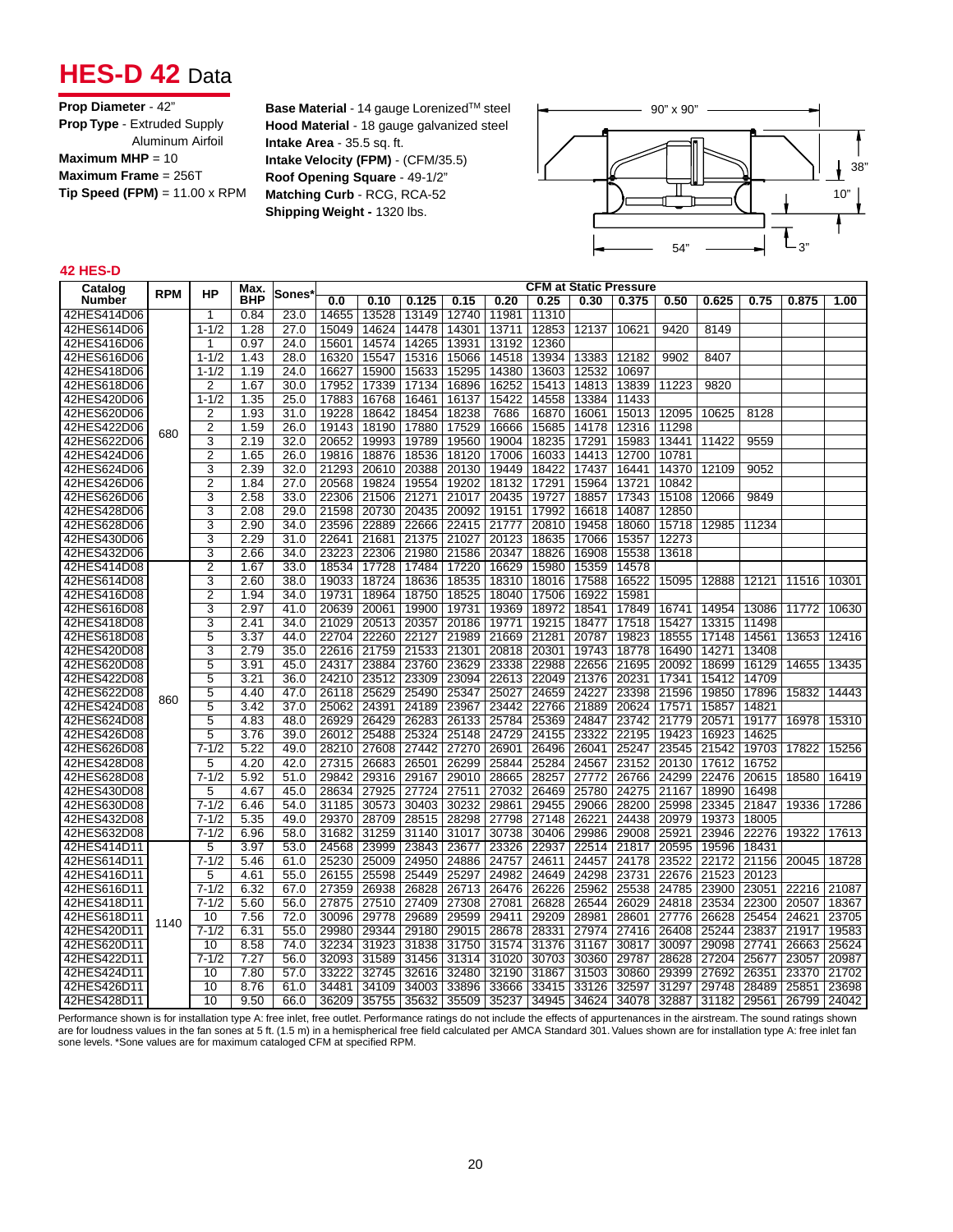## **HES-D 42 Data**

| <b>Prop Diameter - 42"</b>           |
|--------------------------------------|
| <b>Prop Type - Extruded Supply</b>   |
| Aluminum Airfoil                     |
| Maximum MHP = $10$                   |
| Maximum Frame = $256T$               |
| $Tip Speed (FPM) = 11.00 \times RPM$ |
|                                      |

**Base Material** - 14 gauge Lorenized™ steel **Hood Material** - 18 gauge galvanized steel **Intake Area** - 35.5 sq. ft. **Intake Velocity (FPM)** - (CFM/35.5) **Roof Opening Square** - 49-1/2" **Matching Curb** - RCG, RCA-52 **Shipping Weight -** 1320 lbs.



#### **42 HES-D**

| Catalog     |            |                | Max.       |                   |       |       |       |             |       |       |       | <b>CFM at Static Pressure</b> |       |       |       |       |       |
|-------------|------------|----------------|------------|-------------------|-------|-------|-------|-------------|-------|-------|-------|-------------------------------|-------|-------|-------|-------|-------|
| Number      | <b>RPM</b> | НP             | <b>BHP</b> | Sones`            | 0.0   | 0.10  | 0.125 | 0.15        | 0.20  | 0.25  | 0.30  | 0.375                         | 0.50  | 0.625 | 0.75  | 0.875 | 1.00  |
| 42HES414D06 |            | 1              | 0.84       | 23.0              | 14655 | 13528 | 13149 | 12740       | 11981 | 11310 |       |                               |       |       |       |       |       |
| 42HES614D06 |            | $1 - 1/2$      | 1.28       | 27.0              | 15049 | 14624 | 14478 | 14301       | 13711 | 12853 | 12137 | 10621                         | 9420  | 8149  |       |       |       |
| 42HES416D06 |            | 1              | 0.97       | 24.0              | 15601 | 14574 | 14265 | 13931       | 13192 | 12360 |       |                               |       |       |       |       |       |
| 42HES616D06 |            | $1 - 1/2$      | 1.43       | 28.0              | 16320 | 15547 | 15316 | 15066       | 14518 | 13934 | 13383 | 12182                         | 9902  | 8407  |       |       |       |
| 42HES418D06 |            | $1 - 1/2$      | 1.19       | $\overline{24.0}$ | 16627 | 15900 | 15633 | 15295       | 14380 | 13603 | 12532 | 10697                         |       |       |       |       |       |
| 42HES618D06 |            | $\overline{2}$ | 1.67       | 30.0              | 17952 | 17339 | 17134 | 16896       | 16252 | 15413 | 14813 | 13839                         | 11223 | 9820  |       |       |       |
| 42HES420D06 |            | $1 - 1/2$      | 1.35       | 25.0              | 17883 | 16768 | 16461 | 16137       | 15422 | 14558 | 13384 | 11433                         |       |       |       |       |       |
| 42HES620D06 |            | 2              | 1.93       | 31.0              | 19228 | 18642 | 18454 | 18238       | 7686  | 16870 | 16061 | 15013                         | 12095 | 10625 | 8128  |       |       |
| 42HES422D06 | 680        | 2              | 1.59       | 26.0              | 19143 | 18190 | 17880 | 17529       | 16666 | 15685 | 14178 | 12316                         | 11298 |       |       |       |       |
| 42HES622D06 |            | 3              | 2.19       | 32.0              | 20652 | 19993 | 19789 | 19560       | 19004 | 18235 | 17291 | 15983                         | 13441 | 11422 | 9559  |       |       |
| 42HES424D06 |            | 2              | 1.65       | 26.0              | 19816 | 18876 | 18536 | 18120       | 17006 | 16033 | 14413 | 12700                         | 10781 |       |       |       |       |
| 42HES624D06 |            | 3              | 2.39       | 32.0              | 21293 | 20610 | 20388 | 20130       | 19449 | 18422 | 17437 | 16441                         | 14370 | 12109 | 9052  |       |       |
| 42HES426D06 |            | $\overline{2}$ | 1.84       | 27.0              | 20568 | 19824 | 19554 | 19202       | 18132 | 17291 | 15964 | 13721                         | 10842 |       |       |       |       |
| 42HES626D06 |            | 3              | 2.58       | 33.0              | 22306 | 21506 | 21271 | 21017       | 20435 | 19727 | 18857 | 17343                         | 15108 | 12066 | 9849  |       |       |
| 42HES428D06 |            | 3              | 2.08       | 29.0              | 21598 | 20730 | 20435 | 20092       | 19151 | 17992 | 16618 | 14087                         | 12850 |       |       |       |       |
| 42HES628D06 |            | 3              | 2.90       | 34.0              | 23596 | 22889 | 22666 | 22415 21777 |       | 20810 | 19458 | 18060                         | 15718 | 12985 | 11234 |       |       |
| 42HES430D06 |            | 3              | 2.29       | 31.0              | 22641 | 21681 | 21375 | 21027       | 20123 | 18635 | 17066 | 15357                         | 12273 |       |       |       |       |
| 42HES432D06 |            | 3              | 2.66       | 34.0              | 23223 | 22306 | 21980 | 21586       | 20347 | 18826 | 16908 | 15538                         | 13618 |       |       |       |       |
| 42HES414D08 |            | $\overline{2}$ | 1.67       | 33.0              | 18534 | 17728 | 17484 | 17220       | 16629 | 15980 | 15359 | 14578                         |       |       |       |       |       |
| 42HES614D08 |            | $\overline{3}$ | 2.60       | 38.0              | 19033 | 18724 | 18636 | 18535       | 18310 | 18016 | 17588 | 16522                         | 15095 | 12888 | 12121 | 11516 | 10301 |
| 42HES416D08 |            | $\overline{2}$ | 1.94       | 34.0              | 19731 | 18964 | 18750 | 18525       | 18040 | 17506 | 16922 | 15981                         |       |       |       |       |       |
| 42HES616D08 |            | 3              | 2.97       | 41.0              | 20639 | 20061 | 19900 | 19731       | 19369 | 18972 | 18541 | 17849                         | 16741 | 14954 | 13086 | 11772 | 10630 |
| 42HES418D08 |            | 3              | 2.41       | 34.0              | 21029 | 20513 | 20357 | 20186       | 19771 | 19215 | 18477 | 17518                         | 15427 | 13315 | 11498 |       |       |
| 42HES618D08 |            | 5              | 3.37       | 44.0              | 22704 | 22260 | 22127 | 21989       | 21669 | 21281 | 20787 | 19823                         | 18555 | 17148 | 14561 | 13653 | 12416 |
| 42HES420D08 |            | 3              | 2.79       | 35.0              | 22616 | 21759 | 21533 | 21301       | 20818 | 20301 | 19743 | 18778                         | 16490 | 14271 | 13408 |       |       |
| 42HES620D08 |            | 5              | 3.91       | 45.0              | 24317 | 23884 | 23760 | 23629       | 23338 | 22988 | 22656 | 21695                         | 20092 | 18699 | 16129 | 14655 | 13435 |
| 42HES422D08 |            | 5              | 3.21       | 36.0              | 24210 | 23512 | 23309 | 23094       | 22613 | 22049 | 21376 | 20231                         | 17341 | 15412 | 14709 |       |       |
| 42HES622D08 | 860        | 5              | 4.40       | 47.0              | 26118 | 25629 | 25490 | 25347       | 25027 | 24659 | 24227 | 23398                         | 21596 | 19850 | 17896 | 15832 | 14443 |
| 42HES424D08 |            | 5              | 3.42       | 37.0              | 25062 | 24391 | 24189 | 23967       | 23442 | 22766 | 21889 | 20624                         | 17571 | 15857 | 14821 |       |       |
| 42HES624D08 |            | 5              | 4.83       | 48.0              | 26929 | 26429 | 26283 | 26133       | 25784 | 25369 | 24847 | 23742                         | 21779 | 20571 | 19177 | 16978 | 15310 |
| 42HES426D08 |            | 5              | 3.76       | 39.0              | 26012 | 25488 | 25324 | 25148       | 24729 | 24155 | 23322 | 22195                         | 19423 | 16923 | 14625 |       |       |
| 42HES626D08 |            | $7 - 1/2$      | 5.22       | 49.0              | 28210 | 27608 | 27442 | 27270       | 26901 | 26496 | 26041 | 25247                         | 23545 | 21542 | 19703 | 17822 | 15256 |
| 42HES428D08 |            | 5              | 4.20       | 42.0              | 27315 | 26683 | 26501 | 26299       | 25844 | 25284 | 24567 | 23152                         | 20130 | 17612 | 16752 |       |       |
| 42HES628D08 |            | $7 - 1/2$      | 5.92       | 51.0              | 29842 | 29316 | 29167 | 29010       | 28665 | 28257 | 27772 | 26766                         | 24299 | 22476 | 20615 | 18580 | 16419 |
| 42HES430D08 |            | 5              | 4.67       | 45.0              | 28634 | 27925 | 27724 | 27511       | 27032 | 26469 | 25780 | 24275                         | 21167 | 18990 | 16498 |       |       |
| 42HES630D08 |            | $7 - 1/2$      | 6.46       | 54.0              | 31185 | 30573 | 30403 | 30232       | 29861 | 29455 | 29066 | 28200                         | 25998 | 23345 | 21847 | 19336 | 17286 |
| 42HES432D08 |            | $7 - 1/2$      | 5.35       | 49.0              | 29370 | 28709 | 28515 | 28298       | 27798 | 27148 | 26221 | 24438                         | 20979 | 19373 | 18005 |       |       |
| 42HES632D08 |            | $7 - 1/2$      | 6.96       | 58.0              | 31682 | 31259 | 31140 | 31017       | 30738 | 30406 | 29986 | 29008                         | 25921 | 23946 | 22276 | 19322 | 17613 |
| 42HES414D11 |            | 5              | 3.97       | 53.0              | 24568 | 23999 | 23843 | 23677       | 23326 | 22937 | 22514 | 21817                         | 20595 | 19596 | 18431 |       |       |
| 42HES614D11 |            | $7 - 1/2$      | 5.46       | 61.0              | 25230 | 25009 | 24950 | 24886       | 24757 | 24611 | 24457 | 24178                         | 23522 | 22172 | 21156 | 20045 | 18728 |
| 42HES416D11 |            | 5              | 4.61       | 55.0              | 26155 | 25598 | 25449 | 25297       | 24982 | 24649 | 24298 | 23731                         | 22676 | 21523 | 20123 |       |       |
| 42HES616D11 |            | $7 - 1/2$      | 6.32       | 67.0              | 27359 | 26938 | 26828 | 26713       | 26476 | 26226 | 25962 | 25538                         | 24785 | 23900 | 23051 | 22216 | 21087 |
| 42HES418D11 |            | $7 - 1/2$      | 5.60       | 56.0              | 27875 | 27510 | 27409 | 27308       | 27081 | 26828 | 26544 | 26029                         | 24818 | 23534 | 22300 | 20507 | 18367 |
| 42HES618D11 | 1140       | 10             | 7.56       | 72.0              | 30096 | 29778 | 29689 | 29599       | 29411 | 29209 | 28981 | 28601                         | 27776 | 26628 | 25454 | 24621 | 23705 |
| 42HES420D11 |            | $7 - 1/2$      | 6.31       | 55.0              | 29980 | 29344 | 29180 | 29015       | 28678 | 28331 | 27974 | 27416                         | 26408 | 25244 | 23837 | 21917 | 19583 |
| 42HES620D11 |            | 10             | 8.58       | 74.0              | 32234 | 31923 | 31838 | 31750       | 31574 | 31376 | 31167 | 30817                         | 30097 | 29098 | 27741 | 26663 | 25624 |
| 42HES422D11 |            | $7 - 1/2$      | 7.27       | 56.0              | 32093 | 31589 | 31456 | 31314       | 31020 | 30703 | 30360 | 29787                         | 28628 | 27204 | 25677 | 23057 | 20987 |
| 42HES424D11 |            | 10             | 7.80       | 57.0              | 33222 | 32745 | 32616 | 32480       | 32190 | 31867 | 31503 | 30860                         | 29399 | 27692 | 26351 | 23370 | 21702 |
| 42HES426D11 |            | 10             | 8.76       | 61.0              | 34481 | 34109 | 34003 | 33896       | 33666 | 33415 | 33126 | 32597                         | 31297 | 29748 | 28489 | 25851 | 23698 |
| 42HES428D11 |            | 10             | 9.50       | 66.0              | 36209 | 35755 | 35632 | 35509       | 35237 | 34945 | 34624 | 34078                         | 32887 | 31182 | 29561 | 26799 | 24042 |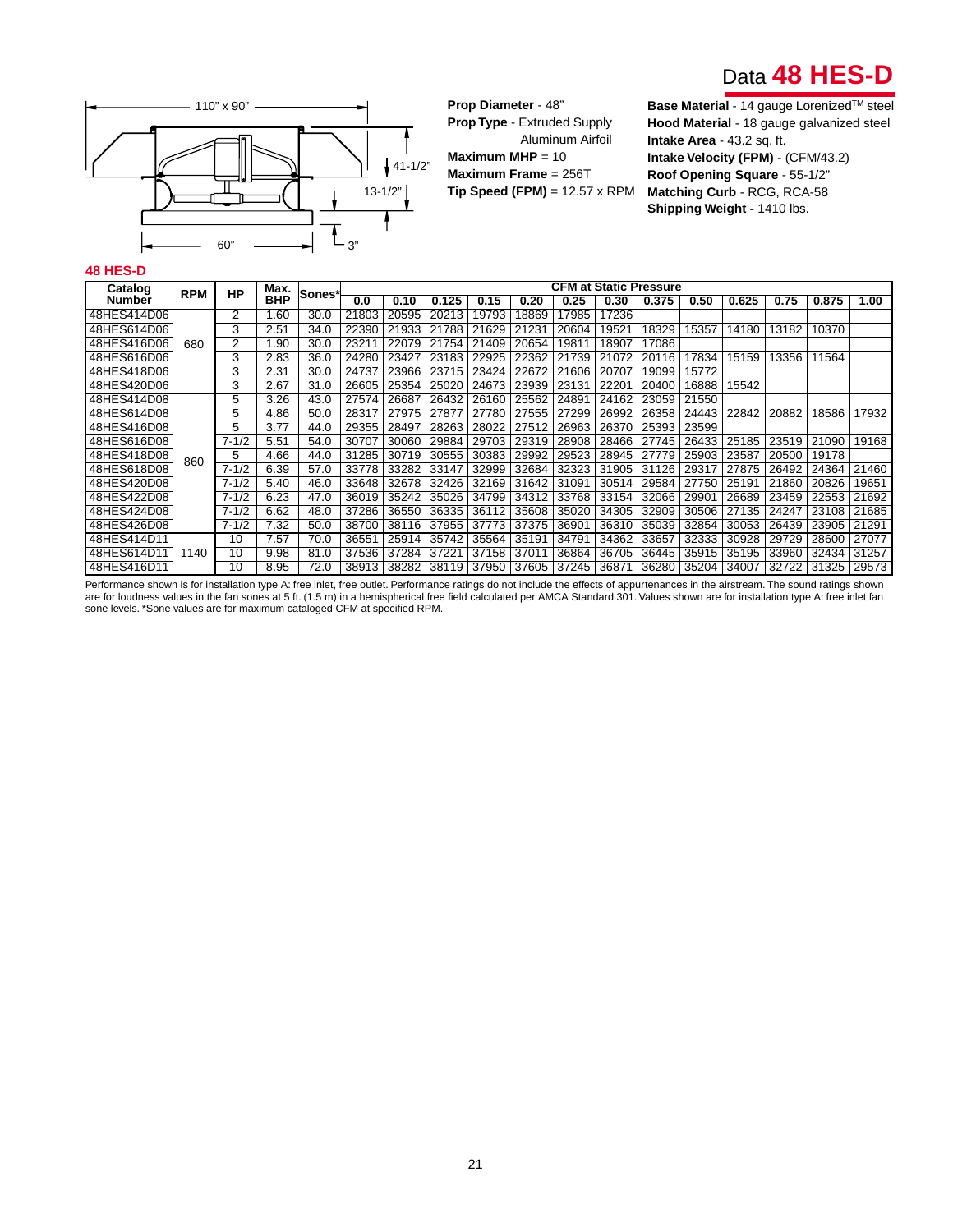



**Prop Diameter** - 48" **Prop Type** - Extruded Supply Aluminum Airfoil **Maximum MHP** = 10 **Maximum Frame** = 256T **Tip Speed (FPM)** = 12.57 x RPM

**Base Material** - 14 gauge Lorenized™ steel **Hood Material** - 18 gauge galvanized steel **Intake Area** - 43.2 sq. ft. **Intake Velocity (FPM)** - (CFM/43.2) **Roof Opening Square** - 55-1/2" **Matching Curb** - RCG, RCA-58 **Shipping Weight -** 1410 lbs.

#### **48 HES-D**

| Catalog     | <b>RPM</b> | <b>HP</b> | Max.       | Sones* |       |       |                                                       |       |       | <b>CFM at Static Pressure</b> |       |       |       |       |       |                   |       |
|-------------|------------|-----------|------------|--------|-------|-------|-------------------------------------------------------|-------|-------|-------------------------------|-------|-------|-------|-------|-------|-------------------|-------|
| Number      |            |           | <b>BHP</b> |        | 0.0   | 0.10  | 0.125                                                 | 0.15  | 0.20  | 0.25                          | 0.30  | 0.375 | 0.50  | 0.625 | 0.75  | 0.875             | 1.00  |
| 48HES414D06 |            | 2         | 1.60       | 30.0   | 21803 | 20595 | 20213                                                 | 19793 | 18869 | 17985                         | 17236 |       |       |       |       |                   |       |
| 48HES614D06 |            | 3         | 2.51       | 34.0   | 22390 | 21933 | 21788                                                 | 21629 | 21231 | 20604                         | 19521 | 18329 | 15357 | 14180 | 13182 | 10370             |       |
| 48HES416D06 | 680        | 2         | 1.90       | 30.0   | 23211 | 22079 | 21754                                                 | 21409 | 20654 | 19811                         | 18907 | 17086 |       |       |       |                   |       |
| 48HES616D06 |            | 3         | 2.83       | 36.0   | 24280 | 23427 | 23183                                                 | 22925 | 22362 | 21739                         | 21072 | 20116 | 17834 | 15159 | 13356 | 11564             |       |
| 48HES418D06 |            | 3         | 2.31       | 30.0   | 24737 | 23966 | 23715                                                 | 23424 | 22672 | 21606                         | 20707 | 19099 | 15772 |       |       |                   |       |
| 48HES420D06 |            | 3         | 2.67       | 31.0   | 26605 | 25354 | 25020                                                 | 24673 | 23939 | 23131                         | 22201 | 20400 | 16888 | 15542 |       |                   |       |
| 48HES414D08 |            | 5         | 3.26       | 43.0   | 27574 | 26687 | 26432                                                 | 26160 | 25562 | 24891                         | 24162 | 23059 | 21550 |       |       |                   |       |
| 48HES614D08 |            | 5         | 4.86       | 50.0   | 28317 | 27975 | 27877                                                 | 27780 | 27555 | 27299                         | 26992 | 26358 | 24443 | 22842 | 20882 | 18586             | 17932 |
| 48HES416D08 |            | 5         | 3.77       | 44.0   | 29355 | 28497 | 28263                                                 | 28022 | 27512 | 26963                         | 26370 | 25393 | 23599 |       |       |                   |       |
| 48HES616D08 |            | $7 - 1/2$ | 5.51       | 54.0   | 30707 | 30060 | 29884                                                 | 29703 | 29319 | 28908                         | 28466 | 27745 | 26433 | 25185 | 23519 | 21090             | 19168 |
| 48HES418D08 | 860        | 5         | 4.66       | 44.0   | 31285 | 30719 | 30555                                                 | 30383 | 29992 | 29523                         | 28945 | 27779 | 25903 | 23587 | 20500 | 19178             |       |
| 48HES618D08 |            | $7 - 1/2$ | 6.39       | 57.0   | 33778 | 33282 | 33147                                                 | 32999 | 32684 | 32323                         | 31905 | 31126 | 29317 | 27875 | 26492 | 24364             | 21460 |
| 48HES420D08 |            | $7 - 1/2$ | 5.40       | 46.0   | 33648 | 32678 | 32426                                                 | 32169 | 31642 | 31091                         | 30514 | 29584 | 27750 | 25191 | 21860 | 20826             | 19651 |
| 48HES422D08 |            | $7 - 1/2$ | 6.23       | 47.0   | 36019 | 35242 | 35026                                                 | 34799 | 34312 | 33768                         | 33154 | 32066 | 29901 | 26689 | 23459 | 22553             | 21692 |
| 48HES424D08 |            | $7 - 1/2$ | 6.62       | 48.0   | 37286 | 36550 | 36335                                                 | 36112 | 35608 | 35020                         | 34305 | 32909 | 30506 | 27135 | 24247 | 23108             | 21685 |
| 48HES426D08 |            | $7 - 1/2$ | 7.32       | 50.0   | 38700 | 38116 | 37955                                                 | 37773 | 37375 | 36901                         | 36310 | 35039 | 32854 | 30053 | 26439 | 23905             | 21291 |
| 48HES414D11 |            | 10        | 7.57       | 70.0   | 36551 | 25914 | 35742                                                 | 35564 | 35191 | 34791                         | 34362 | 33657 | 32333 | 30928 | 29729 | 28600             | 27077 |
| 48HES614D11 | 1140       | 10        | 9.98       | 81.0   | 37536 | 37284 | 37221                                                 | 37158 | 37011 | 36864                         | 36705 | 36445 | 35915 | 35195 | 33960 | 32434             | 31257 |
| 48HES416D11 |            | 10        | 8.95       | 72.0   |       |       | 38913   38282   38119   37950   37605   37245   36871 |       |       |                               |       | 36280 | 35204 | 34007 |       | 32722 31325 29573 |       |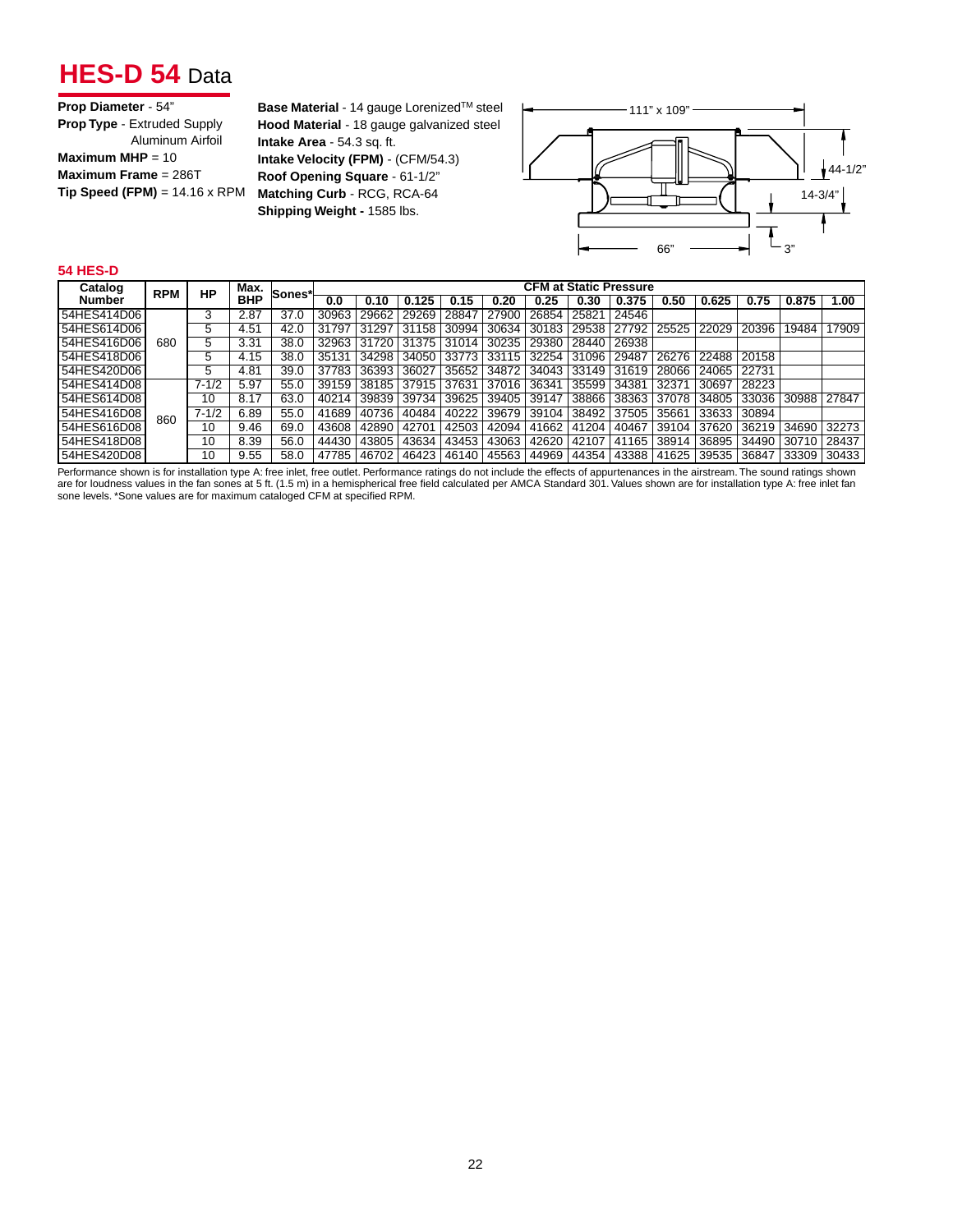## **HES-D 54** Data

**Base Material** - 14 gauge Lorenized™ steel **Hood Material** - 18 gauge galvanized steel **Intake Area** - 54.3 sq. ft. **Intake Velocity (FPM)** - (CFM/54.3) **Roof Opening Square** - 61-1/2" **Matching Curb** - RCG, RCA-64 **Shipping Weight -** 1585 lbs.



#### **54 HES-D**

| Catalog       | <b>RPM</b> | НP                | Max.       | Sones* |       |             |             |       |       |       | <b>CFM at Static Pressure</b> |       |       |             |       |       |       |
|---------------|------------|-------------------|------------|--------|-------|-------------|-------------|-------|-------|-------|-------------------------------|-------|-------|-------------|-------|-------|-------|
| <b>Number</b> |            |                   | <b>BHP</b> |        | 0.0   | 0.10        | 0.125       | 0.15  | 0.20  | 0.25  | 0.30                          | 0.375 | 0.50  | 0.625       | 0.75  | 0.875 | 1.00  |
| 54HES414D06   |            |                   | 2.87       | 37.0   | 30963 | 29662       | 29269       | 28847 | 27900 | 26854 | 25821                         | 24546 |       |             |       |       |       |
| 54HES614D06   |            | 5                 | 4.51       | 42.0   | 31797 | 31297       | 31158       | 30994 | 30634 | 30183 | 29538                         | 27792 | 25525 | 22029       | 20396 | 19484 | 17909 |
| 154HES416D06  | 680        | 5                 | 3.31       | 38.0   | 32963 | 31720 31375 |             | 31014 | 30235 | 29380 | 28440                         | 26938 |       |             |       |       |       |
| 154HES418D061 |            |                   | 4.15       | 38.0   | 35131 | 34298       | 34050       | 33773 | 33115 | 32254 | 31096                         | 29487 | 26276 | 22488 20158 |       |       |       |
| 154HES420D061 |            | 5                 | 4.81       | 39.0   | 37783 | 36393 36027 |             | 35652 | 34872 |       | 34043 33149                   | 31619 | 28066 | 24065       | 22731 |       |       |
| 54HES414D08   |            | $7 - 1/2$         | 5.97       | 55.0   | 39159 |             | 38185 37915 | 37631 | 37016 | 36341 | 35599                         | 34381 | 3237  | 30697       | 28223 |       |       |
| 154HES614D081 |            | 10                | 8.17       | 63.0   | 40214 | 39839       | 39734       | 39625 | 39405 | 39147 | 38866                         | 38363 | 37078 | 34805       | 33036 | 30988 | 27847 |
| 54HES416D08   | 860        | $7 - \frac{1}{2}$ | 6.89       | 55.0   | 41689 | 40736       | 40484       | 40222 | 39679 | 39104 | 38492                         | 37505 | 35661 | 33633       | 30894 |       |       |
| 54HES616D08   |            | 10                | 9.46       | 69.0   | 43608 | 42890       | 42701       | 42503 | 42094 | 41662 | 41204                         | 40467 | 39104 | 37620       | 36219 | 34690 | 32273 |
| 154HES418D081 |            | 10                | 8.39       | 56.0   | 44430 | 43805       | 43634       | 43453 | 43063 | 42620 | 42107                         | 41165 | 38914 | 36895       | 34490 | 30710 | 28437 |
| 54HES420D08   |            | 10                | 9.55       | 58.0   | 47785 | 46702       | 46423       | 46140 | 45563 | 44969 | 44354                         | 43388 | 41625 | 39535       | 36847 | 33309 | 30433 |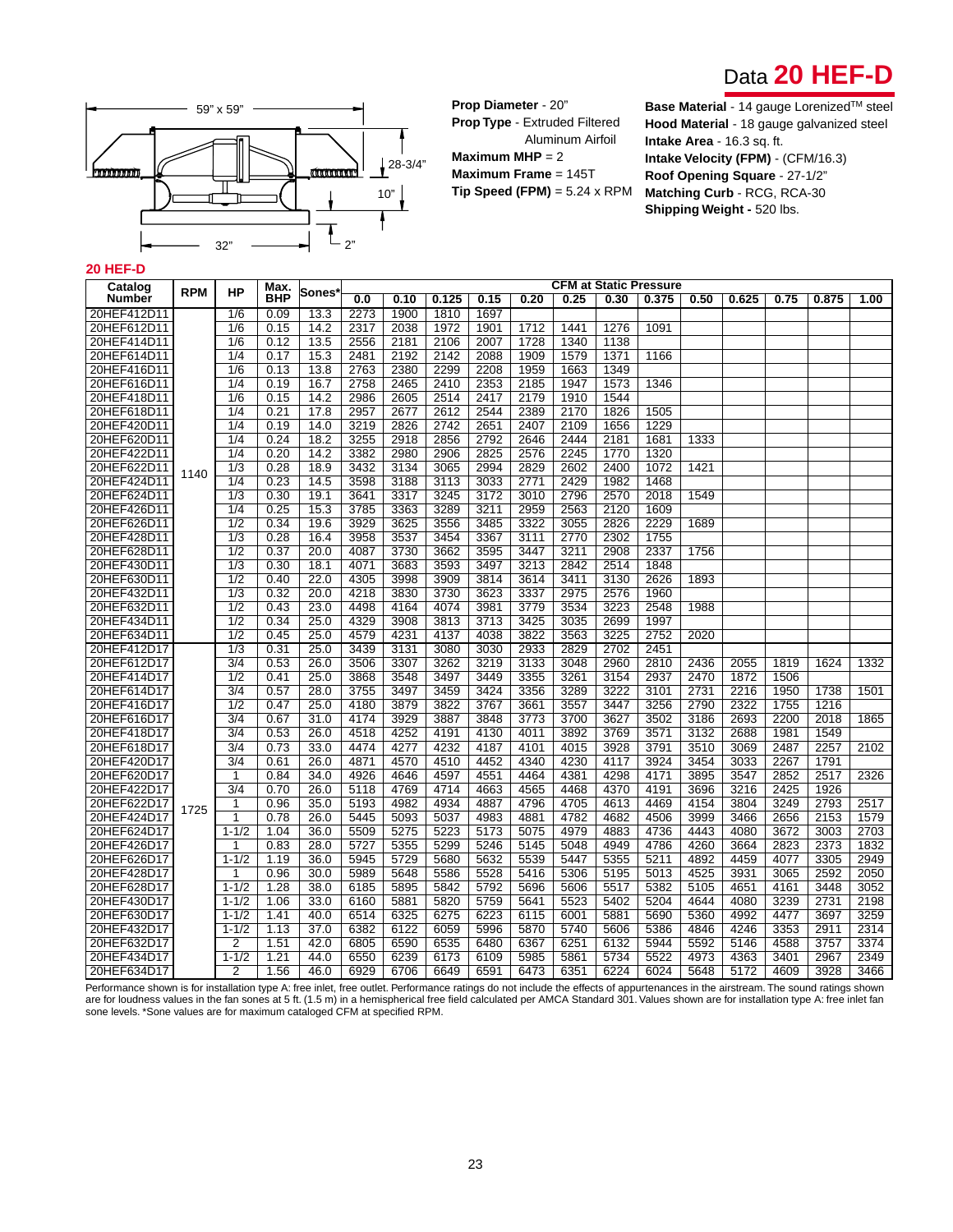



**Prop Diameter** - 20" **Prop Type** - Extruded Filtered Aluminum Airfoil **Maximum MHP** = 2 **Maximum Frame** = 145T **Tip Speed (FPM)** = 5.24 x RPM **Base Material** - 14 gauge Lorenized™ steel **Hood Material** - 18 gauge galvanized steel **Intake Area** - 16.3 sq. ft. **Intake Velocity (FPM)** - (CFM/16.3) **Roof Opening Square** - 27-1/2" **Matching Curb** - RCG, RCA-30 **Shipping Weight - 520 lbs.** 

#### **20 HEF-D**

| Catalog     |            |                  | Max.       |                   |      |      |       |      |      |      |      | <b>CFM at Static Pressure</b> |      |       |      |       |      |
|-------------|------------|------------------|------------|-------------------|------|------|-------|------|------|------|------|-------------------------------|------|-------|------|-------|------|
| Number      | <b>RPM</b> | ΗP               | <b>BHP</b> | Sones             | 0.0  | 0.10 | 0.125 | 0.15 | 0.20 | 0.25 | 0.30 | 0.375                         | 0.50 | 0.625 | 0.75 | 0.875 | 1.00 |
| 20HEF412D11 |            | 1/6              | 0.09       | 13.3              | 2273 | 1900 | 1810  | 1697 |      |      |      |                               |      |       |      |       |      |
| 20HEF612D11 |            | 1/6              | 0.15       | 14.2              | 2317 | 2038 | 1972  | 1901 | 1712 | 1441 | 1276 | 1091                          |      |       |      |       |      |
| 20HEF414D11 |            | 1/6              | 0.12       | 13.5              | 2556 | 2181 | 2106  | 2007 | 1728 | 1340 | 1138 |                               |      |       |      |       |      |
| 20HEF614D11 |            | 1/4              | 0.17       | 15.3              | 2481 | 2192 | 2142  | 2088 | 1909 | 1579 | 1371 | 1166                          |      |       |      |       |      |
| 20HEF416D11 |            | 1/6              | 0.13       | 13.8              | 2763 | 2380 | 2299  | 2208 | 1959 | 1663 | 1349 |                               |      |       |      |       |      |
| 20HEF616D11 |            | 1/4              | 0.19       | 16.7              | 2758 | 2465 | 2410  | 2353 | 2185 | 1947 | 1573 | 1346                          |      |       |      |       |      |
| 20HEF418D11 |            | 1/6              | 0.15       | 14.2              | 2986 | 2605 | 2514  | 2417 | 2179 | 1910 | 1544 |                               |      |       |      |       |      |
| 20HEF618D11 |            | 1/4              | 0.21       | $17.\overline{8}$ | 2957 | 2677 | 2612  | 2544 | 2389 | 2170 | 1826 | 1505                          |      |       |      |       |      |
| 20HEF420D11 |            | 1/4              | 0.19       | 14.0              | 3219 | 2826 | 2742  | 2651 | 2407 | 2109 | 1656 | 1229                          |      |       |      |       |      |
| 20HEF620D11 |            | 1/4              | 0.24       | 18.2              | 3255 | 2918 | 2856  | 2792 | 2646 | 2444 | 2181 | 1681                          | 1333 |       |      |       |      |
| 20HEF422D11 |            | 1/4              | 0.20       | 14.2              | 3382 | 2980 | 2906  | 2825 | 2576 | 2245 | 1770 | 1320                          |      |       |      |       |      |
| 20HEF622D11 | 1140       | 1/3              | 0.28       | 18.9              | 3432 | 3134 | 3065  | 2994 | 2829 | 2602 | 2400 | 1072                          | 1421 |       |      |       |      |
| 20HEF424D11 |            | 1/4              | 0.23       | 14.5              | 3598 | 3188 | 3113  | 3033 | 2771 | 2429 | 1982 | 1468                          |      |       |      |       |      |
| 20HEF624D11 |            | 1/3              | 0.30       | 19.1              | 3641 | 3317 | 3245  | 3172 | 3010 | 2796 | 2570 | 2018                          | 1549 |       |      |       |      |
| 20HEF426D11 |            | 1/4              | 0.25       | 15.3              | 3785 | 3363 | 3289  | 3211 | 2959 | 2563 | 2120 | 1609                          |      |       |      |       |      |
| 20HEF626D11 |            | 1/2              | 0.34       | 19.6              | 3929 | 3625 | 3556  | 3485 | 3322 | 3055 | 2826 | 2229                          | 1689 |       |      |       |      |
| 20HEF428D11 |            | 1/3              | 0.28       | 16.4              | 3958 | 3537 | 3454  | 3367 | 3111 | 2770 | 2302 | 1755                          |      |       |      |       |      |
| 20HEF628D11 |            | 1/2              | 0.37       | 20.0              | 4087 | 3730 | 3662  | 3595 | 3447 | 3211 | 2908 | 2337                          | 1756 |       |      |       |      |
| 20HEF430D11 |            | 1/3              | 0.30       | 18.1              | 4071 | 3683 | 3593  | 3497 | 3213 | 2842 | 2514 | 1848                          |      |       |      |       |      |
| 20HEF630D11 |            | 1/2              | 0.40       | 22.0              | 4305 | 3998 | 3909  | 3814 | 3614 | 3411 | 3130 | 2626                          | 1893 |       |      |       |      |
| 20HEF432D11 |            | 1/3              | 0.32       | 20.0              | 4218 | 3830 | 3730  | 3623 | 3337 | 2975 | 2576 | 1960                          |      |       |      |       |      |
| 20HEF632D11 |            | 1/2              | 0.43       | 23.0              | 4498 | 4164 | 4074  | 3981 | 3779 | 3534 | 3223 | 2548                          | 1988 |       |      |       |      |
| 20HEF434D11 |            | 1/2              | 0.34       | 25.0              | 4329 | 3908 | 3813  | 3713 | 3425 | 3035 | 2699 | 1997                          |      |       |      |       |      |
| 20HEF634D11 |            | 1/2              | 0.45       | 25.0              | 4579 | 4231 | 4137  | 4038 | 3822 | 3563 | 3225 | 2752                          | 2020 |       |      |       |      |
| 20HEF412D17 |            | 1/3              | 0.31       | 25.0              | 3439 | 3131 | 3080  | 3030 | 2933 | 2829 | 2702 | 2451                          |      |       |      |       |      |
| 20HEF612D17 |            | $\overline{3/4}$ | 0.53       | 26.0              | 3506 | 3307 | 3262  | 3219 | 3133 | 3048 | 2960 | 2810                          | 2436 | 2055  | 1819 | 1624  | 1332 |
| 20HEF414D17 |            | 1/2              | 0.41       | 25.0              | 3868 | 3548 | 3497  | 3449 | 3355 | 3261 | 3154 | 2937                          | 2470 | 1872  | 1506 |       |      |
| 20HEF614D17 |            | $\overline{3/4}$ | 0.57       | 28.0              | 3755 | 3497 | 3459  | 3424 | 3356 | 3289 | 3222 | 3101                          | 2731 | 2216  | 1950 | 1738  | 1501 |
| 20HEF416D17 |            | 1/2              | 0.47       | 25.0              | 4180 | 3879 | 3822  | 3767 | 3661 | 3557 | 3447 | 3256                          | 2790 | 2322  | 1755 | 1216  |      |
| 20HEF616D17 |            | $\overline{3/4}$ | 0.67       | 31.0              | 4174 | 3929 | 3887  | 3848 | 3773 | 3700 | 3627 | 3502                          | 3186 | 2693  | 2200 | 2018  | 1865 |
| 20HEF418D17 |            | $\overline{3/4}$ | 0.53       | 26.0              | 4518 | 4252 | 4191  | 4130 | 4011 | 3892 | 3769 | 3571                          | 3132 | 2688  | 1981 | 1549  |      |
| 20HEF618D17 |            | $\overline{3/4}$ | 0.73       | 33.0              | 4474 | 4277 | 4232  | 4187 | 4101 | 4015 | 3928 | 3791                          | 3510 | 3069  | 2487 | 2257  | 2102 |
| 20HEF420D17 |            | $\frac{3}{4}$    | 0.61       | 26.0              | 4871 | 4570 | 4510  | 4452 | 4340 | 4230 | 4117 | 3924                          | 3454 | 3033  | 2267 | 1791  |      |
| 20HEF620D17 |            | 1                | 0.84       | 34.0              | 4926 | 4646 | 4597  | 4551 | 4464 | 4381 | 4298 | 4171                          | 3895 | 3547  | 2852 | 2517  | 2326 |
| 20HEF422D17 |            | 3/4              | 0.70       | 26.0              | 5118 | 4769 | 4714  | 4663 | 4565 | 4468 | 4370 | 4191                          | 3696 | 3216  | 2425 | 1926  |      |
| 20HEF622D17 | 1725       | 1                | 0.96       | 35.0              | 5193 | 4982 | 4934  | 4887 | 4796 | 4705 | 4613 | 4469                          | 4154 | 3804  | 3249 | 2793  | 2517 |
| 20HEF424D17 |            | 1                | 0.78       | 26.0              | 5445 | 5093 | 5037  | 4983 | 4881 | 4782 | 4682 | 4506                          | 3999 | 3466  | 2656 | 2153  | 1579 |
| 20HEF624D17 |            | $1 - 1/2$        | 1.04       | 36.0              | 5509 | 5275 | 5223  | 5173 | 5075 | 4979 | 4883 | 4736                          | 4443 | 4080  | 3672 | 3003  | 2703 |
| 20HEF426D17 |            | 1                | 0.83       | 28.0              | 5727 | 5355 | 5299  | 5246 | 5145 | 5048 | 4949 | 4786                          | 4260 | 3664  | 2823 | 2373  | 1832 |
| 20HEF626D17 |            | $1 - 1/2$        | 1.19       | 36.0              | 5945 | 5729 | 5680  | 5632 | 5539 | 5447 | 5355 | 5211                          | 4892 | 4459  | 4077 | 3305  | 2949 |
| 20HEF428D17 |            | 1                | 0.96       | 30.0              | 5989 | 5648 | 5586  | 5528 | 5416 | 5306 | 5195 | 5013                          | 4525 | 3931  | 3065 | 2592  | 2050 |
| 20HEF628D17 |            | $1 - 1/2$        | 1.28       | 38.0              | 6185 | 5895 | 5842  | 5792 | 5696 | 5606 | 5517 | 5382                          | 5105 | 4651  | 4161 | 3448  | 3052 |
| 20HEF430D17 |            | $1 - 1/2$        | 1.06       | 33.0              | 6160 | 5881 | 5820  | 5759 | 5641 | 5523 | 5402 | 5204                          | 4644 | 4080  | 3239 | 2731  | 2198 |
| 20HEF630D17 |            | $1 - 1/2$        | 1.41       | 40.0              | 6514 | 6325 | 6275  | 6223 | 6115 | 6001 | 5881 | 5690                          | 5360 | 4992  | 4477 | 3697  | 3259 |
| 20HEF432D17 |            | $1 - 1/2$        | 1.13       | 37.0              | 6382 | 6122 | 6059  | 5996 | 5870 | 5740 | 5606 | 5386                          | 4846 | 4246  | 3353 | 2911  | 2314 |
| 20HEF632D17 |            | 2                | 1.51       | 42.0              | 6805 | 6590 | 6535  | 6480 | 6367 | 6251 | 6132 | 5944                          | 5592 | 5146  | 4588 | 3757  | 3374 |
| 20HEF434D17 |            | $1 - 1/2$        | 1.21       | 44.0              | 6550 | 6239 | 6173  | 6109 | 5985 | 5861 | 5734 | 5522                          | 4973 | 4363  | 3401 | 2967  | 2349 |
| 20HEF634D17 |            | 2                | 1.56       | 46.0              | 6929 | 6706 | 6649  | 6591 | 6473 | 6351 | 6224 | 6024                          | 5648 | 5172  | 4609 | 3928  | 3466 |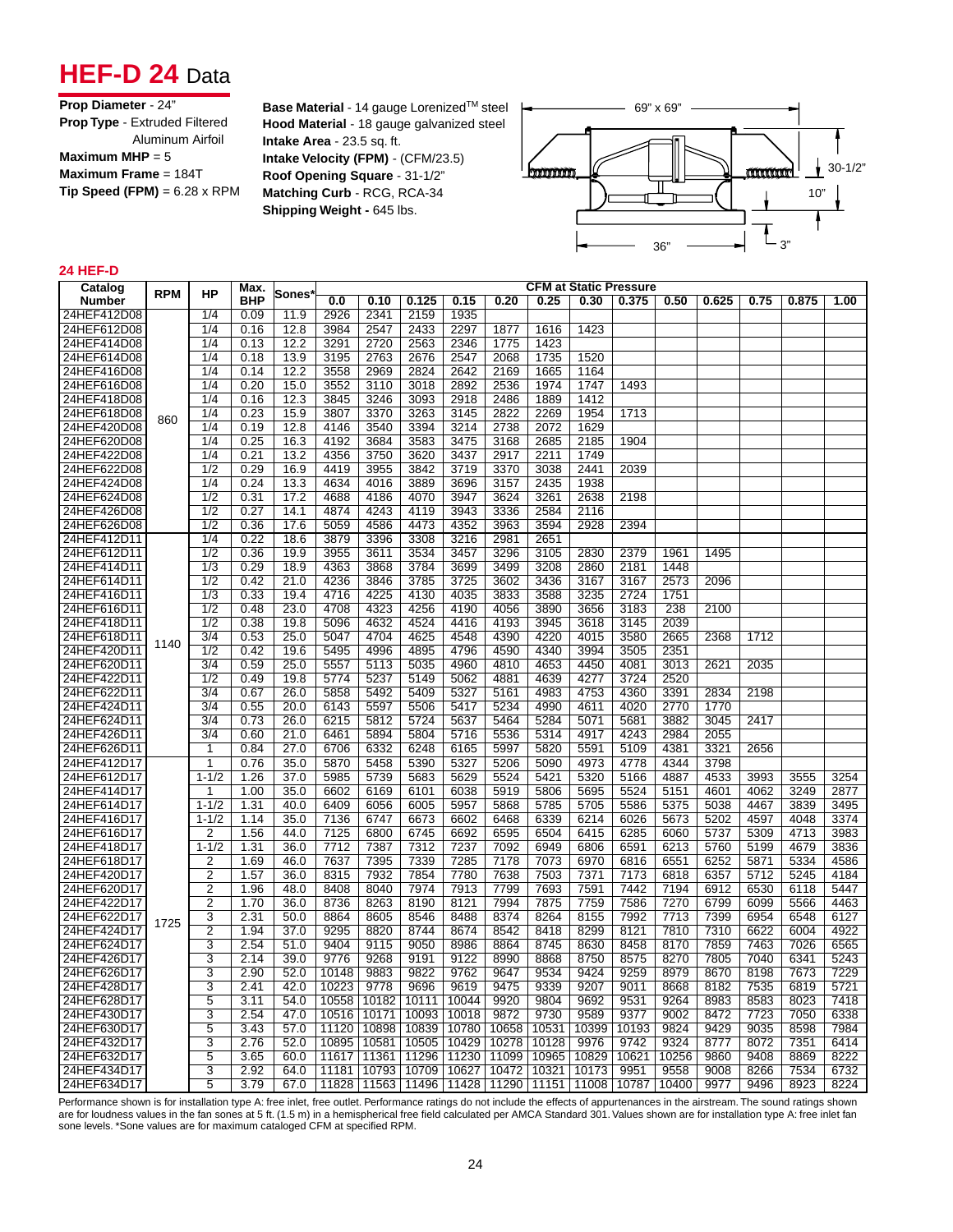## **HEF-D 24** Data

**Base Material** - 14 gauge Lorenized™ steel **Hood Material** - 18 gauge galvanized steel **Intake Area** - 23.5 sq. ft. **Intake Velocity (FPM)** - (CFM/23.5) **Roof Opening Square** - 31-1/2" **Matching Curb** - RCG, RCA-34 **Shipping Weight - 645 lbs.** 



#### **24 HEF-D**

| Catalog       |            |                  | <b>CFM at Static Pressure</b><br>Max. |              |       |             |       |       |       |       |       |       |       |       |      |       |      |
|---------------|------------|------------------|---------------------------------------|--------------|-------|-------------|-------|-------|-------|-------|-------|-------|-------|-------|------|-------|------|
| <b>Number</b> | <b>RPM</b> | <b>HP</b>        | <b>BHP</b>                            | <b>Sones</b> | 0.0   | 0.10        | 0.125 | 0.15  | 0.20  | 0.25  | 0.30  | 0.375 | 0.50  | 0.625 | 0.75 | 0.875 | 1.00 |
| 24HEF412D08   |            | 1/4              | 0.09                                  | 11.9         | 2926  | 2341        | 2159  | 1935  |       |       |       |       |       |       |      |       |      |
| 24HEF612D08   |            | 1/4              | 0.16                                  | 12.8         | 3984  | 2547        | 2433  | 2297  | 1877  | 1616  | 1423  |       |       |       |      |       |      |
| 24HEF414D08   |            | 1/4              | 0.13                                  | 12.2         | 3291  | 2720        | 2563  | 2346  | 1775  | 1423  |       |       |       |       |      |       |      |
| 24HEF614D08   |            | 1/4              | 0.18                                  | 13.9         | 3195  | 2763        | 2676  | 2547  | 2068  | 1735  | 1520  |       |       |       |      |       |      |
| 24HEF416D08   |            | 1/4              | 0.14                                  | 12.2         | 3558  | 2969        | 2824  | 2642  | 2169  | 1665  | 1164  |       |       |       |      |       |      |
| 24HEF616D08   |            | 1/4              | 0.20                                  | 15.0         | 3552  | 3110        | 3018  | 2892  | 2536  | 1974  | 1747  | 1493  |       |       |      |       |      |
| 24HEF418D08   |            | 1/4              | 0.16                                  | 12.3         | 3845  | 3246        | 3093  | 2918  | 2486  | 1889  | 1412  |       |       |       |      |       |      |
| 24HEF618D08   | 860        | 1/4              | 0.23                                  | 15.9         | 3807  | 3370        | 3263  | 3145  | 2822  | 2269  | 1954  | 1713  |       |       |      |       |      |
| 24HEF420D08   |            | 1/4              | 0.19                                  | 12.8         | 4146  | 3540        | 3394  | 3214  | 2738  | 2072  | 1629  |       |       |       |      |       |      |
| 24HEF620D08   |            | 1/4              | 0.25                                  | 16.3         | 4192  | 3684        | 3583  | 3475  | 3168  | 2685  | 2185  | 1904  |       |       |      |       |      |
| 24HEF422D08   |            | 1/4              | 0.21                                  | 13.2         | 4356  | 3750        | 3620  | 3437  | 2917  | 2211  | 1749  |       |       |       |      |       |      |
| 24HEF622D08   |            | $\overline{1/2}$ | 0.29                                  | 16.9         | 4419  | 3955        | 3842  | 3719  | 3370  | 3038  | 2441  | 2039  |       |       |      |       |      |
| 24HEF424D08   |            | 1/4              | 0.24                                  | 13.3         | 4634  | 4016        | 3889  | 3696  | 3157  | 2435  | 1938  |       |       |       |      |       |      |
| 24HEF624D08   |            | 1/2              | 0.31                                  | 17.2         | 4688  | 4186        | 4070  | 3947  | 3624  | 3261  | 2638  | 2198  |       |       |      |       |      |
| 24HEF426D08   |            | 1/2              | 0.27                                  | 14.1         | 4874  | 4243        | 4119  | 3943  | 3336  | 2584  | 2116  |       |       |       |      |       |      |
| 24HEF626D08   |            | $\overline{1/2}$ | 0.36                                  | 17.6         | 5059  | 4586        | 4473  | 4352  | 3963  | 3594  | 2928  | 2394  |       |       |      |       |      |
| 24HEF412D11   |            | 1/4              | 0.22                                  | 18.6         | 3879  | 3396        | 3308  | 3216  | 2981  | 2651  |       |       |       |       |      |       |      |
| 24HEF612D11   |            | $\overline{1/2}$ | 0.36                                  | 19.9         | 3955  | 3611        | 3534  | 3457  | 3296  | 3105  | 2830  | 2379  | 1961  | 1495  |      |       |      |
| 24HEF414D11   |            | $\overline{1/3}$ | 0.29                                  | 18.9         | 4363  | 3868        | 3784  | 3699  | 3499  | 3208  | 2860  | 2181  | 1448  |       |      |       |      |
| 24HEF614D11   |            | 1/2              | 0.42                                  | 21.0         | 4236  | 3846        | 3785  | 3725  | 3602  | 3436  | 3167  | 3167  | 2573  | 2096  |      |       |      |
| 24HEF416D11   |            | 1/3              | 0.33                                  | 19.4         | 4716  | 4225        | 4130  | 4035  | 3833  | 3588  | 3235  | 2724  | 1751  |       |      |       |      |
| 24HEF616D11   |            | $\overline{1/2}$ | 0.48                                  | 23.0         | 4708  | 4323        | 4256  | 4190  | 4056  | 3890  | 3656  | 3183  | 238   | 2100  |      |       |      |
| 24HEF418D11   |            | 1/2              | 0.38                                  | 19.8         | 5096  | 4632        | 4524  | 4416  | 4193  | 3945  | 3618  | 3145  | 2039  |       |      |       |      |
| 24HEF618D11   | 1140       | $\overline{3/4}$ | 0.53                                  | 25.0         | 5047  | 4704        | 4625  | 4548  | 4390  | 4220  | 4015  | 3580  | 2665  | 2368  | 1712 |       |      |
| 24HEF420D11   |            | $\overline{1/2}$ | 0.42                                  | 19.6         | 5495  | 4996        | 4895  | 4796  | 4590  | 4340  | 3994  | 3505  | 2351  |       |      |       |      |
| 24HEF620D11   |            | $\overline{3/4}$ | 0.59                                  | 25.0         | 5557  | 5113        | 5035  | 4960  | 4810  | 4653  | 4450  | 4081  | 3013  | 2621  | 2035 |       |      |
| 24HEF422D11   |            | 1/2              | 0.49                                  | 19.8         | 5774  | 5237        | 5149  | 5062  | 4881  | 4639  | 4277  | 3724  | 2520  |       |      |       |      |
| 24HEF622D11   |            | 3/4              | 0.67                                  | 26.0         | 5858  | 5492        | 5409  | 5327  | 5161  | 4983  | 4753  | 4360  | 3391  | 2834  | 2198 |       |      |
| 24HEF424D11   |            | $\overline{3/4}$ | 0.55                                  | 20.0         | 6143  | 5597        | 5506  | 5417  | 5234  | 4990  | 4611  | 4020  | 2770  | 1770  |      |       |      |
| 24HEF624D11   |            | 3/4              | 0.73                                  | 26.0         | 6215  | 5812        | 5724  | 5637  | 5464  | 5284  | 5071  | 5681  | 3882  | 3045  | 2417 |       |      |
| 24HEF426D11   |            | 3/4              | 0.60                                  | 21.0         | 6461  | 5894        | 5804  | 5716  | 5536  | 5314  | 4917  | 4243  | 2984  | 2055  |      |       |      |
| 24HEF626D11   |            | 1                | 0.84                                  | 27.0         | 6706  | 6332        | 6248  | 6165  | 5997  | 5820  | 5591  | 5109  | 4381  | 3321  | 2656 |       |      |
| 24HEF412D17   |            | 1                | 0.76                                  | 35.0         | 5870  | 5458        | 5390  | 5327  | 5206  | 5090  | 4973  | 4778  | 4344  | 3798  |      |       |      |
| 24HEF612D17   |            | $1 - 1/2$        | 1.26                                  | 37.0         | 5985  | 5739        | 5683  | 5629  | 5524  | 5421  | 5320  | 5166  | 4887  | 4533  | 3993 | 3555  | 3254 |
| 24HEF414D17   |            | 1                | 1.00                                  | 35.0         | 6602  | 6169        | 6101  | 6038  | 5919  | 5806  | 5695  | 5524  | 5151  | 4601  | 4062 | 3249  | 2877 |
| 24HEF614D17   |            | $1 - 1/2$        | 1.31                                  | 40.0         | 6409  | 6056        | 6005  | 5957  | 5868  | 5785  | 5705  | 5586  | 5375  | 5038  | 4467 | 3839  | 3495 |
| 24HEF416D17   |            | $1 - 1/2$        | 1.14                                  | 35.0         | 7136  | 6747        | 6673  | 6602  | 6468  | 6339  | 6214  | 6026  | 5673  | 5202  | 4597 | 4048  | 3374 |
| 24HEF616D17   |            | $\overline{2}$   | 1.56                                  | 44.0         | 7125  | 6800        | 6745  | 6692  | 6595  | 6504  | 6415  | 6285  | 6060  | 5737  | 5309 | 4713  | 3983 |
| 24HEF418D17   |            | $1 - 1/2$        | 1.31                                  | 36.0         | 7712  | 7387        | 7312  | 7237  | 7092  | 6949  | 6806  | 6591  | 6213  | 5760  | 5199 | 4679  | 3836 |
| 24HEF618D17   |            | 2                | 1.69                                  | 46.0         | 7637  | 7395        | 7339  | 7285  | 7178  | 7073  | 6970  | 6816  | 6551  | 6252  | 5871 | 5334  | 4586 |
| 24HEF420D17   |            | $\overline{2}$   | 1.57                                  | 36.0         | 8315  | 7932        | 7854  | 7780  | 7638  | 7503  | 7371  | 7173  | 6818  | 6357  | 5712 | 5245  | 4184 |
| 24HEF620D17   |            | $\overline{2}$   | 1.96                                  | 48.0         | 8408  | 8040        | 7974  | 7913  | 7799  | 7693  | 7591  | 7442  | 7194  | 6912  | 6530 | 6118  | 5447 |
| 24HEF422D17   |            | 2                | 1.70                                  | 36.0         | 8736  | 8263        | 8190  | 8121  | 7994  | 7875  | 7759  | 7586  | 7270  | 6799  | 6099 | 5566  | 4463 |
| 24HEF622D17   | 1725       | 3                | 2.31                                  | 50.0         | 8864  | 8605        | 8546  | 8488  | 8374  | 8264  | 8155  | 7992  | 7713  | 7399  | 6954 | 6548  | 6127 |
| 24HEF424D17   |            | $\overline{2}$   | 1.94                                  | 37.0         | 9295  | 8820        | 8744  | 8674  | 8542  | 8418  | 8299  | 8121  | 7810  | 7310  | 6622 | 6004  | 4922 |
| 24HEF624D17   |            | 3                | 2.54                                  | 51.0         | 9404  | 9115        | 9050  | 8986  | 8864  | 8745  | 8630  | 8458  | 8170  | 7859  | 7463 | 7026  | 6565 |
| 24HEF426D17   |            | 3                | 2.14                                  | 39.0         | 9776  | 9268        | 9191  | 9122  | 8990  | 8868  | 8750  | 8575  | 8270  | 7805  | 7040 | 6341  | 5243 |
| 24HEF626D17   |            | 3                | 2.90                                  | 52.0         | 10148 | 9883        | 9822  | 9762  | 9647  | 9534  | 9424  | 9259  | 8979  | 8670  | 8198 | 7673  | 7229 |
| 24HEF428D17   |            | 3                | 2.41                                  | 42.0         | 10223 | 9778        | 9696  | 9619  | 9475  | 9339  | 9207  | 9011  | 8668  | 8182  | 7535 | 6819  | 5721 |
| 24HEF628D17   |            | 5                | 3.11                                  | 54.0         | 10558 | 10182       | 10111 | 10044 | 9920  | 9804  | 9692  | 9531  | 9264  | 8983  | 8583 | 8023  | 7418 |
| 24HEF430D17   |            | 3                | 2.54                                  | 47.0         | 10516 | 10171       | 10093 | 10018 | 9872  | 9730  | 9589  | 9377  | 9002  | 8472  | 7723 | 7050  | 6338 |
| 24HEF630D17   |            | 5                | 3.43                                  | 57.0         | 11120 | 10898       | 10839 | 10780 | 10658 | 10531 | 10399 | 10193 | 9824  | 9429  | 9035 | 8598  | 7984 |
| 24HEF432D17   |            | 3                | 2.76                                  | 52.0         | 10895 | 10581       | 10505 | 10429 | 10278 | 10128 | 9976  | 9742  | 9324  | 8777  | 8072 | 7351  | 6414 |
| 24HEF632D17   |            | 5                | 3.65                                  | 60.0         | 11617 | 11361       | 11296 | 11230 | 11099 | 10965 | 10829 | 10621 | 10256 | 9860  | 9408 | 8869  | 8222 |
| 24HEF434D17   |            | 3                | 2.92                                  | 64.0         | 11181 | 10793       | 10709 | 10627 | 10472 | 10321 | 10173 | 9951  | 9558  | 9008  | 8266 | 7534  | 6732 |
| 24HEF634D17   |            | 5                | 3.79                                  | 67.0         |       | 11828 11563 | 11496 | 11428 | 11290 | 11151 | 11008 | 10787 | 10400 | 9977  | 9496 | 8923  | 8224 |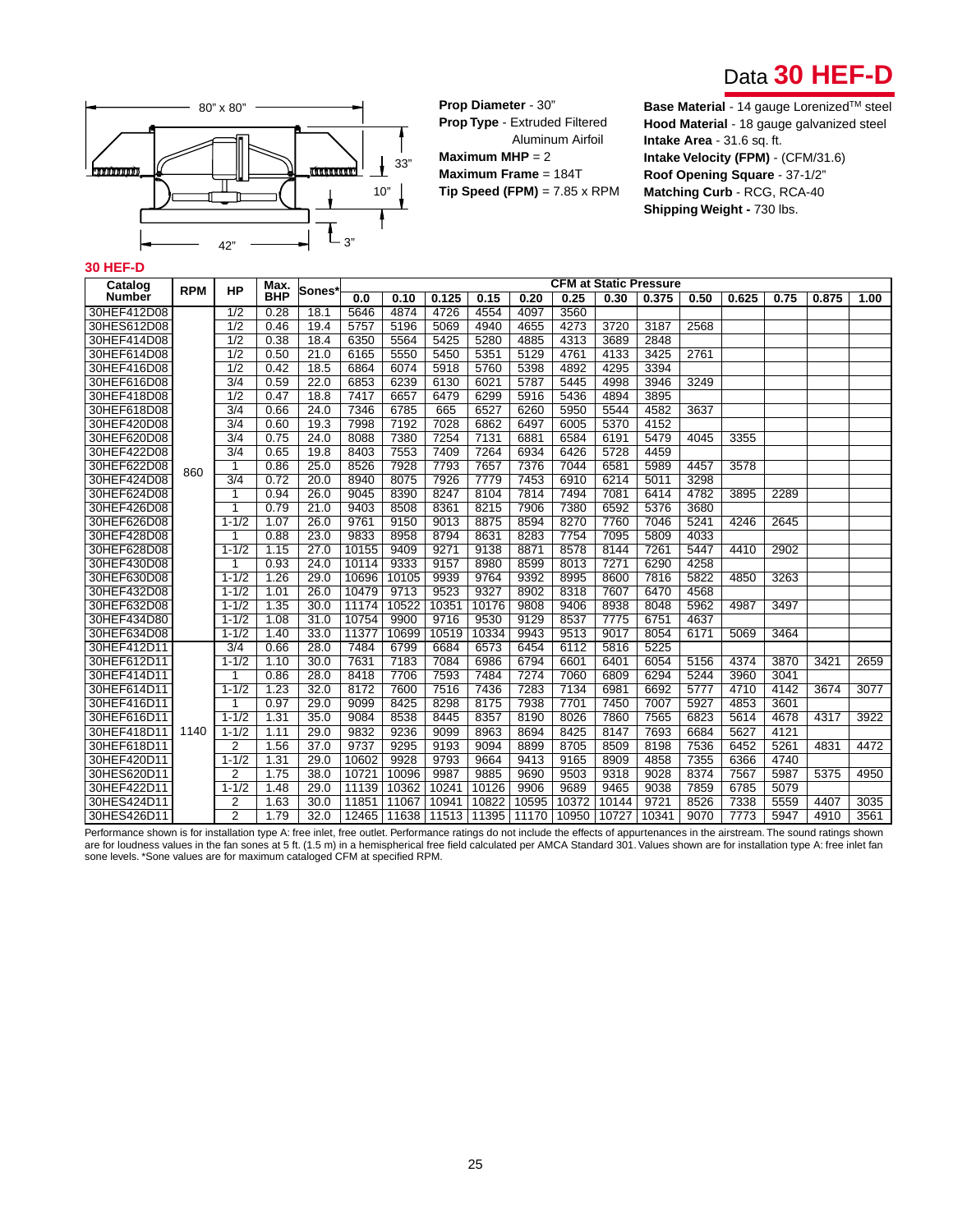



**Prop Diameter** - 30" **Prop Type** - Extruded Filtered Aluminum Airfoil **Maximum MHP** = 2 **Maximum Frame** = 184T **Tip Speed (FPM)** = 7.85 x RPM

**Base Material** - 14 gauge Lorenized™ steel **Hood Material** - 18 gauge galvanized steel **Intake Area** - 31.6 sq. ft. **Intake Velocity (FPM)** - (CFM/31.6) **Roof Opening Square** - 37-1/2" **Matching Curb** - RCG, RCA-40 **Shipping Weight -** 730 lbs.

#### **30 HEF-D**

| Catalog       | <b>RPM</b> | HP               | Max.       | <b>Sones</b>      |       |       |       |       |       |       |       | <b>CFM at Static Pressure</b> |      |       |      |       |      |
|---------------|------------|------------------|------------|-------------------|-------|-------|-------|-------|-------|-------|-------|-------------------------------|------|-------|------|-------|------|
| <b>Number</b> |            |                  | <b>BHP</b> |                   | 0.0   | 0.10  | 0.125 | 0.15  | 0.20  | 0.25  | 0.30  | 0.375                         | 0.50 | 0.625 | 0.75 | 0.875 | 1.00 |
| 30HEF412D08   |            | 1/2              | 0.28       | 18.1              | 5646  | 4874  | 4726  | 4554  | 4097  | 3560  |       |                               |      |       |      |       |      |
| 30HES612D08   |            | $\overline{1/2}$ | 0.46       | 19.4              | 5757  | 5196  | 5069  | 4940  | 4655  | 4273  | 3720  | 3187                          | 2568 |       |      |       |      |
| 30HEF414D08   |            | $\overline{1/2}$ | 0.38       | 18.4              | 6350  | 5564  | 5425  | 5280  | 4885  | 4313  | 3689  | 2848                          |      |       |      |       |      |
| 30HEF614D08   |            | 1/2              | 0.50       | 21.0              | 6165  | 5550  | 5450  | 5351  | 5129  | 4761  | 4133  | 3425                          | 2761 |       |      |       |      |
| 30HEF416D08   |            | 1/2              | 0.42       | 18.5              | 6864  | 6074  | 5918  | 5760  | 5398  | 4892  | 4295  | 3394                          |      |       |      |       |      |
| 30HEF616D08   |            | 3/4              | 0.59       | 22.0              | 6853  | 6239  | 6130  | 6021  | 5787  | 5445  | 4998  | 3946                          | 3249 |       |      |       |      |
| 30HEF418D08   |            | $\overline{1/2}$ | 0.47       | 18.8              | 7417  | 6657  | 6479  | 6299  | 5916  | 5436  | 4894  | 3895                          |      |       |      |       |      |
| 30HEF618D08   |            | $\overline{3/4}$ | 0.66       | 24.0              | 7346  | 6785  | 665   | 6527  | 6260  | 5950  | 5544  | 4582                          | 3637 |       |      |       |      |
| 30HEF420D08   |            | $\overline{3/4}$ | 0.60       | 19.3              | 7998  | 7192  | 7028  | 6862  | 6497  | 6005  | 5370  | 4152                          |      |       |      |       |      |
| 30HEF620D08   |            | $\overline{3/4}$ | 0.75       | 24.0              | 8088  | 7380  | 7254  | 7131  | 6881  | 6584  | 6191  | 5479                          | 4045 | 3355  |      |       |      |
| 30HEF422D08   |            | $\overline{3/4}$ | 0.65       | 19.8              | 8403  | 7553  | 7409  | 7264  | 6934  | 6426  | 5728  | 4459                          |      |       |      |       |      |
| 30HEF622D08   | 860        | 1                | 0.86       | 25.0              | 8526  | 7928  | 7793  | 7657  | 7376  | 7044  | 6581  | 5989                          | 4457 | 3578  |      |       |      |
| 30HEF424D08   |            | $\overline{3/4}$ | 0.72       | 20.0              | 8940  | 8075  | 7926  | 7779  | 7453  | 6910  | 6214  | 5011                          | 3298 |       |      |       |      |
| 30HEF624D08   |            |                  | 0.94       | 26.0              | 9045  | 8390  | 8247  | 8104  | 7814  | 7494  | 7081  | 6414                          | 4782 | 3895  | 2289 |       |      |
| 30HEF426D08   |            | 1                | 0.79       | 21.0              | 9403  | 8508  | 8361  | 8215  | 7906  | 7380  | 6592  | 5376                          | 3680 |       |      |       |      |
| 30HEF626D08   |            | $1 - 1/2$        | 1.07       | 26.0              | 9761  | 9150  | 9013  | 8875  | 8594  | 8270  | 7760  | 7046                          | 5241 | 4246  | 2645 |       |      |
| 30HEF428D08   |            |                  | 0.88       | 23.0              | 9833  | 8958  | 8794  | 8631  | 8283  | 7754  | 7095  | 5809                          | 4033 |       |      |       |      |
| 30HEF628D08   |            | $1 - 1/2$        | 1.15       | 27.0              | 10155 | 9409  | 9271  | 9138  | 8871  | 8578  | 8144  | 7261                          | 5447 | 4410  | 2902 |       |      |
| 30HEF430D08   |            |                  | 0.93       | 24.0              | 10114 | 9333  | 9157  | 8980  | 8599  | 8013  | 7271  | 6290                          | 4258 |       |      |       |      |
| 30HEF630D08   |            | $1 - 1/2$        | 1.26       | 29.0              | 10696 | 10105 | 9939  | 9764  | 9392  | 8995  | 8600  | 7816                          | 5822 | 4850  | 3263 |       |      |
| 30HEF432D08   |            | $1 - 1/2$        | 1.01       | 26.0              | 10479 | 9713  | 9523  | 9327  | 8902  | 8318  | 7607  | 6470                          | 4568 |       |      |       |      |
| 30HEF632D08   |            | $1 - 1/2$        | 1.35       | 30.0              | 11174 | 10522 | 10351 | 10176 | 9808  | 9406  | 8938  | 8048                          | 5962 | 4987  | 3497 |       |      |
| 30HEF434D80   |            | $1 - 1/2$        | 1.08       | 31.0              | 10754 | 9900  | 9716  | 9530  | 9129  | 8537  | 7775  | 6751                          | 4637 |       |      |       |      |
| 30HEF634D08   |            | $1 - 1/2$        | 1.40       | 33.0              | 11377 | 10699 | 10519 | 10334 | 9943  | 9513  | 9017  | 8054                          | 6171 | 5069  | 3464 |       |      |
| 30HEF412D11   |            | 3/4              | 0.66       | 28.0              | 7484  | 6799  | 6684  | 6573  | 6454  | 6112  | 5816  | 5225                          |      |       |      |       |      |
| 30HEF612D11   |            | $1 - 1/2$        | 1.10       | $\overline{30.0}$ | 7631  | 7183  | 7084  | 6986  | 6794  | 6601  | 6401  | 6054                          | 5156 | 4374  | 3870 | 3421  | 2659 |
| 30HEF414D11   |            | 1                | 0.86       | 28.0              | 8418  | 7706  | 7593  | 7484  | 7274  | 7060  | 6809  | 6294                          | 5244 | 3960  | 3041 |       |      |
| 30HEF614D11   |            | $1 - 1/2$        | 1.23       | 32.0              | 8172  | 7600  | 7516  | 7436  | 7283  | 7134  | 6981  | 6692                          | 5777 | 4710  | 4142 | 3674  | 3077 |
| 30HEF416D11   |            | 1                | 0.97       | 29.0              | 9099  | 8425  | 8298  | 8175  | 7938  | 7701  | 7450  | 7007                          | 5927 | 4853  | 3601 |       |      |
| 30HEF616D11   |            | $1 - 1/2$        | 1.31       | 35.0              | 9084  | 8538  | 8445  | 8357  | 8190  | 8026  | 7860  | 7565                          | 6823 | 5614  | 4678 | 4317  | 3922 |
| 30HEF418D11   | 1140       | $1 - 1/2$        | 1.11       | 29.0              | 9832  | 9236  | 9099  | 8963  | 8694  | 8425  | 8147  | 7693                          | 6684 | 5627  | 4121 |       |      |
| 30HEF618D11   |            | 2                | 1.56       | 37.0              | 9737  | 9295  | 9193  | 9094  | 8899  | 8705  | 8509  | 8198                          | 7536 | 6452  | 5261 | 4831  | 4472 |
| 30HEF420D11   |            | $1 - 1/2$        | 1.31       | 29.0              | 10602 | 9928  | 9793  | 9664  | 9413  | 9165  | 8909  | 4858                          | 7355 | 6366  | 4740 |       |      |
| 30HES620D11   |            | 2                | 1.75       | 38.0              | 10721 | 10096 | 9987  | 9885  | 9690  | 9503  | 9318  | 9028                          | 8374 | 7567  | 5987 | 5375  | 4950 |
| 30HEF422D11   |            | $1 - 1/2$        | 1.48       | 29.0              | 11139 | 10362 | 10241 | 10126 | 9906  | 9689  | 9465  | 9038                          | 7859 | 6785  | 5079 |       |      |
| 30HES424D11   |            | 2                | 1.63       | 30.0              | 11851 | 11067 | 10941 | 10822 | 10595 | 10372 | 10144 | 9721                          | 8526 | 7338  | 5559 | 4407  | 3035 |
| 30HES426D11   |            | $\overline{2}$   | 1.79       | 32.0              | 12465 | 11638 | 11513 | 11395 | 11170 | 10950 | 10727 | 10341                         | 9070 | 7773  | 5947 | 4910  | 3561 |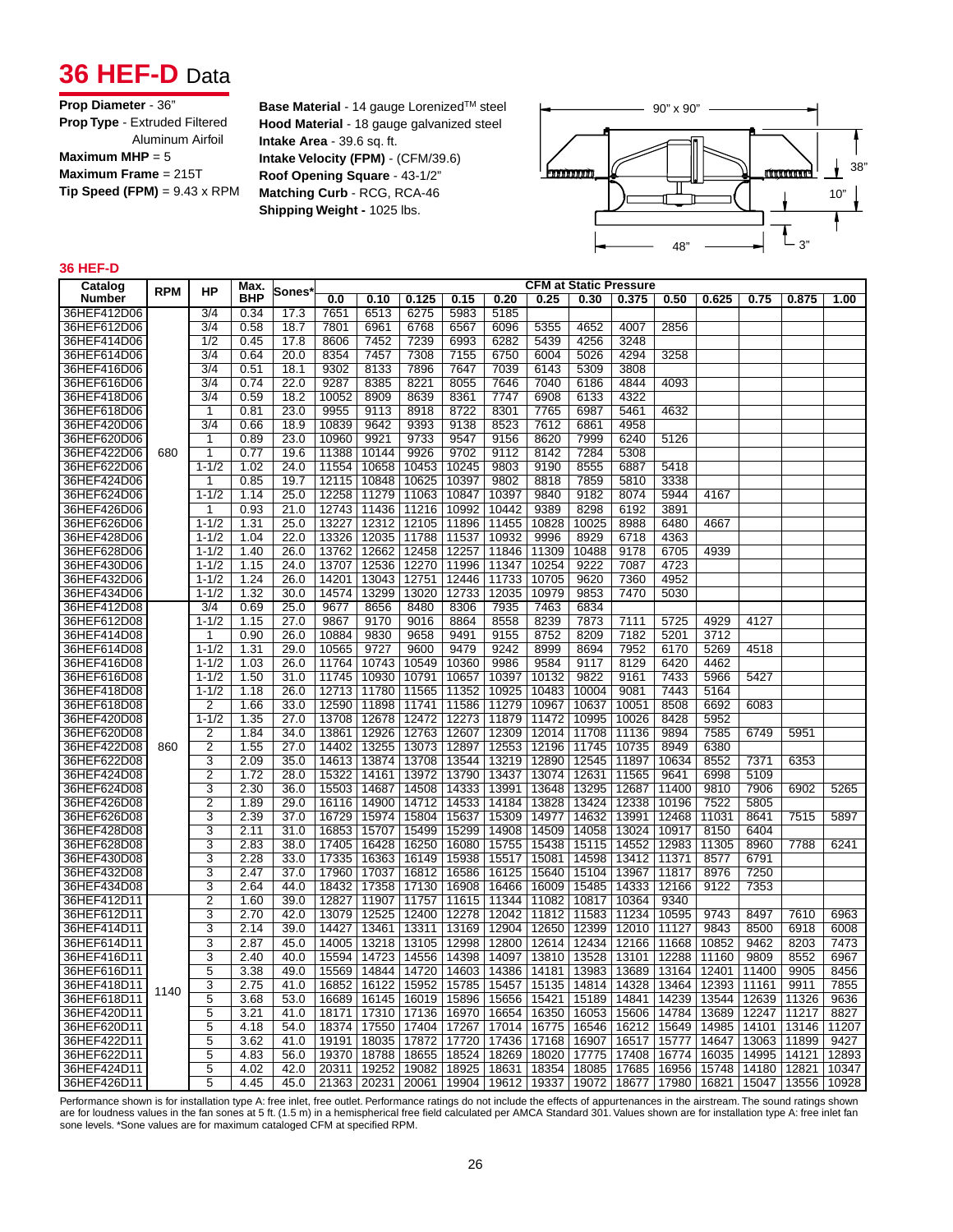## **36 HEF-D** Data

| Prop Diameter - 36"                        |
|--------------------------------------------|
| <b>Prop Type - Extruded Filtered</b>       |
| Aluminum Airfoil                           |
| Maximum MHP = $5$                          |
| Maximum Frame $= 215T$                     |
| <b>Tip Speed (FPM)</b> = $9.43 \times$ RPM |

**Base Material** - 14 gauge Lorenized™ steel **Hood Material** - 18 gauge galvanized steel **Intake Area** - 39.6 sq. ft. **Intake Velocity (FPM)** - (CFM/39.6) **Roof Opening Square** - 43-1/2" **Matching Curb** - RCG, RCA-46 **Shipping Weight -** 1025 lbs.



### **36 HEF-D**

| Catalog     |                          |                  | Max.       |              |       |       |       |       |       |       |       | <b>CFM at Static Pressure</b> |       |       |       |       |       |
|-------------|--------------------------|------------------|------------|--------------|-------|-------|-------|-------|-------|-------|-------|-------------------------------|-------|-------|-------|-------|-------|
| Number      |                          | НP               | <b>BHP</b> | <b>Sones</b> | 0.0   | 0.10  | 0.125 | 0.15  | 0.20  | 0.25  | 0.30  | 0.375                         | 0.50  | 0.625 | 0.75  | 0.875 | 1.00  |
| 36HEF412D06 |                          | 3/4              | 0.34       | 17.3         | 7651  | 6513  | 6275  | 5983  | 5185  |       |       |                               |       |       |       |       |       |
| 36HEF612D06 |                          | $\overline{3/4}$ | 0.58       | 18.7         | 7801  | 6961  | 6768  | 6567  | 6096  | 5355  | 4652  | 4007                          | 2856  |       |       |       |       |
| 36HEF414D06 |                          | 1/2              | 0.45       | 17.8         | 8606  | 7452  | 7239  | 6993  | 6282  | 5439  | 4256  | 3248                          |       |       |       |       |       |
| 36HEF614D06 | <b>RPM</b><br>680<br>860 | 3/4              | 0.64       | 20.0         | 8354  | 7457  | 7308  | 7155  | 6750  | 6004  | 5026  | 4294                          | 3258  |       |       |       |       |
| 36HEF416D06 |                          | $\overline{3/4}$ | 0.51       | 18.1         | 9302  | 8133  | 7896  | 7647  | 7039  | 6143  | 5309  | 3808                          |       |       |       |       |       |
| 36HEF616D06 |                          | $\overline{3/4}$ | 0.74       | 22.0         | 9287  | 8385  | 8221  | 8055  | 7646  | 7040  | 6186  | 4844                          | 4093  |       |       |       |       |
| 36HEF418D06 |                          | $\overline{3/4}$ | 0.59       | 18.2         | 10052 | 8909  | 8639  | 8361  | 7747  | 6908  | 6133  | 4322                          |       |       |       |       |       |
| 36HEF618D06 |                          | 1                | 0.81       | 23.0         | 9955  | 9113  | 8918  | 8722  | 8301  | 7765  | 6987  | 5461                          | 4632  |       |       |       |       |
| 36HEF420D06 |                          | $\overline{3/4}$ | 0.66       | 18.9         | 10839 | 9642  | 9393  | 9138  | 8523  | 7612  | 6861  | 4958                          |       |       |       |       |       |
| 36HEF620D06 |                          | 1                | 0.89       | 23.0         | 10960 | 9921  | 9733  | 9547  | 9156  | 8620  | 7999  | 6240                          | 5126  |       |       |       |       |
| 36HEF422D06 |                          | $\overline{1}$   | 0.77       | 19.6         | 11388 | 10144 | 9926  | 9702  | 9112  | 8142  | 7284  | 5308                          |       |       |       |       |       |
| 36HEF622D06 |                          | $1 - 1/2$        | 1.02       | 24.0         | 11554 | 10658 | 10453 | 10245 | 9803  | 9190  | 8555  | 6887                          | 5418  |       |       |       |       |
| 36HEF424D06 |                          | $\overline{1}$   | 0.85       | 19.7         | 12115 | 10848 | 10625 | 10397 | 9802  | 8818  | 7859  | 5810                          | 3338  |       |       |       |       |
| 36HEF624D06 |                          | $1 - 1/2$        | 1.14       | 25.0         | 12258 | 11279 | 11063 | 10847 | 10397 | 9840  | 9182  | 8074                          | 5944  | 4167  |       |       |       |
| 36HEF426D06 |                          | 1                | 0.93       | 21.0         | 12743 | 11436 | 11216 | 10992 | 10442 | 9389  | 8298  | 6192                          | 3891  |       |       |       |       |
| 36HEF626D06 |                          | $1 - 1/2$        | 1.31       | 25.0         | 13227 | 12312 | 12105 | 11896 | 11455 | 10828 | 10025 | 8988                          | 6480  | 4667  |       |       |       |
| 36HEF428D06 |                          | $1 - 1/2$        | 1.04       | 22.0         | 13326 | 12035 | 11788 | 11537 | 10932 | 9996  | 8929  | 6718                          | 4363  |       |       |       |       |
| 36HEF628D06 |                          | $1 - 1/2$        | 1.40       | 26.0         | 13762 | 12662 | 12458 | 12257 | 11846 | 11309 | 10488 | 9178                          | 6705  | 4939  |       |       |       |
| 36HEF430D06 |                          | $1 - 1/2$        | 1.15       | 24.0         | 13707 | 12536 | 12270 | 11996 | 11347 | 10254 | 9222  | 7087                          | 4723  |       |       |       |       |
| 36HEF432D06 |                          | $1 - 1/2$        | 1.24       | 26.0         | 14201 | 13043 | 12751 | 12446 | 11733 | 10705 | 9620  | 7360                          | 4952  |       |       |       |       |
| 36HEF434D06 |                          | $1 - 1/2$        | 1.32       | 30.0         | 14574 | 13299 | 13020 | 12733 | 12035 | 10979 | 9853  | 7470                          | 5030  |       |       |       |       |
| 36HEF412D08 |                          | 3/4              | 0.69       | 25.0         | 9677  | 8656  | 8480  | 8306  | 7935  | 7463  | 6834  |                               |       |       |       |       |       |
| 36HEF612D08 |                          | $1 - 1/2$        | 1.15       | 27.0         | 9867  | 9170  | 9016  | 8864  | 8558  | 8239  | 7873  | 7111                          | 5725  | 4929  | 4127  |       |       |
| 36HEF414D08 |                          | $\mathbf 1$      | 0.90       | 26.0         | 10884 | 9830  | 9658  | 9491  | 9155  | 8752  | 8209  | 7182                          | 5201  | 3712  |       |       |       |
| 36HEF614D08 |                          | $1 - 1/2$        | 1.31       | 29.0         | 10565 | 9727  | 9600  | 9479  | 9242  | 8999  | 8694  | 7952                          | 6170  | 5269  | 4518  |       |       |
| 36HEF416D08 |                          | $1 - 1/2$        | 1.03       | 26.0         | 11764 | 10743 | 10549 | 10360 | 9986  | 9584  | 9117  | 8129                          | 6420  | 4462  |       |       |       |
| 36HEF616D08 |                          | $1 - 1/2$        | 1.50       | 31.0         | 11745 | 10930 | 10791 | 10657 | 10397 | 10132 | 9822  | 9161                          | 7433  | 5966  | 5427  |       |       |
| 36HEF418D08 |                          | $1 - 1/2$        | 1.18       | 26.0         | 12713 | 11780 | 11565 | 11352 | 10925 | 10483 | 10004 | 9081                          | 7443  | 5164  |       |       |       |
| 36HEF618D08 |                          | 2                | 1.66       | 33.0         | 12590 | 11898 | 11741 | 11586 | 11279 | 10967 | 10637 | 10051                         | 8508  | 6692  | 6083  |       |       |
| 36HEF420D08 |                          | $1 - 1/2$        | 1.35       | 27.0         | 13708 | 12678 | 12472 | 12273 | 11879 | 11472 | 10995 | 10026                         | 8428  | 5952  |       |       |       |
| 36HEF620D08 |                          | 2                | 1.84       | 34.0         | 13861 | 12926 | 12763 | 12607 | 12309 | 12014 | 11708 | 11136                         | 9894  | 7585  | 6749  | 5951  |       |
| 36HEF422D08 |                          | 2                | 1.55       | 27.0         | 14402 | 13255 | 13073 | 12897 | 12553 | 12196 | 11745 | 10735                         | 8949  | 6380  |       |       |       |
| 36HEF622D08 |                          | 3                | 2.09       | 35.0         | 14613 | 13874 | 13708 | 13544 | 13219 | 12890 | 12545 | 11897                         | 10634 | 8552  | 7371  | 6353  |       |
| 36HEF424D08 |                          | $\overline{2}$   | 1.72       | 28.0         | 15322 | 14161 | 13972 | 13790 | 13437 | 13074 | 12631 | 11565                         | 9641  | 6998  | 5109  |       |       |
| 36HEF624D08 |                          | 3                | 2.30       | 36.0         | 15503 | 14687 | 14508 | 14333 | 13991 | 13648 | 13295 | 12687                         | 11400 | 9810  | 7906  | 6902  | 5265  |
| 36HEF426D08 |                          | $\overline{2}$   | 1.89       | 29.0         | 16116 | 14900 | 14712 | 14533 | 14184 | 13828 | 13424 | 12338                         | 10196 | 7522  | 5805  |       |       |
| 36HEF626D08 |                          | 3                | 2.39       | 37.0         | 16729 | 15974 | 15804 | 15637 | 15309 | 14977 | 14632 | 13991                         | 12468 | 11031 | 8641  | 7515  | 5897  |
| 36HEF428D08 |                          | 3                | 2.11       | 31.0         | 16853 | 15707 | 15499 | 15299 | 14908 | 14509 | 14058 | 13024                         | 10917 | 8150  | 6404  |       |       |
| 36HEF628D08 |                          | 3                | 2.83       | 38.0         | 17405 | 16428 | 16250 | 16080 | 15755 | 15438 | 15115 | 14552                         | 12983 | 11305 | 8960  | 7788  | 6241  |
| 36HEF430D08 |                          | 3                | 2.28       | 33.0         | 17335 | 16363 | 16149 | 15938 | 15517 | 15081 | 14598 | 13412                         | 11371 | 8577  | 6791  |       |       |
| 36HEF432D08 |                          | $\overline{3}$   | 2.47       | 37.0         | 17960 | 17037 | 16812 | 16586 | 16125 | 15640 | 15104 | 13967                         | 11817 | 8976  | 7250  |       |       |
| 36HEF434D08 |                          | 3                | 2.64       | 44.0         | 18432 | 17358 | 17130 | 16908 | 16466 | 16009 | 15485 | 14333                         | 12166 | 9122  | 7353  |       |       |
| 36HEF412D11 |                          | $\overline{2}$   | 1.60       | 39.0         | 12827 | 11907 | 11757 | 11615 | 11344 | 11082 | 10817 | 10364                         | 9340  |       |       |       |       |
| 36HEF612D11 |                          | 3                | 2.70       | 42.0         | 13079 | 12525 | 12400 | 12278 | 12042 | 11812 | 11583 | 11234                         | 10595 | 9743  | 8497  | 7610  | 6963  |
| 36HEF414D11 |                          | 3                | 2.14       | 39.0         | 14427 | 13461 | 13311 | 13169 | 12904 | 12650 | 12399 | 12010                         | 11127 | 9843  | 8500  | 6918  | 6008  |
| 36HEF614D11 |                          | 3                | 2.87       | 45.0         | 14005 | 13218 | 13105 | 12998 | 12800 | 12614 | 12434 | 12166                         | 11668 | 10852 | 9462  | 8203  | 7473  |
| 36HEF416D11 |                          | $\overline{3}$   | 2.40       | 40.0         | 15594 | 14723 | 14556 | 14398 | 14097 | 13810 | 13528 | 13101                         | 12288 | 11160 | 9809  | 8552  | 6967  |
| 36HEF616D11 |                          | $\overline{5}$   | 3.38       | 49.0         | 15569 | 14844 | 14720 | 14603 | 14386 | 14181 | 13983 | 13689                         | 13164 | 12401 | 11400 | 9905  | 8456  |
| 36HEF418D11 |                          | 3                | 2.75       | 41.0         | 16852 | 16122 | 15952 | 15785 | 15457 | 15135 | 14814 | 14328                         | 13464 | 12393 | 11161 | 9911  | 7855  |
| 36HEF618D11 | 1140                     | $\overline{5}$   | 3.68       | 53.0         | 16689 | 16145 | 16019 | 15896 | 15656 | 15421 | 15189 | 14841                         | 14239 | 13544 | 12639 | 11326 | 9636  |
| 36HEF420D11 |                          | $\overline{5}$   | 3.21       | 41.0         | 18171 | 17310 | 17136 | 16970 | 16654 | 16350 | 16053 | 15606                         | 14784 | 13689 | 12247 | 11217 | 8827  |
| 36HEF620D11 |                          | $\overline{5}$   | 4.18       | 54.0         | 18374 | 17550 | 17404 | 17267 | 17014 | 16775 | 16546 | 16212                         | 15649 | 14985 | 14101 | 13146 | 11207 |
| 36HEF422D11 |                          | $\overline{5}$   | 3.62       | 41.0         | 19191 | 18035 | 17872 | 17720 | 17436 | 17168 | 16907 | 16517                         | 15777 | 14647 | 13063 | 11899 | 9427  |
| 36HEF622D11 |                          | $\overline{5}$   | 4.83       | 56.0         | 19370 | 18788 | 18655 | 18524 | 18269 | 18020 | 17775 | 17408                         | 16774 | 16035 | 14995 | 14121 | 12893 |
| 36HEF424D11 |                          | 5                | 4.02       | 42.0         | 20311 | 19252 | 19082 | 18925 | 18631 | 18354 | 18085 | 17685                         | 16956 | 15748 | 14180 | 12821 | 10347 |
| 36HEF426D11 |                          | 5                | 4.45       | 45.0         | 21363 | 20231 | 20061 | 19904 | 19612 | 19337 | 19072 | 18677                         | 17980 | 16821 | 15047 | 13556 | 10928 |
|             |                          |                  |            |              |       |       |       |       |       |       |       |                               |       |       |       |       |       |

Performance shown is for installation type A: free inlet, free outlet. Performance ratings do not include the effects of appurtenances in the airstream. The sound ratings shown are for loudness values in the fan sones at 5 ft. (1.5 m) in a hemispherical free field calculated per AMCA Standard 301. Values shown are for installation type A: free inlet fan sone levels. \*Sone values are for maximum cataloged CFM at specified RPM.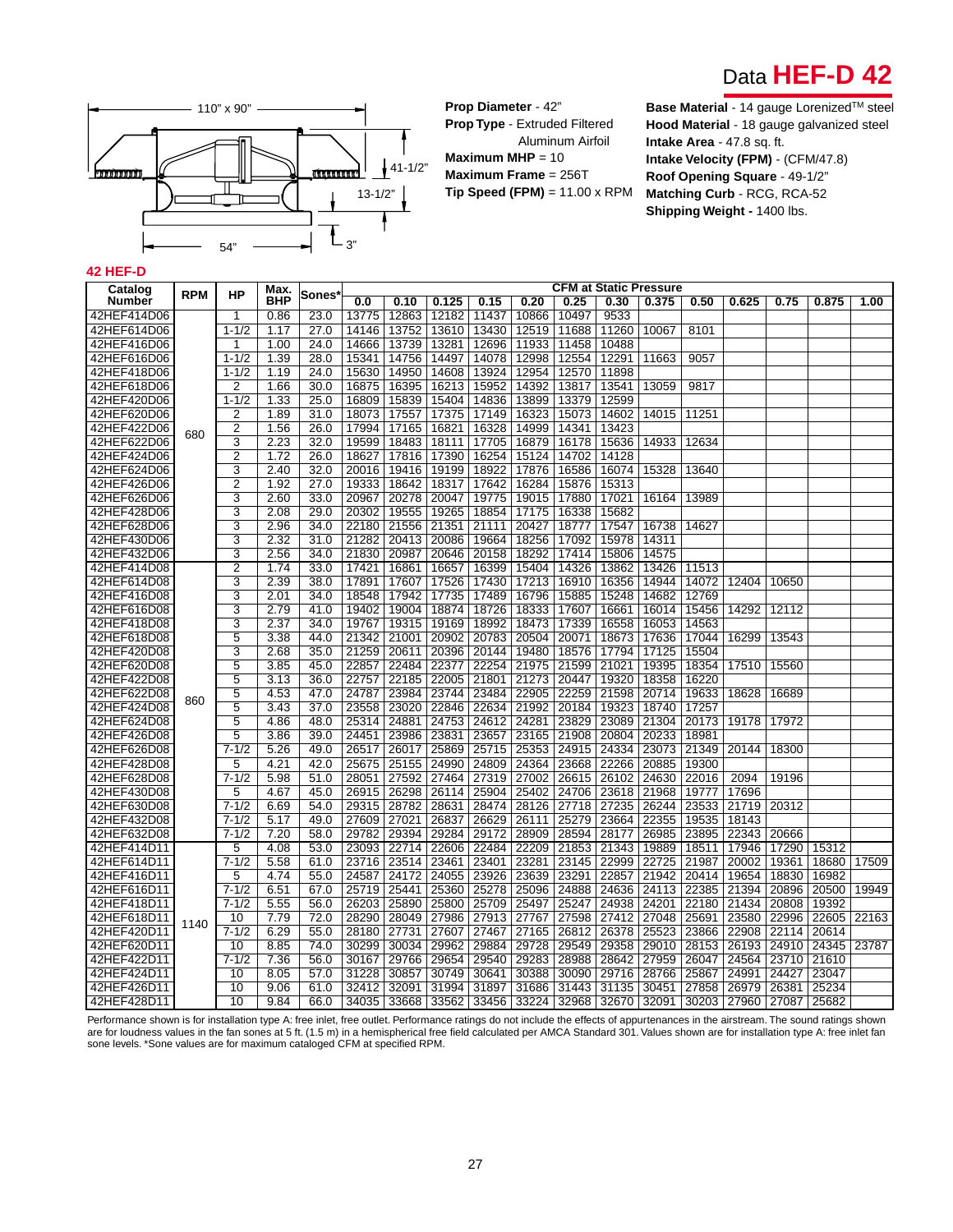



**Prop Diameter** - 42"

**Prop Type** - Extruded Filtered Aluminum Airfoil **Maximum MHP** = 10 **Maximum Frame** = 256T **Tip Speed (FPM)** = 11.00 x RPM

110" x 90" **Base Material** - 14 gauge Lorenized<sup>™</sup> steel **Hood Material** - 18 gauge galvanized steel **Intake Area** - 47.8 sq. ft. **Intake Velocity (FPM)** - (CFM/47.8) **Roof Opening Square** - 49-1/2" **Matching Curb** - RCG, RCA-52 **Shipping Weight -** 1400 lbs.

#### **42 HEF-D**

| Catalog       |            |                | Max.       |        |       |       |       |       |       |             |       | CFM at Static Pressure |       |       |       |       |       |
|---------------|------------|----------------|------------|--------|-------|-------|-------|-------|-------|-------------|-------|------------------------|-------|-------|-------|-------|-------|
| <b>Number</b> | <b>RPM</b> | HP             | <b>BHP</b> | Sones' | 0.0   | 0.10  | 0.125 | 0.15  | 0.20  | 0.25        | 0.30  | 0.375                  | 0.50  | 0.625 | 0.75  | 0.875 | 1.00  |
| 42HEF414D06   |            | 1              | 0.86       | 23.0   | 13775 | 12863 | 12182 | 11437 | 10866 | 10497       | 9533  |                        |       |       |       |       |       |
| 42HEF614D06   |            | $1 - 1/2$      | 1.17       | 27.0   | 14146 | 13752 | 13610 | 13430 | 12519 | 11688       | 11260 | 10067                  | 8101  |       |       |       |       |
| 42HEF416D06   |            | 1              | 1.00       | 24.0   | 14666 | 13739 | 13281 | 12696 | 11933 | 11458       | 10488 |                        |       |       |       |       |       |
| 42HEF616D06   |            | $1 - 1/2$      | 1.39       | 28.0   | 15341 | 14756 | 14497 | 14078 | 12998 | 12554       | 12291 | 11663                  | 9057  |       |       |       |       |
| 42HEF418D06   |            | $1 - 1/2$      | 1.19       | 24.0   | 15630 | 14950 | 14608 | 13924 | 12954 | 12570       | 11898 |                        |       |       |       |       |       |
| 42HEF618D06   |            | $\overline{2}$ | 1.66       | 30.0   | 16875 | 16395 | 16213 | 15952 | 14392 | 13817       | 13541 | 13059                  | 9817  |       |       |       |       |
| 42HEF420D06   |            | $1 - 1/2$      | 1.33       | 25.0   | 16809 | 15839 | 15404 | 14836 | 13899 | 13379       | 12599 |                        |       |       |       |       |       |
| 42HEF620D06   |            | $\overline{2}$ | 1.89       | 31.0   | 18073 | 17557 | 17375 | 17149 | 16323 | 15073       | 14602 | 14015                  | 11251 |       |       |       |       |
| 42HEF422D06   |            | $\overline{2}$ | 1.56       | 26.0   | 17994 | 17165 | 16821 | 16328 | 14999 | 14341       | 13423 |                        |       |       |       |       |       |
| 42HEF622D06   | 680        | 3              | 2.23       | 32.0   | 19599 | 18483 | 18111 | 17705 | 16879 | 16178       | 15636 | 14933                  | 12634 |       |       |       |       |
| 42HEF424D06   |            | $\overline{2}$ | 1.72       | 26.0   | 18627 | 17816 | 17390 | 16254 | 15124 | 14702       | 14128 |                        |       |       |       |       |       |
| 42HEF624D06   |            | 3              | 2.40       | 32.0   | 20016 | 19416 | 19199 | 18922 | 17876 | 16586       | 16074 | 15328                  | 13640 |       |       |       |       |
| 42HEF426D06   |            | $\overline{2}$ | 1.92       | 27.0   | 19333 | 18642 | 18317 | 17642 | 16284 | 15876       | 15313 |                        |       |       |       |       |       |
| 42HEF626D06   |            | 3              | 2.60       | 33.0   | 20967 | 20278 | 20047 | 19775 | 19015 | 17880       | 17021 | 16164                  | 13989 |       |       |       |       |
| 42HEF428D06   |            | 3              | 2.08       | 29.0   | 20302 | 19555 | 19265 | 18854 | 17175 | 16338       | 15682 |                        |       |       |       |       |       |
| 42HEF628D06   |            | 3              | 2.96       | 34.0   | 22180 | 21556 | 21351 | 21111 | 20427 | 18777       | 17547 | 16738                  | 14627 |       |       |       |       |
| 42HEF430D06   |            | 3              | 2.32       | 31.0   | 21282 | 20413 | 20086 | 19664 | 18256 | 17092       | 15978 | 14311                  |       |       |       |       |       |
| 42HEF432D06   |            | 3              | 2.56       | 34.0   | 21830 | 20987 | 20646 | 20158 | 18292 | 17414       | 15806 | 14575                  |       |       |       |       |       |
| 42HEF414D08   |            | $\overline{2}$ | 1.74       | 33.0   | 17421 | 16861 | 16657 | 16399 | 15404 | 14326       | 13862 | 13426                  | 11513 |       |       |       |       |
| 42HEF614D08   |            | 3              | 2.39       | 38.0   | 17891 | 17607 | 17526 | 17430 | 17213 | 16910       | 16356 | 14944                  | 14072 | 12404 | 10650 |       |       |
| 42HEF416D08   |            | 3              | 2.01       | 34.0   | 18548 | 17942 | 17735 | 17489 | 16796 | 15885       | 15248 | 14682                  | 12769 |       |       |       |       |
| 42HEF616D08   |            | 3              | 2.79       | 41.0   | 19402 | 19004 | 18874 | 18726 | 18333 | 17607       | 16661 | 16014                  | 15456 | 14292 | 12112 |       |       |
| 42HEF418D08   |            | 3              | 2.37       | 34.0   | 19767 | 19315 | 19169 | 18992 | 18473 | 17339       | 16558 | 16053                  | 14563 |       |       |       |       |
| 42HEF618D08   |            | $\overline{5}$ | 3.38       | 44.0   | 21342 | 21001 | 20902 | 20783 | 20504 | 20071       | 18673 | 17636                  | 17044 | 16299 | 13543 |       |       |
| 42HEF420D08   |            | $\overline{3}$ | 2.68       | 35.0   | 21259 | 20611 | 20396 | 20144 | 19480 | 18576       | 17794 | 17125                  | 15504 |       |       |       |       |
| 42HEF620D08   |            | $\overline{5}$ | 3.85       | 45.0   | 22857 | 22484 | 22377 | 22254 | 21975 | 21599       | 21021 | 19395                  | 18354 | 17510 | 15560 |       |       |
| 42HEF422D08   |            | 5              | 3.13       | 36.0   | 22757 | 22185 | 22005 | 21801 | 21273 | 20447       | 19320 | 18358                  | 16220 |       |       |       |       |
| 42HEF622D08   |            | 5              | 4.53       | 47.0   | 24787 | 23984 | 23744 | 23484 | 22905 | 22259       | 21598 | 20714                  | 19633 | 18628 | 16689 |       |       |
| 42HEF424D08   | 860        | 5              | 3.43       | 37.0   | 23558 | 23020 | 22846 | 22634 | 21992 | 20184       | 19323 | 18740                  | 17257 |       |       |       |       |
| 42HEF624D08   |            | 5              | 4.86       | 48.0   | 25314 | 24881 | 24753 | 24612 | 24281 | 23829       | 23089 | 21304                  | 20173 | 19178 | 17972 |       |       |
| 42HEF426D08   |            | $\overline{5}$ | 3.86       | 39.0   | 24451 | 23986 | 23831 | 23657 | 23165 | 21908       | 20804 | 20233                  | 18981 |       |       |       |       |
| 42HEF626D08   |            | $7 - 1/2$      | 5.26       | 49.0   | 26517 | 26017 | 25869 | 25715 | 25353 | 24915       | 24334 | 23073                  | 21349 | 20144 | 18300 |       |       |
| 42HEF428D08   |            | 5              | 4.21       | 42.0   | 25675 | 25155 | 24990 | 24809 | 24364 | 23668       | 22266 | 20885                  | 19300 |       |       |       |       |
| 42HEF628D08   |            | $7 - 1/2$      | 5.98       | 51.0   | 28051 | 27592 | 27464 | 27319 | 27002 | 26615       | 26102 | 24630                  | 22016 | 2094  | 19196 |       |       |
| 42HEF430D08   |            | 5              | 4.67       | 45.0   | 26915 | 26298 | 26114 | 25904 | 25402 | 24706       | 23618 | 21968                  | 19777 | 17696 |       |       |       |
| 42HEF630D08   |            | $7 - 1/2$      | 6.69       | 54.0   | 29315 | 28782 | 28631 | 28474 | 28126 | 27718       | 27235 | 26244                  | 23533 | 21719 | 20312 |       |       |
| 42HEF432D08   |            | $7 - 1/2$      | 5.17       | 49.0   | 27609 | 27021 | 26837 | 26629 | 26111 | 25279       | 23664 | 22355                  | 19535 | 18143 |       |       |       |
| 42HEF632D08   |            | $7 - 1/2$      | 7.20       | 58.0   | 29782 | 29394 | 29284 | 29172 | 28909 | 28594       | 28177 | 26985                  | 23895 | 22343 | 20666 |       |       |
| 42HEF414D11   |            | 5              | 4.08       | 53.0   | 23093 | 22714 | 22606 | 22484 | 22209 | 21853       | 21343 | 19889                  | 18511 | 17946 | 17290 | 15312 |       |
| 42HEF614D11   |            | $7 - 1/2$      | 5.58       | 61.0   | 23716 | 23514 | 23461 | 23401 | 23281 | 23145       | 22999 | 22725                  | 21987 | 20002 | 19361 | 18680 | 17509 |
| 42HEF416D11   |            | 5              | 4.74       | 55.0   | 24587 | 24172 | 24055 | 23926 | 23639 | 23291       | 22857 | 21942                  | 20414 | 19654 | 18830 | 16982 |       |
| 42HEF616D11   |            | $7 - 1/2$      | 6.51       | 67.0   | 25719 | 25441 | 25360 | 25278 | 25096 | 24888       | 24636 | 24113                  | 22385 | 21394 | 20896 | 20500 | 19949 |
| 42HEF418D11   |            | $7 - 1/2$      | 5.55       | 56.0   | 26203 | 25890 | 25800 | 25709 | 25497 | 25247       | 24938 | 24201                  | 22180 | 21434 | 20808 | 19392 |       |
| 42HEF618D11   |            | 10             | 7.79       | 72.0   | 28290 | 28049 | 27986 | 27913 | 27767 | 27598       | 27412 | 27048                  | 25691 | 23580 | 22996 | 22605 | 22163 |
| 42HEF420D11   | 1140       | $7 - 1/2$      | 6.29       | 55.0   | 28180 | 27731 | 27607 | 27467 | 27165 | 26812       | 26378 | 25523                  | 23866 | 22908 | 22114 | 20614 |       |
| 42HEF620D11   |            | 10             | 8.85       | 74.0   | 30299 | 30034 | 29962 | 29884 | 29728 | 29549       | 29358 | 29010                  | 28153 | 26193 | 24910 | 24345 | 23787 |
| 42HEF422D11   |            | $7 - 1/2$      | 7.36       | 56.0   | 30167 | 29766 | 29654 | 29540 | 29283 | 28988       | 28642 | 27959                  | 26047 | 24564 | 23710 | 21610 |       |
| 42HEF424D11   |            | 10             | 8.05       | 57.0   | 31228 | 30857 | 30749 | 30641 | 30388 | 30090       | 29716 | 28766                  | 25867 | 24991 | 24427 | 23047 |       |
| 42HEF426D11   |            | 10             | 9.06       | 61.0   | 32412 | 32091 | 31994 | 31897 | 31686 | 31443       | 31135 | 30451                  | 27858 | 26979 | 26381 | 25234 |       |
| 42HEF428D11   |            | 10             | 9.84       | 66.0   | 34035 | 33668 | 33562 | 33456 |       | 33224 32968 | 32670 | 32091                  | 30203 | 27960 | 27087 | 25682 |       |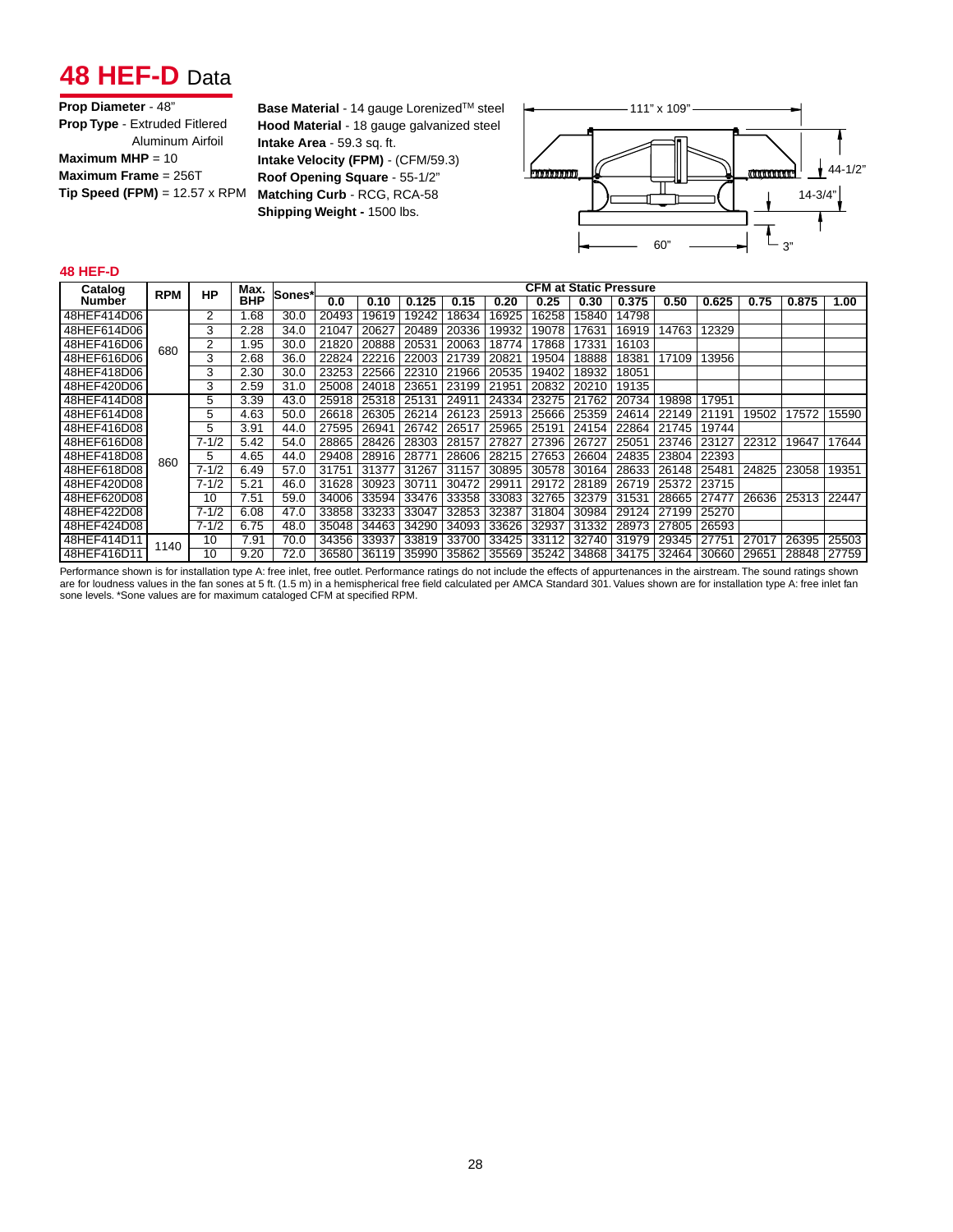## **48 HEF-D** Data

| Prop Diameter - 48"                  |
|--------------------------------------|
| <b>Prop Type - Extruded Fitlered</b> |
| Aluminum Airfoil                     |
| Maximum MHP = $10$                   |
| Maximum Frame = 256T                 |
| $Tip Speed (FPM) = 12.57 \times RPM$ |
|                                      |

**Base Material** - 14 gauge Lorenized™ steel **Hood Material** - 18 gauge galvanized steel **Intake Area** - 59.3 sq. ft. **Intake Velocity (FPM)** - (CFM/59.3) **Roof Opening Square** - 55-1/2" **Matching Curb** - RCG, RCA-58 **Shipping Weight -** 1500 lbs.



#### **48 HEF-D**

| Catalog     | <b>RPM</b> | <b>HP</b> | Max.       | Sones* |       |       |       |       |                                                       |       | <b>CFM at Static Pressure</b> |       |       |       |       |       |       |
|-------------|------------|-----------|------------|--------|-------|-------|-------|-------|-------------------------------------------------------|-------|-------------------------------|-------|-------|-------|-------|-------|-------|
| Number      |            |           | <b>BHP</b> |        | 0.0   | 0.10  | 0.125 | 0.15  | 0.20                                                  | 0.25  | 0.30                          | 0.375 | 0.50  | 0.625 | 0.75  | 0.875 | 1.00  |
| 48HEF414D06 |            |           | 1.68       | 30.0   | 20493 | 9619  | 19242 | 18634 | 16925                                                 | 16258 | 15840                         | 14798 |       |       |       |       |       |
| 48HEF614D06 |            | 3         | 2.28       | 34.0   | 21047 | 20627 | 20489 | 20336 | 19932                                                 | 19078 | 17631                         | 16919 | 14763 | 12329 |       |       |       |
| 48HEF416D06 | 680        | 2         | 1.95       | 30.0   | 21820 | 20888 | 20531 | 20063 | 18774                                                 | 17868 | 17331                         | 16103 |       |       |       |       |       |
| 48HEF616D06 |            | 3         | 2.68       | 36.0   | 22824 | 22216 | 22003 | 21739 | 20821                                                 | 19504 | 18888                         | 18381 | 17109 | 13956 |       |       |       |
| 48HEF418D06 |            | 3         | 2.30       | 30.0   | 23253 | 22566 | 22310 | 21966 | 20535                                                 | 19402 | 18932                         | 18051 |       |       |       |       |       |
| 48HEF420D06 |            | 3         | 2.59       | 31.0   | 25008 | 24018 | 23651 | 23199 | 21951                                                 | 20832 | 20210                         | 19135 |       |       |       |       |       |
| 48HEF414D08 |            | 5         | 3.39       | 43.0   | 25918 | 25318 | 25131 | 2491  | 24334                                                 | 23275 | 21762                         | 20734 | 19898 | 17951 |       |       |       |
| 48HEF614D08 |            | 5         | 4.63       | 50.0   | 26618 | 26305 | 26214 | 26123 | 25913                                                 | 25666 | 25359                         | 24614 | 22149 | 21191 | 19502 | 17572 | 15590 |
| 48HEF416D08 |            | 5         | 3.91       | 44.0   | 27595 | 26941 | 26742 | 26517 | 25965                                                 | 25191 | 24154                         | 22864 | 21745 | 19744 |       |       |       |
| 48HEF616D08 |            | $7 - 1/2$ | 5.42       | 54.0   | 28865 | 28426 | 28303 | 28157 | 27827                                                 | 27396 | 26727                         | 25051 | 23746 | 23127 | 22312 | 19647 | 17644 |
| 48HEF418D08 | 860        | 5         | 4.65       | 44.0   | 29408 | 28916 | 28771 | 28606 | 28215                                                 | 27653 | 26604                         | 24835 | 23804 | 22393 |       |       |       |
| 48HEF618D08 |            | $7 - 1/2$ | 6.49       | 57.0   | 31751 | 31377 | 31267 | 31157 | 30895                                                 | 30578 | 30164                         | 28633 | 26148 | 25481 | 24825 | 23058 | 19351 |
| 48HEF420D08 |            | $7 - 1/2$ | 5.21       | 46.0   | 31628 | 30923 | 30711 | 30472 | 29911                                                 | 29172 | 28189                         | 26719 | 25372 | 23715 |       |       |       |
| 48HEF620D08 |            | 10        | 7.51       | 59.0   | 34006 | 33594 | 33476 | 33358 | 33083                                                 | 32765 | 32379                         | 31531 | 28665 | 27477 | 26636 | 25313 | 22447 |
| 48HEF422D08 |            | $7 - 1/2$ | 6.08       | 47.0   | 33858 | 33233 | 33047 | 32853 | 32387                                                 | 31804 | 30984                         | 29124 | 27199 | 25270 |       |       |       |
| 48HEF424D08 |            | $7 - 1/2$ | 6.75       | 48.0   | 35048 | 34463 | 34290 | 34093 | 33626                                                 | 32937 | 31332                         | 28973 | 27805 | 26593 |       |       |       |
| 48HEF414D11 | 1140       | 10        | 7.91       | 70.0   | 34356 | 33937 | 33819 | 33700 | 33425                                                 | 33112 | 32740                         | 31979 | 29345 | 27751 | 27017 | 26395 | 25503 |
| 48HEF416D11 |            | 10        | 9.20       | 72.0   | 36580 |       |       |       | 36119 35990 35862 35569 35242 34868 34175 32464 30660 |       |                               |       |       |       | 29651 | 28848 | 27759 |

Performance shown is for installation type A: free inlet, free outlet. Performance ratings do not include the effects of appurtenances in the airstream. The sound ratings shown are for loudness values in the fan sones at 5 ft. (1.5 m) in a hemispherical free field calculated per AMCA Standard 301. Values shown are for installation type A: free inlet fan<br>sone levels. \*Sone values are for maximum c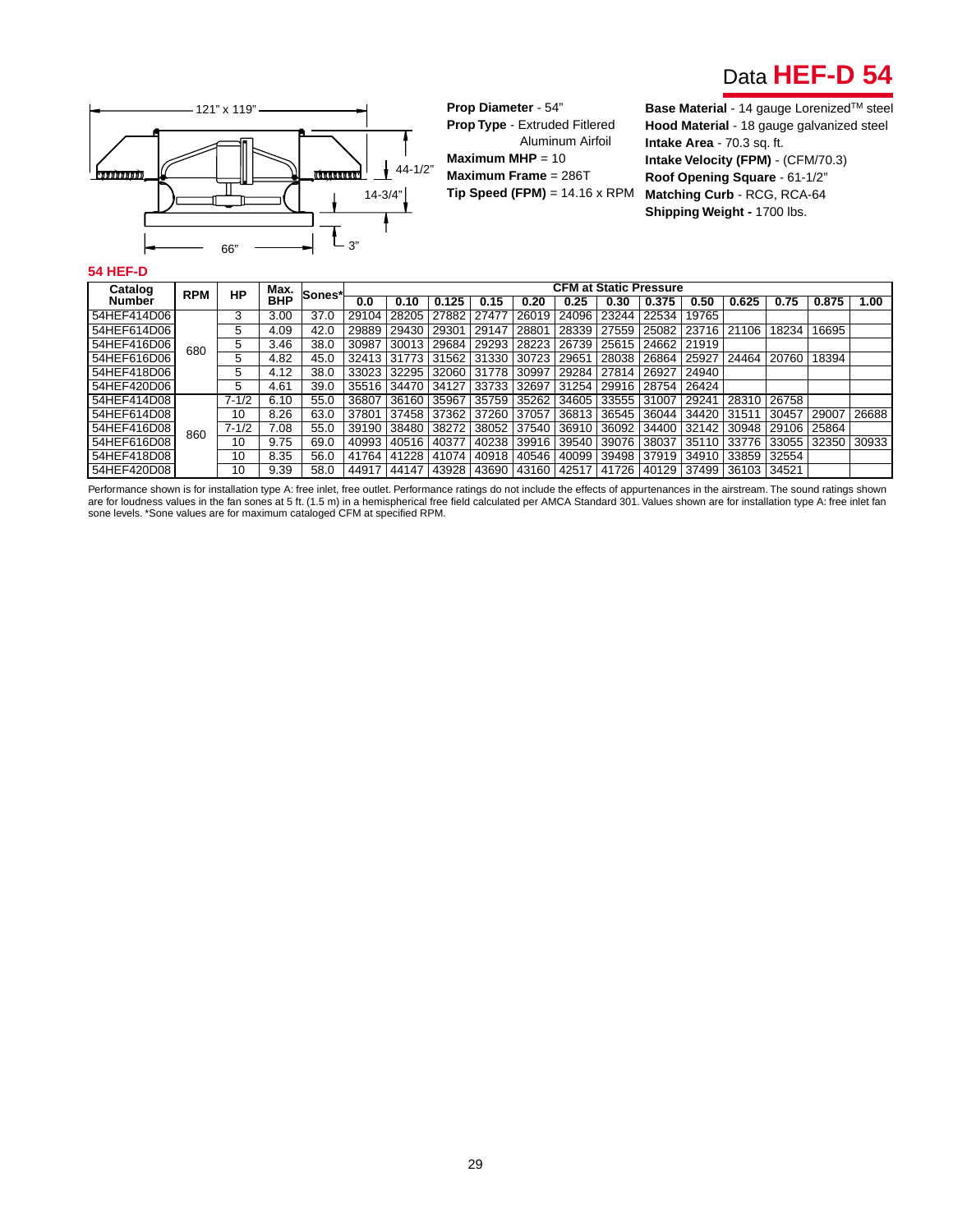



**Prop Diameter** - 54" **Prop Type** - Extruded Fitlered Aluminum Airfoil **Maximum MHP** = 10 **Maximum Frame** = 286T

**Hood Material** - 18 gauge galvanized steel **Intake Area** - 70.3 sq. ft. **Intake Velocity (FPM)** - (CFM/70.3) **Roof Opening Square** - 61-1/2" **Matching Curb** - RCG, RCA-64 **Shipping Weight -** 1700 lbs.

#### **54 HEF-D**

| Catalog     | <b>RPM</b> | <b>HP</b> | Max.       | Sones* |       |             |             |       |       |       | <b>CFM at Static Pressure</b> |             |       |       |             |       |       |
|-------------|------------|-----------|------------|--------|-------|-------------|-------------|-------|-------|-------|-------------------------------|-------------|-------|-------|-------------|-------|-------|
| Number      |            |           | <b>BHP</b> |        | 0.0   | 0.10        | 0.125       | 0.15  | 0.20  | 0.25  | 0.30                          | 0.375       | 0.50  | 0.625 | 0.75        | 0.875 | 1.00  |
| 54HEF414D06 |            | 3         | 3.00       | 37.0   | 29104 | 28205       | 27882       | 27477 | 26019 | 24096 | 23244                         | 22534       | 19765 |       |             |       |       |
| 54HEF614D06 |            | 5         | 4.09       | 42.0   | 29889 | 29430       | 29301       | 29147 | 28801 | 28339 | 27559                         | 25082       | 23716 | 21106 | 18234       | 16695 |       |
| 54HEF416D06 | 680        | 5         | 3.46       | 38.0   | 30987 | 30013       | 29684       | 29293 | 28223 | 26739 | 25615                         | 24662       | 21919 |       |             |       |       |
| 54HEF616D06 |            | 5         | 4.82       | 45.0   | 32413 | 31773       | 31562       | 31330 | 30723 | 29651 | 28038                         | 26864       | 25927 | 24464 | 20760       | 18394 |       |
| 54HEF418D06 |            | 5         | 4.12       | 38.0   | 33023 |             | 32295 32060 | 31778 | 30997 | 29284 | 27814                         | 26927       | 24940 |       |             |       |       |
| 54HEF420D06 |            | 5         | 4.61       | 39.0   | 35516 | 34470 34127 |             | 33733 | 32697 | 31254 |                               | 29916 28754 | 26424 |       |             |       |       |
| 54HEF414D08 |            | $7 - 1/2$ | 6.10       | 55.0   | 36807 | 36160       | 35967       | 35759 | 35262 | 34605 | 33555                         | 31007       | 29241 | 28310 | 26758       |       |       |
| 54HEF614D08 |            | 10        | 8.26       | 63.0   | 37801 | 37458 37362 |             | 37260 | 37057 | 36813 | 36545                         | 36044       | 34420 | 31511 | 30457       | 29007 | 26688 |
| 54HEF416D08 | 860        | $7 - 1/2$ | 7.08       | 55.0   | 39190 | 38480       | 38272       | 38052 | 37540 | 36910 | 36092                         | 34400       | 32142 | 30948 | 29106       | 25864 |       |
| 54HEF616D08 |            | 10        | 9.75       | 69.0   | 40993 | 40516       | 40377       | 40238 | 39916 | 39540 | 39076                         | 38037       | 35110 | 33776 | 33055       | 32350 | 30933 |
| 54HEF418D08 |            | 10        | 8.35       | 56.0   | 41764 | 41228       | 41074       | 40918 | 40546 | 40099 | 39498                         | 37919       | 34910 | 33859 | 32554       |       |       |
| 54HEF420D08 |            | 10        | 9.39       | 58.0   | 44917 | 44147       | 43928       | 43690 |       |       | 43160   42517   41726         | 40129       | 37499 |       | 36103 34521 |       |       |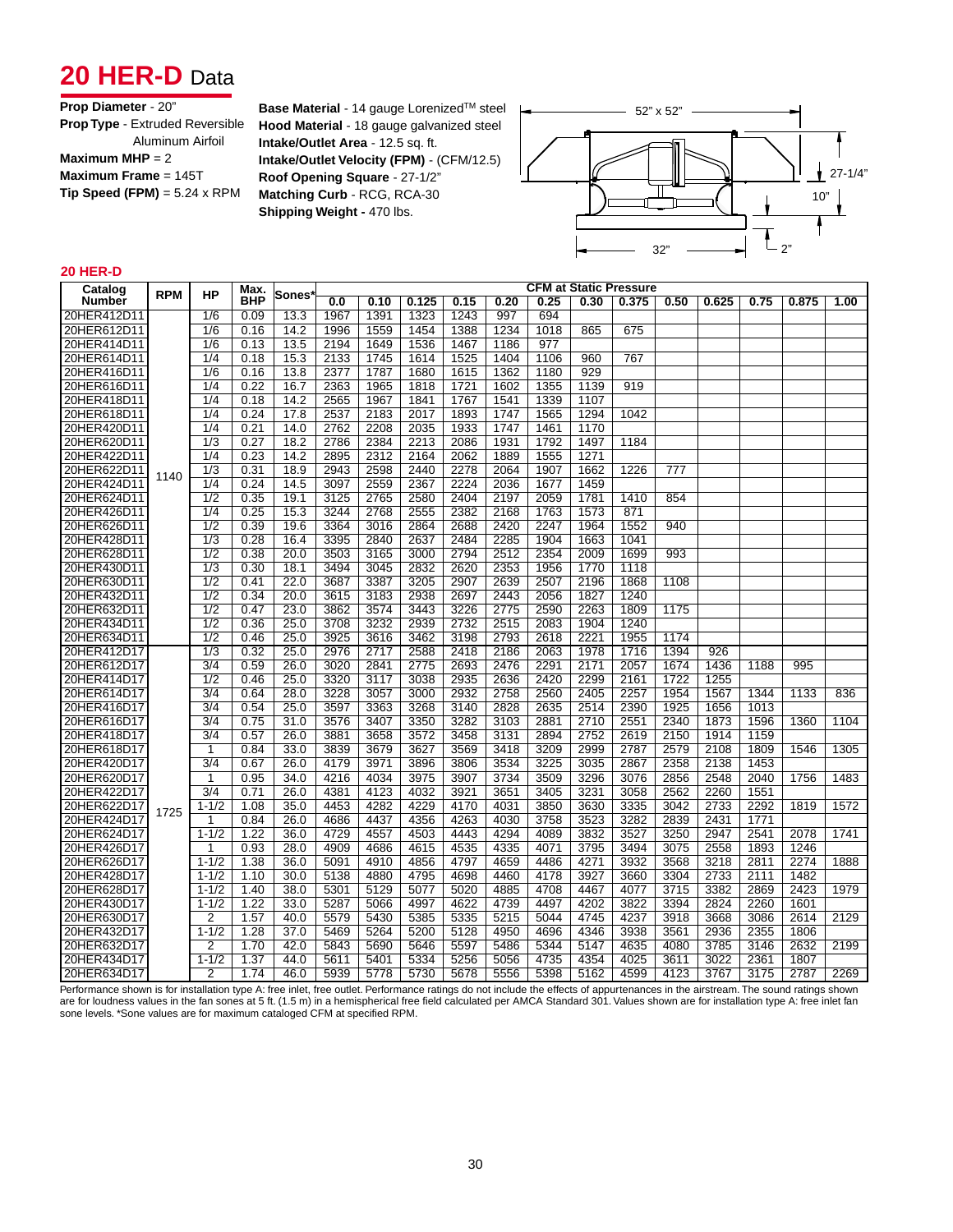## 20 HER-D Data

| Prop Diameter - 20"                        |
|--------------------------------------------|
| <b>Prop Type - Extruded Reversible</b>     |
| Aluminum Airfoil                           |
| Maximum MHP $= 2$                          |
| Maximum Frame $= 145T$                     |
| <b>Tip Speed (FPM)</b> = $5.24 \times$ RPM |
|                                            |

**Base Material** - 14 gauge Lorenized<sup>™</sup> steel – 2<sup>2</sup> × 52<sup>"</sup> x 52" **Hood Material** - 18 gauge galvanized steel **Intake/Outlet Area** - 12.5 sq. ft. **Intake/Outlet Velocity (FPM)** - (CFM/12.5) **Roof Opening Square** - 27-1/2" **Matching Curb** - RCG, RCA-30 **Shipping Weight - 470 lbs.** 



#### **20 HER-D**

| Catalog       |            |                  | Max.       |        |      |      |       |      |      |      |      | <b>CFM at Static Pressure</b> |      |       |      |       |      |
|---------------|------------|------------------|------------|--------|------|------|-------|------|------|------|------|-------------------------------|------|-------|------|-------|------|
| <b>Number</b> | <b>RPM</b> | ΗP               | <b>BHP</b> | Sones* | 0.0  | 0.10 | 0.125 | 0.15 | 0.20 | 0.25 | 0.30 | 0.375                         | 0.50 | 0.625 | 0.75 | 0.875 | 1.00 |
| 20HER412D11   |            | 1/6              | 0.09       | 13.3   | 1967 | 1391 | 1323  | 1243 | 997  | 694  |      |                               |      |       |      |       |      |
| 20HER612D11   |            | 1/6              | 0.16       | 14.2   | 1996 | 1559 | 1454  | 1388 | 1234 | 1018 | 865  | 675                           |      |       |      |       |      |
| 20HER414D11   |            | 1/6              | 0.13       | 13.5   | 2194 | 1649 | 1536  | 1467 | 1186 | 977  |      |                               |      |       |      |       |      |
| 20HER614D11   |            | 1/4              | 0.18       | 15.3   | 2133 | 1745 | 1614  | 1525 | 1404 | 1106 | 960  | 767                           |      |       |      |       |      |
| 20HER416D11   |            | 1/6              | 0.16       | 13.8   | 2377 | 1787 | 1680  | 1615 | 1362 | 1180 | 929  |                               |      |       |      |       |      |
| 20HER616D11   |            | 1/4              | 0.22       | 16.7   | 2363 | 1965 | 1818  | 1721 | 1602 | 1355 | 1139 | 919                           |      |       |      |       |      |
| 20HER418D11   |            | 1/4              | 0.18       | 14.2   | 2565 | 1967 | 1841  | 1767 | 1541 | 1339 | 1107 |                               |      |       |      |       |      |
| 20HER618D11   |            | 1/4              | 0.24       | 17.8   | 2537 | 2183 | 2017  | 1893 | 1747 | 1565 | 1294 | 1042                          |      |       |      |       |      |
| 20HER420D11   |            | 1/4              | 0.21       | 14.0   | 2762 | 2208 | 2035  | 1933 | 1747 | 1461 | 1170 |                               |      |       |      |       |      |
| 20HER620D11   |            | $\overline{1/3}$ | 0.27       | 18.2   | 2786 | 2384 | 2213  | 2086 | 1931 | 1792 | 1497 | 1184                          |      |       |      |       |      |
| 20HER422D11   |            | 1/4              | 0.23       | 14.2   | 2895 | 2312 | 2164  | 2062 | 1889 | 1555 | 1271 |                               |      |       |      |       |      |
| 20HER622D11   |            | $\overline{1/3}$ | 0.31       | 18.9   | 2943 | 2598 | 2440  | 2278 | 2064 | 1907 | 1662 | 1226                          | 777  |       |      |       |      |
| 20HER424D11   | 1140       | 1/4              | 0.24       | 14.5   | 3097 | 2559 | 2367  | 2224 | 2036 | 1677 | 1459 |                               |      |       |      |       |      |
| 20HER624D11   |            | 1/2              | 0.35       | 19.1   | 3125 | 2765 | 2580  | 2404 | 2197 | 2059 | 1781 | 1410                          | 854  |       |      |       |      |
| 20HER426D11   |            | 1/4              | 0.25       | 15.3   | 3244 | 2768 | 2555  | 2382 | 2168 | 1763 | 1573 | 871                           |      |       |      |       |      |
| 20HER626D11   |            | 1/2              | 0.39       | 19.6   | 3364 | 3016 | 2864  | 2688 | 2420 | 2247 | 1964 | 1552                          | 940  |       |      |       |      |
| 20HER428D11   |            | 1/3              | 0.28       | 16.4   | 3395 | 2840 | 2637  | 2484 | 2285 | 1904 | 1663 | 1041                          |      |       |      |       |      |
| 20HER628D11   |            | 1/2              | 0.38       | 20.0   | 3503 | 3165 | 3000  | 2794 | 2512 | 2354 | 2009 | 1699                          | 993  |       |      |       |      |
| 20HER430D11   |            | 1/3              | 0.30       | 18.1   | 3494 | 3045 | 2832  | 2620 | 2353 | 1956 | 1770 | 1118                          |      |       |      |       |      |
| 20HER630D11   |            | 1/2              | 0.41       | 22.0   | 3687 | 3387 | 3205  | 2907 | 2639 | 2507 | 2196 | 1868                          | 1108 |       |      |       |      |
| 20HER432D11   |            | 1/2              | 0.34       | 20.0   | 3615 | 3183 | 2938  | 2697 | 2443 | 2056 | 1827 | 1240                          |      |       |      |       |      |
| 20HER632D11   |            | 1/2              | 0.47       | 23.0   | 3862 | 3574 | 3443  | 3226 | 2775 | 2590 | 2263 | 1809                          | 1175 |       |      |       |      |
| 20HER434D11   |            | 1/2              | 0.36       | 25.0   | 3708 | 3232 | 2939  | 2732 | 2515 | 2083 | 1904 | 1240                          |      |       |      |       |      |
| 20HER634D11   |            | 1/2              | 0.46       | 25.0   | 3925 | 3616 | 3462  | 3198 | 2793 | 2618 | 2221 | 1955                          | 1174 |       |      |       |      |
| 20HER412D17   |            | $\overline{1/3}$ | 0.32       | 25.0   | 2976 | 2717 | 2588  | 2418 | 2186 | 2063 | 1978 | 1716                          | 1394 | 926   |      |       |      |
| 20HER612D17   |            | $\frac{3}{4}$    | 0.59       | 26.0   | 3020 | 2841 | 2775  | 2693 | 2476 | 2291 | 2171 | 2057                          | 1674 | 1436  | 1188 | 995   |      |
| 20HER414D17   |            | $\overline{1/2}$ | 0.46       | 25.0   | 3320 | 3117 | 3038  | 2935 | 2636 | 2420 | 2299 | 2161                          | 1722 | 1255  |      |       |      |
| 20HER614D17   |            | 3/4              | 0.64       | 28.0   | 3228 | 3057 | 3000  | 2932 | 2758 | 2560 | 2405 | 2257                          | 1954 | 1567  | 1344 | 1133  | 836  |
| 20HER416D17   |            | $\frac{3}{4}$    | 0.54       | 25.0   | 3597 | 3363 | 3268  | 3140 | 2828 | 2635 | 2514 | 2390                          | 1925 | 1656  | 1013 |       |      |
| 20HER616D17   |            | 3/4              | 0.75       | 31.0   | 3576 | 3407 | 3350  | 3282 | 3103 | 2881 | 2710 | 2551                          | 2340 | 1873  | 1596 | 1360  | 1104 |
| 20HER418D17   |            | $\frac{3}{4}$    | 0.57       | 26.0   | 3881 | 3658 | 3572  | 3458 | 3131 | 2894 | 2752 | 2619                          | 2150 | 1914  | 1159 |       |      |
| 20HER618D17   |            |                  | 0.84       | 33.0   | 3839 | 3679 | 3627  | 3569 | 3418 | 3209 | 2999 | 2787                          | 2579 | 2108  | 1809 | 1546  | 1305 |
| 20HER420D17   |            | $\overline{3/4}$ | 0.67       | 26.0   | 4179 | 3971 | 3896  | 3806 | 3534 | 3225 | 3035 | 2867                          | 2358 | 2138  | 1453 |       |      |
| 20HER620D17   |            | 1                | 0.95       | 34.0   | 4216 | 4034 | 3975  | 3907 | 3734 | 3509 | 3296 | 3076                          | 2856 | 2548  | 2040 | 1756  | 1483 |
| 20HER422D17   |            | $\overline{3/4}$ | 0.71       | 26.0   | 4381 | 4123 | 4032  | 3921 | 3651 | 3405 | 3231 | 3058                          | 2562 | 2260  | 1551 |       |      |
| 20HER622D17   |            | $1 - 1/2$        | 1.08       | 35.0   | 4453 | 4282 | 4229  | 4170 | 4031 | 3850 | 3630 | 3335                          | 3042 | 2733  | 2292 | 1819  | 1572 |
| 20HER424D17   | 1725       | 1                | 0.84       | 26.0   | 4686 | 4437 | 4356  | 4263 | 4030 | 3758 | 3523 | 3282                          | 2839 | 2431  | 1771 |       |      |
| 20HER624D17   |            | $1 - 1/2$        | 1.22       | 36.0   | 4729 | 4557 | 4503  | 4443 | 4294 | 4089 | 3832 | 3527                          | 3250 | 2947  | 2541 | 2078  | 1741 |
| 20HER426D17   |            | 1                | 0.93       | 28.0   | 4909 | 4686 | 4615  | 4535 | 4335 | 4071 | 3795 | 3494                          | 3075 | 2558  | 1893 | 1246  |      |
| 20HER626D17   |            | $1 - 1/2$        | 1.38       | 36.0   | 5091 | 4910 | 4856  | 4797 | 4659 | 4486 | 4271 | 3932                          | 3568 | 3218  | 2811 | 2274  | 1888 |
| 20HER428D17   |            | $1 - 1/2$        | 1.10       | 30.0   | 5138 | 4880 | 4795  | 4698 | 4460 | 4178 | 3927 | 3660                          | 3304 | 2733  | 2111 | 1482  |      |
| 20HER628D17   |            | $1 - 1/2$        | 1.40       | 38.0   | 5301 | 5129 | 5077  | 5020 | 4885 | 4708 | 4467 | 4077                          | 3715 | 3382  | 2869 | 2423  | 1979 |
| 20HER430D17   |            | $1 - 1/2$        | 1.22       | 33.0   | 5287 | 5066 | 4997  | 4622 | 4739 | 4497 | 4202 | 3822                          | 3394 | 2824  | 2260 | 1601  |      |
| 20HER630D17   |            | $\overline{2}$   | 1.57       | 40.0   | 5579 | 5430 | 5385  | 5335 | 5215 | 5044 | 4745 | 4237                          | 3918 | 3668  | 3086 | 2614  | 2129 |
| 20HER432D17   |            | $1 - 1/2$        | 1.28       | 37.0   | 5469 | 5264 | 5200  | 5128 | 4950 | 4696 | 4346 | 3938                          | 3561 | 2936  | 2355 | 1806  |      |
| 20HER632D17   |            | $\overline{2}$   | 1.70       | 42.0   | 5843 | 5690 | 5646  | 5597 | 5486 | 5344 | 5147 | 4635                          | 4080 | 3785  | 3146 | 2632  | 2199 |
| 20HER434D17   |            | $1 - 1/2$        | 1.37       | 44.0   | 5611 | 5401 | 5334  | 5256 | 5056 | 4735 | 4354 | 4025                          | 3611 | 3022  | 2361 | 1807  |      |
| 20HER634D17   |            | $\overline{2}$   | 1.74       | 46.0   | 5939 | 5778 | 5730  | 5678 | 5556 | 5398 | 5162 | 4599                          | 4123 | 3767  | 3175 | 2787  | 2269 |

Performance shown is for installation type A: free inlet, free outlet. Performance ratings do not include the effects of appurtenances in the airstream. The sound ratings shown are for loudness values in the fan sones at 5 ft. (1.5 m) in a hemispherical free field calculated per AMCA Standard 301. Values shown are for installation type A: free inlet fan sone levels. \*Sone values are for maximum cataloged CFM at specified RPM.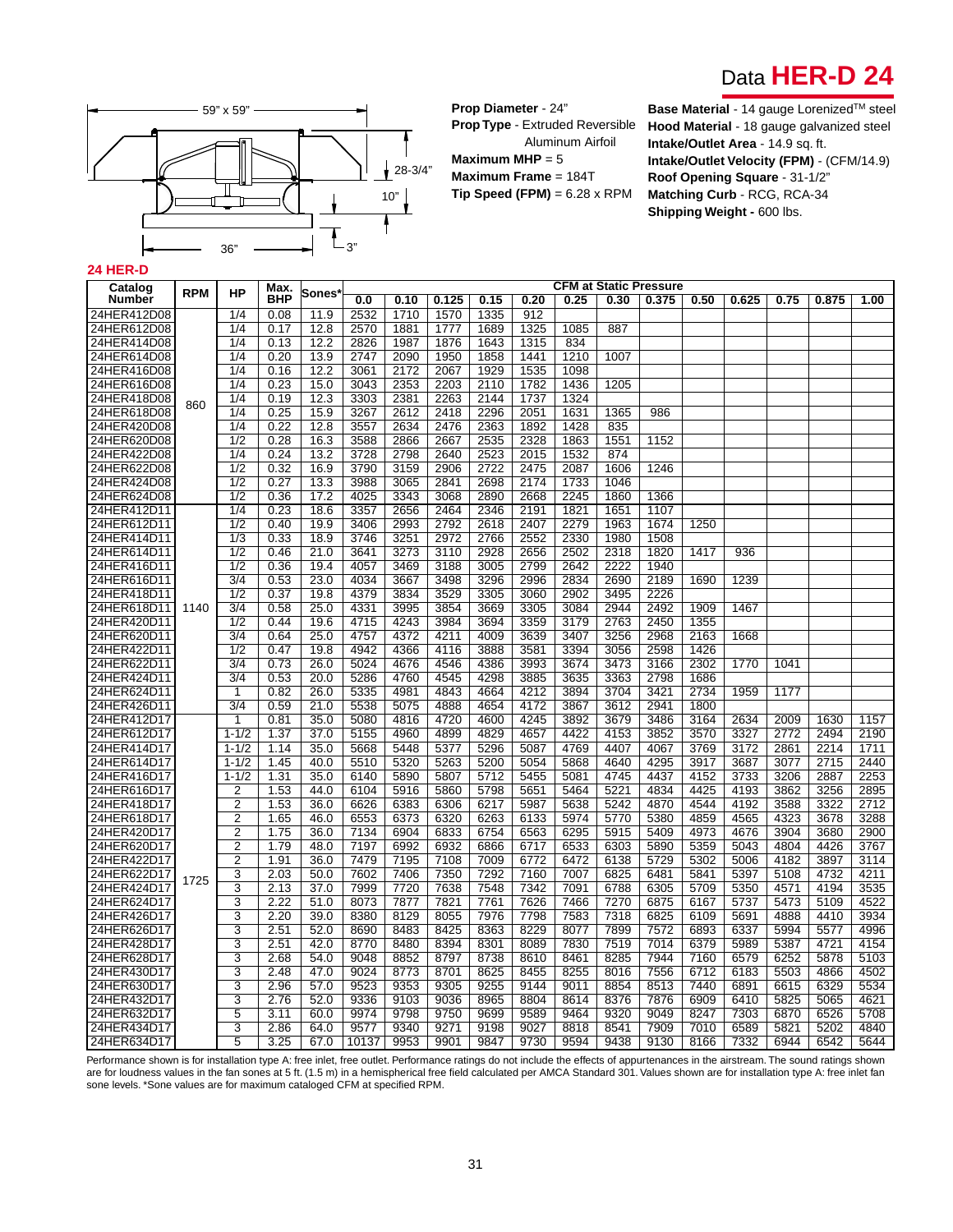



**Prop Diameter** - 24" **Prop Type** - Extruded Reversible Aluminum Airfoil **Maximum MHP** = 5 **Maximum Frame** = 184T **Tip Speed (FPM)** = 6.28 x RPM

**Base Material** - 14 gauge Lorenized™ steel **Hood Material** - 18 gauge galvanized steel **Intake/Outlet Area** - 14.9 sq. ft. **Intake/Outlet Velocity (FPM)** - (CFM/14.9) **Roof Opening Square** - 31-1/2" **Matching Curb** - RCG, RCA-34 **Shipping Weight - 600 lbs.** 

#### **24 HER-D**

| <b>BHP</b><br>Number<br>0.125<br>0.15<br>0.20<br>0.25<br>0.30<br>0.375<br>0.50<br>0.625<br>0.75<br>0.875<br>1.00<br>0.0<br>0.10<br>24HER412D08<br>1/4<br>0.08<br>2532<br>1570<br>11.9<br>1710<br>1335<br>912<br>1085<br>887<br>24HER612D08<br>1/4<br>0.17<br>12.8<br>2570<br>1881<br>1777<br>1689<br>1325<br>24HER414D08<br>1/4<br>0.13<br>12.2<br>2826<br>1987<br>1876<br>1643<br>1315<br>834<br>24HER614D08<br>1/4<br>0.20<br>13.9<br>2747<br>2090<br>1950<br>1858<br>1441<br>1210<br>1007<br>1/4<br>12.2<br>2172<br>1929<br>1535<br>24HER416D08<br>0.16<br>3061<br>2067<br>1098<br>1/4<br>0.23<br>2353<br>2203<br>1436<br>1205<br>24HER616D08<br>15.0<br>3043<br>2110<br>1782<br>24HER418D08<br>1/4<br>0.19<br>12.3<br>3303<br>2381<br>2263<br>2144<br>1737<br>1324<br>860<br>24HER618D08<br>1/4<br>0.25<br>15.9<br>3267<br>2612<br>2418<br>2296<br>2051<br>1631<br>1365<br>986<br>24HER420D08<br>1/4<br>0.22<br>12.8<br>3557<br>2634<br>2476<br>2363<br>1892<br>1428<br>835<br>24HER620D08<br>1/2<br>0.28<br>16.3<br>3588<br>2866<br>2667<br>2535<br>2328<br>1863<br>1551<br>1152<br>2798<br>2523<br>2015<br>1532<br>24HER422D08<br>1/4<br>0.24<br>13.2<br>3728<br>2640<br>874<br>24HER622D08<br>1/2<br>0.32<br>16.9<br>3790<br>3159<br>2906<br>2722<br>2475<br>2087<br>1606<br>1246<br>1/2<br>0.27<br>3988<br>2841<br>2174<br>1733<br>1046<br>24HER424D08<br>13.3<br>3065<br>2698<br>$\overline{1/2}$<br>0.36<br>17.2<br>3343<br>3068<br>2890<br>2668<br>2245<br>1860<br>24HER624D08<br>4025<br>1366<br>1/4<br>0.23<br>3357<br>2464<br>2191<br>1821<br>1651<br>1107<br>24HER412D11<br>18.6<br>2656<br>2346<br>24HER612D11<br>1/2<br>0.40<br>19.9<br>3406<br>2993<br>2792<br>2618<br>2407<br>2279<br>1963<br>1674<br>1250<br>$\overline{1/3}$<br>0.33<br>18.9<br>3746<br>3251<br>2972<br>2766<br>2552<br>2330<br>1980<br>1508<br>24HER414D11<br>1/2<br>0.46<br>21.0<br>3273<br>3110<br>2928<br>2656<br>2502<br>2318<br>1820<br>24HER614D11<br>3641<br>1417<br>936<br>$\overline{1/2}$<br>2799<br>2222<br>24HER416D11<br>0.36<br>19.4<br>4057<br>3469<br>3188<br>3005<br>2642<br>1940<br>$\overline{3/4}$<br>2996<br>2189<br>24HER616D11<br>0.53<br>23.0<br>4034<br>3667<br>3498<br>3296<br>2834<br>2690<br>1690<br>1239 | Catalog     | <b>RPM</b> | HP  | Max. |       |      |      |      |      |      | <b>CFM at Static Pressure</b> |      |      |  |  |  |
|-----------------------------------------------------------------------------------------------------------------------------------------------------------------------------------------------------------------------------------------------------------------------------------------------------------------------------------------------------------------------------------------------------------------------------------------------------------------------------------------------------------------------------------------------------------------------------------------------------------------------------------------------------------------------------------------------------------------------------------------------------------------------------------------------------------------------------------------------------------------------------------------------------------------------------------------------------------------------------------------------------------------------------------------------------------------------------------------------------------------------------------------------------------------------------------------------------------------------------------------------------------------------------------------------------------------------------------------------------------------------------------------------------------------------------------------------------------------------------------------------------------------------------------------------------------------------------------------------------------------------------------------------------------------------------------------------------------------------------------------------------------------------------------------------------------------------------------------------------------------------------------------------------------------------------------------------------------------------------------------------------------------------------------------------------------------------------------------------------------------------------------------------------------------------------------------------------------------------------|-------------|------------|-----|------|-------|------|------|------|------|------|-------------------------------|------|------|--|--|--|
|                                                                                                                                                                                                                                                                                                                                                                                                                                                                                                                                                                                                                                                                                                                                                                                                                                                                                                                                                                                                                                                                                                                                                                                                                                                                                                                                                                                                                                                                                                                                                                                                                                                                                                                                                                                                                                                                                                                                                                                                                                                                                                                                                                                                                             |             |            |     |      | Sones |      |      |      |      |      |                               |      |      |  |  |  |
|                                                                                                                                                                                                                                                                                                                                                                                                                                                                                                                                                                                                                                                                                                                                                                                                                                                                                                                                                                                                                                                                                                                                                                                                                                                                                                                                                                                                                                                                                                                                                                                                                                                                                                                                                                                                                                                                                                                                                                                                                                                                                                                                                                                                                             |             |            |     |      |       |      |      |      |      |      |                               |      |      |  |  |  |
|                                                                                                                                                                                                                                                                                                                                                                                                                                                                                                                                                                                                                                                                                                                                                                                                                                                                                                                                                                                                                                                                                                                                                                                                                                                                                                                                                                                                                                                                                                                                                                                                                                                                                                                                                                                                                                                                                                                                                                                                                                                                                                                                                                                                                             |             |            |     |      |       |      |      |      |      |      |                               |      |      |  |  |  |
|                                                                                                                                                                                                                                                                                                                                                                                                                                                                                                                                                                                                                                                                                                                                                                                                                                                                                                                                                                                                                                                                                                                                                                                                                                                                                                                                                                                                                                                                                                                                                                                                                                                                                                                                                                                                                                                                                                                                                                                                                                                                                                                                                                                                                             |             |            |     |      |       |      |      |      |      |      |                               |      |      |  |  |  |
|                                                                                                                                                                                                                                                                                                                                                                                                                                                                                                                                                                                                                                                                                                                                                                                                                                                                                                                                                                                                                                                                                                                                                                                                                                                                                                                                                                                                                                                                                                                                                                                                                                                                                                                                                                                                                                                                                                                                                                                                                                                                                                                                                                                                                             |             |            |     |      |       |      |      |      |      |      |                               |      |      |  |  |  |
|                                                                                                                                                                                                                                                                                                                                                                                                                                                                                                                                                                                                                                                                                                                                                                                                                                                                                                                                                                                                                                                                                                                                                                                                                                                                                                                                                                                                                                                                                                                                                                                                                                                                                                                                                                                                                                                                                                                                                                                                                                                                                                                                                                                                                             |             |            |     |      |       |      |      |      |      |      |                               |      |      |  |  |  |
|                                                                                                                                                                                                                                                                                                                                                                                                                                                                                                                                                                                                                                                                                                                                                                                                                                                                                                                                                                                                                                                                                                                                                                                                                                                                                                                                                                                                                                                                                                                                                                                                                                                                                                                                                                                                                                                                                                                                                                                                                                                                                                                                                                                                                             |             |            |     |      |       |      |      |      |      |      |                               |      |      |  |  |  |
|                                                                                                                                                                                                                                                                                                                                                                                                                                                                                                                                                                                                                                                                                                                                                                                                                                                                                                                                                                                                                                                                                                                                                                                                                                                                                                                                                                                                                                                                                                                                                                                                                                                                                                                                                                                                                                                                                                                                                                                                                                                                                                                                                                                                                             |             |            |     |      |       |      |      |      |      |      |                               |      |      |  |  |  |
|                                                                                                                                                                                                                                                                                                                                                                                                                                                                                                                                                                                                                                                                                                                                                                                                                                                                                                                                                                                                                                                                                                                                                                                                                                                                                                                                                                                                                                                                                                                                                                                                                                                                                                                                                                                                                                                                                                                                                                                                                                                                                                                                                                                                                             |             |            |     |      |       |      |      |      |      |      |                               |      |      |  |  |  |
|                                                                                                                                                                                                                                                                                                                                                                                                                                                                                                                                                                                                                                                                                                                                                                                                                                                                                                                                                                                                                                                                                                                                                                                                                                                                                                                                                                                                                                                                                                                                                                                                                                                                                                                                                                                                                                                                                                                                                                                                                                                                                                                                                                                                                             |             |            |     |      |       |      |      |      |      |      |                               |      |      |  |  |  |
|                                                                                                                                                                                                                                                                                                                                                                                                                                                                                                                                                                                                                                                                                                                                                                                                                                                                                                                                                                                                                                                                                                                                                                                                                                                                                                                                                                                                                                                                                                                                                                                                                                                                                                                                                                                                                                                                                                                                                                                                                                                                                                                                                                                                                             |             |            |     |      |       |      |      |      |      |      |                               |      |      |  |  |  |
|                                                                                                                                                                                                                                                                                                                                                                                                                                                                                                                                                                                                                                                                                                                                                                                                                                                                                                                                                                                                                                                                                                                                                                                                                                                                                                                                                                                                                                                                                                                                                                                                                                                                                                                                                                                                                                                                                                                                                                                                                                                                                                                                                                                                                             |             |            |     |      |       |      |      |      |      |      |                               |      |      |  |  |  |
|                                                                                                                                                                                                                                                                                                                                                                                                                                                                                                                                                                                                                                                                                                                                                                                                                                                                                                                                                                                                                                                                                                                                                                                                                                                                                                                                                                                                                                                                                                                                                                                                                                                                                                                                                                                                                                                                                                                                                                                                                                                                                                                                                                                                                             |             |            |     |      |       |      |      |      |      |      |                               |      |      |  |  |  |
|                                                                                                                                                                                                                                                                                                                                                                                                                                                                                                                                                                                                                                                                                                                                                                                                                                                                                                                                                                                                                                                                                                                                                                                                                                                                                                                                                                                                                                                                                                                                                                                                                                                                                                                                                                                                                                                                                                                                                                                                                                                                                                                                                                                                                             |             |            |     |      |       |      |      |      |      |      |                               |      |      |  |  |  |
|                                                                                                                                                                                                                                                                                                                                                                                                                                                                                                                                                                                                                                                                                                                                                                                                                                                                                                                                                                                                                                                                                                                                                                                                                                                                                                                                                                                                                                                                                                                                                                                                                                                                                                                                                                                                                                                                                                                                                                                                                                                                                                                                                                                                                             |             |            |     |      |       |      |      |      |      |      |                               |      |      |  |  |  |
|                                                                                                                                                                                                                                                                                                                                                                                                                                                                                                                                                                                                                                                                                                                                                                                                                                                                                                                                                                                                                                                                                                                                                                                                                                                                                                                                                                                                                                                                                                                                                                                                                                                                                                                                                                                                                                                                                                                                                                                                                                                                                                                                                                                                                             |             |            |     |      |       |      |      |      |      |      |                               |      |      |  |  |  |
|                                                                                                                                                                                                                                                                                                                                                                                                                                                                                                                                                                                                                                                                                                                                                                                                                                                                                                                                                                                                                                                                                                                                                                                                                                                                                                                                                                                                                                                                                                                                                                                                                                                                                                                                                                                                                                                                                                                                                                                                                                                                                                                                                                                                                             |             |            |     |      |       |      |      |      |      |      |                               |      |      |  |  |  |
|                                                                                                                                                                                                                                                                                                                                                                                                                                                                                                                                                                                                                                                                                                                                                                                                                                                                                                                                                                                                                                                                                                                                                                                                                                                                                                                                                                                                                                                                                                                                                                                                                                                                                                                                                                                                                                                                                                                                                                                                                                                                                                                                                                                                                             |             |            |     |      |       |      |      |      |      |      |                               |      |      |  |  |  |
|                                                                                                                                                                                                                                                                                                                                                                                                                                                                                                                                                                                                                                                                                                                                                                                                                                                                                                                                                                                                                                                                                                                                                                                                                                                                                                                                                                                                                                                                                                                                                                                                                                                                                                                                                                                                                                                                                                                                                                                                                                                                                                                                                                                                                             |             |            |     |      |       |      |      |      |      |      |                               |      |      |  |  |  |
|                                                                                                                                                                                                                                                                                                                                                                                                                                                                                                                                                                                                                                                                                                                                                                                                                                                                                                                                                                                                                                                                                                                                                                                                                                                                                                                                                                                                                                                                                                                                                                                                                                                                                                                                                                                                                                                                                                                                                                                                                                                                                                                                                                                                                             |             |            |     |      |       |      |      |      |      |      |                               |      |      |  |  |  |
|                                                                                                                                                                                                                                                                                                                                                                                                                                                                                                                                                                                                                                                                                                                                                                                                                                                                                                                                                                                                                                                                                                                                                                                                                                                                                                                                                                                                                                                                                                                                                                                                                                                                                                                                                                                                                                                                                                                                                                                                                                                                                                                                                                                                                             |             |            |     |      |       |      |      |      |      |      |                               |      |      |  |  |  |
|                                                                                                                                                                                                                                                                                                                                                                                                                                                                                                                                                                                                                                                                                                                                                                                                                                                                                                                                                                                                                                                                                                                                                                                                                                                                                                                                                                                                                                                                                                                                                                                                                                                                                                                                                                                                                                                                                                                                                                                                                                                                                                                                                                                                                             | 24HER418D11 |            | 1/2 | 0.37 | 19.8  | 4379 | 3834 | 3529 | 3305 | 3060 | 2902                          | 3495 | 2226 |  |  |  |
| 3305<br>3084<br>2944<br>2492<br>1467<br>24HER618D11<br>3/4<br>0.58<br>25.0<br>4331<br>3995<br>3854<br>3669<br>1909<br>1140                                                                                                                                                                                                                                                                                                                                                                                                                                                                                                                                                                                                                                                                                                                                                                                                                                                                                                                                                                                                                                                                                                                                                                                                                                                                                                                                                                                                                                                                                                                                                                                                                                                                                                                                                                                                                                                                                                                                                                                                                                                                                                  |             |            |     |      |       |      |      |      |      |      |                               |      |      |  |  |  |
| 4715<br>4243<br>3359<br>3179<br>2763<br>2450<br>24HER420D11<br>1/2<br>0.44<br>19.6<br>3984<br>3694<br>1355                                                                                                                                                                                                                                                                                                                                                                                                                                                                                                                                                                                                                                                                                                                                                                                                                                                                                                                                                                                                                                                                                                                                                                                                                                                                                                                                                                                                                                                                                                                                                                                                                                                                                                                                                                                                                                                                                                                                                                                                                                                                                                                  |             |            |     |      |       |      |      |      |      |      |                               |      |      |  |  |  |
| $\frac{3}{4}$<br>24HER620D11<br>0.64<br>25.0<br>4757<br>4372<br>4211<br>4009<br>3639<br>3407<br>3256<br>2968<br>2163<br>1668                                                                                                                                                                                                                                                                                                                                                                                                                                                                                                                                                                                                                                                                                                                                                                                                                                                                                                                                                                                                                                                                                                                                                                                                                                                                                                                                                                                                                                                                                                                                                                                                                                                                                                                                                                                                                                                                                                                                                                                                                                                                                                |             |            |     |      |       |      |      |      |      |      |                               |      |      |  |  |  |
| 24HER422D11<br>1/2<br>0.47<br>19.8<br>4942<br>4366<br>4116<br>3888<br>3581<br>3394<br>3056<br>2598<br>1426                                                                                                                                                                                                                                                                                                                                                                                                                                                                                                                                                                                                                                                                                                                                                                                                                                                                                                                                                                                                                                                                                                                                                                                                                                                                                                                                                                                                                                                                                                                                                                                                                                                                                                                                                                                                                                                                                                                                                                                                                                                                                                                  |             |            |     |      |       |      |      |      |      |      |                               |      |      |  |  |  |
| 24HER622D11<br>3/4<br>0.73<br>26.0<br>5024<br>4676<br>4546<br>4386<br>3993<br>3674<br>3473<br>3166<br>2302<br>1770<br>1041                                                                                                                                                                                                                                                                                                                                                                                                                                                                                                                                                                                                                                                                                                                                                                                                                                                                                                                                                                                                                                                                                                                                                                                                                                                                                                                                                                                                                                                                                                                                                                                                                                                                                                                                                                                                                                                                                                                                                                                                                                                                                                  |             |            |     |      |       |      |      |      |      |      |                               |      |      |  |  |  |
| 3/4<br>4545<br>4298<br>3885<br>3635<br>3363<br>2798<br>1686<br>24HER424D11<br>0.53<br>20.0<br>5286<br>4760                                                                                                                                                                                                                                                                                                                                                                                                                                                                                                                                                                                                                                                                                                                                                                                                                                                                                                                                                                                                                                                                                                                                                                                                                                                                                                                                                                                                                                                                                                                                                                                                                                                                                                                                                                                                                                                                                                                                                                                                                                                                                                                  |             |            |     |      |       |      |      |      |      |      |                               |      |      |  |  |  |
| 4212<br>3421<br>2734<br>24HER624D11<br>0.82<br>26.0<br>5335<br>4981<br>4843<br>4664<br>3894<br>3704<br>1959<br>1177<br>1                                                                                                                                                                                                                                                                                                                                                                                                                                                                                                                                                                                                                                                                                                                                                                                                                                                                                                                                                                                                                                                                                                                                                                                                                                                                                                                                                                                                                                                                                                                                                                                                                                                                                                                                                                                                                                                                                                                                                                                                                                                                                                    |             |            |     |      |       |      |      |      |      |      |                               |      |      |  |  |  |
| 3/4<br>4888<br>4654<br>4172<br>2941<br>1800<br>24HER426D11<br>0.59<br>21.0<br>5538<br>5075<br>3867<br>3612                                                                                                                                                                                                                                                                                                                                                                                                                                                                                                                                                                                                                                                                                                                                                                                                                                                                                                                                                                                                                                                                                                                                                                                                                                                                                                                                                                                                                                                                                                                                                                                                                                                                                                                                                                                                                                                                                                                                                                                                                                                                                                                  |             |            |     |      |       |      |      |      |      |      |                               |      |      |  |  |  |
| 0.81<br>4816<br>4720<br>4600<br>4245<br>3892<br>3679<br>3486<br>3164<br>2634<br>1630<br>1157<br>24HER412D17<br>1<br>35.0<br>5080<br>2009                                                                                                                                                                                                                                                                                                                                                                                                                                                                                                                                                                                                                                                                                                                                                                                                                                                                                                                                                                                                                                                                                                                                                                                                                                                                                                                                                                                                                                                                                                                                                                                                                                                                                                                                                                                                                                                                                                                                                                                                                                                                                    |             |            |     |      |       |      |      |      |      |      |                               |      |      |  |  |  |
| 4960<br>4899<br>4829<br>4657<br>4422<br>3852<br>3570<br>3327<br>2772<br>2190<br>24HER612D17<br>$1 - 1/2$<br>1.37<br>37.0<br>5155<br>4153<br>2494                                                                                                                                                                                                                                                                                                                                                                                                                                                                                                                                                                                                                                                                                                                                                                                                                                                                                                                                                                                                                                                                                                                                                                                                                                                                                                                                                                                                                                                                                                                                                                                                                                                                                                                                                                                                                                                                                                                                                                                                                                                                            |             |            |     |      |       |      |      |      |      |      |                               |      |      |  |  |  |
| 5448<br>5296<br>4769<br>4407<br>4067<br>3769<br>3172<br>2214<br>24HER414D17<br>$1 - 1/2$<br>1.14<br>35.0<br>5668<br>5377<br>5087<br>2861<br>1711                                                                                                                                                                                                                                                                                                                                                                                                                                                                                                                                                                                                                                                                                                                                                                                                                                                                                                                                                                                                                                                                                                                                                                                                                                                                                                                                                                                                                                                                                                                                                                                                                                                                                                                                                                                                                                                                                                                                                                                                                                                                            |             |            |     |      |       |      |      |      |      |      |                               |      |      |  |  |  |
| 24HER614D17<br>$1 - 1/2$<br>1.45<br>40.0<br>5510<br>5320<br>5263<br>5200<br>5054<br>5868<br>4640<br>4295<br>3917<br>3687<br>3077<br>2715<br>2440                                                                                                                                                                                                                                                                                                                                                                                                                                                                                                                                                                                                                                                                                                                                                                                                                                                                                                                                                                                                                                                                                                                                                                                                                                                                                                                                                                                                                                                                                                                                                                                                                                                                                                                                                                                                                                                                                                                                                                                                                                                                            |             |            |     |      |       |      |      |      |      |      |                               |      |      |  |  |  |
| 5455<br>4745<br>4437<br>4152<br>3733<br>2887<br>2253<br>24HER416D17<br>$1 - 1/2$<br>1.31<br>35.0<br>6140<br>5890<br>5807<br>5712<br>5081<br>3206<br>5798<br>5464<br>5221<br>4834<br>4425<br>3256<br>2895                                                                                                                                                                                                                                                                                                                                                                                                                                                                                                                                                                                                                                                                                                                                                                                                                                                                                                                                                                                                                                                                                                                                                                                                                                                                                                                                                                                                                                                                                                                                                                                                                                                                                                                                                                                                                                                                                                                                                                                                                    |             |            |     |      |       |      |      |      |      |      |                               |      |      |  |  |  |
| 4193<br>24HER616D17<br>2<br>1.53<br>44.0<br>6104<br>5916<br>5860<br>5651<br>3862<br>$\overline{2}$<br>4192<br>3588<br>2712<br>24HER418D17<br>1.53<br>36.0<br>6626<br>6383<br>6306<br>6217<br>5987<br>5638<br>5242<br>4870<br>4544<br>3322                                                                                                                                                                                                                                                                                                                                                                                                                                                                                                                                                                                                                                                                                                                                                                                                                                                                                                                                                                                                                                                                                                                                                                                                                                                                                                                                                                                                                                                                                                                                                                                                                                                                                                                                                                                                                                                                                                                                                                                   |             |            |     |      |       |      |      |      |      |      |                               |      |      |  |  |  |
| $\overline{2}$<br>24HER618D17<br>1.65<br>46.0<br>6553<br>6373<br>6320<br>6263<br>6133<br>5974<br>5770<br>5380<br>4859<br>4565<br>4323<br>3678<br>3288                                                                                                                                                                                                                                                                                                                                                                                                                                                                                                                                                                                                                                                                                                                                                                                                                                                                                                                                                                                                                                                                                                                                                                                                                                                                                                                                                                                                                                                                                                                                                                                                                                                                                                                                                                                                                                                                                                                                                                                                                                                                       |             |            |     |      |       |      |      |      |      |      |                               |      |      |  |  |  |
| 24HER420D17<br>$\overline{2}$<br>1.75<br>36.0<br>7134<br>6904<br>6833<br>6754<br>6563<br>6295<br>5915<br>5409<br>4973<br>4676<br>3904<br>3680<br>2900                                                                                                                                                                                                                                                                                                                                                                                                                                                                                                                                                                                                                                                                                                                                                                                                                                                                                                                                                                                                                                                                                                                                                                                                                                                                                                                                                                                                                                                                                                                                                                                                                                                                                                                                                                                                                                                                                                                                                                                                                                                                       |             |            |     |      |       |      |      |      |      |      |                               |      |      |  |  |  |
| $\overline{2}$<br>5043<br>1.79<br>48.0<br>7197<br>6992<br>6932<br>6866<br>6717<br>6533<br>6303<br>5890<br>5359<br>4804<br>4426<br>3767<br>24HER620D17                                                                                                                                                                                                                                                                                                                                                                                                                                                                                                                                                                                                                                                                                                                                                                                                                                                                                                                                                                                                                                                                                                                                                                                                                                                                                                                                                                                                                                                                                                                                                                                                                                                                                                                                                                                                                                                                                                                                                                                                                                                                       |             |            |     |      |       |      |      |      |      |      |                               |      |      |  |  |  |
| $\overline{2}$<br>5729<br>3897<br>24HER422D17<br>1.91<br>36.0<br>7479<br>7195<br>7108<br>7009<br>6772<br>6472<br>6138<br>5302<br>5006<br>4182<br>3114                                                                                                                                                                                                                                                                                                                                                                                                                                                                                                                                                                                                                                                                                                                                                                                                                                                                                                                                                                                                                                                                                                                                                                                                                                                                                                                                                                                                                                                                                                                                                                                                                                                                                                                                                                                                                                                                                                                                                                                                                                                                       |             |            |     |      |       |      |      |      |      |      |                               |      |      |  |  |  |
| 24HER622D17<br>3<br>2.03<br>50.0<br>7602<br>7406<br>7350<br>7292<br>7160<br>6825<br>6481<br>5841<br>5397<br>5108<br>4732<br>4211<br>7007                                                                                                                                                                                                                                                                                                                                                                                                                                                                                                                                                                                                                                                                                                                                                                                                                                                                                                                                                                                                                                                                                                                                                                                                                                                                                                                                                                                                                                                                                                                                                                                                                                                                                                                                                                                                                                                                                                                                                                                                                                                                                    |             |            |     |      |       |      |      |      |      |      |                               |      |      |  |  |  |
| 1725<br>24HER424D17<br>3<br>2.13<br>37.0<br>7999<br>7720<br>7638<br>7548<br>7342<br>7091<br>6788<br>6305<br>5709<br>5350<br>4571<br>4194<br>3535                                                                                                                                                                                                                                                                                                                                                                                                                                                                                                                                                                                                                                                                                                                                                                                                                                                                                                                                                                                                                                                                                                                                                                                                                                                                                                                                                                                                                                                                                                                                                                                                                                                                                                                                                                                                                                                                                                                                                                                                                                                                            |             |            |     |      |       |      |      |      |      |      |                               |      |      |  |  |  |
| 3<br>2.22<br>8073<br>7877<br>7821<br>7761<br>7626<br>7466<br>7270<br>6875<br>6167<br>5737<br>5473<br>5109<br>4522<br>24HER624D17<br>51.0                                                                                                                                                                                                                                                                                                                                                                                                                                                                                                                                                                                                                                                                                                                                                                                                                                                                                                                                                                                                                                                                                                                                                                                                                                                                                                                                                                                                                                                                                                                                                                                                                                                                                                                                                                                                                                                                                                                                                                                                                                                                                    |             |            |     |      |       |      |      |      |      |      |                               |      |      |  |  |  |
| $\overline{3}$<br>8055<br>7583<br>7318<br>4888<br>3934<br>24HER426D17<br>2.20<br>39.0<br>8380<br>8129<br>7976<br>7798<br>6825<br>6109<br>5691<br>4410                                                                                                                                                                                                                                                                                                                                                                                                                                                                                                                                                                                                                                                                                                                                                                                                                                                                                                                                                                                                                                                                                                                                                                                                                                                                                                                                                                                                                                                                                                                                                                                                                                                                                                                                                                                                                                                                                                                                                                                                                                                                       |             |            |     |      |       |      |      |      |      |      |                               |      |      |  |  |  |
| 3<br>2.51<br>8483<br>8425<br>8363<br>8229<br>8077<br>7899<br>7572<br>6337<br>5994<br>4996<br>24HER626D17<br>52.0<br>8690<br>6893<br>5577                                                                                                                                                                                                                                                                                                                                                                                                                                                                                                                                                                                                                                                                                                                                                                                                                                                                                                                                                                                                                                                                                                                                                                                                                                                                                                                                                                                                                                                                                                                                                                                                                                                                                                                                                                                                                                                                                                                                                                                                                                                                                    |             |            |     |      |       |      |      |      |      |      |                               |      |      |  |  |  |
| 8480<br>8301<br>7830<br>5989<br>4721<br>24HER428D17<br>3<br>2.51<br>42.0<br>8770<br>8394<br>8089<br>7519<br>7014<br>6379<br>5387<br>4154                                                                                                                                                                                                                                                                                                                                                                                                                                                                                                                                                                                                                                                                                                                                                                                                                                                                                                                                                                                                                                                                                                                                                                                                                                                                                                                                                                                                                                                                                                                                                                                                                                                                                                                                                                                                                                                                                                                                                                                                                                                                                    |             |            |     |      |       |      |      |      |      |      |                               |      |      |  |  |  |
| 3<br>24HER628D17<br>2.68<br>54.0<br>9048<br>8852<br>8797<br>8738<br>8610<br>8461<br>8285<br>7944<br>7160<br>6579<br>6252<br>5878<br>5103                                                                                                                                                                                                                                                                                                                                                                                                                                                                                                                                                                                                                                                                                                                                                                                                                                                                                                                                                                                                                                                                                                                                                                                                                                                                                                                                                                                                                                                                                                                                                                                                                                                                                                                                                                                                                                                                                                                                                                                                                                                                                    |             |            |     |      |       |      |      |      |      |      |                               |      |      |  |  |  |
| 24HER430D17<br>3<br>2.48<br>47.0<br>9024<br>8773<br>8701<br>8625<br>8455<br>8255<br>8016<br>7556<br>6712<br>6183<br>5503<br>4866<br>4502                                                                                                                                                                                                                                                                                                                                                                                                                                                                                                                                                                                                                                                                                                                                                                                                                                                                                                                                                                                                                                                                                                                                                                                                                                                                                                                                                                                                                                                                                                                                                                                                                                                                                                                                                                                                                                                                                                                                                                                                                                                                                    |             |            |     |      |       |      |      |      |      |      |                               |      |      |  |  |  |
| 3<br>57.0<br>9523<br>9353<br>9255<br>9144<br>8854<br>8513<br>7440<br>6891<br>6615<br>6329<br>5534<br>24HER630D17<br>2.96<br>9305<br>9011                                                                                                                                                                                                                                                                                                                                                                                                                                                                                                                                                                                                                                                                                                                                                                                                                                                                                                                                                                                                                                                                                                                                                                                                                                                                                                                                                                                                                                                                                                                                                                                                                                                                                                                                                                                                                                                                                                                                                                                                                                                                                    |             |            |     |      |       |      |      |      |      |      |                               |      |      |  |  |  |
| 3<br>8614<br>5825<br>24HER432D17<br>2.76<br>52.0<br>9336<br>9103<br>9036<br>8965<br>8804<br>8376<br>7876<br>6909<br>6410<br>5065<br>4621                                                                                                                                                                                                                                                                                                                                                                                                                                                                                                                                                                                                                                                                                                                                                                                                                                                                                                                                                                                                                                                                                                                                                                                                                                                                                                                                                                                                                                                                                                                                                                                                                                                                                                                                                                                                                                                                                                                                                                                                                                                                                    |             |            |     |      |       |      |      |      |      |      |                               |      |      |  |  |  |
| 24HER632D17<br>5<br>3.11<br>60.0<br>9974<br>9798<br>9750<br>9699<br>9589<br>9464<br>9320<br>9049<br>8247<br>7303<br>6870<br>6526<br>5708                                                                                                                                                                                                                                                                                                                                                                                                                                                                                                                                                                                                                                                                                                                                                                                                                                                                                                                                                                                                                                                                                                                                                                                                                                                                                                                                                                                                                                                                                                                                                                                                                                                                                                                                                                                                                                                                                                                                                                                                                                                                                    |             |            |     |      |       |      |      |      |      |      |                               |      |      |  |  |  |
| 24HER434D17<br>3<br>2.86<br>64.0<br>9577<br>9340<br>9271<br>9198<br>9027<br>8818<br>8541<br>7909<br>7010<br>6589<br>5821<br>5202<br>4840                                                                                                                                                                                                                                                                                                                                                                                                                                                                                                                                                                                                                                                                                                                                                                                                                                                                                                                                                                                                                                                                                                                                                                                                                                                                                                                                                                                                                                                                                                                                                                                                                                                                                                                                                                                                                                                                                                                                                                                                                                                                                    |             |            |     |      |       |      |      |      |      |      |                               |      |      |  |  |  |
| 9953<br>9901<br>9847<br>9730<br>9594<br>9438<br>9130<br>8166<br>7332<br>6944<br>6542<br>24HER634D17<br>5<br>3.25<br>67.0<br>10137<br>5644                                                                                                                                                                                                                                                                                                                                                                                                                                                                                                                                                                                                                                                                                                                                                                                                                                                                                                                                                                                                                                                                                                                                                                                                                                                                                                                                                                                                                                                                                                                                                                                                                                                                                                                                                                                                                                                                                                                                                                                                                                                                                   |             |            |     |      |       |      |      |      |      |      |                               |      |      |  |  |  |

Performance shown is for installation type A: free inlet, free outlet. Performance ratings do not include the effects of appurtenances in the airstream. The sound ratings shown are for loudness values in the fan sones at 5 ft. (1.5 m) in a hemispherical free field calculated per AMCA Standard 301. Values shown are for installation type A: free inlet fan<br>sone levels. \*Sone values are for maximum c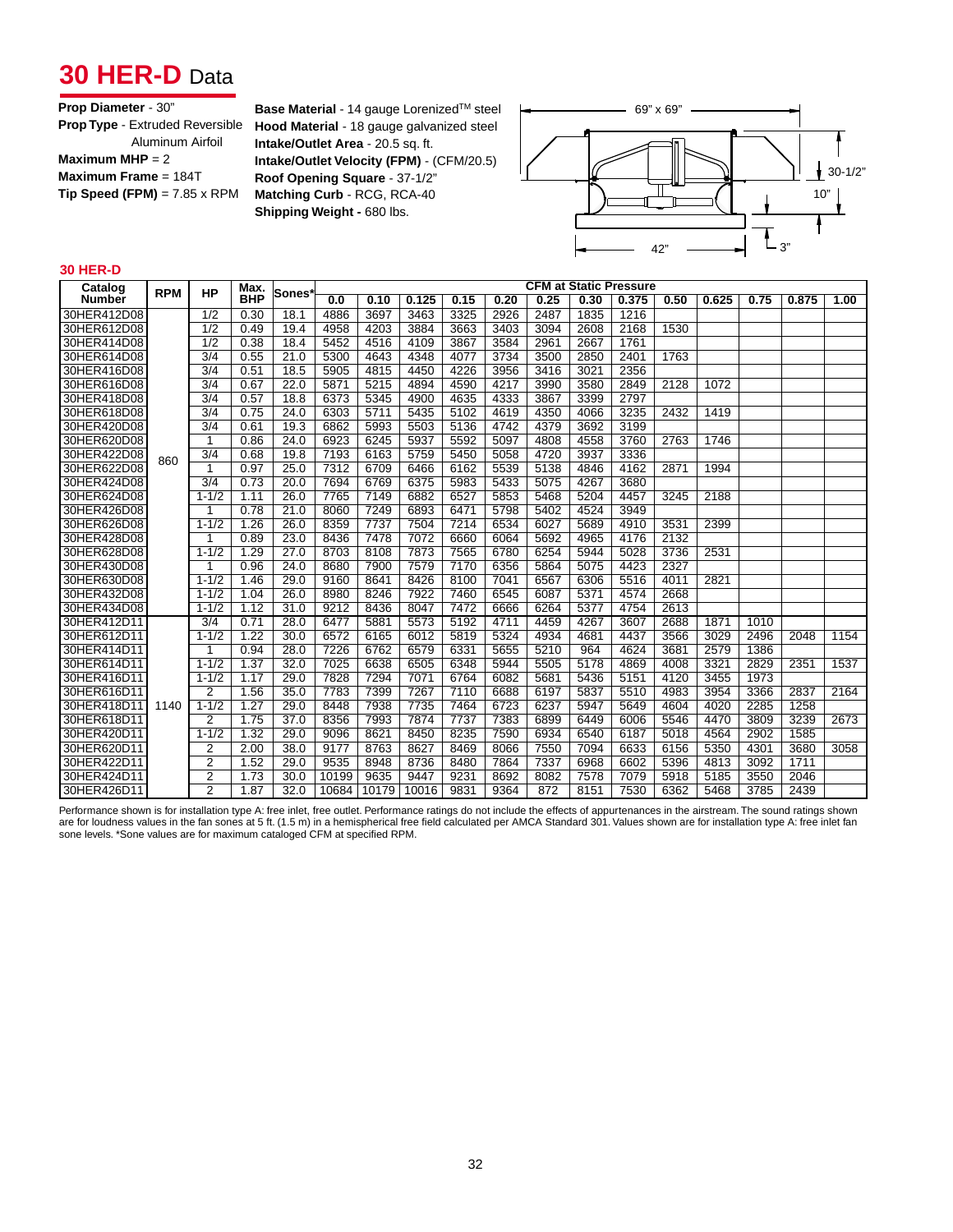## **30 HER-D** Data

#### **Prop Diameter** - 30" **Prop Type** - Extruded Reversible

| .                                   |
|-------------------------------------|
| Aluminum Airfoil                    |
| Maximum MHP = $2$                   |
| Maximum Frame = $184T$              |
| $Tip Speed (FPM) = 7.85 \times RPM$ |
|                                     |

**Base Material** - 14 gauge Lorenized<sup>™</sup> steel  $\leftarrow$  69" x 69" **Hood Material** - 18 gauge galvanized steel **Intake/Outlet Area** - 20.5 sq. ft. **Intake/Outlet Velocity (FPM)** - (CFM/20.5) **Roof Opening Square** - 37-1/2" **Matching Curb** - RCG, RCA-40 **Shipping Weight - 680 lbs.** 



### **30 HER-D**

| Catalog       | <b>RPM</b> | <b>HP</b>        | Max.       | <b>Sones</b> |       |       |       |      |      |      |      | <b>CFM at Static Pressure</b> |      |       |      |       |      |
|---------------|------------|------------------|------------|--------------|-------|-------|-------|------|------|------|------|-------------------------------|------|-------|------|-------|------|
| <b>Number</b> |            |                  | <b>BHP</b> |              | 0.0   | 0.10  | 0.125 | 0.15 | 0.20 | 0.25 | 0.30 | 0.375                         | 0.50 | 0.625 | 0.75 | 0.875 | 1.00 |
| 30HER412D08   |            | 1/2              | 0.30       | 18.1         | 4886  | 3697  | 3463  | 3325 | 2926 | 2487 | 1835 | 1216                          |      |       |      |       |      |
| 30HER612D08   |            | $\overline{1/2}$ | 0.49       | 19.4         | 4958  | 4203  | 3884  | 3663 | 3403 | 3094 | 2608 | 2168                          | 1530 |       |      |       |      |
| 30HER414D08   |            | $\overline{1/2}$ | 0.38       | 18.4         | 5452  | 4516  | 4109  | 3867 | 3584 | 2961 | 2667 | 1761                          |      |       |      |       |      |
| 30HER614D08   |            | $\overline{3/4}$ | 0.55       | 21.0         | 5300  | 4643  | 4348  | 4077 | 3734 | 3500 | 2850 | 2401                          | 1763 |       |      |       |      |
| 30HER416D08   |            | $\overline{3/4}$ | 0.51       | 18.5         | 5905  | 4815  | 4450  | 4226 | 3956 | 3416 | 3021 | 2356                          |      |       |      |       |      |
| 30HER616D08   |            | $\overline{3/4}$ | 0.67       | 22.0         | 5871  | 5215  | 4894  | 4590 | 4217 | 3990 | 3580 | 2849                          | 2128 | 1072  |      |       |      |
| 30HER418D08   |            | $\overline{3/4}$ | 0.57       | 18.8         | 6373  | 5345  | 4900  | 4635 | 4333 | 3867 | 3399 | 2797                          |      |       |      |       |      |
| 30HER618D08   |            | $\overline{3/4}$ | 0.75       | 24.0         | 6303  | 5711  | 5435  | 5102 | 4619 | 4350 | 4066 | 3235                          | 2432 | 1419  |      |       |      |
| 30HER420D08   |            | $\overline{3/4}$ | 0.61       | 19.3         | 6862  | 5993  | 5503  | 5136 | 4742 | 4379 | 3692 | 3199                          |      |       |      |       |      |
| 30HER620D08   |            |                  | 0.86       | 24.0         | 6923  | 6245  | 5937  | 5592 | 5097 | 4808 | 4558 | 3760                          | 2763 | 1746  |      |       |      |
| 30HER422D08   | 860        | 3/4              | 0.68       | 19.8         | 7193  | 6163  | 5759  | 5450 | 5058 | 4720 | 3937 | 3336                          |      |       |      |       |      |
| 30HER622D08   |            | 1                | 0.97       | 25.0         | 7312  | 6709  | 6466  | 6162 | 5539 | 5138 | 4846 | 4162                          | 2871 | 1994  |      |       |      |
| 30HER424D08   |            | $\overline{3/4}$ | 0.73       | 20.0         | 7694  | 6769  | 6375  | 5983 | 5433 | 5075 | 4267 | 3680                          |      |       |      |       |      |
| 30HER624D08   |            | $1 - 1/2$        | 1.11       | 26.0         | 7765  | 7149  | 6882  | 6527 | 5853 | 5468 | 5204 | 4457                          | 3245 | 2188  |      |       |      |
| 30HER426D08   |            |                  | 0.78       | 21.0         | 8060  | 7249  | 6893  | 6471 | 5798 | 5402 | 4524 | 3949                          |      |       |      |       |      |
| 30HER626D08   |            | $1 - 1/2$        | 1.26       | 26.0         | 8359  | 7737  | 7504  | 7214 | 6534 | 6027 | 5689 | 4910                          | 3531 | 2399  |      |       |      |
| 30HER428D08   |            |                  | 0.89       | 23.0         | 8436  | 7478  | 7072  | 6660 | 6064 | 5692 | 4965 | 4176                          | 2132 |       |      |       |      |
| 30HER628D08   |            | $1 - 1/2$        | 1.29       | 27.0         | 8703  | 8108  | 7873  | 7565 | 6780 | 6254 | 5944 | 5028                          | 3736 | 2531  |      |       |      |
| 30HER430D08   |            |                  | 0.96       | 24.0         | 8680  | 7900  | 7579  | 7170 | 6356 | 5864 | 5075 | 4423                          | 2327 |       |      |       |      |
| 30HER630D08   |            | $1 - 1/2$        | 1.46       | 29.0         | 9160  | 8641  | 8426  | 8100 | 7041 | 6567 | 6306 | 5516                          | 4011 | 2821  |      |       |      |
| 30HER432D08   |            | $1 - 1/2$        | 1.04       | 26.0         | 8980  | 8246  | 7922  | 7460 | 6545 | 6087 | 5371 | 4574                          | 2668 |       |      |       |      |
| 30HER434D08   |            | $1 - 1/2$        | 1.12       | 31.0         | 9212  | 8436  | 8047  | 7472 | 6666 | 6264 | 5377 | 4754                          | 2613 |       |      |       |      |
| 30HER412D11   |            | $\overline{3/4}$ | 0.71       | 28.0         | 6477  | 5881  | 5573  | 5192 | 4711 | 4459 | 4267 | 3607                          | 2688 | 1871  | 1010 |       |      |
| 30HER612D11   |            | $1 - 1/2$        | 1.22       | 30.0         | 6572  | 6165  | 6012  | 5819 | 5324 | 4934 | 4681 | 4437                          | 3566 | 3029  | 2496 | 2048  | 1154 |
| 30HER414D11   |            |                  | 0.94       | 28.0         | 7226  | 6762  | 6579  | 6331 | 5655 | 5210 | 964  | 4624                          | 3681 | 2579  | 1386 |       |      |
| 30HER614D11   |            | $1 - 1/2$        | 1.37       | 32.0         | 7025  | 6638  | 6505  | 6348 | 5944 | 5505 | 5178 | 4869                          | 4008 | 3321  | 2829 | 2351  | 1537 |
| 30HER416D11   |            | $1 - 1/2$        | 1.17       | 29.0         | 7828  | 7294  | 7071  | 6764 | 6082 | 5681 | 5436 | 5151                          | 4120 | 3455  | 1973 |       |      |
| 30HER616D11   |            | 2                | 1.56       | 35.0         | 7783  | 7399  | 7267  | 7110 | 6688 | 6197 | 5837 | 5510                          | 4983 | 3954  | 3366 | 2837  | 2164 |
| 30HER418D11   | 1140       | $1 - 1/2$        | 1.27       | 29.0         | 8448  | 7938  | 7735  | 7464 | 6723 | 6237 | 5947 | 5649                          | 4604 | 4020  | 2285 | 1258  |      |
| 30HER618D11   |            | 2                | 1.75       | 37.0         | 8356  | 7993  | 7874  | 7737 | 7383 | 6899 | 6449 | 6006                          | 5546 | 4470  | 3809 | 3239  | 2673 |
| 30HER420D11   |            | $1 - 1/2$        | 1.32       | 29.0         | 9096  | 8621  | 8450  | 8235 | 7590 | 6934 | 6540 | 6187                          | 5018 | 4564  | 2902 | 1585  |      |
| 30HER620D11   |            | 2                | 2.00       | 38.0         | 9177  | 8763  | 8627  | 8469 | 8066 | 7550 | 7094 | 6633                          | 6156 | 5350  | 4301 | 3680  | 3058 |
| 30HER422D11   |            | 2                | 1.52       | 29.0         | 9535  | 8948  | 8736  | 8480 | 7864 | 7337 | 6968 | 6602                          | 5396 | 4813  | 3092 | 1711  |      |
| 30HER424D11   |            | $\overline{2}$   | 1.73       | 30.0         | 10199 | 9635  | 9447  | 9231 | 8692 | 8082 | 7578 | 7079                          | 5918 | 5185  | 3550 | 2046  |      |
| 30HER426D11   |            | $\overline{2}$   | 1.87       | 32.0         | 10684 | 10179 | 10016 | 9831 | 9364 | 872  | 8151 | 7530                          | 6362 | 5468  | 3785 | 2439  |      |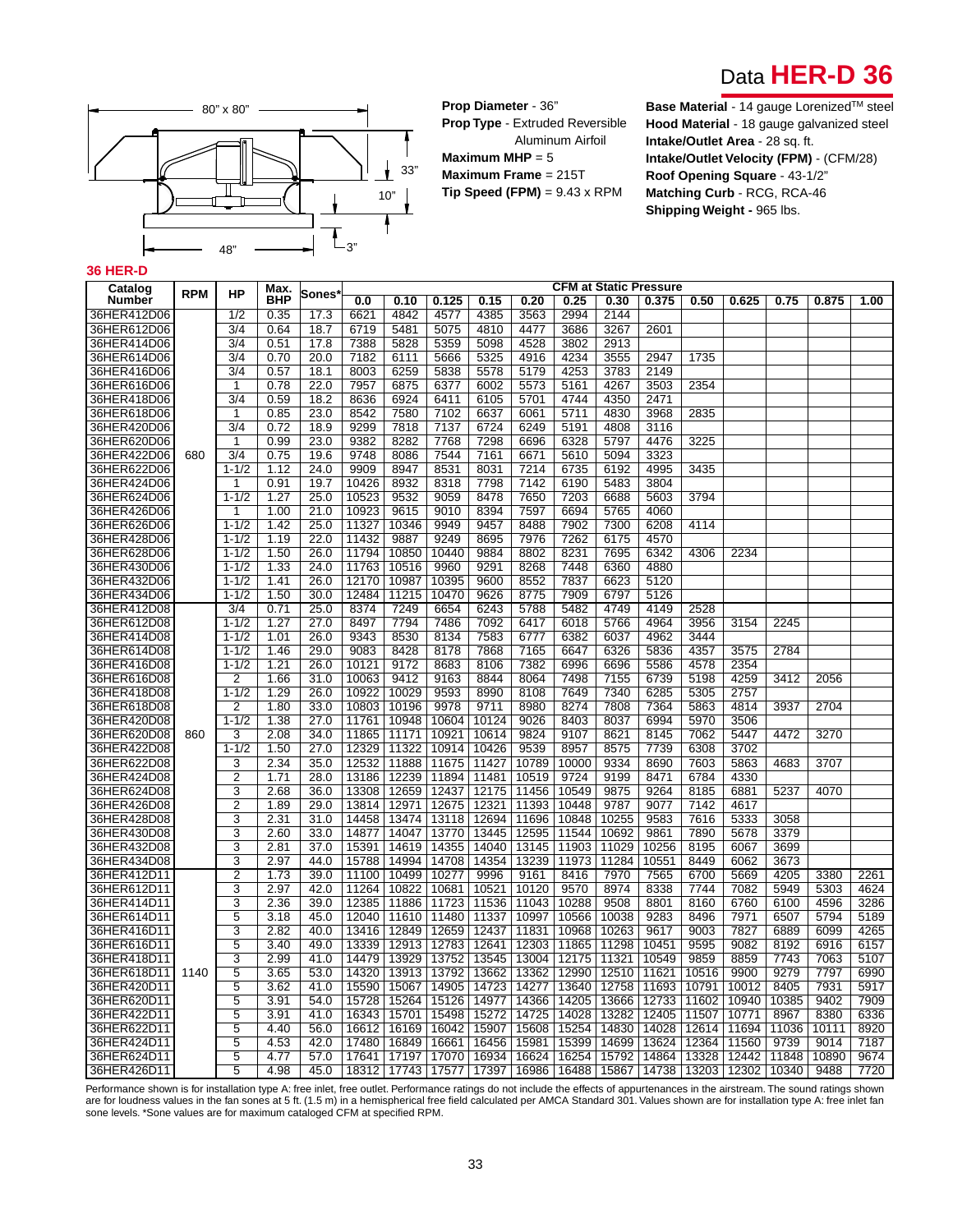



**Prop Diameter** - 36" **Prop Type** - Extruded Reversible

Aluminum Airfoil **Maximum MHP** = 5 **Maximum Frame** = 215T **Tip Speed (FPM)** = 9.43 x RPM

**Base Material** - 14 gauge Lorenized™ steel **Hood Material** - 18 gauge galvanized steel **Intake/Outlet Area** - 28 sq. ft. **Intake/Outlet Velocity (FPM)** - (CFM/28) **Roof Opening Square** - 43-1/2" **Matching Curb** - RCG, RCA-46 **Shipping Weight - 965 lbs.** 

### **36 HER-D**

| Catalog                    |            |                        | Max.         |              |               |              |              |              |              |              |              | CFM at Static Pressure |              |              |       |                   |      |
|----------------------------|------------|------------------------|--------------|--------------|---------------|--------------|--------------|--------------|--------------|--------------|--------------|------------------------|--------------|--------------|-------|-------------------|------|
| Number                     | <b>RPM</b> | <b>HP</b>              | <b>BHP</b>   | Sones        | 0.0           | 0.10         | 0.125        | 0.15         | 0.20         | 0.25         | 0.30         | 0.375                  | 0.50         | 0.625        | 0.75  | 0.875             | 1.00 |
| 36HER412D06                |            | 1/2                    | 0.35         | 17.3         | 6621          | 4842         | 4577         | 4385         | 3563         | 2994         | 2144         |                        |              |              |       |                   |      |
| 36HER612D06                |            | 3/4                    | 0.64         | 18.7         | 6719          | 5481         | 5075         | 4810         | 4477         | 3686         | 3267         | 2601                   |              |              |       |                   |      |
| 36HER414D06                |            | $\overline{3/4}$       | 0.51         | 17.8         | 7388          | 5828         | 5359         | 5098         | 4528         | 3802         | 2913         |                        |              |              |       |                   |      |
| 36HER614D06                |            | 3/4                    | 0.70         | 20.0         | 7182          | 6111         | 5666         | 5325         | 4916         | 4234         | 3555         | 2947                   | 1735         |              |       |                   |      |
| 36HER416D06                |            | 3/4                    | 0.57         | 18.1         | 8003          | 6259         | 5838         | 5578         | 5179         | 4253         | 3783         | 2149                   |              |              |       |                   |      |
| 36HER616D06                |            | 1                      | 0.78         | 22.0         | 7957          | 6875         | 6377         | 6002         | 5573         | 5161         | 4267         | 3503                   | 2354         |              |       |                   |      |
| 36HER418D06                |            | 3/4                    | 0.59         | 18.2         | 8636          | 6924         | 6411         | 6105         | 5701         | 4744         | 4350         | 2471                   |              |              |       |                   |      |
| 36HER618D06                |            | 1                      | 0.85         | 23.0         | 8542          | 7580         | 7102         | 6637         | 6061         | 5711         | 4830         | 3968                   | 2835         |              |       |                   |      |
| 36HER420D06                |            | 3/4                    | 0.72         | 18.9         | 9299          | 7818         | 7137         | 6724         | 6249         | 5191         | 4808         | 3116                   |              |              |       |                   |      |
| 36HER620D06                |            | 1                      | 0.99         | 23.0         | 9382          | 8282         | 7768         | 7298         | 6696         | 6328         | 5797         | 4476                   | 3225         |              |       |                   |      |
| 36HER422D06                | 680        | 3/4                    | 0.75         | 19.6         | 9748          | 8086         | 7544         | 7161         | 6671         | 5610         | 5094         | 3323                   |              |              |       |                   |      |
| 36HER622D06                |            | $1 - 1/2$              | 1.12         | 24.0         | 9909          | 8947         | 8531         | 8031         | 7214         | 6735         | 6192         | 4995                   | 3435         |              |       |                   |      |
| 36HER424D06                |            | 1                      | 0.91         | 19.7         | 10426         | 8932         | 8318         | 7798         | 7142         | 6190         | 5483         | 3804                   |              |              |       |                   |      |
| 36HER624D06                |            | $1 - 1/2$              | 1.27         | 25.0         | 10523         | 9532         | 9059         | 8478         | 7650         | 7203         | 6688         | 5603                   | 3794         |              |       |                   |      |
| 36HER426D06                |            | 1                      | 1.00         | 21.0         | 10923         | 9615         | 9010         | 8394         | 7597         | 6694         | 5765         | 4060                   |              |              |       |                   |      |
| 36HER626D06                |            | $1 - 1/2$              | 1.42         | 25.0         | 11327         | 10346        | 9949         | 9457         | 8488         | 7902         | 7300         | 6208                   | 4114         |              |       |                   |      |
| 36HER428D06                |            | $1 - 1/2$              | 1.19         | 22.0         | 11432         | 9887         | 9249         | 8695         | 7976         | 7262         | 6175         | 4570                   |              |              |       |                   |      |
| 36HER628D06                |            | $1 - 1/2$              | 1.50         | 26.0         | 11794         | 10850        | 10440        | 9884         | 8802         | 8231         | 7695         | 6342                   | 4306         | 2234         |       |                   |      |
| 36HER430D06                |            | $1 - 1/2$              | 1.33         | 24.0         | 11763         | 10516        | 9960         | 9291         | 8268         | 7448         | 6360         | 4880                   |              |              |       |                   |      |
| 36HER432D06                |            | $1 - 1/2$              | 1.41         | 26.0         | 12170         | 10987        | 10395        | 9600         | 8552         | 7837         | 6623         | 5120                   |              |              |       |                   |      |
| 36HER434D06                |            | $1 - 1/2$              | 1.50         | 30.0         | 12484         | 11215        | 10470        | 9626         | 8775         | 7909         | 6797         | 5126                   |              |              |       |                   |      |
| 36HER412D08                |            | 3/4                    | 0.71         | 25.0         | 8374          | 7249         | 6654         | 6243         | 5788         | 5482         | 4749         | 4149                   | 2528         |              |       |                   |      |
| 36HER612D08                |            | $1 - 1/2$              | 1.27         | 27.0         | 8497          | 7794         | 7486         | 7092         | 6417         | 6018         | 5766         | 4964                   | 3956         | 3154         | 2245  |                   |      |
| 36HER414D08                |            | $1 - 1/2$<br>$1 - 1/2$ | 1.01         | 26.0         | 9343          | 8530         | 8134         | 7583         | 6777         | 6382         | 6037         | 4962                   | 3444         |              |       |                   |      |
| 36HER614D08<br>36HER416D08 |            | $1 - 1/2$              | 1.46<br>1.21 | 29.0<br>26.0 | 9083<br>10121 | 8428<br>9172 | 8178<br>8683 | 7868<br>8106 | 7165<br>7382 | 6647<br>6996 | 6326<br>6696 | 5836<br>5586           | 4357<br>4578 | 3575<br>2354 | 2784  |                   |      |
| 36HER616D08                |            | $\overline{2}$         | 1.66         | 31.0         | 10063         | 9412         | 9163         | 8844         | 8064         | 7498         | 7155         | 6739                   | 5198         | 4259         | 3412  | 2056              |      |
| 36HER418D08                |            | $1 - 1/2$              | 1.29         | 26.0         | 10922         | 10029        | 9593         | 8990         | 8108         | 7649         | 7340         | 6285                   | 5305         | 2757         |       |                   |      |
| 36HER618D08                |            | $\overline{2}$         | 1.80         | 33.0         | 10803         | 10196        | 9978         | 9711         | 8980         | 8274         | 7808         | 7364                   | 5863         | 4814         | 3937  | 2704              |      |
| 36HER420D08                |            | $1 - 1/2$              | 1.38         | 27.0         | 11761         | 10948        | 10604        | 10124        | 9026         | 8403         | 8037         | 6994                   | 5970         | 3506         |       |                   |      |
| 36HER620D08                | 860        | 3                      | 2.08         | 34.0         | 11865         | 11171        | 10921        | 10614        | 9824         | 9107         | 8621         | 8145                   | 7062         | 5447         | 4472  | 3270              |      |
| 36HER422D08                |            | $1 - 1/2$              | 1.50         | 27.0         | 12329         | 11322        | 10914        | 10426        | 9539         | 8957         | 8575         | 7739                   | 6308         | 3702         |       |                   |      |
| 36HER622D08                |            | 3                      | 2.34         | 35.0         | 12532         | 11888        | 11675        | 11427        | 10789        | 10000        | 9334         | 8690                   | 7603         | 5863         | 4683  | 3707              |      |
| 36HER424D08                |            | $\overline{2}$         | 1.71         | 28.0         | 13186         | 12239        | 11894        | 11481        | 10519        | 9724         | 9199         | 8471                   | 6784         | 4330         |       |                   |      |
| 36HER624D08                |            | 3                      | 2.68         | 36.0         | 13308         | 12659        | 12437        | 12175        | 11456        | 10549        | 9875         | 9264                   | 8185         | 6881         | 5237  | 4070              |      |
| 36HER426D08                |            | $\overline{2}$         | 1.89         | 29.0         | 13814         | 12971        | 12675        | 12321        | 11393        | 10448        | 9787         | 9077                   | 7142         | 4617         |       |                   |      |
| 36HER428D08                |            | 3                      | 2.31         | 31.0         | 14458         | 13474        | 13118        | 12694        | 11696        | 10848        | 10255        | 9583                   | 7616         | 5333         | 3058  |                   |      |
| 36HER430D08                |            | 3                      | 2.60         | 33.0         | 14877         | 14047        | 13770        | 13445        | 12595        | 11544        | 10692        | 9861                   | 7890         | 5678         | 3379  |                   |      |
| 36HER432D08                |            | 3                      | 2.81         | 37.0         | 15391         | 14619        | 14355        | 14040        | 13145        | 11903        | 11029        | 10256                  | 8195         | 6067         | 3699  |                   |      |
| 36HER434D08                |            | 3                      | 2.97         | 44.0         | 15788         | 14994        | 14708        | 14354        | 13239        | 11973        | 11284        | 10551                  | 8449         | 6062         | 3673  |                   |      |
| 36HER412D11                |            | $\overline{2}$         | 1.73         | 39.0         | 11100         | 10499        | 10277        | 9996         | 9161         | 8416         | 7970         | 7565                   | 6700         | 5669         | 4205  | 3380              | 2261 |
| 36HER612D11                |            | 3                      | 2.97         | 42.0         | 11264         | 10822        | 10681        | 10521        | 10120        | 9570         | 8974         | 8338                   | 7744         | 7082         | 5949  | 5303              | 4624 |
| 36HER414D11                |            | 3                      | 2.36         | 39.0         | 12385         | 11886        | 11723        | 11536        | 11043        | 10288        | 9508         | 8801                   | 8160         | 6760         | 6100  | 4596              | 3286 |
| 36HER614D11                |            | 5                      | 3.18         | 45.0         | 12040         | 11610        | 11480        | 11337        | 10997        | 10566        | 10038        | 9283                   | 8496         | 7971         | 6507  | 5794              | 5189 |
| 36HER416D11                |            | 3                      | 2.82         | 40.0         | 13416         | 12849        | 12659        | 12437        | 11831        | 10968        | 10263        | 9617                   | 9003         | 7827         | 6889  | 6099              | 4265 |
| 36HER616D11                |            | 5                      | 3.40         | 49.0         | 13339         | 12913        | 12783        | 12641        | 12303        | 11865        | 11298        | 10451                  | 9595         | 9082         | 8192  | 6916              | 6157 |
| 36HER418D11                |            | 3                      | 2.99         | 41.0         | 14479         | 13929        | 13752        | 13545        | 13004        | 12175        | 11321        | 10549                  | 9859         | 8859         | 7743  | 7063              | 5107 |
| 36HER618D11                | 1140       | 5                      | 3.65         | 53.0         | 14320         | 13913        | 13792        | 13662        | 13362        | 12990        | 12510        | 11621                  | 10516        | 9900         | 9279  | 7797              | 6990 |
| 36HER420D11                |            | 5                      | 3.62         | 41.0         | 15590         | 15067        | 14905        | 14723        | 14277        | 13640        | 12758        | 11693                  | 10791        | 10012        | 8405  | 7931              | 5917 |
| 36HER620D11                |            | 5                      | 3.91         | 54.0         | 15728         | 15264        | 15126        | 14977        | 14366        | 14205        | 13666        | 12733                  | 11602        | 10940        | 10385 | 9402              | 7909 |
| 36HER422D11                |            | 5                      | 3.91         | 41.0         | 16343         | 15701        | 15498        | 15272        | 14725        | 14028        | 13282        | 12405                  | 11507        | 10771        | 8967  | 8380              | 6336 |
| 36HER622D11                |            | 5                      | 4.40         | 56.0         | 16612         | 16169        | 16042        | 15907        | 15608        | 15254        | 14830        | 14028                  | 12614        | 11694        | 11036 | 10111             | 8920 |
| 36HER424D11                |            | 5                      | 4.53         | 42.0         | 17480         | 16849        | 16661        | 16456        | 15981        | 15399        | 14699        | 13624                  | 12364        | 11560        | 9739  | $901\overline{4}$ | 7187 |
| 36HER624D11                |            | 5                      | 4.77         | 57.0         | 17641         | 17197        | 17070        | 16934        | 16624        | 16254        | 15792        | 14864                  | 13328        | 12442        | 11848 | 10890             | 9674 |
| 36HER426D11                |            | 5                      | 4.98         | 45.0         | 18312         | 17743        | 17577        | 17397        | 16986        | 16488        | 15867        | 14738                  | 13203        | 12302        | 10340 | 9488              | 7720 |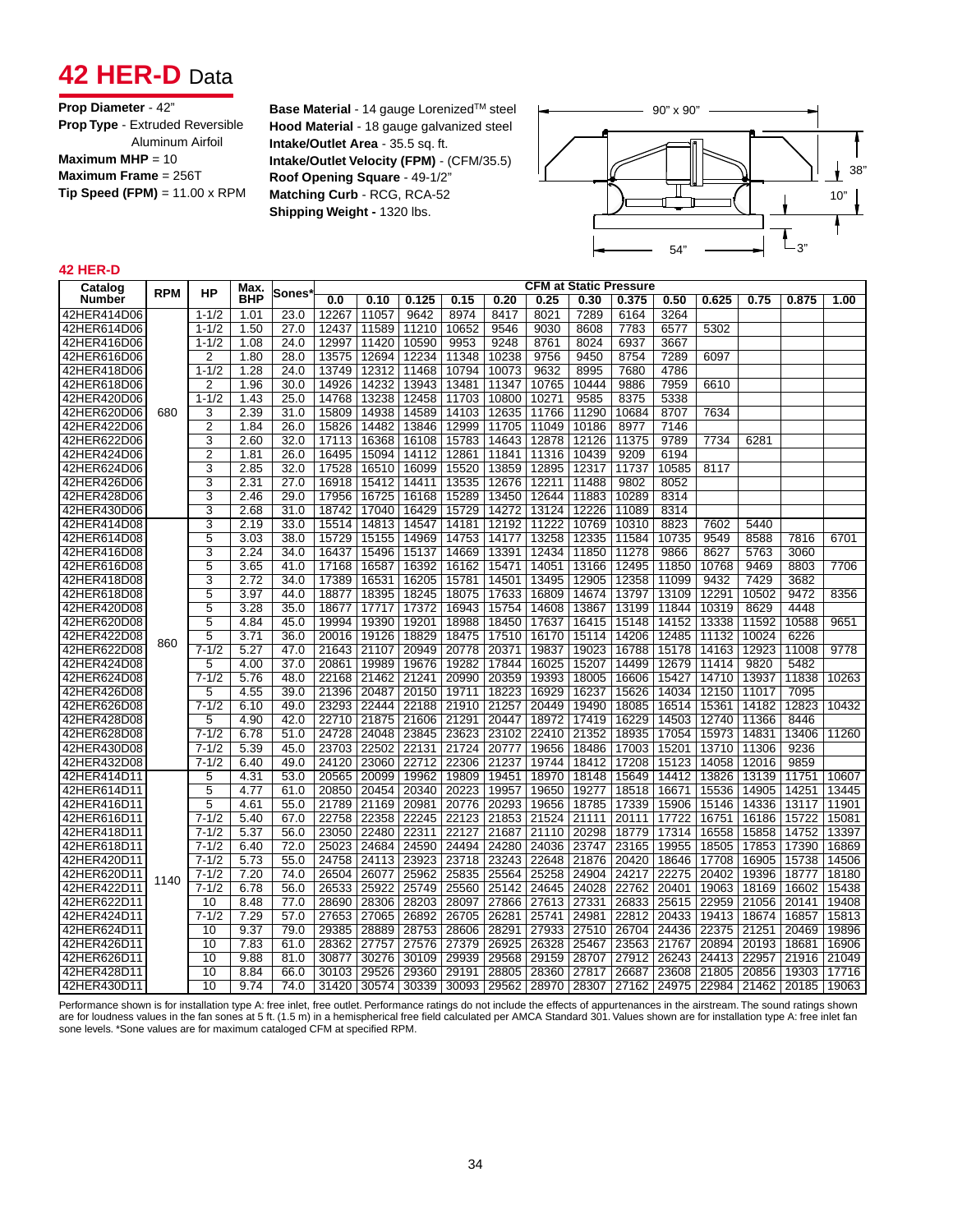## **42 HER-D** Data

### **Prop Diameter** - 42" **Prop Type** - Extruded Reversible Aluminum Airfoil **Maximum MHP** = 10 **Maximum Frame** = 256T **Tip Speed (FPM)** = 11.00 x RPM

**Base Material** - 14 gauge Lorenized™ steel **Hood Material** - 18 gauge galvanized steel **Intake/Outlet Area** - 35.5 sq. ft. **Intake/Outlet Velocity (FPM)** - (CFM/35.5) **Roof Opening Square** - 49-1/2" **Matching Curb** - RCG, RCA-52 **Shipping Weight -** 1320 lbs.



### **42 HER-D**

| Catalog     | <b>RPM</b> | НP              | Max.       | Sones' | <b>CFM at Static Pressure</b> |       |       |             |                   |       |       |       |       |                                     |       |       |       |
|-------------|------------|-----------------|------------|--------|-------------------------------|-------|-------|-------------|-------------------|-------|-------|-------|-------|-------------------------------------|-------|-------|-------|
| Number      |            |                 | <b>BHP</b> |        | 0.0                           | 0.10  | 0.125 | 0.15        | 0.20              | 0.25  | 0.30  | 0.375 | 0.50  | 0.625                               | 0.75  | 0.875 | 1.00  |
| 42HER414D06 |            | $1 - 1/2$       | 1.01       | 23.0   | 12267                         | 11057 | 9642  | 8974        | 8417              | 8021  | 7289  | 6164  | 3264  |                                     |       |       |       |
| 42HER614D06 |            | $1 - 1/2$       | 1.50       | 27.0   | 12437                         | 11589 | 11210 | 10652       | 9546              | 9030  | 8608  | 7783  | 6577  | 5302                                |       |       |       |
| 42HER416D06 |            | $1 - 1/2$       | 1.08       | 24.0   | 12997                         | 11420 | 10590 | 9953        | 9248              | 8761  | 8024  | 6937  | 3667  |                                     |       |       |       |
| 42HER616D06 |            | $\overline{2}$  | 1.80       | 28.0   | 13575                         | 12694 | 12234 | 11348       | 10238             | 9756  | 9450  | 8754  | 7289  | 6097                                |       |       |       |
| 42HER418D06 |            | $1 - 1/2$       | 1.28       | 24.0   | 13749                         | 12312 | 11468 | 10794       | 10073             | 9632  | 8995  | 7680  | 4786  |                                     |       |       |       |
| 42HER618D06 |            | $\overline{2}$  | 1.96       | 30.0   | 14926                         | 14232 | 13943 | 13481       | 11347             | 10765 | 10444 | 9886  | 7959  | 6610                                |       |       |       |
| 42HER420D06 |            | $1 - 1/2$       | 1.43       | 25.0   | 14768                         | 13238 | 12458 | 11703       | 10800             | 10271 | 9585  | 8375  | 5338  |                                     |       |       |       |
| 42HER620D06 | 680        | 3               | 2.39       | 31.0   | 15809                         | 14938 | 14589 | 14103       | 12635             | 11766 | 11290 | 10684 | 8707  | 7634                                |       |       |       |
| 42HER422D06 |            | $\overline{2}$  | 1.84       | 26.0   | 15826                         | 14482 | 13846 | 12999       | 11705             | 11049 | 10186 | 8977  | 7146  |                                     |       |       |       |
| 42HER622D06 |            | 3               | 2.60       | 32.0   | 17113                         | 16368 | 16108 | 15783       | 14643             | 12878 | 12126 | 11375 | 9789  | 7734                                | 6281  |       |       |
| 42HER424D06 |            | $\overline{2}$  | 1.81       | 26.0   | 16495                         | 15094 | 14112 | 12861       | 11841             | 11316 | 10439 | 9209  | 6194  |                                     |       |       |       |
| 42HER624D06 |            | 3               | 2.85       | 32.0   | 17528                         | 16510 | 16099 | 15520       | 13859             | 12895 | 12317 | 11737 | 10585 | 8117                                |       |       |       |
| 42HER426D06 |            | 3               | 2.31       | 27.0   | 16918                         | 15412 | 14411 | 13535       | 12676             | 12211 | 11488 | 9802  | 8052  |                                     |       |       |       |
| 42HER428D06 |            | 3               | 2.46       | 29.0   | 17956                         | 16725 | 16168 | 15289       | 13450             | 12644 | 11883 | 10289 | 8314  |                                     |       |       |       |
| 42HER430D06 |            | 3               | 2.68       | 31.0   | 18742                         | 17040 | 16429 | 15729       | 14272             | 13124 | 12226 | 11089 | 8314  |                                     |       |       |       |
| 42HER414D08 |            | 3               | 2.19       | 33.0   | 15514                         | 14813 | 14547 | 14181       | 12192             | 11222 | 10769 | 10310 | 8823  | 7602                                | 5440  |       |       |
| 42HER614D08 |            | 5               | 3.03       | 38.0   | 15729                         | 15155 | 14969 | 14753       | 14177             | 13258 | 12335 | 11584 | 10735 | 9549                                | 8588  | 7816  | 6701  |
| 42HER416D08 |            | 3               | 2.24       | 34.0   | 16437                         | 15496 | 15137 | 14669       | 13391             | 12434 | 11850 | 11278 | 9866  | 8627                                | 5763  | 3060  |       |
| 42HER616D08 |            | 5               | 3.65       | 41.0   | 17168                         | 16587 | 16392 | 16162       | 15471             | 14051 | 13166 | 12495 | 11850 | 10768                               | 9469  | 8803  | 7706  |
| 42HER418D08 |            | 3               | 2.72       | 34.0   | 17389                         | 16531 | 16205 | 15781       | 14501             | 13495 | 12905 | 12358 | 11099 | 9432                                | 7429  | 3682  |       |
| 42HER618D08 |            | 5               | 3.97       | 44.0   | 18877                         | 18395 | 18245 | 18075       | 17633             | 16809 | 14674 | 13797 | 13109 | 12291                               | 10502 | 9472  | 8356  |
| 42HER420D08 |            | 5               | 3.28       | 35.0   | 18677                         | 17717 | 17372 | 16943       | 15754             | 14608 | 13867 | 13199 | 11844 | 10319                               | 8629  | 4448  |       |
| 42HER620D08 |            | 5               | 4.84       | 45.0   | 19994                         | 19390 | 19201 | 18988       | 18450             | 17637 | 16415 | 15148 | 14152 | 13338                               | 11592 | 10588 | 9651  |
| 42HER422D08 |            | 5               | 3.71       | 36.0   | 20016                         | 19126 | 18829 | 18475       | 17510             | 16170 | 15114 | 14206 | 12485 | 11132                               | 10024 | 6226  |       |
| 42HER622D08 | 860        | 7-1/2           | 5.27       | 47.0   | 21643                         | 21107 | 20949 | 20778       | 20371             | 19837 | 19023 | 16788 | 15178 | 14163                               | 12923 | 11008 | 9778  |
| 42HER424D08 |            | 5               | 4.00       | 37.0   | 20861                         | 19989 | 19676 | 19282       | 17844             | 16025 | 15207 | 14499 | 12679 | 11414                               | 9820  | 5482  |       |
| 42HER624D08 |            | $7 - 1/2$       | 5.76       | 48.0   | 22168                         | 21462 | 21241 | 20990       | 20359             | 19393 | 18005 | 16606 | 15427 | 14710                               | 13937 | 11838 | 10263 |
| 42HER426D08 |            | 5               | 4.55       | 39.0   | 21396                         | 20487 | 20150 | 19711       | 18223             | 16929 | 16237 | 15626 | 14034 | 12150                               | 11017 | 7095  |       |
| 42HER626D08 |            | $7 - 1/2$       | 6.10       | 49.0   | 23293                         | 22444 | 22188 | 21910       | 21257             | 20449 | 19490 | 18085 | 16514 | 15361                               | 14182 | 12823 | 10432 |
| 42HER428D08 |            | 5               | 4.90       | 42.0   | 22710                         | 21875 | 21606 | 21291       | 20447             | 18972 | 17419 | 16229 | 14503 | 12740                               | 11366 | 8446  |       |
| 42HER628D08 |            | $7 - 1/2$       | 6.78       | 51.0   | 24728                         | 24048 | 23845 | 23623       | 23102             | 22410 | 21352 | 18935 | 17054 | 15973                               | 14831 | 13406 | 11260 |
| 42HER430D08 |            | $7 - 1/2$       | 5.39       | 45.0   | 23703                         | 22502 | 22131 | 21724       | 20777             | 19656 | 18486 | 17003 | 15201 | 13710                               | 11306 | 9236  |       |
| 42HER432D08 |            | $7 - 1/2$       | 6.40       | 49.0   | 24120                         | 23060 | 22712 | 22306       | 21237             | 19744 | 18412 | 17208 | 15123 | 14058                               | 12016 | 9859  |       |
| 42HER414D11 |            | 5               | 4.31       | 53.0   | 20565                         | 20099 | 19962 | 19809       | 19451             | 18970 | 18148 | 15649 | 14412 | 13826                               | 13139 | 11751 | 10607 |
| 42HER614D11 |            | 5               | 4.77       | 61.0   | 20850                         | 20454 | 20340 | 20223       | 19957             | 19650 | 19277 | 18518 | 16671 | 15536                               | 14905 | 14251 | 13445 |
| 42HER416D11 |            | 5               | 4.61       | 55.0   | 21789                         | 21169 | 20981 | 20776       | 20293             | 19656 | 18785 | 17339 | 15906 | 15146                               | 14336 | 13117 | 11901 |
| 42HER616D11 |            | $7 - 1/2$       | 5.40       | 67.0   | 22758                         | 22358 | 22245 | 22123       | 21853             | 21524 | 21111 | 20111 | 17722 | 16751                               | 16186 | 15722 | 15081 |
| 42HER418D11 |            | $7 - 1/2$       | 5.37       | 56.0   | 23050                         | 22480 | 22311 | 22127       | 21687             | 21110 | 20298 | 18779 | 17314 | 16558                               | 15858 | 14752 | 13397 |
| 42HER618D11 |            | $7 - 1/2$       | 6.40       | 72.0   | 25023                         | 24684 | 24590 | 24494       | 24280             | 24036 | 23747 | 23165 | 19955 | 18505                               | 17853 | 17390 | 16869 |
| 42HER420D11 | 1140       | $7 - 1/2$       | 5.73       | 55.0   | 24758                         | 24113 | 23923 | 23718       | 23243 22648       |       | 21876 | 20420 | 18646 | 17708                               | 16905 | 15738 | 14506 |
| 42HER620D11 |            | $7 - 1/2$       | 7.20       | 74.0   | 26504                         | 26077 | 25962 | 25835       | 25564 25258       |       | 24904 | 24217 | 22275 | 20402                               | 19396 | 18777 | 18180 |
| 42HER422D11 |            | $7 - 1/2$       | 6.78       | 56.0   | 26533                         | 25922 | 25749 | 25560       | 25142 24645       |       | 24028 | 22762 | 20401 | 19063                               | 18169 | 16602 | 15438 |
| 42HER622D11 |            | $\overline{10}$ | 8.48       | 77.0   | 28690                         | 28306 | 28203 | 28097       | 27866 27613       |       | 27331 | 26833 | 25615 | 22959                               | 21056 | 20141 | 19408 |
| 42HER424D11 |            | $7 - 1/2$       | 7.29       | 57.0   | 27653                         | 27065 | 26892 | 26705       | 26281             | 25741 | 24981 | 22812 | 20433 | 19413                               | 18674 | 16857 | 15813 |
| 42HER624D11 |            | 10              | 9.37       | 79.0   | 29385                         | 28889 | 28753 | 28606       | 28291             | 27933 | 27510 | 26704 | 24436 | 22375                               | 21251 | 20469 | 19896 |
| 42HER426D11 |            | 10              | 7.83       | 61.0   | 28362                         | 27757 | 27576 | 27379       | 26925             | 26328 | 25467 | 23563 | 21767 | 20894                               | 20193 | 18681 | 16906 |
| 42HER626D11 |            | 10              | 9.88       | 81.0   | 30877                         | 30276 | 30109 | 29939       | 29568             | 29159 | 28707 | 27912 | 26243 | 24413                               | 22957 | 21916 | 21049 |
| 42HER428D11 |            | 10              | 8.84       | 66.0   | 30103                         | 29526 | 29360 | 29191       | 28805             | 28360 | 27817 | 26687 |       | 23608 21805                         | 20856 | 19303 | 17716 |
| 42HER430D11 |            | $\overline{10}$ | 9.74       | 74.0   | 31420                         | 30574 |       | 30339 30093 | 29562 28970 28307 |       |       |       |       | 27162 24975 22984 21462 20185 19063 |       |       |       |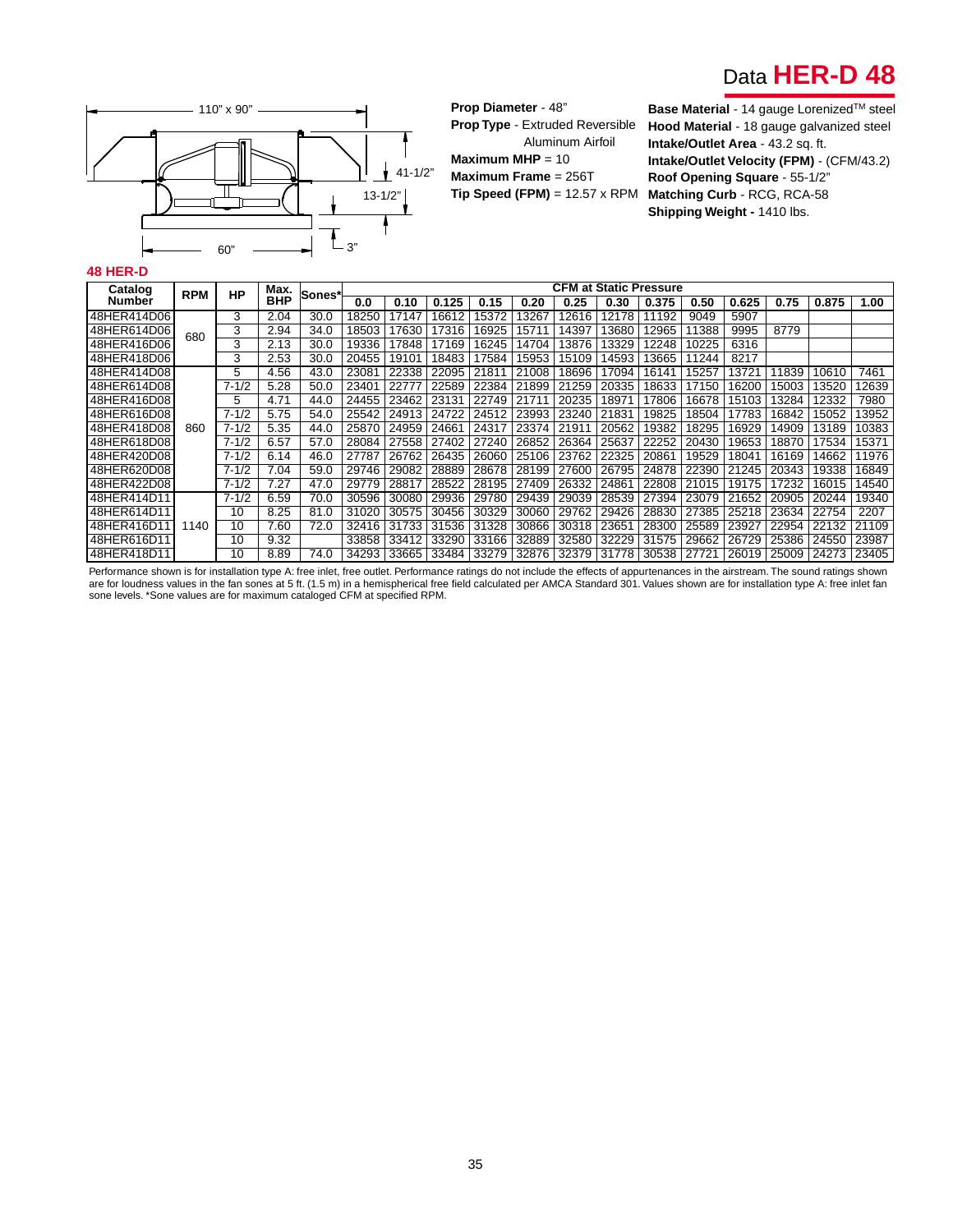# Data **HER-D 48**



**Prop Diameter** - 48" **Prop Type** - Extruded Reversible Aluminum Airfoil **Maximum MHP** = 10 **Maximum Frame** = 256T **Tip Speed (FPM)** = 12.57 x RPM

110" x 90" **Base Material** - 14 gauge Lorenized<sup>™</sup> steel **Hood Material** - 18 gauge galvanized steel **Intake/Outlet Area** - 43.2 sq. ft. **Intake/Outlet Velocity (FPM)** - (CFM/43.2) **Roof Opening Square** - 55-1/2" **Matching Curb** - RCG, RCA-58 **Shipping Weight -** 1410 lbs.

#### **48 HER-D**

| Catalog<br>Number | <b>RPM</b> | <b>HP</b> | Max.       | Sones* |       |       |             |       |                       |       |       | <b>CFM at Static Pressure</b> |       |       |       |               |       |
|-------------------|------------|-----------|------------|--------|-------|-------|-------------|-------|-----------------------|-------|-------|-------------------------------|-------|-------|-------|---------------|-------|
|                   |            |           | <b>BHP</b> |        | 0.0   | 0.10  | 0.125       | 0.15  | 0.20                  | 0.25  | 0.30  | 0.375                         | 0.50  | 0.625 | 0.75  | 0.875         | 1.00  |
| 48HER414D06       |            | 3         | 2.04       | 30.0   | 18250 | 7147  | 6612        | 15372 | 13267                 | 12616 | 12178 | 11192                         | 9049  | 5907  |       |               |       |
| 48HER614D06       | 680        | 3         | 2.94       | 34.0   | 18503 | 17630 | 7316        | 16925 | 15711                 | 14397 | 13680 | 12965                         | 11388 | 9995  | 8779  |               |       |
| 48HER416D06       |            | 3         | 2.13       | 30.0   | 19336 | 17848 | 17169       | 16245 | 14704                 | 13876 | 13329 | 12248                         | 10225 | 6316  |       |               |       |
| 48HER418D06       |            | 3         | 2.53       | 30.0   | 20455 | 19101 | 18483       | 17584 | 15953                 | 15109 | 14593 | 13665                         | 11244 | 8217  |       |               |       |
| 48HER414D08       |            | 5         | 4.56       | 43.0   | 23081 | 22338 | 22095       | 21811 | 21008                 | 18696 | 17094 | 16141                         | 15257 | 13721 | 11839 | 10610         | 7461  |
| 48HER614D08       |            | $7 - 1/2$ | 5.28       | 50.0   | 23401 | 22777 | 22589       | 22384 | 21899                 | 21259 | 20335 | 18633                         | 17150 | 16200 | 15003 | 3520          | 2639  |
| 48HER416D08       |            | 5         | 4.71       | 44.0   | 24455 | 23462 | 23131       | 22749 | 21711                 | 20235 | 18971 | 17806                         | 16678 | 15103 | 3284  | 12332         | 7980  |
| 48HER616D08       |            | $7 - 1/2$ | 5.75       | 54.0   | 25542 | 24913 | 24722       | 24512 | 23993                 | 23240 | 21831 | 19825                         | 18504 | 17783 | 16842 | 15052         | 3952  |
| 48HER418D08       | 860        | $7 - 1/2$ | 5.35       | 44.0   | 25870 | 24959 | 24661       | 24317 | 23374                 | 21911 | 20562 | 19382                         | 18295 | 16929 | 14909 | 13189         | 10383 |
| 48HER618D08       |            | $7 - 1/2$ | 6.57       | 57.0   | 28084 | 27558 | 27402       | 27240 | 26852                 | 26364 | 25637 | 22252                         | 20430 | 19653 | 18870 | 17534         | 5371  |
| 48HER420D08       |            | $7 - 1/2$ | 6.14       | 46.0   | 27787 | 26762 | 26435       | 26060 | 25106                 | 23762 | 22325 | 20861                         | 19529 | 18041 | 16169 | 14662         | 1976  |
| 48HER620D08       |            | $7 - 1/2$ | 7.04       | 59.0   | 29746 | 29082 | 28889       | 28678 | 28199                 | 27600 | 26795 | 24878                         | 22390 | 21245 | 20343 | 19338         | 16849 |
| 48HER422D08       |            | $7 - 1/2$ | 7.27       | 47.0   | 29779 | 28817 | 28522       | 28195 | 27409                 | 26332 | 24861 | 22808                         | 21015 | 19175 | 17232 | 16015         | 14540 |
| 48HER414D11       |            | $7 - 1/2$ | 6.59       | 70.0   | 30596 | 30080 | 29936       | 29780 | 29439                 | 29039 | 28539 | 27394                         | 23079 | 21652 | 20905 | 20244         | 19340 |
| 48HER614D11       |            | 10        | 8.25       | 81.0   | 31020 | 30575 | 30456       | 30329 | 30060                 | 29762 | 29426 | 28830                         | 27385 | 25218 | 23634 | 22754         | 2207  |
| 48HER416D11       | 1140       | 10        | 7.60       | 72.0   | 32416 | 31733 | 31536       | 31328 | 30866                 | 30318 | 23651 | 28300                         | 25589 | 23927 | 22954 | 22132         | 21109 |
| 48HER616D11       |            | 10        | 9.32       |        | 33858 | 33412 | 33290       | 33166 | 32889                 | 32580 | 32229 | 31575                         | 29662 | 26729 | 25386 | 24550         | 23987 |
| l48HER418D11      |            | 10        | 8.89       | 74.0   | 34293 | 33665 | 33484 33279 |       | 32876   32379   31778 |       |       | 30538                         | 27721 | 26019 |       | 25009   24273 | 23405 |

Performance shown is for installation type A: free inlet, free outlet. Performance ratings do not include the effects of appurtenances in the airstream. The sound ratings shown are for loudness values in the fan sones at 5 ft. (1.5 m) in a hemispherical free field calculated per AMCA Standard 301. Values shown are for installation type A: free inlet fan<br>sone levels. \*Sone values are for maximum c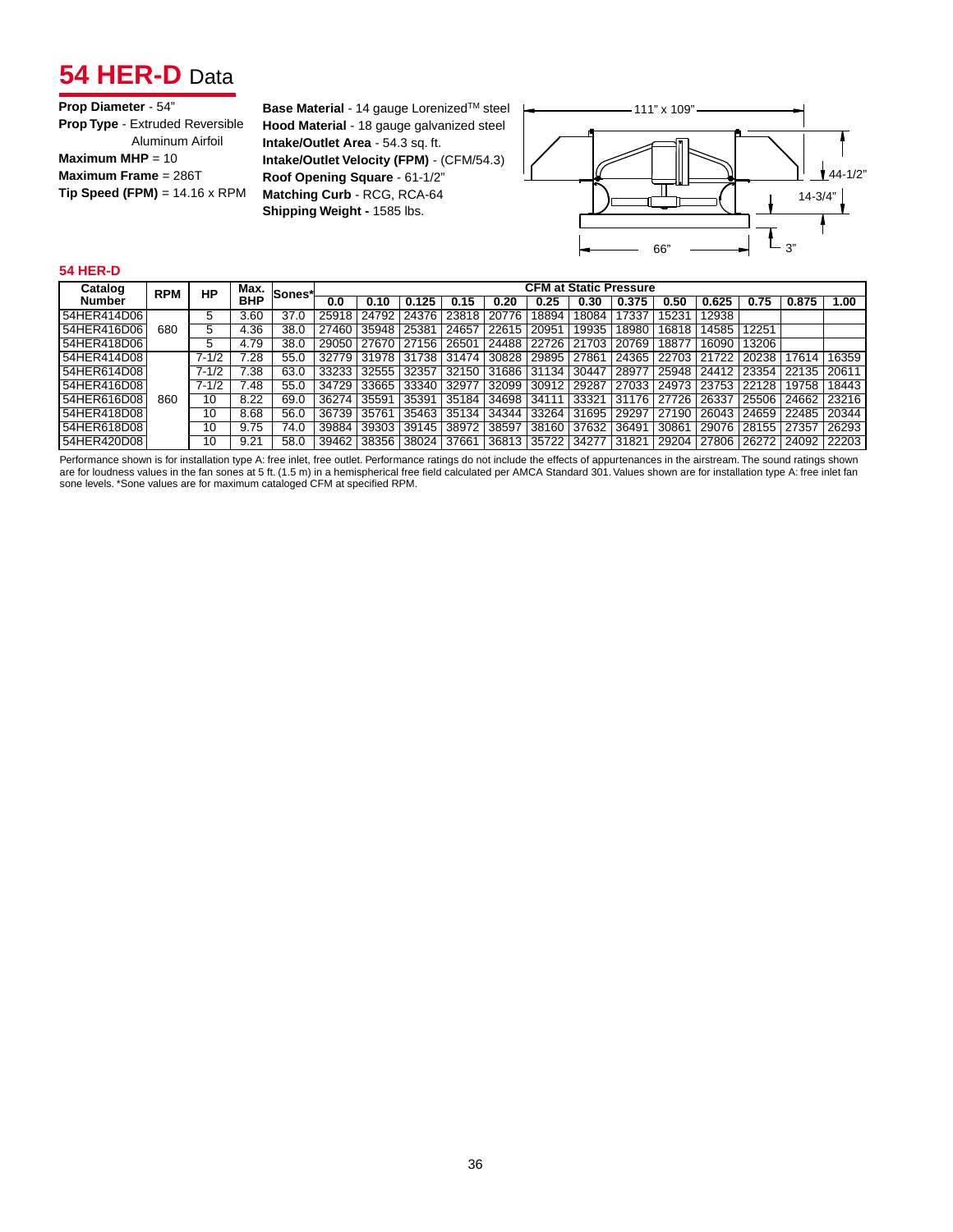## **54 HER-D** Data

**Base Material** - 14 gauge Lorenized<sup>™</sup> steel |← 111" x 109" **Hood Material** - 18 gauge galvanized steel **Intake/Outlet Area** - 54.3 sq. ft. **Intake/Outlet Velocity (FPM)** - (CFM/54.3) **Roof Opening Square** - 61-1/2" **Matching Curb** - RCG, RCA-64 **Shipping Weight -** 1585 lbs.



#### **54 HER-D**

| Catalog       | <b>RPM</b> | Max.<br>НP<br><b>BHP</b> |      |      |       |       |               | ∣Sones*l | <b>CFM at Static Pressure</b> |       |       |       |       |       |             |       |             |  |  |  |
|---------------|------------|--------------------------|------|------|-------|-------|---------------|----------|-------------------------------|-------|-------|-------|-------|-------|-------------|-------|-------------|--|--|--|
| Number        |            |                          |      |      | 0.0   | 0.10  | 0.125         | 0.15     | 0.20                          | 0.25  | 0.30  | 0.375 | 0.50  | 0.625 | 0.75        | 0.875 | 1.00        |  |  |  |
| 54HER414D06   |            |                          | 3.60 | 37.0 | 25918 | 24792 | 24376         | 23818    | 20776                         | 18894 | 18084 | 17337 | 15231 | 12938 |             |       |             |  |  |  |
| 154HER416D06  | 680        | 5                        | 4.36 | 38.0 | 27460 | 35948 | 25381         | 24657    | 22615                         | 20951 | 19935 | 18980 | 16818 | 14585 | 12251       |       |             |  |  |  |
| 54HER418D06   |            |                          | 4.79 | 38.0 | 29050 | 27670 | 27156         | 26501    | 24488                         | 22726 | 21703 | 20769 | 18877 | 16090 | 13206       |       |             |  |  |  |
| 54HER414D08   |            | $7 - 1/2$                | 7.28 | 55.0 | 32779 |       | 31978   31738 | 31474    | 30828                         | 29895 | 27861 | 24365 | 22703 | 21722 | 20238       | 17614 | 16359       |  |  |  |
| 154HER614D08  |            | $7 - \sqrt{12}$          | 7.38 | 63.0 | 33233 | 32555 | 32357         | 32150    | 31686                         | 31134 | 30447 | 28977 | 25948 | 24412 | 23354       | 22135 | 20611       |  |  |  |
| 154HER416D08  |            | $7 - 1/2$                | 7.48 | 55.0 | 34729 | 33665 | 33340         | 32977    | 32099                         | 30912 | 29287 | 27033 | 24973 | 23753 | 22128       | 19758 | 18443       |  |  |  |
| 54HER616D08   | 860        | 10                       | 8.22 | 69.0 | 36274 | 35591 | 35391         | 35184    | 34698                         | 34111 | 33321 | 31176 | 27726 | 26337 | 25506       |       | 24662 23216 |  |  |  |
| 54HER418D08   |            | 10                       | 8.68 | 56.0 | 36739 | 35761 | 35463         | 35134    | 34344                         | 33264 | 31695 | 29297 | 27190 | 26043 | 24659       | 22485 | 20344       |  |  |  |
| 154HER618D081 |            | 10                       | 9.75 | 74.0 | 39884 | 39303 | 39145         | 38972    | 38597                         | 38160 | 37632 | 36491 | 30861 | 29076 | 28155 27357 |       | 26293       |  |  |  |
| 154HER420D081 |            | 10                       | 9.21 | 58.0 | 39462 | 38356 | 38024         | 37661    | 36813                         | 35722 | 34277 | 31821 | 29204 | 27806 | 26272 24092 |       | 22203       |  |  |  |

Performance shown is for installation type A: free inlet, free outlet. Performance ratings do not include the effects of appurtenances in the airstream. The sound ratings shown are for loudness values in the fan sones at 5 ft. (1.5 m) in a hemispherical free field calculated per AMCA Standard 301. Values shown are for installation type A: free inlet fan<br>sone levels. \*Sone values are for maximum c